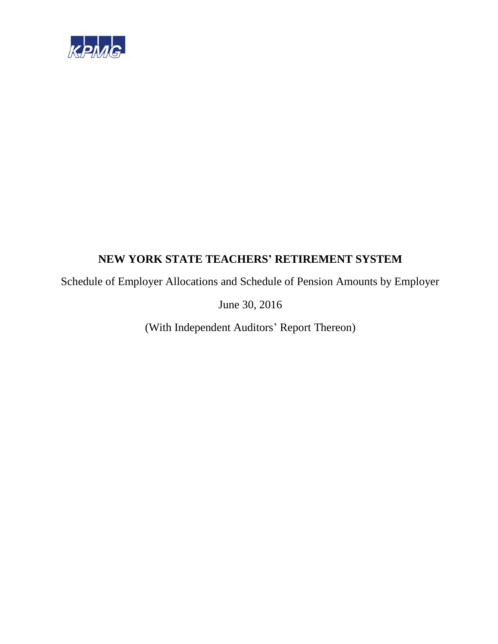

Schedule of Employer Allocations and Schedule of Pension Amounts by Employer

June 30, 2016

(With Independent Auditors' Report Thereon)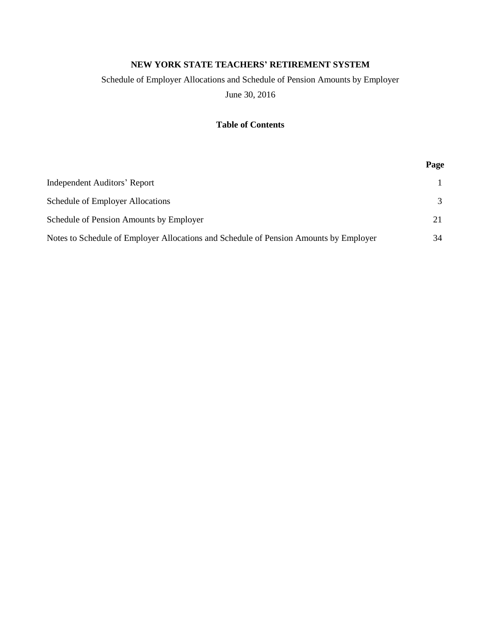Schedule of Employer Allocations and Schedule of Pension Amounts by Employer

June 30, 2016

## **Table of Contents**

# **Page** Independent Auditors' Report 1 Schedule of Employer Allocations 3 Schedule of Pension Amounts by Employer 21 Notes to Schedule of Employer Allocations and Schedule of Pension Amounts by Employer 34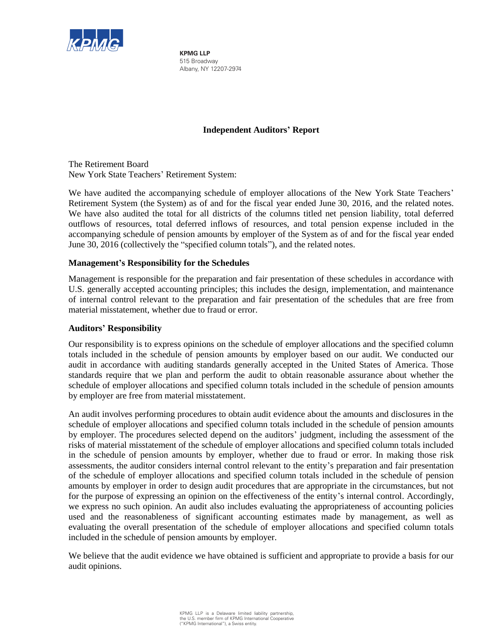

**KPMG LLP** 515 Broadway Albany, NY 12207-2974

# **Independent Auditors' Report**

The Retirement Board New York State Teachers' Retirement System:

We have audited the accompanying schedule of employer allocations of the New York State Teachers' Retirement System (the System) as of and for the fiscal year ended June 30, 2016, and the related notes. We have also audited the total for all districts of the columns titled net pension liability, total deferred outflows of resources, total deferred inflows of resources, and total pension expense included in the accompanying schedule of pension amounts by employer of the System as of and for the fiscal year ended June 30, 2016 (collectively the "specified column totals"), and the related notes.

### **Management's Responsibility for the Schedules**

Management is responsible for the preparation and fair presentation of these schedules in accordance with U.S. generally accepted accounting principles; this includes the design, implementation, and maintenance of internal control relevant to the preparation and fair presentation of the schedules that are free from material misstatement, whether due to fraud or error.

### **Auditors' Responsibility**

Our responsibility is to express opinions on the schedule of employer allocations and the specified column totals included in the schedule of pension amounts by employer based on our audit. We conducted our audit in accordance with auditing standards generally accepted in the United States of America. Those standards require that we plan and perform the audit to obtain reasonable assurance about whether the schedule of employer allocations and specified column totals included in the schedule of pension amounts by employer are free from material misstatement.

An audit involves performing procedures to obtain audit evidence about the amounts and disclosures in the schedule of employer allocations and specified column totals included in the schedule of pension amounts by employer. The procedures selected depend on the auditors' judgment, including the assessment of the risks of material misstatement of the schedule of employer allocations and specified column totals included in the schedule of pension amounts by employer, whether due to fraud or error. In making those risk assessments, the auditor considers internal control relevant to the entity's preparation and fair presentation of the schedule of employer allocations and specified column totals included in the schedule of pension amounts by employer in order to design audit procedures that are appropriate in the circumstances, but not for the purpose of expressing an opinion on the effectiveness of the entity's internal control. Accordingly, we express no such opinion. An audit also includes evaluating the appropriateness of accounting policies used and the reasonableness of significant accounting estimates made by management, as well as evaluating the overall presentation of the schedule of employer allocations and specified column totals included in the schedule of pension amounts by employer.

We believe that the audit evidence we have obtained is sufficient and appropriate to provide a basis for our audit opinions.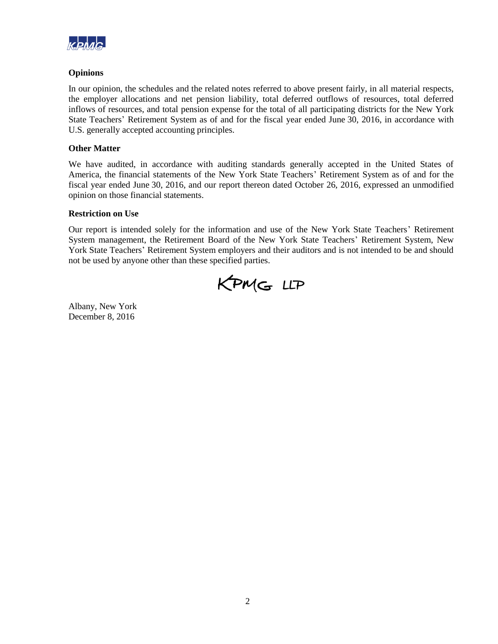

### **Opinions**

In our opinion, the schedules and the related notes referred to above present fairly, in all material respects, the employer allocations and net pension liability, total deferred outflows of resources, total deferred inflows of resources, and total pension expense for the total of all participating districts for the New York State Teachers' Retirement System as of and for the fiscal year ended June 30, 2016, in accordance with U.S. generally accepted accounting principles.

### **Other Matter**

We have audited, in accordance with auditing standards generally accepted in the United States of America, the financial statements of the New York State Teachers' Retirement System as of and for the fiscal year ended June 30, 2016, and our report thereon dated October 26, 2016, expressed an unmodified opinion on those financial statements.

### **Restriction on Use**

Our report is intended solely for the information and use of the New York State Teachers' Retirement System management, the Retirement Board of the New York State Teachers' Retirement System, New York State Teachers' Retirement System employers and their auditors and is not intended to be and should not be used by anyone other than these specified parties.



Albany, New York December 8, 2016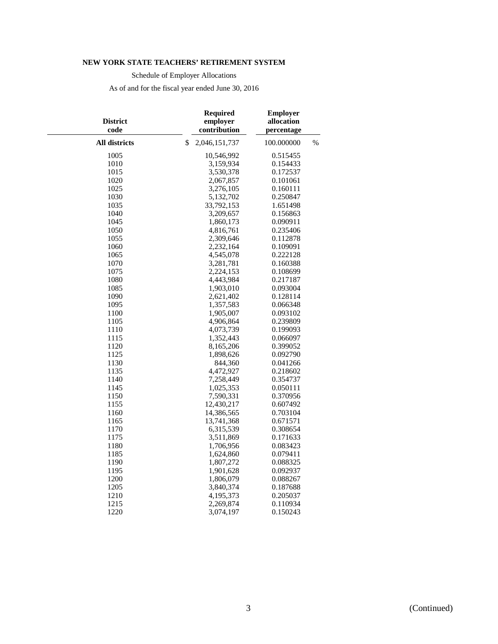Schedule of Employer Allocations

| <b>District</b><br>code | <b>Required</b><br>employer<br>contribution | <b>Employer</b><br>allocation<br>percentage |      |
|-------------------------|---------------------------------------------|---------------------------------------------|------|
| All districts           | \$<br>2,046,151,737                         | 100.000000                                  | $\%$ |
| 1005                    | 10,546,992                                  | 0.515455                                    |      |
| 1010                    | 3,159,934                                   | 0.154433                                    |      |
| 1015                    | 3,530,378                                   | 0.172537                                    |      |
| 1020                    | 2,067,857                                   | 0.101061                                    |      |
| 1025                    | 3,276,105                                   | 0.160111                                    |      |
| 1030                    | 5,132,702                                   | 0.250847                                    |      |
| 1035                    | 33,792,153                                  | 1.651498                                    |      |
| 1040                    | 3,209,657                                   | 0.156863                                    |      |
| 1045                    | 1,860,173                                   | 0.090911                                    |      |
| 1050                    | 4,816,761                                   | 0.235406                                    |      |
| 1055                    | 2,309,646                                   | 0.112878                                    |      |
| 1060                    | 2,232,164                                   | 0.109091                                    |      |
| 1065                    | 4,545,078                                   | 0.222128                                    |      |
| 1070                    | 3,281,781                                   | 0.160388                                    |      |
| 1075                    | 2,224,153                                   | 0.108699                                    |      |
| 1080                    | 4,443,984                                   | 0.217187                                    |      |
| 1085                    | 1,903,010                                   | 0.093004                                    |      |
| 1090                    | 2,621,402                                   | 0.128114                                    |      |
| 1095                    | 1,357,583                                   | 0.066348                                    |      |
| 1100                    | 1,905,007                                   | 0.093102                                    |      |
| 1105                    | 4,906,864                                   | 0.239809                                    |      |
| 1110                    | 4,073,739                                   | 0.199093                                    |      |
| 1115                    | 1,352,443                                   | 0.066097                                    |      |
| 1120                    | 8,165,206                                   | 0.399052                                    |      |
| 1125                    | 1,898,626                                   | 0.092790                                    |      |
| 1130                    | 844,360                                     | 0.041266                                    |      |
| 1135                    | 4,472,927                                   | 0.218602                                    |      |
| 1140                    | 7,258,449                                   | 0.354737                                    |      |
| 1145                    | 1,025,353                                   | 0.050111                                    |      |
| 1150                    | 7,590,331                                   | 0.370956                                    |      |
| 1155                    | 12,430,217                                  | 0.607492                                    |      |
| 1160                    | 14,386,565                                  | 0.703104                                    |      |
| 1165                    | 13,741,368                                  | 0.671571                                    |      |
| 1170                    | 6,315,539                                   | 0.308654                                    |      |
| 1175                    | 3,511,869                                   | 0.171633                                    |      |
| 1180                    | 1,706,956                                   | 0.083423                                    |      |
| 1185                    | 1,624,860                                   | 0.079411                                    |      |
| 1190                    | 1,807,272                                   | 0.088325                                    |      |
| 1195                    | 1,901,628                                   | 0.092937                                    |      |
| 1200                    | 1,806,079                                   | 0.088267                                    |      |
| 1205                    | 3,840,374                                   | 0.187688                                    |      |
| 1210                    | 4,195,373                                   | 0.205037                                    |      |
| 1215                    | 2,269,874                                   | 0.110934                                    |      |
| 1220                    | 3,074,197                                   | 0.150243                                    |      |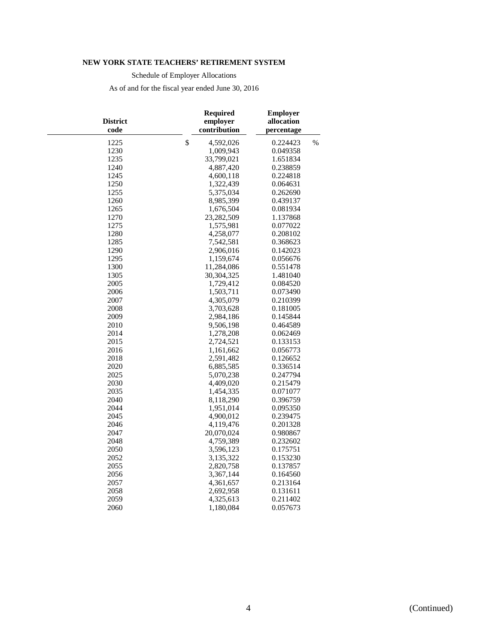Schedule of Employer Allocations

| <b>District</b><br>code | <b>Required</b><br>employer<br>contribution | Employer<br>allocation<br>percentage |      |
|-------------------------|---------------------------------------------|--------------------------------------|------|
| \$<br>1225              | 4,592,026                                   | 0.224423                             | $\%$ |
| 1230                    | 1,009,943                                   | 0.049358                             |      |
| 1235                    | 33,799,021                                  | 1.651834                             |      |
| 1240                    | 4,887,420                                   | 0.238859                             |      |
| 1245                    | 4,600,118                                   | 0.224818                             |      |
| 1250                    | 1,322,439                                   | 0.064631                             |      |
| 1255                    | 5,375,034                                   | 0.262690                             |      |
| 1260                    | 8,985,399                                   | 0.439137                             |      |
| 1265                    | 1,676,504                                   | 0.081934                             |      |
| 1270                    | 23,282,509                                  | 1.137868                             |      |
| 1275                    | 1,575,981                                   | 0.077022                             |      |
| 1280                    | 4,258,077                                   | 0.208102                             |      |
| 1285                    | 7,542,581                                   | 0.368623                             |      |
| 1290                    | 2,906,016                                   | 0.142023                             |      |
| 1295                    | 1,159,674                                   | 0.056676                             |      |
| 1300                    | 11,284,086                                  | 0.551478                             |      |
| 1305                    | 30,304,325                                  | 1.481040                             |      |
| 2005                    | 1,729,412                                   | 0.084520                             |      |
| 2006                    | 1,503,711                                   | 0.073490                             |      |
| 2007                    | 4,305,079                                   | 0.210399                             |      |
| 2008                    | 3,703,628                                   | 0.181005                             |      |
| 2009                    | 2,984,186                                   | 0.145844                             |      |
| 2010                    | 9,506,198                                   | 0.464589                             |      |
| 2014                    | 1,278,208                                   | 0.062469                             |      |
| 2015                    | 2,724,521                                   | 0.133153                             |      |
| 2016                    | 1,161,662                                   | 0.056773                             |      |
| 2018                    | 2,591,482                                   | 0.126652                             |      |
| 2020                    | 6,885,585                                   | 0.336514                             |      |
| 2025                    | 5,070,238                                   | 0.247794                             |      |
| 2030                    | 4,409,020                                   | 0.215479                             |      |
| 2035                    | 1,454,335                                   | 0.071077                             |      |
| 2040                    | 8,118,290                                   | 0.396759                             |      |
| 2044                    | 1,951,014                                   | 0.095350                             |      |
| 2045                    | 4,900,012                                   | 0.239475                             |      |
| 2046                    | 4,119,476                                   | 0.201328                             |      |
| 2047                    | 20,070,024                                  | 0.980867                             |      |
| 2048                    | 4,759,389                                   | 0.232602                             |      |
| 2050                    | 3,596,123                                   | 0.175751                             |      |
| 2052                    | 3,135,322                                   | 0.153230                             |      |
| 2055                    | 2,820,758                                   | 0.137857                             |      |
| 2056                    | 3,367,144                                   | 0.164560                             |      |
| 2057                    | 4,361,657                                   | 0.213164                             |      |
| 2058                    | 2,692,958                                   | 0.131611                             |      |
| 2059                    | 4,325,613                                   | 0.211402                             |      |
| 2060                    | 1,180,084                                   | 0.057673                             |      |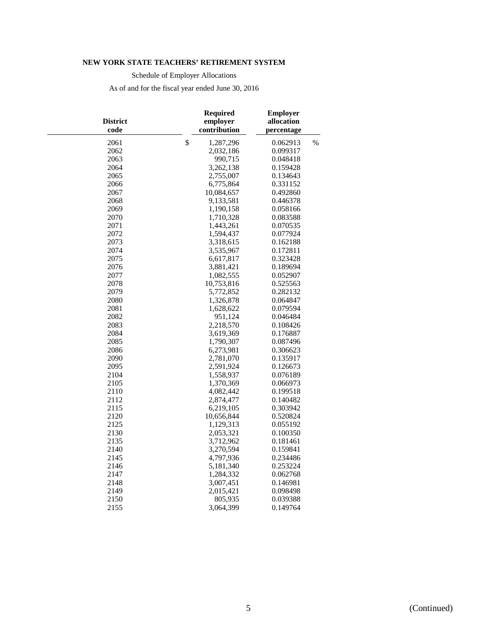Schedule of Employer Allocations

| \$<br>2061<br>1,287,296<br>0.062913<br>$\%$<br>2062<br>2,032,186<br>0.099317<br>2063<br>990,715<br>0.048418<br>2064<br>3,262,138<br>0.159428<br>2065<br>2,755,007<br>0.134643<br>2066<br>6,775,864<br>0.331152<br>2067<br>10,084,657<br>0.492860<br>2068<br>9,133,581<br>0.446378<br>2069<br>1,190,158<br>0.058166<br>2070<br>1,710,328<br>0.083588<br>2071<br>1,443,261<br>0.070535<br>2072<br>1,594,437<br>0.077924<br>2073<br>3,318,615<br>0.162188<br>2074<br>3,535,967<br>0.172811<br>2075<br>6,617,817<br>0.323428<br>2076<br>3,881,421<br>0.189694<br>2077<br>1,082,555<br>0.052907<br>2078<br>10,753,816<br>0.525563<br>2079<br>5,772,852<br>0.282132<br>2080<br>1,326,878<br>0.064847<br>2081<br>1,628,622<br>0.079594<br>2082<br>951,124<br>0.046484<br>2083<br>2,218,570<br>0.108426<br>2084<br>3,619,369<br>0.176887<br>2085<br>1,790,307<br>0.087496<br>2086<br>6,273,981<br>0.306623<br>2090<br>2,781,070<br>0.135917<br>2095<br>2,591,924<br>0.126673<br>2104<br>1,558,937<br>0.076189<br>2105<br>1,370,369<br>0.066973<br>2110<br>4,082,442<br>0.199518<br>2112<br>2,874,477<br>0.140482<br>2115<br>6,219,105<br>0.303942<br>2120<br>10,656,844<br>0.520824<br>2125<br>1,129,313<br>0.055192<br>2130<br>2,053,321<br>0.100350<br>2135<br>3,712,962<br>0.181461<br>2140<br>3,270,594<br>0.159841<br>2145<br>4,797,936<br>0.234486<br>2146<br>5,181,340<br>0.253224<br>2147<br>1,284,332<br>0.062768<br>2148<br>3,007,451<br>0.146981<br>2149<br>2,015,421<br>0.098498<br>2150<br>805,935<br>0.039388 | <b>District</b><br>code | <b>Required</b><br>employer<br>contribution | Employer<br>allocation<br>percentage |  |
|---------------------------------------------------------------------------------------------------------------------------------------------------------------------------------------------------------------------------------------------------------------------------------------------------------------------------------------------------------------------------------------------------------------------------------------------------------------------------------------------------------------------------------------------------------------------------------------------------------------------------------------------------------------------------------------------------------------------------------------------------------------------------------------------------------------------------------------------------------------------------------------------------------------------------------------------------------------------------------------------------------------------------------------------------------------------------------------------------------------------------------------------------------------------------------------------------------------------------------------------------------------------------------------------------------------------------------------------------------------------------------------------------------------------------------------------------------------------------------------------------------------------|-------------------------|---------------------------------------------|--------------------------------------|--|
|                                                                                                                                                                                                                                                                                                                                                                                                                                                                                                                                                                                                                                                                                                                                                                                                                                                                                                                                                                                                                                                                                                                                                                                                                                                                                                                                                                                                                                                                                                                     |                         |                                             |                                      |  |
|                                                                                                                                                                                                                                                                                                                                                                                                                                                                                                                                                                                                                                                                                                                                                                                                                                                                                                                                                                                                                                                                                                                                                                                                                                                                                                                                                                                                                                                                                                                     |                         |                                             |                                      |  |
|                                                                                                                                                                                                                                                                                                                                                                                                                                                                                                                                                                                                                                                                                                                                                                                                                                                                                                                                                                                                                                                                                                                                                                                                                                                                                                                                                                                                                                                                                                                     |                         |                                             |                                      |  |
|                                                                                                                                                                                                                                                                                                                                                                                                                                                                                                                                                                                                                                                                                                                                                                                                                                                                                                                                                                                                                                                                                                                                                                                                                                                                                                                                                                                                                                                                                                                     |                         |                                             |                                      |  |
|                                                                                                                                                                                                                                                                                                                                                                                                                                                                                                                                                                                                                                                                                                                                                                                                                                                                                                                                                                                                                                                                                                                                                                                                                                                                                                                                                                                                                                                                                                                     |                         |                                             |                                      |  |
|                                                                                                                                                                                                                                                                                                                                                                                                                                                                                                                                                                                                                                                                                                                                                                                                                                                                                                                                                                                                                                                                                                                                                                                                                                                                                                                                                                                                                                                                                                                     |                         |                                             |                                      |  |
|                                                                                                                                                                                                                                                                                                                                                                                                                                                                                                                                                                                                                                                                                                                                                                                                                                                                                                                                                                                                                                                                                                                                                                                                                                                                                                                                                                                                                                                                                                                     |                         |                                             |                                      |  |
|                                                                                                                                                                                                                                                                                                                                                                                                                                                                                                                                                                                                                                                                                                                                                                                                                                                                                                                                                                                                                                                                                                                                                                                                                                                                                                                                                                                                                                                                                                                     |                         |                                             |                                      |  |
|                                                                                                                                                                                                                                                                                                                                                                                                                                                                                                                                                                                                                                                                                                                                                                                                                                                                                                                                                                                                                                                                                                                                                                                                                                                                                                                                                                                                                                                                                                                     |                         |                                             |                                      |  |
|                                                                                                                                                                                                                                                                                                                                                                                                                                                                                                                                                                                                                                                                                                                                                                                                                                                                                                                                                                                                                                                                                                                                                                                                                                                                                                                                                                                                                                                                                                                     |                         |                                             |                                      |  |
|                                                                                                                                                                                                                                                                                                                                                                                                                                                                                                                                                                                                                                                                                                                                                                                                                                                                                                                                                                                                                                                                                                                                                                                                                                                                                                                                                                                                                                                                                                                     |                         |                                             |                                      |  |
|                                                                                                                                                                                                                                                                                                                                                                                                                                                                                                                                                                                                                                                                                                                                                                                                                                                                                                                                                                                                                                                                                                                                                                                                                                                                                                                                                                                                                                                                                                                     |                         |                                             |                                      |  |
|                                                                                                                                                                                                                                                                                                                                                                                                                                                                                                                                                                                                                                                                                                                                                                                                                                                                                                                                                                                                                                                                                                                                                                                                                                                                                                                                                                                                                                                                                                                     |                         |                                             |                                      |  |
|                                                                                                                                                                                                                                                                                                                                                                                                                                                                                                                                                                                                                                                                                                                                                                                                                                                                                                                                                                                                                                                                                                                                                                                                                                                                                                                                                                                                                                                                                                                     |                         |                                             |                                      |  |
|                                                                                                                                                                                                                                                                                                                                                                                                                                                                                                                                                                                                                                                                                                                                                                                                                                                                                                                                                                                                                                                                                                                                                                                                                                                                                                                                                                                                                                                                                                                     |                         |                                             |                                      |  |
|                                                                                                                                                                                                                                                                                                                                                                                                                                                                                                                                                                                                                                                                                                                                                                                                                                                                                                                                                                                                                                                                                                                                                                                                                                                                                                                                                                                                                                                                                                                     |                         |                                             |                                      |  |
|                                                                                                                                                                                                                                                                                                                                                                                                                                                                                                                                                                                                                                                                                                                                                                                                                                                                                                                                                                                                                                                                                                                                                                                                                                                                                                                                                                                                                                                                                                                     |                         |                                             |                                      |  |
|                                                                                                                                                                                                                                                                                                                                                                                                                                                                                                                                                                                                                                                                                                                                                                                                                                                                                                                                                                                                                                                                                                                                                                                                                                                                                                                                                                                                                                                                                                                     |                         |                                             |                                      |  |
|                                                                                                                                                                                                                                                                                                                                                                                                                                                                                                                                                                                                                                                                                                                                                                                                                                                                                                                                                                                                                                                                                                                                                                                                                                                                                                                                                                                                                                                                                                                     |                         |                                             |                                      |  |
|                                                                                                                                                                                                                                                                                                                                                                                                                                                                                                                                                                                                                                                                                                                                                                                                                                                                                                                                                                                                                                                                                                                                                                                                                                                                                                                                                                                                                                                                                                                     |                         |                                             |                                      |  |
|                                                                                                                                                                                                                                                                                                                                                                                                                                                                                                                                                                                                                                                                                                                                                                                                                                                                                                                                                                                                                                                                                                                                                                                                                                                                                                                                                                                                                                                                                                                     |                         |                                             |                                      |  |
|                                                                                                                                                                                                                                                                                                                                                                                                                                                                                                                                                                                                                                                                                                                                                                                                                                                                                                                                                                                                                                                                                                                                                                                                                                                                                                                                                                                                                                                                                                                     |                         |                                             |                                      |  |
|                                                                                                                                                                                                                                                                                                                                                                                                                                                                                                                                                                                                                                                                                                                                                                                                                                                                                                                                                                                                                                                                                                                                                                                                                                                                                                                                                                                                                                                                                                                     |                         |                                             |                                      |  |
|                                                                                                                                                                                                                                                                                                                                                                                                                                                                                                                                                                                                                                                                                                                                                                                                                                                                                                                                                                                                                                                                                                                                                                                                                                                                                                                                                                                                                                                                                                                     |                         |                                             |                                      |  |
|                                                                                                                                                                                                                                                                                                                                                                                                                                                                                                                                                                                                                                                                                                                                                                                                                                                                                                                                                                                                                                                                                                                                                                                                                                                                                                                                                                                                                                                                                                                     |                         |                                             |                                      |  |
|                                                                                                                                                                                                                                                                                                                                                                                                                                                                                                                                                                                                                                                                                                                                                                                                                                                                                                                                                                                                                                                                                                                                                                                                                                                                                                                                                                                                                                                                                                                     |                         |                                             |                                      |  |
|                                                                                                                                                                                                                                                                                                                                                                                                                                                                                                                                                                                                                                                                                                                                                                                                                                                                                                                                                                                                                                                                                                                                                                                                                                                                                                                                                                                                                                                                                                                     |                         |                                             |                                      |  |
|                                                                                                                                                                                                                                                                                                                                                                                                                                                                                                                                                                                                                                                                                                                                                                                                                                                                                                                                                                                                                                                                                                                                                                                                                                                                                                                                                                                                                                                                                                                     |                         |                                             |                                      |  |
|                                                                                                                                                                                                                                                                                                                                                                                                                                                                                                                                                                                                                                                                                                                                                                                                                                                                                                                                                                                                                                                                                                                                                                                                                                                                                                                                                                                                                                                                                                                     |                         |                                             |                                      |  |
|                                                                                                                                                                                                                                                                                                                                                                                                                                                                                                                                                                                                                                                                                                                                                                                                                                                                                                                                                                                                                                                                                                                                                                                                                                                                                                                                                                                                                                                                                                                     |                         |                                             |                                      |  |
|                                                                                                                                                                                                                                                                                                                                                                                                                                                                                                                                                                                                                                                                                                                                                                                                                                                                                                                                                                                                                                                                                                                                                                                                                                                                                                                                                                                                                                                                                                                     |                         |                                             |                                      |  |
|                                                                                                                                                                                                                                                                                                                                                                                                                                                                                                                                                                                                                                                                                                                                                                                                                                                                                                                                                                                                                                                                                                                                                                                                                                                                                                                                                                                                                                                                                                                     |                         |                                             |                                      |  |
|                                                                                                                                                                                                                                                                                                                                                                                                                                                                                                                                                                                                                                                                                                                                                                                                                                                                                                                                                                                                                                                                                                                                                                                                                                                                                                                                                                                                                                                                                                                     |                         |                                             |                                      |  |
|                                                                                                                                                                                                                                                                                                                                                                                                                                                                                                                                                                                                                                                                                                                                                                                                                                                                                                                                                                                                                                                                                                                                                                                                                                                                                                                                                                                                                                                                                                                     |                         |                                             |                                      |  |
|                                                                                                                                                                                                                                                                                                                                                                                                                                                                                                                                                                                                                                                                                                                                                                                                                                                                                                                                                                                                                                                                                                                                                                                                                                                                                                                                                                                                                                                                                                                     |                         |                                             |                                      |  |
|                                                                                                                                                                                                                                                                                                                                                                                                                                                                                                                                                                                                                                                                                                                                                                                                                                                                                                                                                                                                                                                                                                                                                                                                                                                                                                                                                                                                                                                                                                                     |                         |                                             |                                      |  |
|                                                                                                                                                                                                                                                                                                                                                                                                                                                                                                                                                                                                                                                                                                                                                                                                                                                                                                                                                                                                                                                                                                                                                                                                                                                                                                                                                                                                                                                                                                                     |                         |                                             |                                      |  |
|                                                                                                                                                                                                                                                                                                                                                                                                                                                                                                                                                                                                                                                                                                                                                                                                                                                                                                                                                                                                                                                                                                                                                                                                                                                                                                                                                                                                                                                                                                                     |                         |                                             |                                      |  |
|                                                                                                                                                                                                                                                                                                                                                                                                                                                                                                                                                                                                                                                                                                                                                                                                                                                                                                                                                                                                                                                                                                                                                                                                                                                                                                                                                                                                                                                                                                                     |                         |                                             |                                      |  |
|                                                                                                                                                                                                                                                                                                                                                                                                                                                                                                                                                                                                                                                                                                                                                                                                                                                                                                                                                                                                                                                                                                                                                                                                                                                                                                                                                                                                                                                                                                                     |                         |                                             |                                      |  |
|                                                                                                                                                                                                                                                                                                                                                                                                                                                                                                                                                                                                                                                                                                                                                                                                                                                                                                                                                                                                                                                                                                                                                                                                                                                                                                                                                                                                                                                                                                                     |                         |                                             |                                      |  |
|                                                                                                                                                                                                                                                                                                                                                                                                                                                                                                                                                                                                                                                                                                                                                                                                                                                                                                                                                                                                                                                                                                                                                                                                                                                                                                                                                                                                                                                                                                                     |                         |                                             |                                      |  |
|                                                                                                                                                                                                                                                                                                                                                                                                                                                                                                                                                                                                                                                                                                                                                                                                                                                                                                                                                                                                                                                                                                                                                                                                                                                                                                                                                                                                                                                                                                                     |                         |                                             |                                      |  |
|                                                                                                                                                                                                                                                                                                                                                                                                                                                                                                                                                                                                                                                                                                                                                                                                                                                                                                                                                                                                                                                                                                                                                                                                                                                                                                                                                                                                                                                                                                                     |                         |                                             |                                      |  |
|                                                                                                                                                                                                                                                                                                                                                                                                                                                                                                                                                                                                                                                                                                                                                                                                                                                                                                                                                                                                                                                                                                                                                                                                                                                                                                                                                                                                                                                                                                                     | 2155                    | 3,064,399                                   | 0.149764                             |  |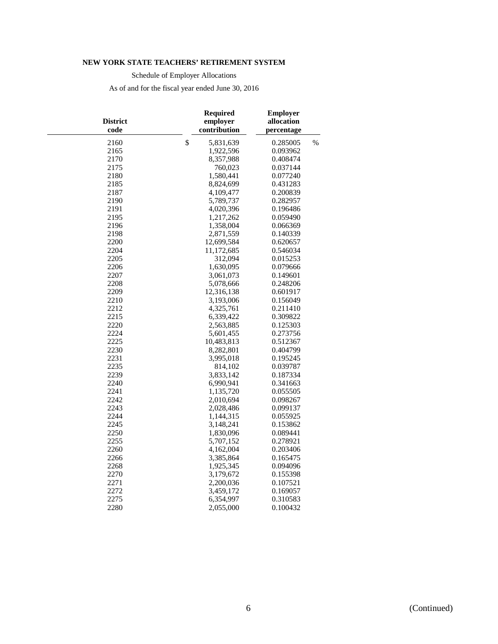Schedule of Employer Allocations

| <b>District</b><br>code | <b>Required</b><br>employer<br>contribution | Employer<br>allocation<br>percentage |      |
|-------------------------|---------------------------------------------|--------------------------------------|------|
| 2160                    | \$<br>5,831,639                             | 0.285005                             | $\%$ |
| 2165                    | 1,922,596                                   | 0.093962                             |      |
| 2170                    | 8,357,988                                   | 0.408474                             |      |
| 2175                    | 760,023                                     | 0.037144                             |      |
| 2180                    | 1,580,441                                   | 0.077240                             |      |
| 2185                    | 8,824,699                                   | 0.431283                             |      |
| 2187                    | 4,109,477                                   | 0.200839                             |      |
| 2190                    | 5,789,737                                   | 0.282957                             |      |
| 2191                    | 4,020,396                                   | 0.196486                             |      |
| 2195                    | 1,217,262                                   | 0.059490                             |      |
| 2196                    | 1,358,004                                   | 0.066369                             |      |
| 2198                    | 2,871,559                                   | 0.140339                             |      |
| 2200                    | 12,699,584                                  | 0.620657                             |      |
| 2204                    | 11,172,685                                  | 0.546034                             |      |
| 2205                    | 312,094                                     | 0.015253                             |      |
| 2206                    | 1,630,095                                   | 0.079666                             |      |
| 2207                    | 3,061,073                                   | 0.149601                             |      |
| 2208                    | 5,078,666                                   | 0.248206                             |      |
| 2209                    | 12,316,138                                  | 0.601917                             |      |
| 2210                    | 3,193,006                                   | 0.156049                             |      |
| 2212                    | 4,325,761                                   | 0.211410                             |      |
| 2215                    | 6,339,422                                   | 0.309822                             |      |
| 2220                    | 2,563,885                                   | 0.125303                             |      |
| 2224                    | 5,601,455                                   | 0.273756                             |      |
| 2225                    | 10,483,813                                  | 0.512367                             |      |
| 2230                    | 8,282,801                                   | 0.404799                             |      |
| 2231                    | 3,995,018                                   | 0.195245                             |      |
| 2235                    | 814,102                                     | 0.039787                             |      |
| 2239                    | 3,833,142                                   | 0.187334                             |      |
| 2240                    | 6,990,941                                   | 0.341663                             |      |
| 2241                    | 1,135,720                                   | 0.055505                             |      |
| 2242                    | 2,010,694                                   | 0.098267                             |      |
| 2243                    | 2,028,486                                   | 0.099137                             |      |
| 2244                    | 1,144,315                                   | 0.055925                             |      |
| 2245                    | 3,148,241                                   | 0.153862                             |      |
| 2250                    | 1,830,096                                   | 0.089441                             |      |
| 2255                    | 5,707,152                                   | 0.278921                             |      |
| 2260                    | 4,162,004                                   | 0.203406                             |      |
| 2266                    | 3,385,864                                   | 0.165475                             |      |
| 2268                    | 1,925,345                                   | 0.094096                             |      |
| 2270                    | 3,179,672                                   | 0.155398                             |      |
| 2271                    | 2,200,036                                   | 0.107521                             |      |
| 2272                    | 3,459,172                                   | 0.169057                             |      |
| 2275                    | 6,354,997                                   | 0.310583                             |      |
| 2280                    | 2,055,000                                   | 0.100432                             |      |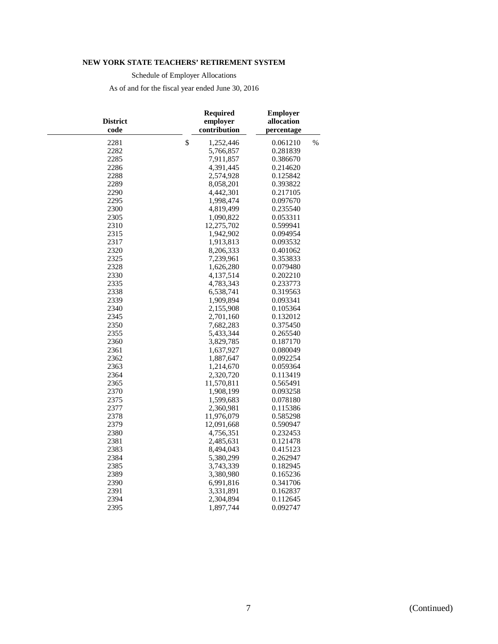Schedule of Employer Allocations

| <b>District</b><br>code | <b>Required</b><br>employer<br>contribution | <b>Employer</b><br>allocation<br>percentage |      |
|-------------------------|---------------------------------------------|---------------------------------------------|------|
| 2281                    | \$<br>1,252,446                             | 0.061210                                    | $\%$ |
| 2282                    | 5,766,857                                   | 0.281839                                    |      |
| 2285                    | 7,911,857                                   | 0.386670                                    |      |
| 2286                    | 4,391,445                                   | 0.214620                                    |      |
| 2288                    | 2,574,928                                   | 0.125842                                    |      |
| 2289                    | 8,058,201                                   | 0.393822                                    |      |
| 2290                    | 4,442,301                                   | 0.217105                                    |      |
| 2295                    | 1,998,474                                   | 0.097670                                    |      |
| 2300                    | 4,819,499                                   | 0.235540                                    |      |
| 2305                    | 1,090,822                                   | 0.053311                                    |      |
| 2310                    | 12,275,702                                  | 0.599941                                    |      |
| 2315                    | 1,942,902                                   | 0.094954                                    |      |
| 2317                    | 1,913,813                                   | 0.093532                                    |      |
| 2320                    | 8,206,333                                   | 0.401062                                    |      |
| 2325                    | 7,239,961                                   | 0.353833                                    |      |
| 2328                    | 1,626,280                                   | 0.079480                                    |      |
| 2330                    | 4,137,514                                   | 0.202210                                    |      |
| 2335                    | 4,783,343                                   | 0.233773                                    |      |
| 2338                    | 6,538,741                                   | 0.319563                                    |      |
| 2339                    | 1,909,894                                   | 0.093341                                    |      |
| 2340                    | 2,155,908                                   | 0.105364                                    |      |
| 2345                    | 2,701,160                                   | 0.132012                                    |      |
| 2350                    | 7,682,283                                   | 0.375450                                    |      |
| 2355                    | 5,433,344                                   | 0.265540                                    |      |
| 2360                    | 3,829,785                                   | 0.187170                                    |      |
| 2361                    | 1,637,927                                   | 0.080049                                    |      |
| 2362                    | 1,887,647                                   | 0.092254                                    |      |
| 2363                    | 1,214,670                                   | 0.059364                                    |      |
| 2364                    | 2,320,720                                   | 0.113419                                    |      |
| 2365                    | 11,570,811                                  | 0.565491                                    |      |
| 2370                    | 1,908,199                                   | 0.093258                                    |      |
| 2375                    | 1,599,683                                   | 0.078180                                    |      |
| 2377                    | 2,360,981                                   | 0.115386                                    |      |
| 2378                    | 11,976,079                                  | 0.585298                                    |      |
| 2379                    | 12,091,668                                  |                                             |      |
| 2380                    | 4,756,351                                   | 0.590947<br>0.232453                        |      |
| 2381                    |                                             |                                             |      |
| 2383                    | 2,485,631<br>8,494,043                      | 0.121478<br>0.415123                        |      |
| 2384                    |                                             | 0.262947                                    |      |
|                         | 5,380,299                                   |                                             |      |
| 2385<br>2389            | 3,743,339                                   | 0.182945                                    |      |
| 2390                    | 3,380,980                                   | 0.165236                                    |      |
| 2391                    | 6,991,816<br>3,331,891                      | 0.341706<br>0.162837                        |      |
|                         |                                             |                                             |      |
| 2394<br>2395            | 2,304,894<br>1,897,744                      | 0.112645<br>0.092747                        |      |
|                         |                                             |                                             |      |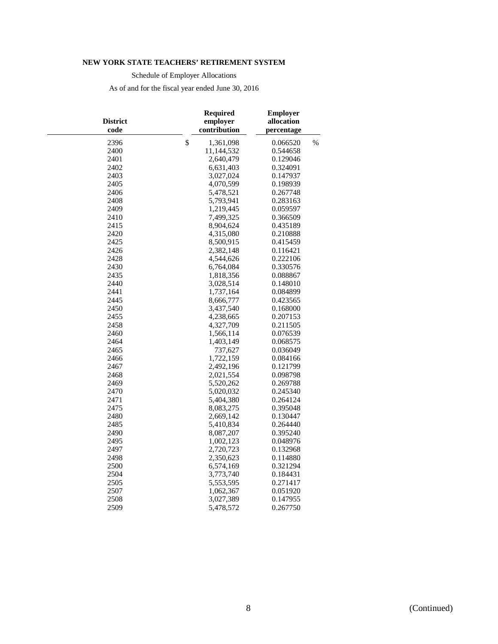Schedule of Employer Allocations

| <b>District</b><br>code | <b>Required</b><br>employer<br>contribution | <b>Employer</b><br>allocation<br>percentage |      |
|-------------------------|---------------------------------------------|---------------------------------------------|------|
| 2396                    | \$<br>1,361,098                             | 0.066520                                    | $\%$ |
| 2400                    | 11,144,532                                  | 0.544658                                    |      |
| 2401                    | 2,640,479                                   | 0.129046                                    |      |
| 2402                    | 6,631,403                                   | 0.324091                                    |      |
| 2403                    | 3,027,024                                   | 0.147937                                    |      |
| 2405                    | 4,070,599                                   | 0.198939                                    |      |
| 2406                    | 5,478,521                                   | 0.267748                                    |      |
| 2408                    | 5,793,941                                   | 0.283163                                    |      |
| 2409                    | 1,219,445                                   | 0.059597                                    |      |
| 2410                    | 7,499,325                                   | 0.366509                                    |      |
| 2415                    | 8,904,624                                   | 0.435189                                    |      |
| 2420                    | 4,315,080                                   | 0.210888                                    |      |
| 2425                    | 8,500,915                                   | 0.415459                                    |      |
| 2426                    | 2,382,148                                   | 0.116421                                    |      |
| 2428                    | 4,544,626                                   | 0.222106                                    |      |
| 2430                    | 6,764,084                                   | 0.330576                                    |      |
| 2435                    | 1,818,356                                   | 0.088867                                    |      |
| 2440                    | 3,028,514                                   | 0.148010                                    |      |
| 2441                    | 1,737,164                                   | 0.084899                                    |      |
| 2445                    | 8,666,777                                   | 0.423565                                    |      |
| 2450                    | 3,437,540                                   | 0.168000                                    |      |
| 2455                    | 4,238,665                                   | 0.207153                                    |      |
| 2458                    | 4,327,709                                   | 0.211505                                    |      |
| 2460                    | 1,566,114                                   | 0.076539                                    |      |
| 2464                    | 1,403,149                                   | 0.068575                                    |      |
| 2465                    | 737,627                                     | 0.036049                                    |      |
| 2466                    | 1,722,159                                   | 0.084166                                    |      |
| 2467                    | 2,492,196                                   | 0.121799                                    |      |
| 2468                    | 2,021,554                                   | 0.098798                                    |      |
| 2469                    | 5,520,262                                   | 0.269788                                    |      |
| 2470                    | 5,020,032                                   | 0.245340                                    |      |
| 2471                    | 5,404,380                                   | 0.264124                                    |      |
| 2475                    | 8,083,275                                   | 0.395048                                    |      |
| 2480                    | 2,669,142                                   | 0.130447                                    |      |
| 2485                    | 5,410,834                                   | 0.264440                                    |      |
| 2490                    | 8,087,207                                   | 0.395240                                    |      |
| 2495                    | 1,002,123                                   | 0.048976                                    |      |
| 2497                    | 2,720,723                                   | 0.132968                                    |      |
| 2498                    | 2,350,623                                   | 0.114880                                    |      |
| 2500                    | 6,574,169                                   | 0.321294                                    |      |
| 2504                    | 3,773,740                                   | 0.184431                                    |      |
| 2505                    | 5,553,595                                   | 0.271417                                    |      |
| 2507                    | 1,062,367                                   | 0.051920                                    |      |
| 2508                    | 3,027,389                                   | 0.147955                                    |      |
| 2509                    | 5,478,572                                   | 0.267750                                    |      |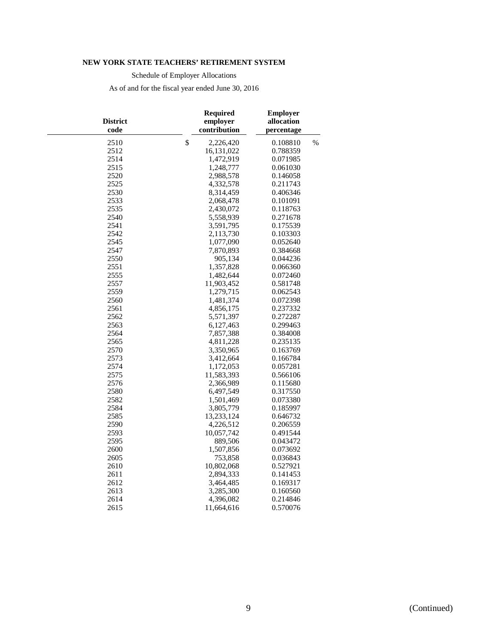Schedule of Employer Allocations

| <b>District</b><br>code | <b>Required</b><br>employer<br>contribution | <b>Employer</b><br>allocation<br>percentage |      |
|-------------------------|---------------------------------------------|---------------------------------------------|------|
| 2510                    | \$<br>2,226,420                             | 0.108810                                    | $\%$ |
| 2512                    | 16,131,022                                  | 0.788359                                    |      |
| 2514                    | 1,472,919                                   | 0.071985                                    |      |
| 2515                    | 1,248,777                                   | 0.061030                                    |      |
| 2520                    | 2,988,578                                   | 0.146058                                    |      |
| 2525                    | 4,332,578                                   | 0.211743                                    |      |
| 2530                    | 8,314,459                                   | 0.406346                                    |      |
| 2533                    | 2,068,478                                   | 0.101091                                    |      |
| 2535                    | 2,430,072                                   | 0.118763                                    |      |
| 2540                    | 5,558,939                                   | 0.271678                                    |      |
| 2541                    | 3,591,795                                   | 0.175539                                    |      |
| 2542                    | 2,113,730                                   | 0.103303                                    |      |
| 2545                    | 1,077,090                                   | 0.052640                                    |      |
| 2547                    | 7,870,893                                   | 0.384668                                    |      |
| 2550                    | 905,134                                     | 0.044236                                    |      |
| 2551                    | 1,357,828                                   | 0.066360                                    |      |
| 2555                    | 1,482,644                                   | 0.072460                                    |      |
| 2557                    | 11,903,452                                  | 0.581748                                    |      |
| 2559                    | 1,279,715                                   | 0.062543                                    |      |
| 2560                    | 1,481,374                                   | 0.072398                                    |      |
| 2561                    | 4,856,175                                   | 0.237332                                    |      |
| 2562                    | 5,571,397                                   | 0.272287                                    |      |
| 2563                    | 6,127,463                                   | 0.299463                                    |      |
| 2564                    | 7,857,388                                   | 0.384008                                    |      |
| 2565                    | 4,811,228                                   | 0.235135                                    |      |
| 2570                    | 3,350,965                                   | 0.163769                                    |      |
| 2573                    | 3,412,664                                   | 0.166784                                    |      |
| 2574                    | 1,172,053                                   | 0.057281                                    |      |
| 2575                    | 11,583,393                                  | 0.566106                                    |      |
| 2576                    | 2,366,989                                   | 0.115680                                    |      |
| 2580                    | 6,497,549                                   | 0.317550                                    |      |
| 2582                    | 1,501,469                                   | 0.073380                                    |      |
| 2584                    | 3,805,779                                   | 0.185997                                    |      |
| 2585                    | 13,233,124                                  | 0.646732                                    |      |
| 2590                    | 4,226,512                                   | 0.206559                                    |      |
| 2593                    | 10,057,742                                  | 0.491544                                    |      |
| 2595                    | 889,506                                     | 0.043472                                    |      |
| 2600                    | 1,507,856                                   | 0.073692                                    |      |
| 2605                    | 753,858                                     | 0.036843                                    |      |
| 2610                    | 10,802,068                                  | 0.527921                                    |      |
| 2611                    | 2,894,333                                   | 0.141453                                    |      |
| 2612                    | 3,464,485                                   | 0.169317                                    |      |
| 2613                    | 3,285,300                                   | 0.160560                                    |      |
| 2614                    | 4,396,082                                   | 0.214846                                    |      |
| 2615                    | 11,664,616                                  | 0.570076                                    |      |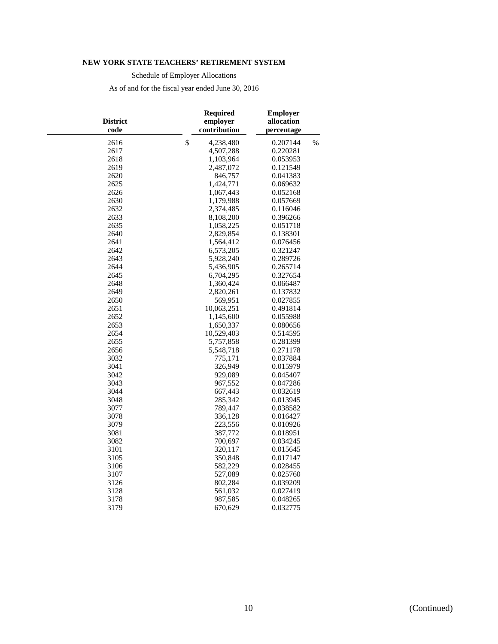Schedule of Employer Allocations

| \$<br>2616<br>4,238,480<br>0.207144<br>$\%$<br>2617<br>4,507,288<br>0.220281<br>2618<br>1,103,964<br>0.053953<br>2619<br>2,487,072<br>0.121549<br>2620<br>846,757<br>0.041383<br>2625<br>1,424,771<br>0.069632<br>2626<br>1,067,443<br>0.052168<br>2630<br>1,179,988<br>0.057669<br>2632<br>2,374,485<br>0.116046<br>2633<br>8,108,200<br>0.396266<br>2635<br>0.051718<br>1,058,225<br>2640<br>2,829,854<br>0.138301<br>2641<br>1,564,412<br>0.076456<br>2642<br>6,573,205<br>0.321247<br>2643<br>5,928,240<br>0.289726<br>2644<br>5,436,905<br>0.265714<br>2645<br>6,704,295<br>0.327654<br>2648<br>1,360,424<br>0.066487<br>2649<br>2,820,261<br>0.137832<br>2650<br>569,951<br>0.027855<br>2651<br>10,063,251<br>0.491814<br>2652<br>1,145,600<br>0.055988<br>2653<br>1,650,337<br>0.080656<br>2654<br>10,529,403<br>0.514595<br>2655<br>5,757,858<br>0.281399<br>2656<br>5,548,718<br>0.271178<br>3032<br>775,171<br>0.037884<br>3041<br>326,949<br>0.015979<br>3042<br>929,089<br>0.045407<br>3043<br>967,552<br>0.047286<br>3044<br>667,443<br>0.032619<br>3048<br>285,342<br>0.013945<br>3077<br>789,447<br>0.038582<br>3078<br>336,128<br>0.016427<br>3079<br>223,556<br>0.010926<br>3081<br>387,772<br>0.018951<br>3082<br>700,697<br>0.034245<br>3101<br>320,117<br>0.015645<br>3105<br>350,848<br>0.017147<br>3106<br>582,229<br>0.028455<br>527,089<br>3107<br>0.025760<br>3126<br>802,284<br>0.039209<br>3128<br>561,032<br>0.027419<br>3178<br>987,585<br>0.048265 | <b>District</b><br>code | <b>Required</b><br>employer<br>contribution | <b>Employer</b><br>allocation<br>percentage |  |
|----------------------------------------------------------------------------------------------------------------------------------------------------------------------------------------------------------------------------------------------------------------------------------------------------------------------------------------------------------------------------------------------------------------------------------------------------------------------------------------------------------------------------------------------------------------------------------------------------------------------------------------------------------------------------------------------------------------------------------------------------------------------------------------------------------------------------------------------------------------------------------------------------------------------------------------------------------------------------------------------------------------------------------------------------------------------------------------------------------------------------------------------------------------------------------------------------------------------------------------------------------------------------------------------------------------------------------------------------------------------------------------------------------------------------------------------------------------------------------|-------------------------|---------------------------------------------|---------------------------------------------|--|
|                                                                                                                                                                                                                                                                                                                                                                                                                                                                                                                                                                                                                                                                                                                                                                                                                                                                                                                                                                                                                                                                                                                                                                                                                                                                                                                                                                                                                                                                                  |                         |                                             |                                             |  |
|                                                                                                                                                                                                                                                                                                                                                                                                                                                                                                                                                                                                                                                                                                                                                                                                                                                                                                                                                                                                                                                                                                                                                                                                                                                                                                                                                                                                                                                                                  |                         |                                             |                                             |  |
|                                                                                                                                                                                                                                                                                                                                                                                                                                                                                                                                                                                                                                                                                                                                                                                                                                                                                                                                                                                                                                                                                                                                                                                                                                                                                                                                                                                                                                                                                  |                         |                                             |                                             |  |
|                                                                                                                                                                                                                                                                                                                                                                                                                                                                                                                                                                                                                                                                                                                                                                                                                                                                                                                                                                                                                                                                                                                                                                                                                                                                                                                                                                                                                                                                                  |                         |                                             |                                             |  |
|                                                                                                                                                                                                                                                                                                                                                                                                                                                                                                                                                                                                                                                                                                                                                                                                                                                                                                                                                                                                                                                                                                                                                                                                                                                                                                                                                                                                                                                                                  |                         |                                             |                                             |  |
|                                                                                                                                                                                                                                                                                                                                                                                                                                                                                                                                                                                                                                                                                                                                                                                                                                                                                                                                                                                                                                                                                                                                                                                                                                                                                                                                                                                                                                                                                  |                         |                                             |                                             |  |
|                                                                                                                                                                                                                                                                                                                                                                                                                                                                                                                                                                                                                                                                                                                                                                                                                                                                                                                                                                                                                                                                                                                                                                                                                                                                                                                                                                                                                                                                                  |                         |                                             |                                             |  |
|                                                                                                                                                                                                                                                                                                                                                                                                                                                                                                                                                                                                                                                                                                                                                                                                                                                                                                                                                                                                                                                                                                                                                                                                                                                                                                                                                                                                                                                                                  |                         |                                             |                                             |  |
|                                                                                                                                                                                                                                                                                                                                                                                                                                                                                                                                                                                                                                                                                                                                                                                                                                                                                                                                                                                                                                                                                                                                                                                                                                                                                                                                                                                                                                                                                  |                         |                                             |                                             |  |
|                                                                                                                                                                                                                                                                                                                                                                                                                                                                                                                                                                                                                                                                                                                                                                                                                                                                                                                                                                                                                                                                                                                                                                                                                                                                                                                                                                                                                                                                                  |                         |                                             |                                             |  |
|                                                                                                                                                                                                                                                                                                                                                                                                                                                                                                                                                                                                                                                                                                                                                                                                                                                                                                                                                                                                                                                                                                                                                                                                                                                                                                                                                                                                                                                                                  |                         |                                             |                                             |  |
|                                                                                                                                                                                                                                                                                                                                                                                                                                                                                                                                                                                                                                                                                                                                                                                                                                                                                                                                                                                                                                                                                                                                                                                                                                                                                                                                                                                                                                                                                  |                         |                                             |                                             |  |
|                                                                                                                                                                                                                                                                                                                                                                                                                                                                                                                                                                                                                                                                                                                                                                                                                                                                                                                                                                                                                                                                                                                                                                                                                                                                                                                                                                                                                                                                                  |                         |                                             |                                             |  |
|                                                                                                                                                                                                                                                                                                                                                                                                                                                                                                                                                                                                                                                                                                                                                                                                                                                                                                                                                                                                                                                                                                                                                                                                                                                                                                                                                                                                                                                                                  |                         |                                             |                                             |  |
|                                                                                                                                                                                                                                                                                                                                                                                                                                                                                                                                                                                                                                                                                                                                                                                                                                                                                                                                                                                                                                                                                                                                                                                                                                                                                                                                                                                                                                                                                  |                         |                                             |                                             |  |
|                                                                                                                                                                                                                                                                                                                                                                                                                                                                                                                                                                                                                                                                                                                                                                                                                                                                                                                                                                                                                                                                                                                                                                                                                                                                                                                                                                                                                                                                                  |                         |                                             |                                             |  |
|                                                                                                                                                                                                                                                                                                                                                                                                                                                                                                                                                                                                                                                                                                                                                                                                                                                                                                                                                                                                                                                                                                                                                                                                                                                                                                                                                                                                                                                                                  |                         |                                             |                                             |  |
|                                                                                                                                                                                                                                                                                                                                                                                                                                                                                                                                                                                                                                                                                                                                                                                                                                                                                                                                                                                                                                                                                                                                                                                                                                                                                                                                                                                                                                                                                  |                         |                                             |                                             |  |
|                                                                                                                                                                                                                                                                                                                                                                                                                                                                                                                                                                                                                                                                                                                                                                                                                                                                                                                                                                                                                                                                                                                                                                                                                                                                                                                                                                                                                                                                                  |                         |                                             |                                             |  |
|                                                                                                                                                                                                                                                                                                                                                                                                                                                                                                                                                                                                                                                                                                                                                                                                                                                                                                                                                                                                                                                                                                                                                                                                                                                                                                                                                                                                                                                                                  |                         |                                             |                                             |  |
|                                                                                                                                                                                                                                                                                                                                                                                                                                                                                                                                                                                                                                                                                                                                                                                                                                                                                                                                                                                                                                                                                                                                                                                                                                                                                                                                                                                                                                                                                  |                         |                                             |                                             |  |
|                                                                                                                                                                                                                                                                                                                                                                                                                                                                                                                                                                                                                                                                                                                                                                                                                                                                                                                                                                                                                                                                                                                                                                                                                                                                                                                                                                                                                                                                                  |                         |                                             |                                             |  |
|                                                                                                                                                                                                                                                                                                                                                                                                                                                                                                                                                                                                                                                                                                                                                                                                                                                                                                                                                                                                                                                                                                                                                                                                                                                                                                                                                                                                                                                                                  |                         |                                             |                                             |  |
|                                                                                                                                                                                                                                                                                                                                                                                                                                                                                                                                                                                                                                                                                                                                                                                                                                                                                                                                                                                                                                                                                                                                                                                                                                                                                                                                                                                                                                                                                  |                         |                                             |                                             |  |
|                                                                                                                                                                                                                                                                                                                                                                                                                                                                                                                                                                                                                                                                                                                                                                                                                                                                                                                                                                                                                                                                                                                                                                                                                                                                                                                                                                                                                                                                                  |                         |                                             |                                             |  |
|                                                                                                                                                                                                                                                                                                                                                                                                                                                                                                                                                                                                                                                                                                                                                                                                                                                                                                                                                                                                                                                                                                                                                                                                                                                                                                                                                                                                                                                                                  |                         |                                             |                                             |  |
|                                                                                                                                                                                                                                                                                                                                                                                                                                                                                                                                                                                                                                                                                                                                                                                                                                                                                                                                                                                                                                                                                                                                                                                                                                                                                                                                                                                                                                                                                  |                         |                                             |                                             |  |
|                                                                                                                                                                                                                                                                                                                                                                                                                                                                                                                                                                                                                                                                                                                                                                                                                                                                                                                                                                                                                                                                                                                                                                                                                                                                                                                                                                                                                                                                                  |                         |                                             |                                             |  |
|                                                                                                                                                                                                                                                                                                                                                                                                                                                                                                                                                                                                                                                                                                                                                                                                                                                                                                                                                                                                                                                                                                                                                                                                                                                                                                                                                                                                                                                                                  |                         |                                             |                                             |  |
|                                                                                                                                                                                                                                                                                                                                                                                                                                                                                                                                                                                                                                                                                                                                                                                                                                                                                                                                                                                                                                                                                                                                                                                                                                                                                                                                                                                                                                                                                  |                         |                                             |                                             |  |
|                                                                                                                                                                                                                                                                                                                                                                                                                                                                                                                                                                                                                                                                                                                                                                                                                                                                                                                                                                                                                                                                                                                                                                                                                                                                                                                                                                                                                                                                                  |                         |                                             |                                             |  |
|                                                                                                                                                                                                                                                                                                                                                                                                                                                                                                                                                                                                                                                                                                                                                                                                                                                                                                                                                                                                                                                                                                                                                                                                                                                                                                                                                                                                                                                                                  |                         |                                             |                                             |  |
|                                                                                                                                                                                                                                                                                                                                                                                                                                                                                                                                                                                                                                                                                                                                                                                                                                                                                                                                                                                                                                                                                                                                                                                                                                                                                                                                                                                                                                                                                  |                         |                                             |                                             |  |
|                                                                                                                                                                                                                                                                                                                                                                                                                                                                                                                                                                                                                                                                                                                                                                                                                                                                                                                                                                                                                                                                                                                                                                                                                                                                                                                                                                                                                                                                                  |                         |                                             |                                             |  |
|                                                                                                                                                                                                                                                                                                                                                                                                                                                                                                                                                                                                                                                                                                                                                                                                                                                                                                                                                                                                                                                                                                                                                                                                                                                                                                                                                                                                                                                                                  |                         |                                             |                                             |  |
|                                                                                                                                                                                                                                                                                                                                                                                                                                                                                                                                                                                                                                                                                                                                                                                                                                                                                                                                                                                                                                                                                                                                                                                                                                                                                                                                                                                                                                                                                  |                         |                                             |                                             |  |
|                                                                                                                                                                                                                                                                                                                                                                                                                                                                                                                                                                                                                                                                                                                                                                                                                                                                                                                                                                                                                                                                                                                                                                                                                                                                                                                                                                                                                                                                                  |                         |                                             |                                             |  |
|                                                                                                                                                                                                                                                                                                                                                                                                                                                                                                                                                                                                                                                                                                                                                                                                                                                                                                                                                                                                                                                                                                                                                                                                                                                                                                                                                                                                                                                                                  |                         |                                             |                                             |  |
|                                                                                                                                                                                                                                                                                                                                                                                                                                                                                                                                                                                                                                                                                                                                                                                                                                                                                                                                                                                                                                                                                                                                                                                                                                                                                                                                                                                                                                                                                  |                         |                                             |                                             |  |
|                                                                                                                                                                                                                                                                                                                                                                                                                                                                                                                                                                                                                                                                                                                                                                                                                                                                                                                                                                                                                                                                                                                                                                                                                                                                                                                                                                                                                                                                                  |                         |                                             |                                             |  |
|                                                                                                                                                                                                                                                                                                                                                                                                                                                                                                                                                                                                                                                                                                                                                                                                                                                                                                                                                                                                                                                                                                                                                                                                                                                                                                                                                                                                                                                                                  |                         |                                             |                                             |  |
|                                                                                                                                                                                                                                                                                                                                                                                                                                                                                                                                                                                                                                                                                                                                                                                                                                                                                                                                                                                                                                                                                                                                                                                                                                                                                                                                                                                                                                                                                  |                         |                                             |                                             |  |
|                                                                                                                                                                                                                                                                                                                                                                                                                                                                                                                                                                                                                                                                                                                                                                                                                                                                                                                                                                                                                                                                                                                                                                                                                                                                                                                                                                                                                                                                                  |                         |                                             |                                             |  |
|                                                                                                                                                                                                                                                                                                                                                                                                                                                                                                                                                                                                                                                                                                                                                                                                                                                                                                                                                                                                                                                                                                                                                                                                                                                                                                                                                                                                                                                                                  |                         |                                             |                                             |  |
|                                                                                                                                                                                                                                                                                                                                                                                                                                                                                                                                                                                                                                                                                                                                                                                                                                                                                                                                                                                                                                                                                                                                                                                                                                                                                                                                                                                                                                                                                  | 3179                    | 670,629                                     | 0.032775                                    |  |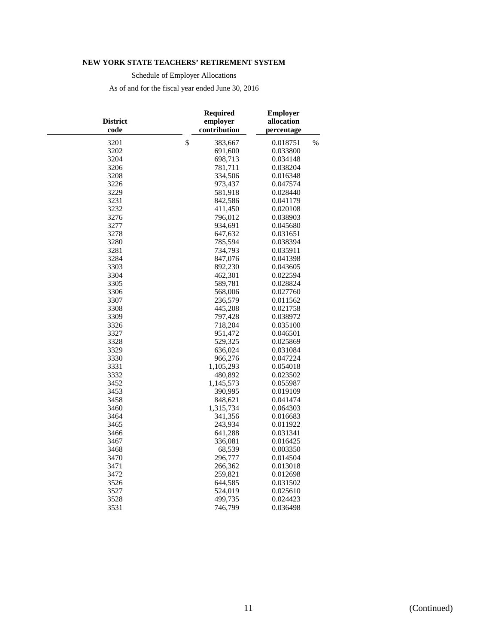Schedule of Employer Allocations

| \$<br>3201<br>383,667<br>0.018751<br>$\%$<br>3202<br>691,600<br>0.033800<br>3204<br>698,713<br>0.034148<br>3206<br>781,711<br>0.038204<br>3208<br>334,506<br>0.016348<br>3226<br>973,437<br>0.047574<br>3229<br>581,918<br>0.028440<br>3231<br>842,586<br>0.041179<br>3232<br>411,450<br>0.020108<br>3276<br>796,012<br>0.038903<br>3277<br>934,691<br>0.045680<br>3278<br>647,632<br>0.031651<br>785,594<br>3280<br>0.038394<br>3281<br>734,793<br>0.035911<br>3284<br>847,076<br>0.041398<br>3303<br>892,230<br>0.043605<br>3304<br>462,301<br>0.022594<br>3305<br>589,781<br>0.028824<br>3306<br>568,006<br>0.027760<br>3307<br>236,579<br>0.011562<br>3308<br>445,208<br>0.021758<br>3309<br>797,428<br>0.038972<br>3326<br>718,204<br>0.035100<br>3327<br>951,472<br>0.046501<br>3328<br>529,325<br>0.025869<br>3329<br>636,024<br>0.031084<br>3330<br>966,276<br>0.047224<br>3331<br>1,105,293<br>0.054018<br>3332<br>480,892<br>0.023502<br>3452<br>1,145,573<br>0.055987<br>3453<br>390,995<br>0.019109<br>3458<br>848,621<br>0.041474<br>3460<br>1,315,734<br>0.064303<br>3464<br>341,356<br>0.016683<br>3465<br>243,934<br>0.011922<br>3466<br>641,288<br>0.031341<br>336,081<br>3467<br>0.016425<br>3468<br>68,539<br>0.003350<br>3470<br>296,777<br>0.014504<br>3471<br>266,362<br>0.013018<br>3472<br>259,821<br>0.012698<br>3526<br>0.031502<br>644,585<br>3527<br>524,019<br>0.025610<br>3528<br>499,735<br>0.024423<br>746,799<br>0.036498 | <b>District</b><br>code | <b>Required</b><br>employer<br>contribution | <b>Employer</b><br>allocation<br>percentage |  |
|------------------------------------------------------------------------------------------------------------------------------------------------------------------------------------------------------------------------------------------------------------------------------------------------------------------------------------------------------------------------------------------------------------------------------------------------------------------------------------------------------------------------------------------------------------------------------------------------------------------------------------------------------------------------------------------------------------------------------------------------------------------------------------------------------------------------------------------------------------------------------------------------------------------------------------------------------------------------------------------------------------------------------------------------------------------------------------------------------------------------------------------------------------------------------------------------------------------------------------------------------------------------------------------------------------------------------------------------------------------------------------------------------------------------------------------------------------|-------------------------|---------------------------------------------|---------------------------------------------|--|
|                                                                                                                                                                                                                                                                                                                                                                                                                                                                                                                                                                                                                                                                                                                                                                                                                                                                                                                                                                                                                                                                                                                                                                                                                                                                                                                                                                                                                                                            |                         |                                             |                                             |  |
|                                                                                                                                                                                                                                                                                                                                                                                                                                                                                                                                                                                                                                                                                                                                                                                                                                                                                                                                                                                                                                                                                                                                                                                                                                                                                                                                                                                                                                                            |                         |                                             |                                             |  |
|                                                                                                                                                                                                                                                                                                                                                                                                                                                                                                                                                                                                                                                                                                                                                                                                                                                                                                                                                                                                                                                                                                                                                                                                                                                                                                                                                                                                                                                            |                         |                                             |                                             |  |
|                                                                                                                                                                                                                                                                                                                                                                                                                                                                                                                                                                                                                                                                                                                                                                                                                                                                                                                                                                                                                                                                                                                                                                                                                                                                                                                                                                                                                                                            |                         |                                             |                                             |  |
|                                                                                                                                                                                                                                                                                                                                                                                                                                                                                                                                                                                                                                                                                                                                                                                                                                                                                                                                                                                                                                                                                                                                                                                                                                                                                                                                                                                                                                                            |                         |                                             |                                             |  |
|                                                                                                                                                                                                                                                                                                                                                                                                                                                                                                                                                                                                                                                                                                                                                                                                                                                                                                                                                                                                                                                                                                                                                                                                                                                                                                                                                                                                                                                            |                         |                                             |                                             |  |
|                                                                                                                                                                                                                                                                                                                                                                                                                                                                                                                                                                                                                                                                                                                                                                                                                                                                                                                                                                                                                                                                                                                                                                                                                                                                                                                                                                                                                                                            |                         |                                             |                                             |  |
|                                                                                                                                                                                                                                                                                                                                                                                                                                                                                                                                                                                                                                                                                                                                                                                                                                                                                                                                                                                                                                                                                                                                                                                                                                                                                                                                                                                                                                                            |                         |                                             |                                             |  |
|                                                                                                                                                                                                                                                                                                                                                                                                                                                                                                                                                                                                                                                                                                                                                                                                                                                                                                                                                                                                                                                                                                                                                                                                                                                                                                                                                                                                                                                            |                         |                                             |                                             |  |
|                                                                                                                                                                                                                                                                                                                                                                                                                                                                                                                                                                                                                                                                                                                                                                                                                                                                                                                                                                                                                                                                                                                                                                                                                                                                                                                                                                                                                                                            |                         |                                             |                                             |  |
|                                                                                                                                                                                                                                                                                                                                                                                                                                                                                                                                                                                                                                                                                                                                                                                                                                                                                                                                                                                                                                                                                                                                                                                                                                                                                                                                                                                                                                                            |                         |                                             |                                             |  |
|                                                                                                                                                                                                                                                                                                                                                                                                                                                                                                                                                                                                                                                                                                                                                                                                                                                                                                                                                                                                                                                                                                                                                                                                                                                                                                                                                                                                                                                            |                         |                                             |                                             |  |
|                                                                                                                                                                                                                                                                                                                                                                                                                                                                                                                                                                                                                                                                                                                                                                                                                                                                                                                                                                                                                                                                                                                                                                                                                                                                                                                                                                                                                                                            |                         |                                             |                                             |  |
|                                                                                                                                                                                                                                                                                                                                                                                                                                                                                                                                                                                                                                                                                                                                                                                                                                                                                                                                                                                                                                                                                                                                                                                                                                                                                                                                                                                                                                                            |                         |                                             |                                             |  |
|                                                                                                                                                                                                                                                                                                                                                                                                                                                                                                                                                                                                                                                                                                                                                                                                                                                                                                                                                                                                                                                                                                                                                                                                                                                                                                                                                                                                                                                            |                         |                                             |                                             |  |
|                                                                                                                                                                                                                                                                                                                                                                                                                                                                                                                                                                                                                                                                                                                                                                                                                                                                                                                                                                                                                                                                                                                                                                                                                                                                                                                                                                                                                                                            |                         |                                             |                                             |  |
|                                                                                                                                                                                                                                                                                                                                                                                                                                                                                                                                                                                                                                                                                                                                                                                                                                                                                                                                                                                                                                                                                                                                                                                                                                                                                                                                                                                                                                                            |                         |                                             |                                             |  |
|                                                                                                                                                                                                                                                                                                                                                                                                                                                                                                                                                                                                                                                                                                                                                                                                                                                                                                                                                                                                                                                                                                                                                                                                                                                                                                                                                                                                                                                            |                         |                                             |                                             |  |
|                                                                                                                                                                                                                                                                                                                                                                                                                                                                                                                                                                                                                                                                                                                                                                                                                                                                                                                                                                                                                                                                                                                                                                                                                                                                                                                                                                                                                                                            |                         |                                             |                                             |  |
|                                                                                                                                                                                                                                                                                                                                                                                                                                                                                                                                                                                                                                                                                                                                                                                                                                                                                                                                                                                                                                                                                                                                                                                                                                                                                                                                                                                                                                                            |                         |                                             |                                             |  |
|                                                                                                                                                                                                                                                                                                                                                                                                                                                                                                                                                                                                                                                                                                                                                                                                                                                                                                                                                                                                                                                                                                                                                                                                                                                                                                                                                                                                                                                            |                         |                                             |                                             |  |
|                                                                                                                                                                                                                                                                                                                                                                                                                                                                                                                                                                                                                                                                                                                                                                                                                                                                                                                                                                                                                                                                                                                                                                                                                                                                                                                                                                                                                                                            |                         |                                             |                                             |  |
|                                                                                                                                                                                                                                                                                                                                                                                                                                                                                                                                                                                                                                                                                                                                                                                                                                                                                                                                                                                                                                                                                                                                                                                                                                                                                                                                                                                                                                                            |                         |                                             |                                             |  |
|                                                                                                                                                                                                                                                                                                                                                                                                                                                                                                                                                                                                                                                                                                                                                                                                                                                                                                                                                                                                                                                                                                                                                                                                                                                                                                                                                                                                                                                            |                         |                                             |                                             |  |
|                                                                                                                                                                                                                                                                                                                                                                                                                                                                                                                                                                                                                                                                                                                                                                                                                                                                                                                                                                                                                                                                                                                                                                                                                                                                                                                                                                                                                                                            |                         |                                             |                                             |  |
|                                                                                                                                                                                                                                                                                                                                                                                                                                                                                                                                                                                                                                                                                                                                                                                                                                                                                                                                                                                                                                                                                                                                                                                                                                                                                                                                                                                                                                                            |                         |                                             |                                             |  |
|                                                                                                                                                                                                                                                                                                                                                                                                                                                                                                                                                                                                                                                                                                                                                                                                                                                                                                                                                                                                                                                                                                                                                                                                                                                                                                                                                                                                                                                            |                         |                                             |                                             |  |
|                                                                                                                                                                                                                                                                                                                                                                                                                                                                                                                                                                                                                                                                                                                                                                                                                                                                                                                                                                                                                                                                                                                                                                                                                                                                                                                                                                                                                                                            |                         |                                             |                                             |  |
|                                                                                                                                                                                                                                                                                                                                                                                                                                                                                                                                                                                                                                                                                                                                                                                                                                                                                                                                                                                                                                                                                                                                                                                                                                                                                                                                                                                                                                                            |                         |                                             |                                             |  |
|                                                                                                                                                                                                                                                                                                                                                                                                                                                                                                                                                                                                                                                                                                                                                                                                                                                                                                                                                                                                                                                                                                                                                                                                                                                                                                                                                                                                                                                            |                         |                                             |                                             |  |
|                                                                                                                                                                                                                                                                                                                                                                                                                                                                                                                                                                                                                                                                                                                                                                                                                                                                                                                                                                                                                                                                                                                                                                                                                                                                                                                                                                                                                                                            |                         |                                             |                                             |  |
|                                                                                                                                                                                                                                                                                                                                                                                                                                                                                                                                                                                                                                                                                                                                                                                                                                                                                                                                                                                                                                                                                                                                                                                                                                                                                                                                                                                                                                                            |                         |                                             |                                             |  |
|                                                                                                                                                                                                                                                                                                                                                                                                                                                                                                                                                                                                                                                                                                                                                                                                                                                                                                                                                                                                                                                                                                                                                                                                                                                                                                                                                                                                                                                            |                         |                                             |                                             |  |
|                                                                                                                                                                                                                                                                                                                                                                                                                                                                                                                                                                                                                                                                                                                                                                                                                                                                                                                                                                                                                                                                                                                                                                                                                                                                                                                                                                                                                                                            |                         |                                             |                                             |  |
|                                                                                                                                                                                                                                                                                                                                                                                                                                                                                                                                                                                                                                                                                                                                                                                                                                                                                                                                                                                                                                                                                                                                                                                                                                                                                                                                                                                                                                                            |                         |                                             |                                             |  |
|                                                                                                                                                                                                                                                                                                                                                                                                                                                                                                                                                                                                                                                                                                                                                                                                                                                                                                                                                                                                                                                                                                                                                                                                                                                                                                                                                                                                                                                            |                         |                                             |                                             |  |
|                                                                                                                                                                                                                                                                                                                                                                                                                                                                                                                                                                                                                                                                                                                                                                                                                                                                                                                                                                                                                                                                                                                                                                                                                                                                                                                                                                                                                                                            |                         |                                             |                                             |  |
|                                                                                                                                                                                                                                                                                                                                                                                                                                                                                                                                                                                                                                                                                                                                                                                                                                                                                                                                                                                                                                                                                                                                                                                                                                                                                                                                                                                                                                                            |                         |                                             |                                             |  |
|                                                                                                                                                                                                                                                                                                                                                                                                                                                                                                                                                                                                                                                                                                                                                                                                                                                                                                                                                                                                                                                                                                                                                                                                                                                                                                                                                                                                                                                            |                         |                                             |                                             |  |
|                                                                                                                                                                                                                                                                                                                                                                                                                                                                                                                                                                                                                                                                                                                                                                                                                                                                                                                                                                                                                                                                                                                                                                                                                                                                                                                                                                                                                                                            |                         |                                             |                                             |  |
|                                                                                                                                                                                                                                                                                                                                                                                                                                                                                                                                                                                                                                                                                                                                                                                                                                                                                                                                                                                                                                                                                                                                                                                                                                                                                                                                                                                                                                                            |                         |                                             |                                             |  |
|                                                                                                                                                                                                                                                                                                                                                                                                                                                                                                                                                                                                                                                                                                                                                                                                                                                                                                                                                                                                                                                                                                                                                                                                                                                                                                                                                                                                                                                            |                         |                                             |                                             |  |
|                                                                                                                                                                                                                                                                                                                                                                                                                                                                                                                                                                                                                                                                                                                                                                                                                                                                                                                                                                                                                                                                                                                                                                                                                                                                                                                                                                                                                                                            |                         |                                             |                                             |  |
|                                                                                                                                                                                                                                                                                                                                                                                                                                                                                                                                                                                                                                                                                                                                                                                                                                                                                                                                                                                                                                                                                                                                                                                                                                                                                                                                                                                                                                                            |                         |                                             |                                             |  |
|                                                                                                                                                                                                                                                                                                                                                                                                                                                                                                                                                                                                                                                                                                                                                                                                                                                                                                                                                                                                                                                                                                                                                                                                                                                                                                                                                                                                                                                            | 3531                    |                                             |                                             |  |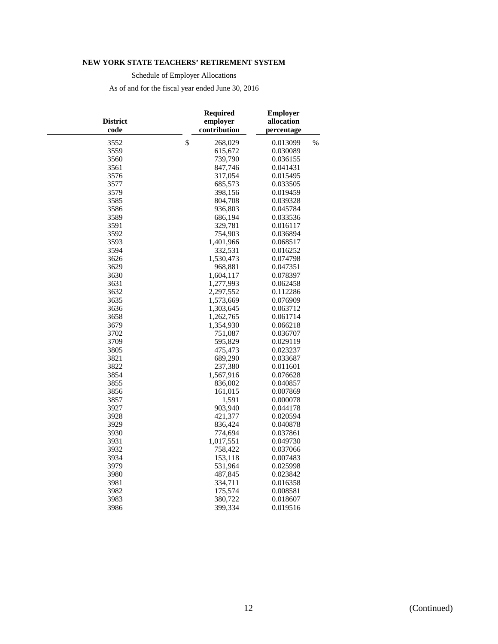Schedule of Employer Allocations

| <b>District</b><br>code | <b>Required</b><br>employer<br>contribution | Employer<br>allocation<br>percentage |               |
|-------------------------|---------------------------------------------|--------------------------------------|---------------|
| 3552                    | \$<br>268,029                               | 0.013099                             | $\frac{0}{0}$ |
| 3559                    | 615,672                                     | 0.030089                             |               |
| 3560                    | 739,790                                     | 0.036155                             |               |
| 3561                    | 847,746                                     | 0.041431                             |               |
| 3576                    | 317,054                                     | 0.015495                             |               |
| 3577                    | 685,573                                     | 0.033505                             |               |
| 3579                    | 398,156                                     | 0.019459                             |               |
| 3585                    | 804,708                                     | 0.039328                             |               |
| 3586                    | 936,803                                     | 0.045784                             |               |
| 3589                    | 686,194                                     | 0.033536                             |               |
| 3591                    | 329,781                                     | 0.016117                             |               |
| 3592                    | 754,903                                     | 0.036894                             |               |
| 3593                    | 1,401,966                                   | 0.068517                             |               |
| 3594                    | 332,531                                     | 0.016252                             |               |
| 3626                    | 1,530,473                                   | 0.074798                             |               |
| 3629                    | 968,881                                     | 0.047351                             |               |
| 3630                    | 1,604,117                                   | 0.078397                             |               |
| 3631                    | 1,277,993                                   | 0.062458                             |               |
| 3632                    | 2,297,552                                   | 0.112286                             |               |
| 3635                    | 1,573,669                                   | 0.076909                             |               |
| 3636                    | 1,303,645                                   | 0.063712                             |               |
| 3658                    | 1,262,765                                   | 0.061714                             |               |
| 3679                    | 1,354,930                                   | 0.066218                             |               |
| 3702                    | 751,087                                     | 0.036707                             |               |
| 3709                    | 595,829                                     | 0.029119                             |               |
| 3805                    | 475,473                                     | 0.023237                             |               |
| 3821                    | 689,290                                     | 0.033687                             |               |
| 3822                    | 237,380                                     | 0.011601                             |               |
| 3854                    | 1,567,916                                   | 0.076628                             |               |
| 3855                    | 836,002                                     | 0.040857                             |               |
| 3856                    | 161,015                                     | 0.007869                             |               |
| 3857                    | 1,591                                       | 0.000078                             |               |
| 3927                    | 903,940                                     | 0.044178                             |               |
| 3928                    | 421,377                                     | 0.020594                             |               |
| 3929                    | 836,424                                     | 0.040878                             |               |
| 3930                    | 774,694                                     | 0.037861                             |               |
| 3931                    | 1,017,551                                   | 0.049730                             |               |
| 3932                    | 758,422                                     | 0.037066                             |               |
| 3934                    | 153,118                                     | 0.007483                             |               |
| 3979                    | 531,964                                     | 0.025998                             |               |
| 3980                    | 487,845                                     | 0.023842                             |               |
| 3981                    | 334,711                                     | 0.016358                             |               |
| 3982                    | 175,574                                     | 0.008581                             |               |
| 3983                    | 380,722                                     | 0.018607                             |               |
| 3986                    | 399,334                                     | 0.019516                             |               |
|                         |                                             |                                      |               |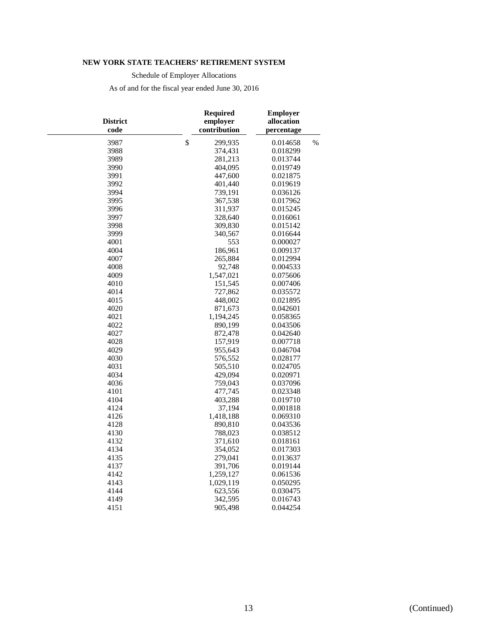Schedule of Employer Allocations

| \$<br>3987<br>299,935<br>0.014658<br>$\%$<br>3988<br>374,431<br>0.018299<br>3989<br>281,213<br>0.013744<br>3990<br>404,095<br>0.019749<br>3991<br>447,600<br>0.021875<br>3992<br>401,440<br>0.019619<br>3994<br>739,191<br>0.036126<br>3995<br>367,538<br>0.017962<br>3996<br>311,937<br>0.015245<br>3997<br>328,640<br>0.016061<br>3998<br>0.015142<br>309,830<br>3999<br>0.016644<br>340,567<br>4001<br>553<br>0.000027<br>4004<br>186,961<br>0.009137<br>4007<br>265,884<br>0.012994<br>4008<br>92,748<br>0.004533<br>4009<br>1,547,021<br>0.075606<br>151,545<br>4010<br>0.007406<br>4014<br>727,862<br>0.035572<br>4015<br>448,002<br>0.021895<br>4020<br>871,673<br>0.042601<br>4021<br>1,194,245<br>0.058365<br>4022<br>890,199<br>0.043506<br>4027<br>872,478<br>0.042640<br>4028<br>157,919<br>0.007718<br>4029<br>955,643<br>0.046704 |
|-------------------------------------------------------------------------------------------------------------------------------------------------------------------------------------------------------------------------------------------------------------------------------------------------------------------------------------------------------------------------------------------------------------------------------------------------------------------------------------------------------------------------------------------------------------------------------------------------------------------------------------------------------------------------------------------------------------------------------------------------------------------------------------------------------------------------------------------------|
|                                                                                                                                                                                                                                                                                                                                                                                                                                                                                                                                                                                                                                                                                                                                                                                                                                                 |
|                                                                                                                                                                                                                                                                                                                                                                                                                                                                                                                                                                                                                                                                                                                                                                                                                                                 |
|                                                                                                                                                                                                                                                                                                                                                                                                                                                                                                                                                                                                                                                                                                                                                                                                                                                 |
|                                                                                                                                                                                                                                                                                                                                                                                                                                                                                                                                                                                                                                                                                                                                                                                                                                                 |
|                                                                                                                                                                                                                                                                                                                                                                                                                                                                                                                                                                                                                                                                                                                                                                                                                                                 |
|                                                                                                                                                                                                                                                                                                                                                                                                                                                                                                                                                                                                                                                                                                                                                                                                                                                 |
|                                                                                                                                                                                                                                                                                                                                                                                                                                                                                                                                                                                                                                                                                                                                                                                                                                                 |
|                                                                                                                                                                                                                                                                                                                                                                                                                                                                                                                                                                                                                                                                                                                                                                                                                                                 |
|                                                                                                                                                                                                                                                                                                                                                                                                                                                                                                                                                                                                                                                                                                                                                                                                                                                 |
|                                                                                                                                                                                                                                                                                                                                                                                                                                                                                                                                                                                                                                                                                                                                                                                                                                                 |
|                                                                                                                                                                                                                                                                                                                                                                                                                                                                                                                                                                                                                                                                                                                                                                                                                                                 |
|                                                                                                                                                                                                                                                                                                                                                                                                                                                                                                                                                                                                                                                                                                                                                                                                                                                 |
|                                                                                                                                                                                                                                                                                                                                                                                                                                                                                                                                                                                                                                                                                                                                                                                                                                                 |
|                                                                                                                                                                                                                                                                                                                                                                                                                                                                                                                                                                                                                                                                                                                                                                                                                                                 |
|                                                                                                                                                                                                                                                                                                                                                                                                                                                                                                                                                                                                                                                                                                                                                                                                                                                 |
|                                                                                                                                                                                                                                                                                                                                                                                                                                                                                                                                                                                                                                                                                                                                                                                                                                                 |
|                                                                                                                                                                                                                                                                                                                                                                                                                                                                                                                                                                                                                                                                                                                                                                                                                                                 |
|                                                                                                                                                                                                                                                                                                                                                                                                                                                                                                                                                                                                                                                                                                                                                                                                                                                 |
|                                                                                                                                                                                                                                                                                                                                                                                                                                                                                                                                                                                                                                                                                                                                                                                                                                                 |
|                                                                                                                                                                                                                                                                                                                                                                                                                                                                                                                                                                                                                                                                                                                                                                                                                                                 |
|                                                                                                                                                                                                                                                                                                                                                                                                                                                                                                                                                                                                                                                                                                                                                                                                                                                 |
|                                                                                                                                                                                                                                                                                                                                                                                                                                                                                                                                                                                                                                                                                                                                                                                                                                                 |
|                                                                                                                                                                                                                                                                                                                                                                                                                                                                                                                                                                                                                                                                                                                                                                                                                                                 |
|                                                                                                                                                                                                                                                                                                                                                                                                                                                                                                                                                                                                                                                                                                                                                                                                                                                 |
|                                                                                                                                                                                                                                                                                                                                                                                                                                                                                                                                                                                                                                                                                                                                                                                                                                                 |
|                                                                                                                                                                                                                                                                                                                                                                                                                                                                                                                                                                                                                                                                                                                                                                                                                                                 |
| 4030<br>576,552<br>0.028177                                                                                                                                                                                                                                                                                                                                                                                                                                                                                                                                                                                                                                                                                                                                                                                                                     |
| 4031<br>505,510<br>0.024705                                                                                                                                                                                                                                                                                                                                                                                                                                                                                                                                                                                                                                                                                                                                                                                                                     |
| 4034<br>429,094<br>0.020971                                                                                                                                                                                                                                                                                                                                                                                                                                                                                                                                                                                                                                                                                                                                                                                                                     |
| 4036<br>759,043<br>0.037096                                                                                                                                                                                                                                                                                                                                                                                                                                                                                                                                                                                                                                                                                                                                                                                                                     |
| 4101<br>477,745<br>0.023348                                                                                                                                                                                                                                                                                                                                                                                                                                                                                                                                                                                                                                                                                                                                                                                                                     |
| 4104<br>403,288<br>0.019710                                                                                                                                                                                                                                                                                                                                                                                                                                                                                                                                                                                                                                                                                                                                                                                                                     |
| 4124<br>37,194<br>0.001818                                                                                                                                                                                                                                                                                                                                                                                                                                                                                                                                                                                                                                                                                                                                                                                                                      |
| 4126<br>1,418,188<br>0.069310                                                                                                                                                                                                                                                                                                                                                                                                                                                                                                                                                                                                                                                                                                                                                                                                                   |
| 4128<br>890,810<br>0.043536                                                                                                                                                                                                                                                                                                                                                                                                                                                                                                                                                                                                                                                                                                                                                                                                                     |
| 4130<br>788,023<br>0.038512                                                                                                                                                                                                                                                                                                                                                                                                                                                                                                                                                                                                                                                                                                                                                                                                                     |
| 4132<br>371,610<br>0.018161                                                                                                                                                                                                                                                                                                                                                                                                                                                                                                                                                                                                                                                                                                                                                                                                                     |
| 4134<br>354,052<br>0.017303                                                                                                                                                                                                                                                                                                                                                                                                                                                                                                                                                                                                                                                                                                                                                                                                                     |
| 4135<br>279,041<br>0.013637                                                                                                                                                                                                                                                                                                                                                                                                                                                                                                                                                                                                                                                                                                                                                                                                                     |
| 4137<br>391,706<br>0.019144                                                                                                                                                                                                                                                                                                                                                                                                                                                                                                                                                                                                                                                                                                                                                                                                                     |
| 4142<br>1,259,127<br>0.061536                                                                                                                                                                                                                                                                                                                                                                                                                                                                                                                                                                                                                                                                                                                                                                                                                   |
| 4143<br>1,029,119<br>0.050295                                                                                                                                                                                                                                                                                                                                                                                                                                                                                                                                                                                                                                                                                                                                                                                                                   |
| 4144<br>623,556<br>0.030475                                                                                                                                                                                                                                                                                                                                                                                                                                                                                                                                                                                                                                                                                                                                                                                                                     |
| 4149<br>342,595<br>0.016743                                                                                                                                                                                                                                                                                                                                                                                                                                                                                                                                                                                                                                                                                                                                                                                                                     |
| 4151<br>905,498<br>0.044254                                                                                                                                                                                                                                                                                                                                                                                                                                                                                                                                                                                                                                                                                                                                                                                                                     |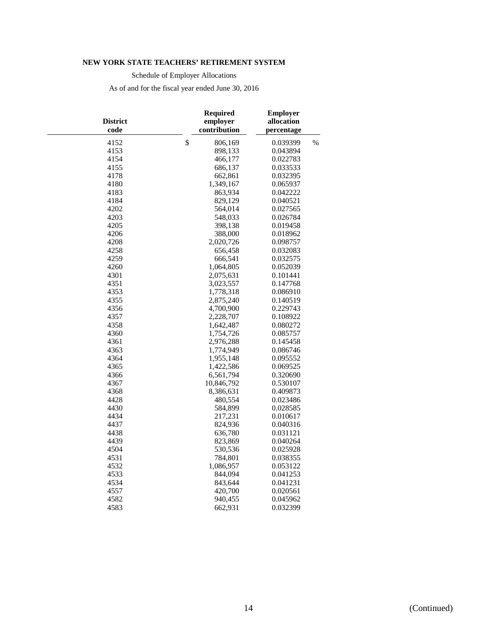Schedule of Employer Allocations

| <b>District</b><br>code | <b>Required</b><br>employer<br>contribution | Employer<br>allocation<br>percentage |      |
|-------------------------|---------------------------------------------|--------------------------------------|------|
| 4152                    | \$<br>806,169                               | 0.039399                             | $\%$ |
| 4153                    | 898,133                                     | 0.043894                             |      |
| 4154                    | 466,177                                     | 0.022783                             |      |
| 4155                    | 686,137                                     | 0.033533                             |      |
| 4178                    | 662,861                                     | 0.032395                             |      |
| 4180                    | 1,349,167                                   | 0.065937                             |      |
| 4183                    | 863,934                                     | 0.042222                             |      |
| 4184                    | 829,129                                     | 0.040521                             |      |
| 4202                    | 564,014                                     | 0.027565                             |      |
| 4203                    | 548,033                                     | 0.026784                             |      |
| 4205                    | 398,138                                     | 0.019458                             |      |
| 4206                    | 388,000                                     | 0.018962                             |      |
| 4208                    | 2,020,726                                   | 0.098757                             |      |
| 4258                    | 656,458                                     | 0.032083                             |      |
| 4259                    | 666,541                                     | 0.032575                             |      |
| 4260                    | 1,064,805                                   | 0.052039                             |      |
| 4301                    | 2,075,631                                   | 0.101441                             |      |
| 4351                    | 3,023,557                                   | 0.147768                             |      |
| 4353                    | 1,778,318                                   | 0.086910                             |      |
| 4355                    | 2,875,240                                   | 0.140519                             |      |
| 4356                    | 4,700,900                                   | 0.229743                             |      |
| 4357                    | 2,228,707                                   | 0.108922                             |      |
| 4358                    | 1,642,487                                   | 0.080272                             |      |
| 4360                    | 1,754,726                                   | 0.085757                             |      |
| 4361                    | 2,976,288                                   | 0.145458                             |      |
| 4363                    | 1,774,949                                   | 0.086746                             |      |
| 4364                    | 1,955,148                                   | 0.095552                             |      |
| 4365                    | 1,422,586                                   | 0.069525                             |      |
| 4366                    | 6,561,794                                   | 0.320690                             |      |
| 4367                    | 10,846,792                                  | 0.530107                             |      |
| 4368                    | 8,386,631                                   | 0.409873                             |      |
| 4428                    | 480,554                                     | 0.023486                             |      |
| 4430                    | 584,899                                     | 0.028585                             |      |
| 4434                    | 217,231                                     | 0.010617                             |      |
| 4437                    | 824,936                                     | 0.040316                             |      |
| 4438                    | 636,780                                     | 0.031121                             |      |
| 4439                    | 823,869                                     | 0.040264                             |      |
| 4504                    | 530,536                                     | 0.025928                             |      |
| 4531                    | 784,801                                     | 0.038355                             |      |
| 4532                    | 1,086,957                                   | 0.053122                             |      |
| 4533                    | 844,094                                     | 0.041253                             |      |
| 4534                    | 843,644                                     | 0.041231                             |      |
| 4557                    | 420,700                                     | 0.020561                             |      |
| 4582                    | 940,455                                     | 0.045962                             |      |
| 4583                    | 662,931                                     | 0.032399                             |      |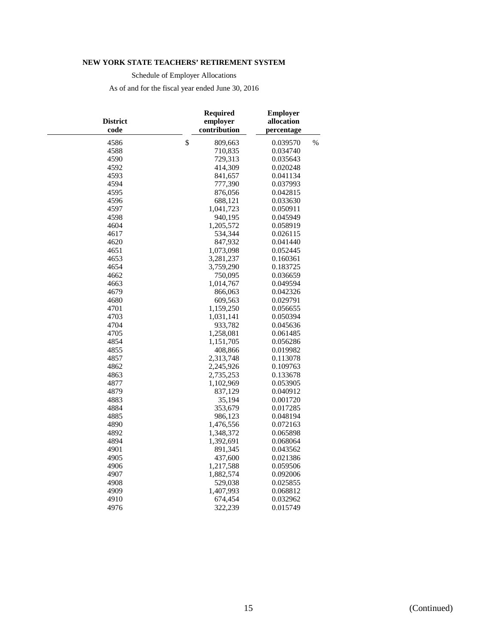Schedule of Employer Allocations

| <b>District</b><br>code | <b>Required</b><br>employer<br>contribution | Employer<br>allocation<br>percentage |      |
|-------------------------|---------------------------------------------|--------------------------------------|------|
| 4586                    | \$<br>809,663                               | 0.039570                             | $\%$ |
| 4588                    | 710,835                                     | 0.034740                             |      |
| 4590                    | 729,313                                     | 0.035643                             |      |
| 4592                    | 414,309                                     | 0.020248                             |      |
| 4593                    | 841,657                                     | 0.041134                             |      |
| 4594                    | 777,390                                     | 0.037993                             |      |
| 4595                    | 876,056                                     | 0.042815                             |      |
| 4596                    | 688,121                                     | 0.033630                             |      |
| 4597                    | 1,041,723                                   | 0.050911                             |      |
| 4598                    | 940,195                                     | 0.045949                             |      |
| 4604                    | 1,205,572                                   | 0.058919                             |      |
| 4617                    | 534,344                                     | 0.026115                             |      |
| 4620                    | 847,932                                     | 0.041440                             |      |
| 4651                    | 1,073,098                                   | 0.052445                             |      |
| 4653                    | 3,281,237                                   | 0.160361                             |      |
| 4654                    | 3,759,290                                   | 0.183725                             |      |
| 4662                    | 750,095                                     | 0.036659                             |      |
| 4663                    | 1,014,767                                   | 0.049594                             |      |
| 4679                    | 866,063                                     | 0.042326                             |      |
| 4680                    | 609,563                                     | 0.029791                             |      |
| 4701                    | 1,159,250                                   | 0.056655                             |      |
| 4703                    | 1,031,141                                   | 0.050394                             |      |
| 4704                    | 933,782                                     | 0.045636                             |      |
| 4705                    | 1,258,081                                   | 0.061485                             |      |
| 4854                    | 1,151,705                                   | 0.056286                             |      |
| 4855                    | 408,866                                     | 0.019982                             |      |
| 4857                    | 2,313,748                                   | 0.113078                             |      |
| 4862                    | 2,245,926                                   | 0.109763                             |      |
| 4863                    | 2,735,253                                   | 0.133678                             |      |
| 4877                    | 1,102,969                                   | 0.053905                             |      |
| 4879                    | 837,129                                     | 0.040912                             |      |
| 4883                    | 35,194                                      | 0.001720                             |      |
| 4884                    | 353,679                                     | 0.017285                             |      |
| 4885                    | 986,123                                     | 0.048194                             |      |
| 4890                    | 1,476,556                                   | 0.072163                             |      |
| 4892                    | 1,348,372                                   | 0.065898                             |      |
| 4894                    | 1,392,691                                   | 0.068064                             |      |
| 4901                    | 891,345                                     | 0.043562                             |      |
| 4905                    | 437,600                                     | 0.021386                             |      |
| 4906                    | 1,217,588                                   | 0.059506                             |      |
| 4907                    | 1,882,574                                   | 0.092006                             |      |
| 4908                    | 529,038                                     | 0.025855                             |      |
| 4909                    | 1,407,993                                   | 0.068812                             |      |
| 4910                    | 674,454                                     | 0.032962                             |      |
| 4976                    | 322,239                                     | 0.015749                             |      |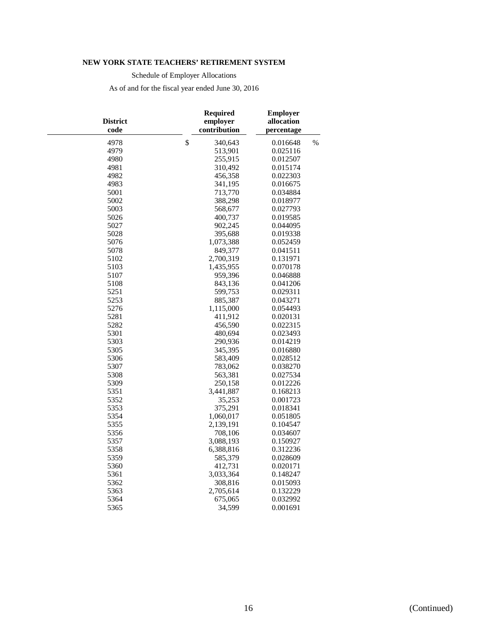Schedule of Employer Allocations

| <b>District</b><br>code | <b>Required</b><br>employer<br>contribution | <b>Employer</b><br>allocation<br>percentage |      |  |  |
|-------------------------|---------------------------------------------|---------------------------------------------|------|--|--|
| 4978                    | \$<br>340,643                               | 0.016648                                    | $\%$ |  |  |
| 4979                    | 513,901                                     | 0.025116                                    |      |  |  |
| 4980                    | 255,915                                     | 0.012507                                    |      |  |  |
| 4981                    | 310,492                                     | 0.015174                                    |      |  |  |
| 4982                    | 456,358                                     | 0.022303                                    |      |  |  |
| 4983                    | 341,195                                     | 0.016675                                    |      |  |  |
| 5001                    | 713,770                                     | 0.034884                                    |      |  |  |
| 5002                    | 388,298                                     | 0.018977                                    |      |  |  |
| 5003                    | 568,677                                     | 0.027793                                    |      |  |  |
| 5026                    | 400,737                                     | 0.019585                                    |      |  |  |
| 5027                    | 902,245                                     | 0.044095                                    |      |  |  |
| 5028                    | 395,688                                     | 0.019338                                    |      |  |  |
| 5076                    | 1,073,388                                   | 0.052459                                    |      |  |  |
| 5078                    | 849,377                                     | 0.041511                                    |      |  |  |
| 5102                    | 2,700,319                                   | 0.131971                                    |      |  |  |
| 5103                    | 1,435,955                                   | 0.070178                                    |      |  |  |
| 5107                    | 959,396                                     | 0.046888                                    |      |  |  |
| 5108                    | 843,136                                     | 0.041206                                    |      |  |  |
| 5251                    | 599,753                                     | 0.029311                                    |      |  |  |
| 5253                    | 885,387                                     | 0.043271                                    |      |  |  |
| 5276                    | 1,115,000                                   | 0.054493                                    |      |  |  |
| 5281                    | 411,912                                     | 0.020131                                    |      |  |  |
| 5282                    | 456,590                                     | 0.022315                                    |      |  |  |
| 5301                    | 480,694                                     | 0.023493                                    |      |  |  |
| 5303                    | 290,936                                     | 0.014219                                    |      |  |  |
| 5305                    | 345,395                                     | 0.016880                                    |      |  |  |
| 5306                    | 583,409                                     | 0.028512                                    |      |  |  |
| 5307                    | 783,062                                     | 0.038270                                    |      |  |  |
| 5308                    | 563,381                                     | 0.027534                                    |      |  |  |
| 5309                    | 250,158                                     | 0.012226                                    |      |  |  |
| 5351                    | 3,441,887                                   | 0.168213                                    |      |  |  |
| 5352                    | 35,253                                      | 0.001723                                    |      |  |  |
| 5353                    | 375,291                                     | 0.018341                                    |      |  |  |
| 5354                    | 1,060,017                                   | 0.051805                                    |      |  |  |
| 5355                    | 2,139,191                                   | 0.104547                                    |      |  |  |
| 5356                    | 708,106                                     | 0.034607                                    |      |  |  |
| 5357                    | 3,088,193                                   | 0.150927                                    |      |  |  |
| 5358                    | 6,388,816                                   | 0.312236                                    |      |  |  |
| 5359                    | 585,379                                     | 0.028609                                    |      |  |  |
| 5360                    | 412,731                                     | 0.020171                                    |      |  |  |
| 5361                    | 3,033,364                                   | 0.148247                                    |      |  |  |
| 5362                    | 308,816                                     | 0.015093                                    |      |  |  |
| 5363                    | 2,705,614                                   | 0.132229                                    |      |  |  |
| 5364                    | 675,065                                     | 0.032992                                    |      |  |  |
| 5365                    | 34,599                                      | 0.001691                                    |      |  |  |
|                         |                                             |                                             |      |  |  |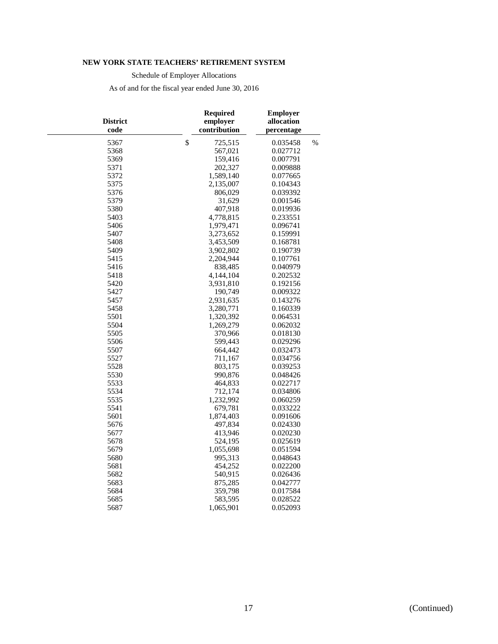Schedule of Employer Allocations

| <b>District</b><br>code | <b>Required</b><br>employer<br>contribution | <b>Employer</b><br>allocation<br>percentage |      |  |  |
|-------------------------|---------------------------------------------|---------------------------------------------|------|--|--|
| 5367                    | \$<br>725,515                               | 0.035458                                    | $\%$ |  |  |
| 5368                    | 567,021                                     | 0.027712                                    |      |  |  |
| 5369                    | 159,416                                     | 0.007791                                    |      |  |  |
| 5371                    | 202,327                                     | 0.009888                                    |      |  |  |
| 5372                    | 1,589,140                                   | 0.077665                                    |      |  |  |
| 5375                    | 2,135,007                                   | 0.104343                                    |      |  |  |
| 5376                    | 806,029                                     | 0.039392                                    |      |  |  |
| 5379                    | 31,629                                      | 0.001546                                    |      |  |  |
| 5380                    | 407,918                                     | 0.019936                                    |      |  |  |
| 5403                    | 4,778,815                                   | 0.233551                                    |      |  |  |
| 5406                    | 1,979,471                                   | 0.096741                                    |      |  |  |
| 5407                    | 3,273,652                                   | 0.159991                                    |      |  |  |
| 5408                    | 3,453,509                                   | 0.168781                                    |      |  |  |
| 5409                    | 3,902,802                                   | 0.190739                                    |      |  |  |
| 5415                    | 2,204,944                                   | 0.107761                                    |      |  |  |
| 5416                    | 838,485                                     | 0.040979                                    |      |  |  |
| 5418                    | 4,144,104                                   | 0.202532                                    |      |  |  |
| 5420                    | 3,931,810                                   | 0.192156                                    |      |  |  |
| 5427                    | 190,749                                     | 0.009322                                    |      |  |  |
| 5457                    | 2,931,635                                   | 0.143276                                    |      |  |  |
| 5458                    | 3,280,771                                   | 0.160339                                    |      |  |  |
| 5501                    | 1,320,392                                   | 0.064531                                    |      |  |  |
| 5504                    | 1,269,279                                   | 0.062032                                    |      |  |  |
| 5505                    | 370,966                                     | 0.018130                                    |      |  |  |
| 5506                    | 599,443                                     | 0.029296                                    |      |  |  |
| 5507                    | 664,442                                     | 0.032473                                    |      |  |  |
| 5527                    | 711,167                                     | 0.034756                                    |      |  |  |
| 5528                    | 803,175                                     | 0.039253                                    |      |  |  |
| 5530                    | 990,876                                     | 0.048426                                    |      |  |  |
| 5533                    | 464,833                                     | 0.022717                                    |      |  |  |
| 5534                    | 712,174                                     | 0.034806                                    |      |  |  |
| 5535                    | 1,232,992                                   | 0.060259                                    |      |  |  |
| 5541                    | 679,781                                     | 0.033222                                    |      |  |  |
| 5601                    | 1,874,403                                   | 0.091606                                    |      |  |  |
| 5676                    | 497,834                                     | 0.024330                                    |      |  |  |
| 5677                    | 413,946                                     | 0.020230                                    |      |  |  |
| 5678                    | 524,195                                     | 0.025619                                    |      |  |  |
| 5679                    | 1,055,698                                   | 0.051594                                    |      |  |  |
| 5680                    | 995,313                                     | 0.048643                                    |      |  |  |
| 5681                    | 454,252                                     | 0.022200                                    |      |  |  |
| 5682                    | 540,915                                     | 0.026436                                    |      |  |  |
| 5683                    | 875,285                                     | 0.042777                                    |      |  |  |
| 5684                    | 359,798                                     | 0.017584                                    |      |  |  |
| 5685                    | 583,595                                     | 0.028522                                    |      |  |  |
| 5687                    | 1,065,901                                   | 0.052093                                    |      |  |  |
|                         |                                             |                                             |      |  |  |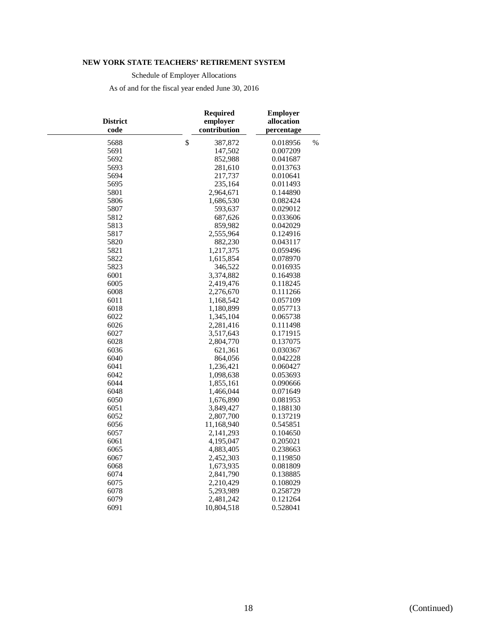Schedule of Employer Allocations

| <b>District</b><br>code | <b>Required</b><br>employer<br>contribution | <b>Employer</b><br>allocation<br>percentage |      |  |  |
|-------------------------|---------------------------------------------|---------------------------------------------|------|--|--|
| 5688                    | \$<br>387,872                               | 0.018956                                    | $\%$ |  |  |
| 5691                    | 147,502                                     | 0.007209                                    |      |  |  |
| 5692                    | 852,988                                     | 0.041687                                    |      |  |  |
| 5693                    | 281,610                                     | 0.013763                                    |      |  |  |
| 5694                    | 217,737                                     | 0.010641                                    |      |  |  |
| 5695                    | 235,164                                     | 0.011493                                    |      |  |  |
| 5801                    | 2,964,671                                   | 0.144890                                    |      |  |  |
| 5806                    | 1,686,530                                   | 0.082424                                    |      |  |  |
| 5807                    | 593,637                                     | 0.029012                                    |      |  |  |
| 5812                    | 687,626                                     | 0.033606                                    |      |  |  |
| 5813                    | 859,982                                     | 0.042029                                    |      |  |  |
| 5817                    | 2,555,964                                   | 0.124916                                    |      |  |  |
| 5820                    | 882,230                                     | 0.043117                                    |      |  |  |
| 5821                    | 1,217,375                                   | 0.059496                                    |      |  |  |
| 5822                    | 1,615,854                                   | 0.078970                                    |      |  |  |
| 5823                    | 346,522                                     | 0.016935                                    |      |  |  |
| 6001                    | 3,374,882                                   | 0.164938                                    |      |  |  |
| 6005                    | 2,419,476                                   | 0.118245                                    |      |  |  |
| 6008                    | 2,276,670                                   | 0.111266                                    |      |  |  |
| 6011                    | 1,168,542                                   | 0.057109                                    |      |  |  |
| 6018                    | 1,180,899                                   | 0.057713                                    |      |  |  |
| 6022                    | 1,345,104                                   | 0.065738                                    |      |  |  |
| 6026                    | 2,281,416                                   | 0.111498                                    |      |  |  |
| 6027                    | 3,517,643                                   | 0.171915                                    |      |  |  |
| 6028                    | 2,804,770                                   | 0.137075                                    |      |  |  |
| 6036                    | 621,361                                     | 0.030367                                    |      |  |  |
| 6040                    | 864,056                                     | 0.042228                                    |      |  |  |
| 6041                    | 1,236,421                                   | 0.060427                                    |      |  |  |
| 6042                    | 1,098,638                                   | 0.053693                                    |      |  |  |
| 6044                    | 1,855,161                                   | 0.090666                                    |      |  |  |
| 6048                    | 1,466,044                                   | 0.071649                                    |      |  |  |
| 6050                    | 1,676,890                                   | 0.081953                                    |      |  |  |
| 6051                    | 3,849,427                                   | 0.188130                                    |      |  |  |
| 6052                    | 2,807,700                                   | 0.137219                                    |      |  |  |
| 6056                    | 11,168,940                                  | 0.545851                                    |      |  |  |
| 6057                    | 2,141,293                                   | 0.104650                                    |      |  |  |
| 6061                    | 4,195,047                                   | 0.205021                                    |      |  |  |
| 6065                    | 4,883,405                                   | 0.238663                                    |      |  |  |
| 6067                    | 2,452,303                                   | 0.119850                                    |      |  |  |
| 6068                    | 1,673,935                                   | 0.081809                                    |      |  |  |
| 6074                    | 2,841,790                                   | 0.138885                                    |      |  |  |
| 6075                    | 2,210,429                                   | 0.108029                                    |      |  |  |
| 6078                    | 5,293,989                                   | 0.258729                                    |      |  |  |
| 6079                    | 2,481,242                                   | 0.121264                                    |      |  |  |
| 6091                    | 10,804,518                                  | 0.528041                                    |      |  |  |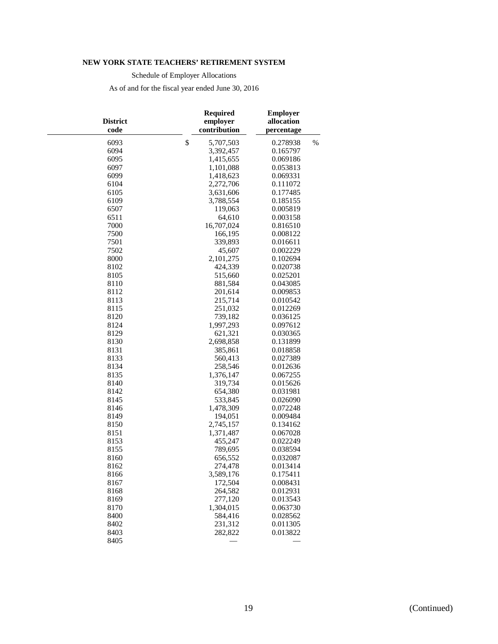Schedule of Employer Allocations

| <b>District</b><br>code | <b>Required</b><br>employer<br>contribution | <b>Employer</b><br>allocation<br>percentage |      |
|-------------------------|---------------------------------------------|---------------------------------------------|------|
| 6093                    | \$<br>5,707,503                             | 0.278938                                    | $\%$ |
| 6094                    | 3,392,457                                   | 0.165797                                    |      |
| 6095                    | 1,415,655                                   | 0.069186                                    |      |
| 6097                    | 1,101,088                                   | 0.053813                                    |      |
| 6099                    | 1,418,623                                   | 0.069331                                    |      |
| 6104                    | 2,272,706                                   | 0.111072                                    |      |
| 6105                    | 3,631,606                                   | 0.177485                                    |      |
| 6109                    | 3,788,554                                   | 0.185155                                    |      |
| 6507                    | 119,063                                     | 0.005819                                    |      |
| 6511                    | 64,610                                      | 0.003158                                    |      |
| 7000                    | 16,707,024                                  | 0.816510                                    |      |
| 7500                    | 166,195                                     | 0.008122                                    |      |
| 7501                    | 339,893                                     | 0.016611                                    |      |
| 7502                    | 45,607                                      | 0.002229                                    |      |
| 8000                    | 2,101,275                                   | 0.102694                                    |      |
| 8102                    | 424,339                                     | 0.020738                                    |      |
| 8105                    | 515,660                                     | 0.025201                                    |      |
| 8110                    | 881,584                                     | 0.043085                                    |      |
|                         | 201,614                                     | 0.009853                                    |      |
| 8112<br>8113            |                                             |                                             |      |
|                         | 215,714                                     | 0.010542                                    |      |
| 8115                    | 251,032                                     | 0.012269                                    |      |
| 8120                    | 739,182                                     | 0.036125                                    |      |
| 8124                    | 1,997,293                                   | 0.097612                                    |      |
| 8129                    | 621,321                                     | 0.030365                                    |      |
| 8130                    | 2,698,858                                   | 0.131899                                    |      |
| 8131                    | 385,861                                     | 0.018858                                    |      |
| 8133                    | 560,413                                     | 0.027389                                    |      |
| 8134                    | 258,546                                     | 0.012636                                    |      |
| 8135                    | 1,376,147                                   | 0.067255                                    |      |
| 8140                    | 319,734                                     | 0.015626                                    |      |
| 8142                    | 654,380                                     | 0.031981                                    |      |
| 8145                    | 533,845                                     | 0.026090                                    |      |
| 8146                    | 1,478,309                                   | 0.072248                                    |      |
| 8149                    | 194,051                                     | 0.009484                                    |      |
| 8150                    | 2,745,157                                   | 0.134162                                    |      |
| 8151                    | 1,371,487                                   | 0.067028                                    |      |
| 8153                    | 455,247                                     | 0.022249                                    |      |
| 8155                    | 789,695                                     | 0.038594                                    |      |
| 8160                    | 656,552                                     | 0.032087                                    |      |
| 8162                    | 274,478                                     | 0.013414                                    |      |
| 8166                    | 3,589,176                                   | 0.175411                                    |      |
| 8167                    | 172,504                                     | 0.008431                                    |      |
| 8168                    | 264,582                                     | 0.012931                                    |      |
| 8169                    | 277,120                                     | 0.013543                                    |      |
| 8170                    | 1,304,015                                   | 0.063730                                    |      |
| 8400                    | 584,416                                     | 0.028562                                    |      |
| 8402                    | 231,312                                     | 0.011305                                    |      |
| 8403                    | 282,822                                     | 0.013822                                    |      |
| 8405                    |                                             |                                             |      |
|                         |                                             |                                             |      |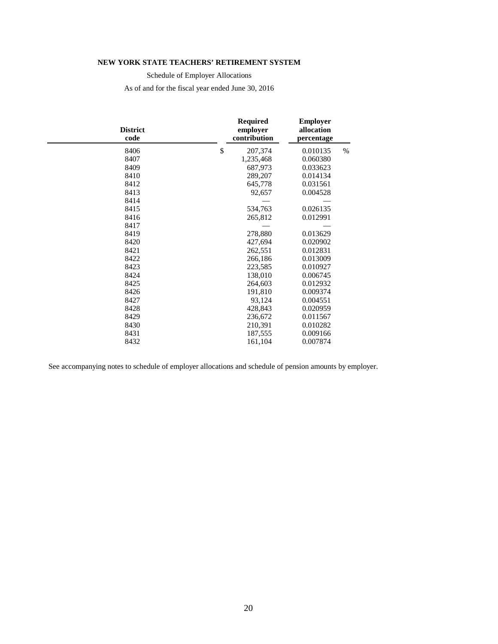Schedule of Employer Allocations

As of and for the fiscal year ended June 30, 2016

| <b>District</b><br>code | <b>Required</b><br>employer<br>contribution | <b>Employer</b><br>allocation<br>percentage |               |
|-------------------------|---------------------------------------------|---------------------------------------------|---------------|
| 8406                    | \$<br>207,374                               | 0.010135                                    | $\frac{0}{0}$ |
| 8407                    | 1,235,468                                   | 0.060380                                    |               |
| 8409                    | 687,973                                     | 0.033623                                    |               |
| 8410                    | 289,207                                     | 0.014134                                    |               |
| 8412                    | 645,778                                     | 0.031561                                    |               |
| 8413                    | 92,657                                      | 0.004528                                    |               |
| 8414                    |                                             |                                             |               |
| 8415                    | 534,763                                     | 0.026135                                    |               |
| 8416                    | 265,812                                     | 0.012991                                    |               |
| 8417                    |                                             |                                             |               |
| 8419                    | 278,880                                     | 0.013629                                    |               |
| 8420                    | 427,694                                     | 0.020902                                    |               |
| 8421                    | 262,551                                     | 0.012831                                    |               |
| 8422                    | 266,186                                     | 0.013009                                    |               |
| 8423                    | 223,585                                     | 0.010927                                    |               |
| 8424                    | 138,010                                     | 0.006745                                    |               |
| 8425                    | 264,603                                     | 0.012932                                    |               |
| 8426                    | 191,810                                     | 0.009374                                    |               |
| 8427                    | 93,124                                      | 0.004551                                    |               |
| 8428                    | 428,843                                     | 0.020959                                    |               |
| 8429                    | 236,672                                     | 0.011567                                    |               |
| 8430                    | 210,391                                     | 0.010282                                    |               |
| 8431                    | 187,555                                     | 0.009166                                    |               |
| 8432                    | 161,104                                     | 0.007874                                    |               |
|                         |                                             |                                             |               |

See accompanying notes to schedule of employer allocations and schedule of pension amounts by employer.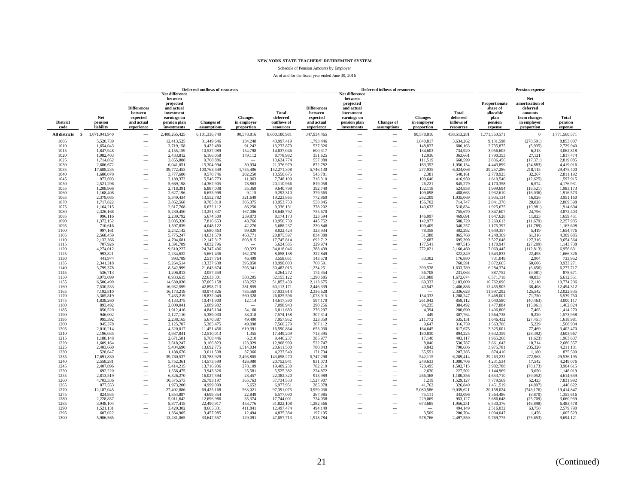Schedule of Pension Amounts by Employer

|                         |                             | <b>Deferred outflows of resources</b>                |                                                          |                                  |                                             |                                                      | <b>Deferred inflows of resources</b>            |                                                             |                                                      |                                             |                                                     | <b>Pension expense</b>                  |                                                      |                                    |  |
|-------------------------|-----------------------------|------------------------------------------------------|----------------------------------------------------------|----------------------------------|---------------------------------------------|------------------------------------------------------|-------------------------------------------------|-------------------------------------------------------------|------------------------------------------------------|---------------------------------------------|-----------------------------------------------------|-----------------------------------------|------------------------------------------------------|------------------------------------|--|
|                         |                             | <b>Differences</b>                                   | Net difference<br>between<br>projected<br>and actual     |                                  |                                             |                                                      | <b>Differences</b>                              | <b>Net difference</b><br>between<br>projected<br>and actual |                                                      |                                             |                                                     | Proportionate<br>share of               | Net<br>amortization of<br>deferred                   |                                    |  |
| <b>District</b><br>code | Net<br>pension<br>liability | between<br>expected<br>and actual<br>experience      | investment<br>earnings on<br>pension plan<br>investments | <b>Changes</b> of<br>assumptions | <b>Changes</b><br>in employer<br>proportion | <b>Total</b><br>deferred<br>outflows of<br>resources | between<br>expected<br>and actual<br>experience | investment<br>earnings on<br>pension plan<br>investments    | <b>Changes</b> of<br>assumptions                     | <b>Changes</b><br>in employer<br>proportion | <b>Total</b><br>deferred<br>inflows of<br>resources | allocable<br>plan<br>pension<br>expense | amounts<br>from changes<br>in employer<br>proportion | <b>Total</b><br>pension<br>expense |  |
| <b>All districts</b>    | 1,071,041,940<br>-S         | $\overline{\phantom{m}}$                             | 2,408,265,425                                            | 6,101,336,740                    | 90,578,816                                  | 8,600,180,981                                        | 347,934,465                                     |                                                             | $\overline{\phantom{0}}$                             | 90,578,816                                  | 438,513,281                                         | 1,771,560,571                           | $\Omega$                                             | 1,771,560,571                      |  |
| 1005                    | 5,520,739                   | $\overline{\phantom{a}}$                             | 12,413,525                                               | 31,449,646                       | 134,248                                     | 43,997,419                                           | 1,793,446                                       | $\overline{\phantom{a}}$                                    | $\overline{\phantom{0}}$                             | 1,840,817                                   | 3,634,262                                           | 9,131,598                               | (278, 591)                                           | 8,853,007                          |  |
| 1010                    | 1,654,043                   | $\overline{\phantom{a}}$                             | 3,719,158                                                | 9,422,480                        | 91,242                                      | 13,232,879                                           | 537,326                                         | $\overline{\phantom{a}}$                                    | $\overline{\phantom{0}}$                             | 148,837                                     | 686,163                                             | 2,735,875                               | (5,935)                                              | 2,729,940                          |  |
| 1015                    | 1,847,948                   | $\overline{\phantom{0}}$                             | 4,155,159                                                | 10,527,089                       | 154,798                                     | 14,837,046                                           | 600.317                                         | $\overline{\phantom{a}}$                                    |                                                      | 134,603                                     | 734.920                                             | 3,056,605                               | 6.213                                                | 3,062,818                          |  |
| 1020                    | 1,082,403                   | $\overline{\phantom{a}}$                             | 2,433,812                                                | 6,166,058                        | 179,112                                     | 8,778,982                                            | 351.625                                         | $\overline{\phantom{a}}$                                    |                                                      | 12,036                                      | 363,661                                             | 1,790,353                               | 27,121                                               | 1,817,474                          |  |
| 1025                    | 1,714,852                   |                                                      | 3,855,888                                                | 9,768,886                        | $\overline{\phantom{a}}$                    | 13,624,774                                           | 557,080                                         |                                                             | $\overline{\phantom{0}}$                             | 111,519                                     | 668,599                                             | 2,836,456                               | (17, 371)                                            | 2,819,085                          |  |
| 1030                    | 2,686,672                   | $\overline{\phantom{a}}$                             | 6,041,051                                                | 15,304,994                       | 30,934                                      | 21,376,979                                           | 872,782                                         | $\sim$                                                      | $\overline{\phantom{0}}$                             | 183,352                                     | 1,056,134                                           | 4,443,899                               | (24, 883)                                            | 4,419,016                          |  |
| 1035<br>1040            | 17,688,235<br>1,680,070     | $\overline{\phantom{a}}$                             | 39,772,453                                               | 100,763,449<br>9,570,746         | 1,735,406<br>202,250                        | 142,271,308                                          | 5,746,130<br>545,781                            |                                                             | $\overline{\phantom{0}}$                             | 277,935<br>2,381                            | 6,024,066<br>548,161                                | 29,257,286<br>2,778,925                 | 218,115<br>32,267                                    | 29,475,400<br>2,811,192            |  |
| 1045                    | 973,693                     | $\overline{\phantom{a}}$                             | 3,777,680<br>2,189,373                                   |                                  |                                             | 13,550,675                                           | 316,310                                         |                                                             |                                                      | 100,640                                     | 416,950                                             | 1,610,540                               |                                                      |                                    |  |
| 1050                    | 2,521,296                   | $\overline{\phantom{a}}$                             | 5,669,198                                                | 5,546,773<br>14,362,905          | 11,963<br>78,863                            | 7,748,109<br>20,110,966                              | 819,058                                         | $\overline{\phantom{a}}$<br>$\overline{\phantom{a}}$        | $\overline{\phantom{a}}$                             | 26,221                                      | 845,279                                             | 4,170,358                               | (12, 625)<br>6,574                                   | 1,597,915<br>4,176,931             |  |
| 1055                    | 1,208,966                   | $\overline{\phantom{a}}$                             | 2,718,391                                                | 6,887,038                        | 35,369                                      | 9,640,798                                            | 392,740                                         | $\overline{\phantom{a}}$                                    |                                                      | 132,118                                     | 524,858                                             | 1,999,694                               | (16, 521)                                            | 1,983,173                          |  |
| 1060                    | 1,168,408                   |                                                      | 2,627,196                                                | 6,655,998                        | 9,115                                       | 9,292,310                                            | 379,565                                         |                                                             |                                                      | 109,098                                     | 488,663                                             | 1,932,610                               | (16,036)                                             | 1,916,573                          |  |
| 1065                    | 2,379,085                   | $\overline{\phantom{a}}$                             | 5,349,434                                                | 13,552,782                       | 321,649                                     | 19,223,865                                           | 772,860                                         | $\overline{\phantom{a}}$                                    | -                                                    | 262,209                                     | 1,035,069                                           | 3,935,134                               | 16,026                                               |                                    |  |
| 1070                    | 1,717,822                   | $\overline{\phantom{a}}$                             | 3,862,568                                                | 9,785,810                        | 305,375                                     | 13,953,753                                           | 558,045                                         | $\overline{\phantom{a}}$                                    |                                                      | 156,702                                     | 714,747                                             | 2,841,370                               | 28,028                                               | 3,951,160<br>2,869,398             |  |
| 1075                    | 1,164,215                   | $\overline{\phantom{a}}$                             | 2,617,768                                                | 6,632,112                        | 86,250                                      | 9,336,131                                            | 378,202                                         | $\overline{\phantom{a}}$                                    | $\overline{\phantom{a}}$                             | 140,632                                     | 518,834                                             | 1,925,675                               | (10,981)                                             | 1,914,694                          |  |
| 1080                    | 2,326,168                   | $\overline{\phantom{a}}$                             | 5,230,450                                                | 13,251,337                       | 167,006                                     | 18,648,792                                           | 755,670                                         | $\sim$                                                      | $\overline{\phantom{a}}$                             | $\overline{\phantom{a}}$                    | 755,670                                             | 3,847,607                               | 24,796                                               | 3,872,403                          |  |
| 1085                    | 996,116                     |                                                      | 2,239,792                                                | 5,674,509                        | 259,873                                     | 8,174,173                                            | 323,594                                         |                                                             |                                                      | 146,097                                     | 469,691                                             | 1,647,628                               | 11,823                                               | 1,659,451                          |  |
| 1090                    | 1,372,152                   | $\overline{\phantom{a}}$                             | 3.085.320                                                | 7,816,653                        | 48,766                                      | 10,950,739                                           | 445,752                                         | $\overline{\phantom{a}}$                                    | $\overline{\phantom{0}}$                             | 142,977                                     | 588,729                                             | 2.269.613                               | (11,679)                                             | 2,257,935                          |  |
| 1095                    | 710,616                     | $\overline{\phantom{a}}$                             | 1,597,839                                                | 4,048,122                        | 42,276                                      | 5,688,237                                            | 230,848                                         | $\overline{\phantom{a}}$                                    |                                                      | 109,409                                     | 340,257                                             | 1,175,397                               | (11,789)                                             | 1,163,608                          |  |
| 1100                    | 997,161                     | $\overline{\phantom{a}}$                             | 2,242,142                                                | 5,680,463                        | 99,820                                      | 8,022,424                                            | 323,934                                         | $\overline{\phantom{a}}$                                    |                                                      | 78,358                                      | 402,292                                             | 1,649,357                               | 5,419                                                | 1,654,776                          |  |
| 1105                    | 2,568,459                   | $\overline{\phantom{a}}$                             | 5,775,247                                                | 14,631,579                       | 468,771                                     | 20,875,597                                           | 834,380                                         | $\overline{\phantom{a}}$                                    | $\overline{\phantom{0}}$                             | 31,388                                      | 865,768                                             | 4,248,369                               | 61,316                                               | 4,309,685                          |  |
| 1110                    | 2,132,366                   |                                                      | 4,794,681                                                | 12,147,317                       | 803,815                                     | 17,745,814                                           | 692,712                                         |                                                             |                                                      | 2,687                                       | 695,399                                             | 3,527,048                               | 127,316                                              | 3,654,364                          |  |
| 1115                    | 707,926                     |                                                      | 1,591,789                                                | 4,032,796                        |                                             | 5,624,585                                            | 229,974                                         | $\overline{\phantom{a}}$                                    | $\overline{\phantom{0}}$                             | 177,541                                     | 407,515                                             | 1,170,947                               | (27, 209)                                            | 1,143,738                          |  |
| 1120<br>1125            | 4,274,012<br>993,821        | $\overline{\phantom{a}}$<br>$\overline{\phantom{a}}$ | 9,610,227                                                | 24,347,496                       | 60,323                                      | 34,018,046                                           | 1,388,439<br>322,849                            | $\overline{\phantom{a}}$<br>$\overline{\phantom{a}}$        | $\overline{\phantom{a}}$<br>$\overline{\phantom{a}}$ | 772,021                                     | 2,160,460<br>322,849                                | 7,069,445<br>1,643,833                  | (112, 813)<br>22,493                                 | 6,956,631                          |  |
| 1130                    | 441,974                     |                                                      | 2,234,632<br>993,789                                     | 5,661,436<br>2,517,764           | 162,070<br>46,499                           | 8,058,138<br>3,558,051                               | 143,578                                         |                                                             |                                                      | 33,302                                      | 176,880                                             | 731,048                                 | 2,904                                                | 1,666,326<br>733,952               |  |
| 1135                    | 2,341,318                   |                                                      | 5,264,514                                                | 13,337,638                       | 395,850                                     | 18,998,003                                           | 760,591                                         |                                                             |                                                      |                                             | 760,591                                             | 3,872,665                               | 60,606                                               | 3,933,271                          |  |
| 1140                    | 3,799,378                   | $\overline{\phantom{a}}$                             | 8,542,999                                                | 21,643,674                       | 295,341                                     | 30,482,015                                           | 1,234,251                                       | $\overline{\phantom{a}}$                                    | $\overline{\phantom{a}}$                             | 399,538                                     | 1,633,789                                           | 6,284,374                               | (6,656)                                              | 6,277,717                          |  |
| 1145                    | 536,713                     | $\overline{\phantom{a}}$                             | 1,206,813                                                | 3,057,459                        |                                             | 4,264,272                                            | 174,354                                         | $\overline{\phantom{a}}$                                    | $\overline{\phantom{a}}$                             | 56,708                                      | 231,063                                             | 887,752                                 | (9,081)                                              | 878,671                            |  |
| 1150                    | 3,973,099                   | $\overline{\phantom{a}}$                             | 8,933,615                                                | 22,633,301                       | 588,205                                     | 32,155,122                                           | 1,290,685                                       | $\overline{\phantom{a}}$                                    | $\overline{\phantom{0}}$                             | 381,988                                     | 1,672,674                                           | 6,571,718                               | 40,833                                               | 6,612,551                          |  |
| 1155                    | 6,506,499                   |                                                      | 14,630,030                                               | 37,065,158                       | 158,252                                     | 51,853,439                                           | 2,113,675                                       |                                                             |                                                      | 69,333                                      | 2,183,009                                           | 10,762,096                              | 12,110                                               | 10,774,206                         |  |
| 1160                    | 7,530,533                   | $\overline{\phantom{a}}$                             | 16,932,599                                               | 42,898,713                       | 281.859                                     | 60,113,171                                           | 2,446,339                                       | $\overline{\phantom{a}}$                                    |                                                      | 40.547                                      | 2.486.886                                           | 12,455,905                              | 38,408                                               | 12,494,312<br>12,022,835           |  |
| 1165                    | 7,192,810                   | $\hspace{0.1mm}-\hspace{0.1mm}$                      | 16,173,219                                               | 40,974,826                       | 785,569                                     | 57,933,614                                           | 2,336,628                                       | $\overline{\phantom{a}}$                                    |                                                      | $\overline{\phantom{a}}$                    | 2,336,628                                           | 11,897,292                              | 125,542                                              |                                    |  |
| 1170                    | 3,305,819                   | $\overline{\phantom{a}}$                             | 7,433,219                                                | 18,832,049                       | 560,328                                     | 26,825,596                                           | 1,073,915                                       | $\overline{\phantom{a}}$                                    | $\overline{\phantom{0}}$                             | 134,332                                     | 1,208,247                                           | 5,468,001                               | 71,750                                               | 5,539,750                          |  |
| 1175                    | 1,838,260                   | $\overline{\phantom{a}}$                             | 4,133,375                                                | 10,471,900                       | 12,114                                      | 14,617,390                                           | 597,170                                         | $\overline{\phantom{a}}$                                    |                                                      | 261,942                                     | 859,112                                             | 3,040,580                               | (40, 463)                                            | 3,000,117                          |  |
| 1180                    | 893,492                     | $\overline{\phantom{a}}$                             | 2,009,041                                                | 5,089,902                        |                                             | 7,098,943                                            | 290,256                                         |                                                             | $\overline{\phantom{0}}$                             | 94,235                                      | 384,492                                             | 1,477,884                               | (15,061)                                             | 1,462,824                          |  |
| 1185                    | 850,520                     | $\overline{\phantom{a}}$                             | 1,912,416                                                | 4,845,104                        | 54,160                                      | 6,811,680                                            | 276,297                                         | $\overline{\phantom{a}}$                                    |                                                      | 4,394                                       | 280,690                                             | 1,406,806                               | 7,465                                                | 1,414,270                          |  |
| 1190                    | 946,002                     | $\overline{\phantom{a}}$                             | 2,127,110                                                | 5.389.030                        | 58,018                                      | 7,574,158                                            | 307.314                                         | $\overline{\phantom{a}}$                                    |                                                      | 449                                         | 307,764                                             | 1,564,738                               | 9,220                                                | 1,573,958                          |  |
| 1195                    | 995,392                     | $\overline{\phantom{a}}$                             | 2,238,165                                                | 5,670,387                        | 49,400                                      | 7,957,952                                            | 323,359                                         | $\overline{\phantom{a}}$                                    | $\overline{\phantom{a}}$                             | 211,772                                     | 535,131                                             | 1,646,432                               | (27, 451)                                            | 1,618,981                          |  |
| 1200                    | 945,378                     |                                                      | 2,125,707                                                | 5,385,475                        | 49,098                                      | 7,560,279                                            | 307.112                                         |                                                             |                                                      | 9,647                                       | 316,759                                             | 1,563,706                               | 5,229                                                | 1,568,934                          |  |
| 1205                    | 2,010,214                   |                                                      | 4,520,017                                                | 11,451,456                       | 619,391                                     | 16,590,864                                           | 653,030                                         |                                                             | $\overline{\phantom{0}}$                             | 164,645<br>180,830                          | 817,675                                             | 3,325,001                               | 77,469                                               | 3,402,470                          |  |
| 1210<br>1215            | 2,196,035<br>1,188,148      | $\overline{\phantom{a}}$                             | 4,937,841<br>2,671,581                                   | 12,510,013<br>6,768,446          | 1,355<br>6,210                              | 17,449,209<br>9,446,237                              | 713,395<br>385,977                              | $\overline{\phantom{a}}$                                    | $\overline{\phantom{0}}$<br>$\overline{\phantom{a}}$ | 17,140                                      | 894,225<br>403,117                                  | 3,632,359<br>1,965,260                  | (28, 392)<br>(1,623)                                 | 3,603,967<br>1,963,637             |  |
| 1220                    | 1,609,164                   | $\overline{\phantom{a}}$                             | 3,618,247                                                | 9,166,823                        | 123,929                                     | 12,908,999                                           | 522,747                                         | $\overline{\phantom{a}}$                                    | $\overline{\phantom{0}}$                             | 8,040                                       | 530,787                                             | 2,661,643                               | 18,714                                               | 2,680,357                          |  |
| 1225                    | 2,403,660                   |                                                      | 5,404,690                                                | 13,692,775                       | 1,514,034                                   | 20,611,500                                           | 780,843                                         |                                                             |                                                      | 9,842                                       | 790,686                                             | 3,975,781                               | 235,320                                              | 4,211,101                          |  |
| 1230                    | 528,647                     | $\overline{\phantom{a}}$                             | 1,188,676                                                | 3,011,508                        | 37,366                                      | 4,237,549                                            | 171,734                                         |                                                             | $\overline{\phantom{0}}$                             | 35,551                                      | 207,285                                             | 874,410                                 | 1,180                                                | 875,590                            |  |
| 1235                    | 17,691,830                  | $\overline{\phantom{a}}$                             | 39,780,537                                               | 100,783,929                      | 2,493,805                                   | 143,058,270                                          | 5,747,298                                       | $\overline{\phantom{a}}$                                    |                                                      | 542,115                                     | 6,289,414                                           | 29,263,232                              | 272,963                                              | 29,536,195                         |  |
| 1240                    | 2,558,281                   | $\overline{\phantom{a}}$                             | 5,752,361                                                | 14,573,599                       | 426,980                                     | 20,752,941                                           | 831,073                                         | $\overline{\phantom{a}}$                                    | $\overline{\phantom{0}}$                             | 249,633                                     | 1,080,706                                           | 4,231,534                               | 17,542                                               | 4,249,076                          |  |
| 1245                    | 2,407,896                   | $\overline{\phantom{a}}$                             | 5,414,215                                                | 13,716,906                       | 278,109                                     | 19,409,230                                           | 782,219                                         | $\overline{\phantom{a}}$                                    |                                                      | 720,495                                     | 1,502,715                                           | 3,982,788                               | (78, 173)                                            | 3,904,615                          |  |
| 1250                    | 692,220                     | $\overline{\phantom{a}}$                             | 1,556,475                                                | 3,943,326                        | 25,581                                      | 5,525,382                                            | 224,872                                         | $\overline{\phantom{a}}$                                    | $\overline{\phantom{0}}$                             | 2,630                                       | 227,502                                             | 1,144,969                               | 3,050                                                | 1,148,019                          |  |
| 1255                    | 2,813,519                   | $\overline{\phantom{a}}$                             | 6,326,270                                                | 16,027,594                       | 28,457                                      | 22,382,320                                           | 913,989                                         | $\overline{\phantom{a}}$                                    |                                                      | 266,368                                     | 1,180,356                                           | 4,653,710                               | (39, 052)                                            | 4,614,659                          |  |
| 1260                    | 4,703,336                   | $\overline{\phantom{a}}$                             | 10,575,573                                               | 26,793,197                       | 365,763                                     | 37,734,533                                           | 1,527,907                                       | $\overline{\phantom{a}}$                                    |                                                      | 1,219                                       | 1,529,127                                           | 7,779,569                               | 52,423                                               | 7,831,992                          |  |
| 1265                    | 877,553                     | $\overline{\phantom{a}}$                             | 1,973,200                                                | 4,999,099                        | 5,652                                       | 6,977,951                                            | 285,078                                         | $\sim$                                                      | $\overline{\phantom{a}}$                             | 41,762                                      | 326,840                                             | 1,451,519                               | (4, 897)                                             | 1,446,622                          |  |
| 1270                    | 12,187,045                  | $\overline{\phantom{a}}$                             | 27,402,886                                               | 69,425,168                       | 563,021                                     | 97,391,075                                           | 3,959,036                                       |                                                             |                                                      | 5,080,586                                   | 9,039,621                                           | 20,158,024                              | (743, 176)                                           | 19,414,847                         |  |
| 1275                    | 824,935                     |                                                      | 1,854,887                                                | 4,699,354                        | 22,849                                      | 6,577,090                                            | 267,985                                         |                                                             | $\overline{\phantom{0}}$                             | 75,111                                      | 343,096                                             | 1,364,486                               | (8, 870)                                             | 1,355,616                          |  |
| 1280<br>1285            | 2,228,857<br>3,948,104      | $\overline{\phantom{a}}$                             | 5,011,642                                                | 12,696,986<br>22,490,917         | 35,374<br>453,776                           | 17,744,001<br>31,822,108                             | 724,058<br>1,282,566                            | $\overline{\phantom{a}}$<br>$\overline{\phantom{a}}$        | $\overline{\phantom{a}}$                             | 229,069<br>673,685                          | 953,127<br>1,956,251                                | 3,686,648<br>6,530,376                  | (25,709)                                             | 3,660,939<br>6,483,478             |  |
| 1290                    | 1,521,131                   |                                                      | 8,877,415<br>3,420,302                                   | 8,665,331                        | 411,841                                     | 12,497,474                                           | 494,149                                         |                                                             | $\overline{\phantom{a}}$                             |                                             | 494,149                                             | 2,516,032                               | (46, 898)<br>63,758                                  | 2,579,790                          |  |
| 1295                    | 607,022                     |                                                      | 1,364,905                                                | 3,457,985                        | 12,494                                      | 4,835,384                                            | 197,195                                         |                                                             |                                                      | 3,509                                       | 200,704                                             | 1,004,047                               | 1,476                                                | 1,005,523                          |  |
| 1300                    | 5,906,565                   |                                                      | 13,281,065                                               | 33,647,557                       | 129,091                                     | 47,057,713                                           | 1,918,784                                       |                                                             |                                                      | 578,766                                     | 2,497,550                                           | 9,769,775                               | (75, 653)                                            | 9,694,121                          |  |
|                         |                             |                                                      |                                                          |                                  |                                             |                                                      |                                                 |                                                             |                                                      |                                             |                                                     |                                         |                                                      |                                    |  |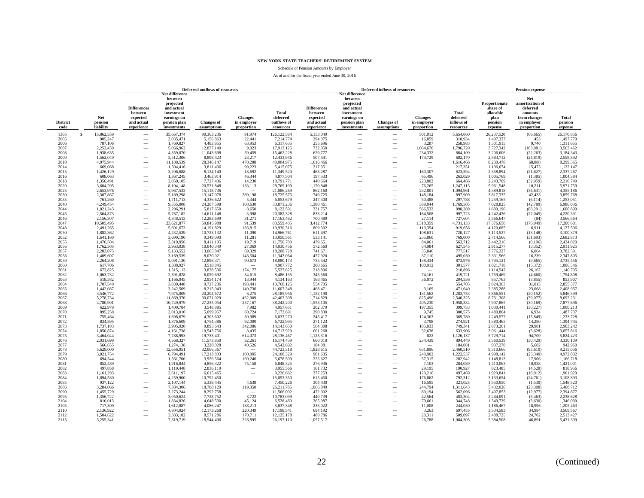Schedule of Pension Amounts by Employer

|                      |                        | Deferred outflows of resources                       |                         |                          |                    |                          |                      |                                                      | <b>Deferred inflows of resources</b>                 |                    | <b>Pension expense</b> |                           |                             |                        |
|----------------------|------------------------|------------------------------------------------------|-------------------------|--------------------------|--------------------|--------------------------|----------------------|------------------------------------------------------|------------------------------------------------------|--------------------|------------------------|---------------------------|-----------------------------|------------------------|
|                      |                        |                                                      | Net difference          |                          |                    |                          |                      | Net difference                                       |                                                      |                    |                        |                           |                             |                        |
|                      |                        |                                                      | between                 |                          |                    |                          |                      | between                                              |                                                      |                    |                        |                           | Net                         |                        |
|                      |                        | <b>Differences</b>                                   | projected<br>and actual |                          |                    |                          | <b>Differences</b>   | projected<br>and actual                              |                                                      |                    |                        | Proportionate<br>share of | amortization of<br>deferred |                        |
|                      |                        | between                                              | investment              |                          |                    | <b>Total</b>             | between              | investment                                           |                                                      |                    | <b>Total</b>           | allocable                 | amounts                     |                        |
|                      | Net                    | expected                                             | earnings on             |                          | <b>Changes</b>     | deferred                 | expected             | earnings on                                          |                                                      | <b>Changes</b>     | deferred               | plan                      | from changes                | <b>Total</b>           |
| <b>District</b>      | pension                | and actual                                           | pension plan            | <b>Changes of</b>        | in employer        | outflows of              | and actual           | pension plan                                         | <b>Changes of</b>                                    | in employer        | inflows of             | pension                   | in employer                 | pension                |
| code                 | liability              | experience                                           | investments             | assumptions              | proportion         | resources                | experience           | investments                                          | assumptions                                          | proportion         | resources              | expense                   | proportion                  | expense                |
| 1305<br>$\mathbb{S}$ | 15,862,559             | $\overline{\phantom{0}}$                             | 35,667,374              | 90,363,236               | 91,974             | 126,122,584              | 5,153,049            | $\overline{\phantom{a}}$                             |                                                      | 501,012            | 5,654,060              | 26,237,520                | (66, 665)                   | 26,170,856             |
| 2005                 | 905,247                | $\overline{\phantom{0}}$                             | 2,035,471               | 5,156,863                | 22,441             | 7,214,774                | 294,075              | $\overline{\phantom{0}}$                             |                                                      | 16,859             | 310,934                | 1,497,327                 | 453                         | 1,497,779              |
| 2006                 | 787,106                | $\overline{\phantom{a}}$                             | 1,769,827               | 4,483,855                | 63,953             | 6,317,635                | 255,696              | $\overline{\phantom{a}}$                             | $\overline{\phantom{0}}$                             | 3,287              | 258,983                | 1,301,915                 | 9,740                       | 1,311,655              |
| 2007                 | 2,253,459              | $\overline{\phantom{a}}$                             | 5,066,962               | 12,837,140               | 9,023              | 17,913,125               | 732,050              | $\overline{\phantom{a}}$                             |                                                      | 1,064,670          | 1,796,720              | 3,727,342                 | (163, 881)                  | 3,563,462              |
| 2008                 | 1,938,635              | $\overline{\phantom{a}}$                             | 4,359,070               | 11,043,698               | 59,459             | 15,462,228               | 629,777              | $\overline{\phantom{a}}$                             | $\overline{\phantom{0}}$                             | 234,332            | 864,109                | 3,206,606                 | (22, 263)                   | 3,184,343              |
| 2009                 | 1,562,049              | $\overline{\phantom{a}}$                             | 3,512,306               | 8,898,423                | 23,217             | 12,433,946               | 507,441              | $\overline{\phantom{a}}$                             | $\overline{\phantom{0}}$                             | 174,729            | 682,170                | 2,583,712                 | (24, 819)                   | 2,558,892              |
| 2010                 | 4,975,944              | $\overline{\phantom{a}}$                             | 11,188,539              | 28,346,147               | 470,288            | 40,004,975               | 1,616,466            | $\overline{\phantom{a}}$                             | $\overline{\phantom{0}}$                             | $\sim$             | 1,616,466              | 8,230,478                 | 68,888                      | 8,299,365              |
| 2014<br>2015         | 669,068<br>1,426,129   | $\overline{\phantom{a}}$<br>$\overline{\phantom{a}}$ | 1,504,416<br>3,206,688  | 3,811,436<br>8,124,140   | 99,223<br>18,692   | 5,415,075<br>11,349,520  | 217,351<br>463,287   | $\overline{\phantom{a}}$<br>$\overline{\phantom{a}}$ |                                                      | 160,307            | 217,351<br>623,594     | 1,106,674<br>2,358,894    | 15,473<br>(21, 627)         | 1,122,147<br>2,337,267 |
| 2016                 | 608,063                | $\overline{\phantom{a}}$                             | 1,367,245               | 3,463,914                | 46,344             | 4,877,504                | 197,533              |                                                      | $\overline{\phantom{0}}$                             | 65,496             | 263,029                | 1,005,769                 | (1, 385)                    | 1,004,384              |
| 2018                 | 1,356,491              | $\overline{\phantom{a}}$                             | 3,050,105               | 7,727,436                | 14,230             | 10,791,771               | 440,664              | $\overline{\phantom{a}}$                             | $\overline{\phantom{0}}$                             | 223,802            | 664,466                | 2,243,709                 | (32,959)                    | 2,210,749              |
| 2020                 | 3,604,205              | $\overline{\phantom{a}}$                             | 8,104,148               | 20,531,848               | 133,113            | 28,769,109               | 1,170,848            | $\overline{\phantom{a}}$                             |                                                      | 76,265             | 1,247,113              | 5,961,548                 | 10,211                      | 5,971,759              |
| 2025                 | 2,653,976              |                                                      | 5,967,533               | 15,118,736               |                    | 21,086,269               | 862,160              |                                                      | $\overline{\phantom{0}}$                             | 232,801            | 1,094,961              | 4,389,818                 | (34, 631)                   | 4,355,186              |
| 2030                 | 2,307,867              | $\overline{\phantom{a}}$                             | 5,189,298               | 13,147,078               | 389,198            | 18,725,575               | 749,725              | $\overline{\phantom{a}}$                             |                                                      | 148,184            | 897,909                | 3,817,335                 | 42,433                      | 3,859,768              |
| 2035                 | 761,260                | $\overline{\phantom{a}}$                             | 1,711,713               | 4,336,622                | 5,344              | 6,053,679                | 247,300              | $\overline{\phantom{a}}$                             | $\overline{\phantom{0}}$                             | 50,488             | 297,788                | 1,259,165                 | (6, 114)                    | 1,253,051              |
| 2040                 | 4,249,454              | $\overline{\phantom{a}}$                             | 9,555,008               | 24,207,598               | 108,630            | 33,871,236               | 1,380,461            | $\overline{\phantom{a}}$                             | $\overline{\phantom{0}}$                             | 389,044            | 1,769,505              | 7,028,825                 | (42, 789)                   | 6,986,036              |
| 2044<br>2045         | 1,021,243<br>2,564,873 | $\overline{\phantom{a}}$<br>$\overline{\phantom{a}}$ | 2,296,291<br>5,767,182  | 5,817,650<br>14,611,148  | 8,650<br>3,998     | 8,122,591<br>20,382,328  | 331,757<br>833,214   | $\overline{\phantom{a}}$<br>$\overline{\phantom{a}}$ | $\overline{\phantom{0}}$<br>$\overline{\phantom{0}}$ | 566,532<br>164,508 | 898,289<br>997,723     | 1,689,190<br>4,242,436    | (88, 291)<br>(22,045)       | 1,600,899<br>4,220,391 |
| 2046                 | 2,156,307              | $\overline{\phantom{a}}$                             | 4,848,513               | 12,283,699               | 31,271             | 17,163,482               | 700,489              | $\overline{\phantom{a}}$                             | $\overline{\phantom{0}}$                             | 27,114             | 727,604                | 3,566,647                 | (84)                        | 3,566,564              |
| 2047                 | 10,505,495             | $\overline{\phantom{a}}$                             | 23,621,877              | 59,845,988               | 91,539             | 83,559,405               | 3,412,774            |                                                      | $\overline{\phantom{0}}$                             | 1,318,359          | 4,731,133              | 17,376,650                | (176, 049)                  | 17,200,601             |
| 2048                 | 2,491,265              | $\overline{\phantom{a}}$                             | 5,601,673               | 14,191,829               | 136,815            | 19,930,316               | 809,302              | $\overline{\phantom{a}}$                             | $\overline{\phantom{0}}$                             | 110,354            | 919,656                | 4,120,685                 | 6,911                       | 4,127,596              |
| 2050                 | 1,882,362              | $\overline{\phantom{a}}$                             | 4,232,539               | 10,723,132               | 11,090             | 14,966,761               | 611,497              | $\overline{\phantom{a}}$                             | $\overline{\phantom{0}}$                             | 108,631            | 720,127                | 3,113,527                 | (13, 148)                   | 3,100,379              |
| 2052                 | 1,641,160              | $\overline{\phantom{a}}$                             | 3,690,190               | 9,349,090                | 11,281             | 13,050,561               | 533,141              | $\overline{\phantom{0}}$                             | $\overline{\phantom{0}}$                             | 235,860            | 769,000                | 2,714,566                 | (31,693)                    | 2,682,873              |
| 2055                 | 1,476,504              |                                                      | 3,319,956               | 8,411,105                | 19,719             | 11,750,780               | 479,651              |                                                      | $\overline{\phantom{0}}$                             | 84,061             | 563,712                | 2,442,216                 | (8,196)                     | 2,434,020              |
| 2056                 | 1,762,505              | $\overline{\phantom{a}}$                             | 3,963,038               | 10,040,349               | 27,069             | 14,030,456               | 572,560              | $\overline{\phantom{a}}$                             |                                                      | 54,984             | 627,545                | 2,915,277                 | (3, 352)                    | 2,911,925              |
| 2057<br>2058         | 2,283,075<br>1,409,607 | $\overline{\phantom{a}}$<br>$\overline{\phantom{a}}$ | 5,133,552<br>3,169,539  | 13,005,847<br>8,030,021  | 69,329<br>143,504  | 18,208,728<br>11,343,064 | 741,671<br>457,920   | $\overline{\phantom{a}}$<br>$\overline{\phantom{a}}$ | $\overline{\phantom{a}}$                             | 35,846<br>37,110   | 777,517<br>495,030     | 3,776,327<br>2,331,566    | 6,064<br>16,239             | 3,782,391<br>2,347,805 |
| 2059                 | 2,264,208              | $\overline{\phantom{a}}$                             | 5,091,130               | 12,898,371               | 90,673             | 18,080,173               | 735,542              | $\overline{\phantom{a}}$                             | $\overline{\phantom{0}}$                             | 138,434            | 873,976                | 3,745,121                 | (9,665)                     | 3,735,456              |
| 2060                 | 617,706                |                                                      | 1,388,927               | 3,518,845                |                    | 4,907,772                | 200,665              |                                                      |                                                      | 100,912            | 301,577                | 1,021,718                 | (15, 372)                   | 1,006,346              |
| 2061                 | 673,825                | $\overline{\phantom{a}}$                             | 1,515,113               | 3,838,536                | 174,177            | 5,527,825                | 218,896              | $\overline{\phantom{a}}$                             | -                                                    | $\sim$             | 218,896                | 1,114,542                 | 26,162                      | 1,140,705              |
| 2062                 | 1,063,732              | $\overline{\phantom{a}}$                             | 2,391,828               | 6,059,692                | 34,615             | 8,486,135                | 345,560              | $\overline{\phantom{a}}$                             |                                                      | 74,161             | 419,721                | 1,759,469                 | (4,660)                     | 1,754,808              |
| 2063                 | 518,582                | $\overline{\phantom{a}}$                             | 1,166,045               | 2,954,174                | 13,944             | 4,134,163                | 168,465              | $\overline{\phantom{a}}$                             | $\overline{\phantom{a}}$                             | 36,072             | 204,536                | 857,763                   | (3,855)                     | 853,907                |
| 2064                 | 1,707,540              | $\overline{\phantom{a}}$                             | 3,839,448               | 9,727,236                | 193,441            | 13,760,125               | 554,705              | $\overline{\phantom{a}}$                             |                                                      | $\sim$             | 554,705                | 2,824,363                 | 31,015                      | 2,855,377              |
| 2065<br>2066         | 1,442,087<br>3,546,772 | $\overline{\phantom{0}}$                             | 3,242,569<br>7,975,009  | 8,215,043<br>20,204,672  | 149,736<br>6,275   | 11,607,348<br>28,185,956 | 468,471<br>1,152,190 |                                                      | $\overline{\phantom{0}}$                             | 3,169<br>131,562   | 471,640<br>1,283,753   | 2,385,288<br>5,866,551    | 23,668                      | 2,408,957<br>5,846,399 |
| 2067                 | 5,278,734              | $\overline{\phantom{a}}$                             | 11,869,370              | 30,071,029               | 462,909            | 42,403,308               | 1,714,829            |                                                      | $\overline{\phantom{0}}$                             | 825,496            | 2,540,325              | 8,731,308                 | (20, 152)<br>(39,077)       | 8,692,231              |
| 2068                 | 4,780,901              | $\overline{\phantom{a}}$                             | 10,749,979              | 27,235,054               | 257,167            | 38,242,200               | 1,553,105            | $\overline{\phantom{a}}$                             | $\overline{\phantom{a}}$                             | 405,230            | 1,958,334              | 7,907,865                 | (30, 169)                   | 7,877,696              |
| 2069                 | 622,979                | $\overline{\phantom{a}}$                             | 1,400,784               | 3,548,885                | 7,982              | 4,957,651                | 202,379              | $\overline{\phantom{a}}$                             | $\overline{\phantom{a}}$                             | 197,355            | 399,733                | 1,030,441                 | (30, 227)                   | 1,000,213              |
| 2070                 | 895,258                |                                                      | 2,013,010               | 5,099,957                | 60,724             | 7,173,691                | 290,830              |                                                      |                                                      | 9,745              | 300,575                | 1,480,804                 | 6,934                       | 1,487,737              |
| 2071                 | 755,464                | $\overline{\phantom{a}}$                             | 1,698,679               | 4,303,602                | 30,989             | 6,033,270                | 245,417              |                                                      | $\overline{\phantom{0}}$                             | 124,363            | 369,780                | 1,249,577                 | (15, 849)                   | 1,233,728              |
| 2072                 | 834,595                | $\overline{\phantom{a}}$                             | 1,876,609               | 4,754,386                | 92,000             | 6,722,995                | 271,123              | $\overline{\phantom{m}}$                             | $\overline{\phantom{0}}$                             | 3,798              | 274,921                | 1,380,465                 | 14,280                      | 1,394,745              |
| 2073                 | 1,737,103              | $\equiv$                                             | 3,905,920               | 9,895,643                | 342,086            | 14,143,650               | 564,308              | $\overline{\phantom{a}}$                             | $\overline{\phantom{a}}$                             | 185,033            | 749,341                | 2,873,261                 | 29,981                      | 2,903,242              |
| 2074<br>2075         | 1,850,874<br>3,464,044 | $\overline{\phantom{a}}$<br>$\overline{\phantom{0}}$ | 4,161,738<br>7,788,993  | 10,543,756<br>19,733,401 | 8,435<br>614,073   | 14,713,929<br>28,136,467 | 601,268<br>1,125,316 | $\overline{\phantom{a}}$<br>$\overline{\phantom{0}}$ | $\overline{\phantom{a}}$<br>$\overline{\phantom{0}}$ | 32,638<br>822      | 633,906<br>1,126,137   | 3,061,444<br>5,729,714    | (3,628)<br>94,709           | 3,057,816<br>5,824,423 |
| 2076                 | 2,031,699              |                                                      | 4,568,327               | 11,573,850               | 32,261             | 16,174,439               | 660,010              |                                                      |                                                      | 234,439            | 894,449                | 3,360,539                 | (30, 429)                   | 3,330,109              |
| 2077                 | 566,655                |                                                      | 1,274,138               | 3,228,028                | 40,526             | 4,542,692                | 184,081              |                                                      |                                                      |                    | 184,081                | 937,278                   | 5,682                       | 942,960                |
| 2078                 | 5,629,000              | $\overline{\phantom{a}}$                             | 12,656,951              | 32,066,367               |                    | 44,723,318               | 1,828,615            | $\overline{\phantom{a}}$                             | $\overline{\phantom{0}}$                             | 631,896            | 2,460,510              | 9,310,666                 | (95, 610)                   | 9,215,056              |
| 2079                 | 3,021,754              | $\overline{\phantom{a}}$                             | 6,794,491               | 17,213,833               | 100,005            | 24,108,329               | 981,635              | $\overline{\phantom{a}}$                             | $\overline{\phantom{a}}$                             | 240,902            | 1,222,537              | 4,998,142                 | (25, 340)                   | 4,972,802              |
| 2080                 | 694,544                | $\equiv$                                             | 1,561,700               | 3,956,564                | 160,246            | 5,678,509                | 225,627              | $\overline{\phantom{a}}$                             | $\overline{\phantom{a}}$                             | 57,315             | 282,942                | 1,148,813                 | 17,906                      | 1,166,718              |
| 2081                 | 852,489                |                                                      | 1,916,844               | 4,856,322                | 75,158             | 6,848,325                | 276,936              |                                                      | $\overline{\phantom{0}}$                             | 7,103              | 284,039                | 1,410,063                 | 10,938                      | 1,421,001              |
| 2082                 | 497,858                |                                                      | 1,119,448               | 2,836,119                |                    | 3,955,566                | 161,732              |                                                      |                                                      | 29,195             | 190,927                | 823,485                   | (4,528)                     | 818,956<br>1,901,929   |
| 2083<br>2084         | 1,161,293<br>1,894,530 | $\overline{\phantom{a}}$<br>$\overline{\phantom{a}}$ | 2,611,197<br>4,259,900  | 6,615,465<br>10,792,450  |                    | 9,226,662<br>15,052,350  | 377,253<br>615,450   | $\overline{\phantom{a}}$<br>$\overline{\phantom{a}}$ | $\overline{\phantom{a}}$                             | 120,216<br>176,862 | 497,469<br>792,312     | 1,920,841<br>3,133,654    | (18,912)<br>(24, 761)       | 3,108,893              |
| 2085                 | 937,122                | $\overline{\phantom{a}}$                             | 2,107,144               | 5,338,445                | 4,638              | 7,450,226                | 304,430              | $\overline{\phantom{a}}$                             |                                                      | 16,595             | 321,025                | 1,550,050                 | (1,530)                     | 1,548,520              |
| 2086                 | 3,284,066              |                                                      | 7,384,306               | 18,708,129               | 119,350            | 26,211,785               | 1,066,849            |                                                      | $\overline{\phantom{0}}$                             | 244,794            | 1,311,643              | 5,432,020                 | (23, 308)                   | 5,408,712              |
| 2090                 | 1,455,729              |                                                      | 3,273,244               | 8,292,758                |                    | 11,566,002               | 472,902              |                                                      | $\overline{\phantom{0}}$                             | 89,194             | 562,096                | 2,407,853                 | (12, 977)                   | 2,394,877              |
| 2095                 | 1,356,722              |                                                      | 3,050,624               | 7,728,752                | 3,722              | 10,783,099               | 440,739              |                                                      | $\overline{\phantom{0}}$                             | 42,564             | 483,304                | 2,244,091                 | (5, 463)                    | 2,238,628              |
| 2104                 | 816,013                | $\overline{\phantom{a}}$                             | 1,834,826               | 4,648,530                | 45,124             | 6,528,480                | 265,087              | $\overline{\phantom{a}}$                             | $\overline{\phantom{a}}$                             | 79,661             | 344,748                | 1,349,729                 | (3,630)                     | 1,346,099              |
| 2105                 | 717,309                |                                                      | 1,612,887               | 4,086,247                | 138,213            | 5,837,348                | 233,022              |                                                      | $\overline{\phantom{a}}$                             | 11,008             | 244,030                | 1,186,467                 | 18,996                      | 1,205,463              |
| 2110                 | 2,136,922              |                                                      | 4,804,924               | 12,173,268               | 220,349            | 17,198,541               | 694,192              |                                                      |                                                      | 3,263<br>20,311    | 697,455                | 3,534,583<br>2,488,725    | 34,984<br>24,702            | 3,569,567<br>2,513,427 |
| 2112<br>2115         | 1,504,622<br>3,255,341 |                                                      | 3,383,182<br>7,319,719  | 8,571,286<br>18,544,496  | 170,711<br>328,895 | 12,125,178<br>26,193,110 | 488,786<br>1,057,517 |                                                      |                                                      | 26,788             | 509,097<br>1,084,305   | 5,384,508                 | 46,891                      | 5,431,399              |
|                      |                        |                                                      |                         |                          |                    |                          |                      |                                                      |                                                      |                    |                        |                           |                             |                        |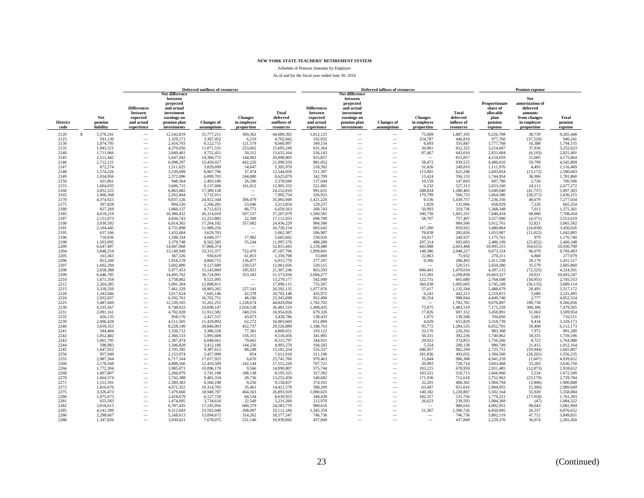Schedule of Pension Amounts by Employer

|                         |                             | Deferred outflows of resources                                        |                                                                                                                  |                                  |                                      |                                                      |                                                                       |                                                                                                                  | <b>Deferred inflows of resources</b>                 |                                             | <b>Pension</b> expense                              |                                                                      |                                                                                            |                                    |
|-------------------------|-----------------------------|-----------------------------------------------------------------------|------------------------------------------------------------------------------------------------------------------|----------------------------------|--------------------------------------|------------------------------------------------------|-----------------------------------------------------------------------|------------------------------------------------------------------------------------------------------------------|------------------------------------------------------|---------------------------------------------|-----------------------------------------------------|----------------------------------------------------------------------|--------------------------------------------------------------------------------------------|------------------------------------|
| <b>District</b><br>code | Net<br>pension<br>liability | <b>Differences</b><br>between<br>expected<br>and actual<br>experience | Net difference<br>between<br>projected<br>and actual<br>investment<br>earnings on<br>pension plan<br>investments | <b>Changes</b> of<br>assumptions | Changes<br>in employer<br>proportion | <b>Total</b><br>deferred<br>outflows of<br>resources | <b>Differences</b><br>between<br>expected<br>and actual<br>experience | Net difference<br>between<br>projected<br>and actual<br>investment<br>earnings on<br>pension plan<br>investments | <b>Changes</b> of<br>assumptions                     | <b>Changes</b><br>in employer<br>proportion | <b>Total</b><br>deferred<br>inflows of<br>resources | Proportionate<br>share of<br>allocable<br>plan<br>pension<br>expense | Net<br>amortization of<br>deferred<br>amounts<br>from changes<br>in employer<br>proportion | <b>Total</b><br>pension<br>expense |
| 2120<br>$\mathbb{S}$    | 5,578,241                   | -                                                                     | 12,542,819                                                                                                       | 31,777,211                       | 369,362                              | 44,689,392                                           | 1,812,125                                                             |                                                                                                                  |                                                      | 75,069                                      | 1,887,195                                           | 9,226,708                                                            | 38,739                                                                                     | 9,265,448                          |
| 2125                    | 591,130                     | $\overline{\phantom{a}}$                                              | 1,329,171                                                                                                        | 3,367,452                        | 6,219                                | 4,702,842                                            | 192,032                                                               | $\equiv$                                                                                                         | $\overline{\phantom{a}}$                             | 254,787                                     | 446,819                                             | 977,760                                                              | (37, 520)                                                                                  | 940,241                            |
| 2130                    | 1,074,795                   |                                                                       | 2,416,703                                                                                                        | 6,122,715                        | 121,579                              | 8,660,997                                            | 349,154                                                               |                                                                                                                  |                                                      | 6,693                                       | 355,847                                             | 1,777,768                                                            | 16,388                                                                                     | 1,794,155                          |
| 2135                    | 1,943,521                   |                                                                       | 4,370,056                                                                                                        | 11,071,531                       | 253,662                              | 15,695,249                                           | 631,364                                                               |                                                                                                                  |                                                      | 20,961                                      | 652,325                                             | 3,214,687                                                            | 37,936                                                                                     | 3,252,623                          |
| 2140                    | 1,711,966                   | $\overline{\phantom{a}}$                                              | 3,849,401                                                                                                        | 9,752,451                        | 50,312                               | 13,652,164                                           | 556,143                                                               | $\overline{\phantom{a}}$                                                                                         | $\overline{\phantom{a}}$                             | 87,467                                      | 643,610                                             | 2,831,684                                                            | (6, 193)                                                                                   | 2,825,491                          |
| 2145                    | 2,511,442                   | $\overline{\phantom{a}}$<br>$\overline{\phantom{a}}$                  | 5,647,042                                                                                                        | 14,306,772                       | 144,992                              | 20,098,805                                           | 815,857                                                               | $\overline{\phantom{a}}$                                                                                         | $\overline{\phantom{a}}$<br>$\overline{\phantom{a}}$ | 58,472                                      | 815,857                                             | 4,154,059                                                            | 21,005                                                                                     | 4,175,064                          |
| 2146<br>2147            | 2,712,131<br>672,274        |                                                                       | 6,098,297<br>1,511,625                                                                                           | 15,450,027<br>3,829,699          | 442,226<br>54,647                    | 21,990,550<br>5,395,970                              | 881,052<br>218,392                                                    | $\overline{\phantom{a}}$                                                                                         |                                                      | 31,426                                      | 939,525<br>249,819                                  | 4,486,010<br>1,111,976                                               | 59,799<br>4,493                                                                            | 4,545,809<br>1,116,469             |
| 2148                    | 1,574,226                   |                                                                       | 3,539,689                                                                                                        | 8,967,796                        | 37,474                               | 12,544,959                                           | 511,397                                                               |                                                                                                                  | $\overline{\phantom{a}}$                             | 113,901                                     | 625,298                                             | 2,603,854                                                            | (13, 172)                                                                                  | 2,590,683                          |
| 2149                    | 1,054,956                   | $\overline{\phantom{a}}$                                              | 2,372,096                                                                                                        | 6,009,703                        | 244,080                              | 8,625,879                                            | 342,709                                                               |                                                                                                                  | $\overline{\phantom{a}}$                             | 13,424                                      | 356,133                                             | 1,744,954                                                            | 36,906                                                                                     | 1,781,860                          |
| 2150                    | 421,861                     | $\overline{\phantom{a}}$                                              | 948,564                                                                                                          | 2,403,186                        | 26,296                               | 3,378,046                                            | 137,044                                                               | $\overline{\phantom{a}}$                                                                                         | $\overline{\phantom{a}}$                             | 10,559                                      | 147,603                                             | 697,780                                                              | 2,726                                                                                      | 700,506                            |
| 2155                    | 1,604,035                   | $\overline{\phantom{a}}$                                              | 3,606,715                                                                                                        | 9,137,606                        | 161,012                              | 12,905,332                                           | 521,081                                                               | $\overline{\phantom{a}}$                                                                                         | $\overline{\phantom{a}}$                             | 6,232                                       | 527,313                                             | 2,653,160                                                            | 24,112                                                                                     | 2,677,272                          |
| 2160                    | 3,052,525                   | $\sim$                                                                | 6,863,682                                                                                                        | 17,389,128                       |                                      | 24,252,810                                           | 991,631                                                               | $\overline{\phantom{a}}$                                                                                         | $\overline{\phantom{a}}$                             | 288,834                                     | 1,280,465                                           | 5,049,040                                                            | (41, 737)                                                                                  | 5,007,303                          |
| 2165                    | 1,006,368                   |                                                                       | 2,262,844                                                                                                        | 5,732,911                        |                                      | 7,995,754                                            | 326,925                                                               |                                                                                                                  |                                                      | 179,799                                     | 506,723                                             | 1,664,586                                                            | (28, 371)                                                                                  | 1,636,215                          |
| 2170                    | 4,374,923                   | $\overline{\phantom{a}}$                                              | 9,837,126                                                                                                        | 24,922,344                       | 306,479                              | 35,065,949                                           | 1,421,220<br>129,237                                                  | -                                                                                                                | $\overline{\phantom{a}}$                             | 9.536                                       | 1,430,757                                           | 7,236,356                                                            | 40,679                                                                                     | 7,277,034                          |
| 2175<br>2180            | 397,828<br>827,269          | $\overline{\phantom{a}}$<br>$\overline{\phantom{a}}$                  | 894,526<br>1,860,137                                                                                             | 2,266,281<br>4,712,653           | 53,046<br>86,773                     | 3,213,854<br>6,659,563                               | 268,743                                                               | $\overline{\phantom{a}}$<br>$\overline{\phantom{a}}$                                                             | $\overline{\phantom{a}}$<br>$\overline{\phantom{a}}$ | 1,829<br>50,993                             | 131,066<br>319,736                                  | 658,029<br>1,368,348                                                 | 7,226<br>7,013                                                                             | 665,254<br>1,375,361               |
| 2185                    | 4,619,219                   | $\overline{\phantom{a}}$                                              | 10,386,432                                                                                                       | 26,314,010                       | 507,537                              | 37,207,979                                           | 1,500,581                                                             | $\overline{\phantom{a}}$                                                                                         | $\overline{\phantom{a}}$                             | 100,750                                     | 1,601,331                                           | 7,640,434                                                            | 68,000                                                                                     | 7,708,434                          |
| 2187                    | 2,151,073                   |                                                                       | 4,836,743                                                                                                        | 12,253,882                       | 22,309                               | 17,112,933                                           | 698,789                                                               |                                                                                                                  | $\overline{\phantom{a}}$                             | 58,707                                      | 757,497                                             | 3,557,990                                                            | (4,371)                                                                                    | 3,553,619                          |
| 2190                    | 3,030,592                   |                                                                       | 6,814,365                                                                                                        | 17,264,182                       | 357,682                              | 24,436,229                                           | 984.506                                                               |                                                                                                                  | $\overline{\phantom{a}}$                             |                                             | 984,506                                             | 5,012,761                                                            | 52,821                                                                                     |                                    |
| 2191                    | 2,104,445                   | $\overline{\phantom{a}}$                                              | 4,731,898                                                                                                        | 11,988,256                       |                                      | 16,720,154                                           | 683,642                                                               | $\overline{\phantom{a}}$                                                                                         | $\overline{\phantom{a}}$                             | 167,280                                     | 850,922                                             | 3,480,864                                                            | (24, 838)                                                                                  | 5,065,582<br>3,456,026             |
| 2195                    | 637,166                     | $\overline{\phantom{a}}$                                              | 1,432,684                                                                                                        | 3,629,703                        |                                      | 5,062,387                                            | 206,987                                                               | $\overline{\phantom{a}}$                                                                                         | $\overline{\phantom{a}}$                             | 78,838                                      | 285,826                                             | 1,053,907                                                            | (11,022)                                                                                   | 1,042,885                          |
| 2196                    | 710,836                     | -                                                                     | 1,598,334                                                                                                        | 4,049,377                        | 17,982                               | 5,665,692                                            | 230,920                                                               | $\overline{\phantom{a}}$                                                                                         | $\overline{\phantom{a}}$                             | 10,017                                      | 240,937                                             | 1,175,761                                                            | 979                                                                                        | 1,176,740                          |
| 2198<br>2200            | 1,503,095                   | -                                                                     | 3,379,748                                                                                                        | 8,562,585<br>37,868,374          | 55,244                               | 11,997,576                                           | 488,289<br>2.159.480                                                  |                                                                                                                  | $\overline{\phantom{a}}$                             | 207,314<br>443.988                          | 695,603                                             | 2,486,199                                                            | (25, 852)                                                                                  | 2,460,348                          |
| 2204                    | 6,647,497<br>5,848,254      | -                                                                     | 14,947,068<br>13,149,949                                                                                         | 33,315,377                       | 722,470                              | 52,815,443<br>47,187,796                             | 1,899,841                                                             | $\overline{\phantom{a}}$                                                                                         | $\overline{\phantom{a}}$<br>-                        | 148,386                                     | 2.603.468<br>2,048,227                              | 10,995,315<br>9,673,324                                              | (64, 615)<br>96,079                                                                        | 10,930,700<br>9,769,403            |
| 2205                    | 163,363                     | $\overline{\phantom{a}}$                                              | 367,326                                                                                                          | 930,619                          | 61,853                               | 1,359,798                                            | 53,069                                                                |                                                                                                                  | $\overline{\phantom{a}}$                             | 22,863                                      | 75,932                                              | 270,211                                                              | 6,868                                                                                      | 277,079                            |
| 2206                    | 853,260                     | $\overline{\phantom{a}}$                                              | 1,918,578                                                                                                        | 4,860,715                        | 136,477                              | 6,915,770                                            | 277,187                                                               | $\overline{\phantom{a}}$                                                                                         |                                                      | 9,306                                       | 286,493                                             | 1,411,338                                                            | 20,179                                                                                     | 1,431,517                          |
| 2207                    | 1,602,294                   | $\overline{\phantom{a}}$                                              | 3,602,800                                                                                                        | 9,127,689                        | 230,537                              | 12,961,026                                           | 520,515                                                               | $\overline{\phantom{a}}$                                                                                         | -                                                    |                                             | 520,515                                             | 2,650,280                                                            | 35,579                                                                                     | 2,685,860                          |
| 2208                    | 2,658,388                   | $\overline{\phantom{a}}$                                              | 5.977.453                                                                                                        | 15,143,869                       | 185.923                              | 21,307,246                                           | 863,593                                                               |                                                                                                                  | $\overline{\phantom{a}}$                             | 606.441                                     | 1.470.034                                           | 4,397,115                                                            | (72, 525)                                                                                  | 4,324,591                          |
| 2209                    | 6,446,785                   | $\overline{\phantom{a}}$                                              | 14,495,762                                                                                                       | 36,724,991                       | 353,183                              | 51,573,936                                           | 2,094,277                                                             | $\overline{\phantom{a}}$                                                                                         | $\overline{\phantom{a}}$                             | 115,581                                     | 2,209,858                                           | 10,663,327                                                           | 29,921                                                                                     | 10,693,247                         |
| 2210                    | 1,671,354                   | $\overline{\phantom{a}}$                                              | 3,758,082                                                                                                        | 9,521,095                        | $\overline{\phantom{a}}$             | 13,279,177                                           | 542,949                                                               | $\overline{\phantom{a}}$                                                                                         | $\overline{\phantom{a}}$                             | 122,731                                     | 665,680                                             | 2,764,508                                                            | (18, 955)                                                                                  | 2,745,553                          |
| 2212                    | 2,264,285                   | -                                                                     | 5,091,304                                                                                                        | 12,898,811                       |                                      | 17,990,115                                           | 735,567                                                               | -                                                                                                                | $\overline{\phantom{a}}$                             | 360,038                                     | 1,095,605                                           | 3,745,249                                                            | (56, 135)                                                                                  | 3,689,114                          |
| 2215<br>2220            | 3,318,320<br>1,342,046      | -                                                                     | 7,461,329<br>3,017,624                                                                                           | 18,903,265<br>7,645,146          | 227,541<br>42,378                    | 26,592,135<br>10,705,148                             | 1,077,976<br>435,972                                                  | $\overline{\phantom{a}}$                                                                                         | $\overline{\phantom{a}}$                             | 57,617<br>6,241                             | 1,135,594<br>442,213                                | 5,488,679<br>2,219,815                                               | 28,493<br>5,680                                                                            | 5,517,172<br>2,225,495             |
| 2224                    | 2,932,037                   | $\overline{\phantom{a}}$                                              | 6,592,761                                                                                                        | 16,702,751                       | 48,186                               | 23,343,698                                           | 952,490                                                               | $\overline{\phantom{a}}$                                                                                         | $\overline{\phantom{a}}$                             | 36,354                                      | 988,844                                             | 4,849,746                                                            | 2,777                                                                                      | 4,852,524                          |
| 2225                    | 5,487,669                   | $\overline{\phantom{a}}$                                              | 12,339,165                                                                                                       | 31,261,255                       | 1,228,674                            | 44,829,094                                           | 1,782,702                                                             | $\overline{\phantom{a}}$                                                                                         | $\overline{\phantom{a}}$                             |                                             | 1,782,702                                           | 9,076,897                                                            | 189,758                                                                                    | 9,266,656                          |
| 2230                    | 4,335,567                   | $\overline{\phantom{a}}$                                              | 9,748,633                                                                                                        | 24,698,147                       | 2,034,538                            | 36,481,319                                           | 1,408,435                                                             | $\overline{\phantom{a}}$                                                                                         | $\overline{\phantom{a}}$                             | 75,075                                      | 1,483,510                                           | 7,171,259                                                            | 308,306                                                                                    | 7,479,565                          |
| 2231                    | 2,091,161                   |                                                                       | 4,702,028                                                                                                        | 11,912,582                       | 340,216                              | 16,954,826                                           | 679,326                                                               |                                                                                                                  |                                                      | 17,826                                      | 697,152                                             | 3,458,891                                                            | 51,063                                                                                     | 3,509,954                          |
| 2235                    | 426,135                     |                                                                       | 958,176                                                                                                          | 2,427,537                        | 43,073                               | 3,428,786                                            | 138,433                                                               |                                                                                                                  |                                                      | 1,075                                       | 139,508                                             | 704,850                                                              | 5,661                                                                                      | 710,511                            |
| 2239                    | 2,006,428                   | $\overline{\phantom{a}}$                                              | 4,511,505                                                                                                        | 11,429,892                       | 62,272                               | 16,003,669                                           | 651,800                                                               | $\overline{\phantom{a}}$                                                                                         | $\overline{\phantom{a}}$                             | 4.029                                       | 655,829                                             | 3,318,739                                                            | 9.434                                                                                      | 3,328,173                          |
| 2240                    | 3,659,353                   | $\overline{\phantom{a}}$                                              | 8,228,149                                                                                                        | 20,846,003                       | 452,737                              | 29,526,889                                           | 1,188,763                                                             | $\overline{\phantom{a}}$                                                                                         | $\overline{\phantom{a}}$                             | 95,772                                      | 1,284,535                                           | 6,052,765                                                            | 59,408                                                                                     | 6,112,173                          |
| 2241<br>2242            | 594,484<br>1,052,482        | -<br>-                                                                | 1,336,712                                                                                                        | 3,386,558                        | 77,381                               | 4,800,651                                            | 193,122                                                               | $\overline{\phantom{a}}$                                                                                         | $\overline{\phantom{a}}$                             | 33,170<br>50,331                            | 226,292<br>392,236                                  | 983,308                                                              | 7,972<br>18,335                                                                            | 991,280<br>1,759,196               |
| 2243                    | 1,061,795                   |                                                                       | 2,366,533<br>2,387,474                                                                                           | 5,995,608<br>6,048,661           | 156,315<br>79,662                    | 8,518,456<br>8,515,797                               | 341,905<br>344,931                                                    |                                                                                                                  | $\overline{\phantom{a}}$                             | 29,922                                      | 374,853                                             | 1,740,862<br>1,756,266                                               | 8,723                                                                                      | 1,764,988                          |
| 2244                    | 598,983                     |                                                                       | 1,346,828                                                                                                        | 3,412,186                        | 144,256                              | 4,903,270                                            | 194,583                                                               |                                                                                                                  |                                                      | 5,554                                       | 200,138                                             | 990,749                                                              | 21,415                                                                                     | 1,012,164                          |
| 2245                    | 1,647,922                   | $\overline{\phantom{a}}$                                              | 3,705,395                                                                                                        | 9,387,612                        | 88,248                               | 13,181,254                                           | 535,337                                                               |                                                                                                                  | $\overline{\phantom{a}}$                             | 446,957                                     | 982,294                                             | 2,725,751                                                            | (59, 944)                                                                                  | 2,665,807                          |
| 2250                    | 957,949                     | $\overline{\phantom{a}}$                                              | 2,153,974                                                                                                        | 5,457,090                        | 854                                  | 7,611,918                                            | 311,196                                                               | $\overline{\phantom{a}}$                                                                                         | $\overline{\phantom{a}}$                             | 181,836                                     | 493,032                                             | 1,584,500                                                            | (28, 265)                                                                                  | 1,556,235                          |
| 2255                    | 2,987,364                   | $\overline{\phantom{a}}$                                              | 6,717,164                                                                                                        | 17,017,925                       | 6,670                                | 23,741,760                                           | 970,463                                                               | $\overline{\phantom{a}}$                                                                                         | $\overline{\phantom{a}}$                             | 15,844                                      | 986,308                                             | 4,941,259                                                            | (1,607)                                                                                    | 4,939,652                          |
| 2260                    | 2,178,568                   |                                                                       | 4,898,566                                                                                                        | 12,410,509                       | 242,144                              | 17,551,220                                           | 707,721                                                               |                                                                                                                  |                                                      | 20,993                                      | 728,714                                             | 3,603,468                                                            | 33,283                                                                                     | 3,636,750                          |
| 2266                    | 1,772,304                   |                                                                       | 3,985,071                                                                                                        | 10,096,170                       | 9,566                                | 14,090,807                                           | 575,744                                                               |                                                                                                                  |                                                      | 103,215                                     | 678,959                                             | 2,931,485                                                            | (12, 873)                                                                                  | 2,918,612                          |
| 2268<br>2270            | 1,007,807                   |                                                                       | 2,266,079                                                                                                        | 5,741,108                        | 188,138                              | 8,195,325<br>13,252,458                              | 327,392<br>540,682                                                    |                                                                                                                  |                                                      | 183,321<br>171,936                          | 510,713                                             | 1,666,966                                                            | 5,534<br>(23, 179)                                                                         | 1,672,500<br>2,729,784             |
| 2271                    | 1,664,374<br>1,151,591      | $\overline{\phantom{a}}$<br>$\overline{\phantom{a}}$                  | 3,742,388<br>2,589,383                                                                                           | 9,481,334<br>6,560,198           | 28,736<br>9,256                      | 9,158,837                                            | 374,101                                                               | $\overline{\phantom{a}}$<br>$\overline{\phantom{a}}$                                                             | $\overline{\phantom{a}}$<br>$\overline{\phantom{a}}$ | 32,201                                      | 712,618<br>406,302                                  | 2,752,963<br>1,904,794                                               | (3,906)                                                                                    | 1,900,888                          |
| 2272                    | 1,810,676                   |                                                                       | 4,071,352                                                                                                        | 10,314,765                       | 35,461                               | 14,421,578                                           | 588,209                                                               |                                                                                                                  |                                                      | 63,407                                      | 651,616                                             | 2,994,955                                                            | (5,306)                                                                                    | 2,989,649                          |
| 2275                    | 3,326,473                   |                                                                       | 7,479,660                                                                                                        | 18,949,707                       | 464,563                              | 26,893,929                                           | 1,080,625                                                             |                                                                                                                  |                                                      | 140,182                                     | 1,220,807                                           | 5,502,164                                                            | 55,920                                                                                     | 5,558,084                          |
| 2280                    | 1,075,673                   |                                                                       | 2,418,679                                                                                                        | 6,127,720                        | 84,534                               | 8,630,933                                            | 349,439                                                               |                                                                                                                  |                                                      | 182,317                                     | 531,756                                             | 1,779,221                                                            | (17, 918)                                                                                  | 1,761,303                          |
| 2281                    | 655,583                     | $\overline{\phantom{a}}$                                              | 1,474,095                                                                                                        | 3,734,616                        | 22,549                               | 5,231,260                                            | 212,970                                                               | $\overline{\phantom{a}}$                                                                                         | $\overline{\phantom{a}}$                             | 26,623                                      | 239,593                                             | 1,084,369                                                            | (47)                                                                                       | 1,084,322                          |
| 2282                    | 3,018,615                   |                                                                       | 6,787,435                                                                                                        | 17,195,956                       | 600,379                              | 24,583,770                                           | 980,616                                                               |                                                                                                                  |                                                      |                                             | 980,616                                             | 4,992,951                                                            | 90,043                                                                                     | 5,082,994                          |
| 2285                    | 4,141,399                   |                                                                       | 9,312,043                                                                                                        | 23,592,046                       | 208,097                              | 33,112,186                                           | 1,345,359                                                             |                                                                                                                  | -                                                    | 51,367                                      | 1,396,726                                           | 6,850,095                                                            | 26,557                                                                                     | 6,876,652                          |
| 2286<br>2288            | 2,298,667<br>1,347,826      |                                                                       | 5,168,613<br>3,030,621                                                                                           | 13,094,672<br>7,678,075          | 314,262<br>231,146                   | 18,577,547<br>10,939,842                             | 746,736<br>437,849                                                    |                                                                                                                  |                                                      |                                             | 746,736<br>437,849                                  | 3,802,119<br>2,229,376                                               | 47,712<br>36,074                                                                           | 3,849,831<br>2,265,450             |
|                         |                             |                                                                       |                                                                                                                  |                                  |                                      |                                                      |                                                                       |                                                                                                                  |                                                      |                                             |                                                     |                                                                      |                                                                                            |                                    |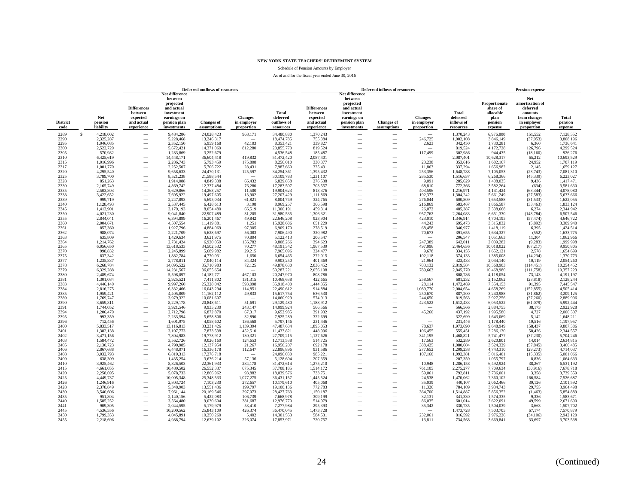Schedule of Pension Amounts by Employer

|                         |                             |                                                      |                                                                    | <b>Deferred outflows of resources</b> |                                             |                                      |                                      |                                                                    | <b>Deferred inflows of resources</b>                 |                                             | <b>Pension expense</b>              |                                        |                                               |                                    |
|-------------------------|-----------------------------|------------------------------------------------------|--------------------------------------------------------------------|---------------------------------------|---------------------------------------------|--------------------------------------|--------------------------------------|--------------------------------------------------------------------|------------------------------------------------------|---------------------------------------------|-------------------------------------|----------------------------------------|-----------------------------------------------|------------------------------------|
|                         |                             | <b>Differences</b><br>between                        | Net difference<br>between<br>projected<br>and actual<br>investment |                                       |                                             | <b>Total</b>                         | <b>Differences</b><br>between        | Net difference<br>between<br>projected<br>and actual<br>investment |                                                      |                                             | <b>Total</b>                        | Proportionate<br>share of<br>allocable | Net<br>amortization of<br>deferred<br>amounts |                                    |
| <b>District</b><br>code | Net<br>pension<br>liability | expected<br>and actual<br>experience                 | earnings on<br>pension plan<br>investments                         | <b>Changes of</b><br>assumptions      | <b>Changes</b><br>in employer<br>proportion | deferred<br>outflows of<br>resources | expected<br>and actual<br>experience | earnings on<br>pension plan<br>investments                         | <b>Changes</b> of<br>assumptions                     | <b>Changes</b><br>in employer<br>proportion | deferred<br>inflows of<br>resources | plan<br>pension<br>expense             | from changes<br>in employer<br>proportion     | <b>Total</b><br>pension<br>expense |
| 2289<br>$\mathbb{S}$    | 4,218,002                   | $\overline{\phantom{a}}$                             | 9,484,286                                                          | 24,028,423                            | 968,171                                     | 34,480,880                           | 1,370,243                            |                                                                    |                                                      | $\equiv$                                    | 1,370,243                           | 6,976,800                              | 151,552                                       | 7,128,352                          |
| 2290                    | 2,325,287                   | $\overline{\phantom{0}}$                             | 5,228,468<br>2,352,150                                             | 13,246,317                            |                                             | 18,474,785                           | 755,384                              |                                                                    | -                                                    | 246,725                                     | 1,002,108                           | 3,846,149                              | (37,953)                                      | 3,808,196                          |
| 2295<br>2300            | 1,046,085<br>2,522,729      | $\overline{\phantom{a}}$<br>$\overline{\phantom{a}}$ | 5,672,421                                                          | 5,959,168<br>14,371,069               | 42.103<br>812,280                           | 8,353,421<br>20,855,770              | 339,827<br>819,524                   | -                                                                  | -<br>-                                               | 2,623                                       | 342,450<br>819,524                  | 1,730,281<br>4,172,728                 | 6,360<br>126,796                              | 1,736,641<br>4,299,524             |
| 2305                    | 570,982                     | $\overline{\phantom{a}}$                             | 1,283,869                                                          | 3,252,679                             |                                             | 4,536,548                            | 185,487                              | $\overline{\phantom{0}}$                                           |                                                      | 117,499                                     | 302,986                             | 944,435                                | (18, 160)                                     | 926,276                            |
| 2310                    | 6,425,619                   | $\overline{\phantom{a}}$                             | 14,448,171                                                         | 36,604,418                            | 419,832                                     | 51,472,420                           | 2,087,401                            |                                                                    |                                                      |                                             | 2,087,401                           | 10,628,317                             | 65,212                                        | 10,693,529                         |
| 2315                    | 1,016,996                   | $\overline{\phantom{a}}$                             | 2,286,743                                                          | 5,793,459                             | 175,808                                     | 8,256,010                            | 330,377                              | $\overline{\phantom{0}}$                                           | $\overline{\phantom{0}}$                             | 23,238                                      | 353,616                             | 1,682,167                              | 24,952                                        | 1,707,119                          |
| 2317                    | 1,001,770                   | $\overline{\phantom{m}}$                             | 2,252,507                                                          | 5,706,722                             | 28,431                                      | 7,987,660                            | 325,431                              |                                                                    |                                                      | 11,863                                      | 337,294                             | 1,656,982                              | 2,145                                         | 1,659,127                          |
| 2320<br>2325            | 4,295,540<br>3,789,700      | $\overline{\phantom{m}}$<br>$\overline{\phantom{m}}$ | 9,658,633<br>8,521,238                                             | 24,470,131<br>21,588,544              | 125,597                                     | 34,254,361<br>30,109,783             | 1,395,432<br>1,231,107               | $\overline{\phantom{a}}$<br>$\overline{\phantom{a}}$               |                                                      | 253,356<br>285,530                          | 1,648,788<br>1,516,637              | 7,105,053<br>6,268,366                 | (23, 743)<br>(45, 339)                        | 7,081,310<br>6,223,027             |
| 2328                    | 851,263                     | $\overline{\phantom{a}}$                             | 1,914,088                                                          | 4,849,338                             | 66,432                                      | 6,829,858                            | 276,538                              | $\overline{\phantom{a}}$                                           |                                                      | 9,091                                       | 285,629                             | 1,408,035                              | 9,436                                         | 1,417,471                          |
| 2330                    | 2,165,749                   | $\overline{\phantom{a}}$                             | 4,869,742                                                          | 12,337,484                            | 76,280                                      | 17,283,507                           | 703,557                              | $\overline{\phantom{a}}$                                           |                                                      | 68,810                                      | 772,366                             | 3,582,264                              | (634)                                         | 3,581,630                          |
| 2335                    | 2,503,803                   |                                                      | 5,629,866                                                          | 14,263,257                            | 11,500                                      | 19,904,623                           | 813,376                              |                                                                    | $\overline{\phantom{0}}$                             | 403,596                                     | 1,216,971                           | 4,141,424                              | (63, 344)                                     | 4,078,080                          |
| 2338                    | 3,422,652                   | $\overline{\phantom{m}}$                             | 7,695,922                                                          | 19,497,605                            | 13,902                                      | 27,207,429                           | 1,111,869                            | -                                                                  |                                                      | 192,373                                     | 1,304,242                           | 5,661,249                              | (27, 583)                                     | 5,633,666                          |
| 2339<br>2340            | 999,719<br>1,128,493        | $\overline{\phantom{a}}$<br>$\overline{\phantom{a}}$ | 2,247,893<br>2,537,445                                             | 5,695,034<br>6,428,613                | 61,821<br>3,198                             | 8,004,749<br>8,969,257               | 324,765<br>366,598                   | $\overline{\phantom{a}}$                                           | $\overline{\phantom{0}}$<br>$\overline{\phantom{0}}$ | 276,044<br>216,869                          | 600,809<br>583,467                  | 1,653,588<br>1,866,587                 | (31, 533)<br>(33, 463)                        | 1,622,055<br>1,833,124             |
| 2345                    | 1,413,901                   | $\overline{\phantom{a}}$                             | 3,179,193                                                          | 8,054,480                             | 66,519                                      | 11,300,191                           | 459,314                              |                                                                    |                                                      | 26,072                                      | 485,387                             | 2,338,668                              | 6,274                                         | 2,344,942                          |
| 2350                    | 4,021,230                   | $\overline{\phantom{a}}$                             | 9,041,840                                                          | 22,907,489                            | 31,205                                      | 31,980,535                           | 1,306,321                            | $\overline{\phantom{0}}$                                           |                                                      | 957,762                                     | 2,264,083                           | 6,651,330                              | (143, 784)                                    | 6,507,546                          |
| 2355                    | 2,844,041                   | $\overline{\phantom{m}}$                             | 6,394,899                                                          | 16,201,467                            | 49,842                                      | 22,646,208                           | 923,904                              | $\overline{\phantom{a}}$                                           | -                                                    | 423,010                                     | 1,346,914                           | 4,704,195                              | (57, 474)                                     | 4,646,722                          |
| 2360                    | 2,004,671                   | $\overline{\phantom{m}}$                             | 4,507,554                                                          | 11,419,881                            | 1,251                                       | 15,928,686                           | 651,229                              | $\overline{\phantom{a}}$                                           |                                                      | 44,243                                      | 695,473                             | 3,315,832                              | (5,892)                                       | 3,309,940                          |
| 2361<br>2362            | 857,360<br>988,074          | $\overline{\phantom{m}}$<br>$\overline{\phantom{a}}$ | 1,927,796                                                          | 4,884,069                             | 97,305                                      | 6,909,170                            | 278,519<br>320,982                   | $\overline{\phantom{a}}$                                           |                                                      | 68,458                                      | 346,977<br>391,655                  | 1,418,119                              | 6,395                                         | 1,424,514                          |
| 2363                    | 635,809                     | $\overline{\phantom{0}}$                             | 2,221,709<br>1,429,634                                             | 5,628,697<br>3,621,975                | 56,083<br>70,804                            | 7,906,490<br>5,122,413               | 206,547                              | $\overline{\phantom{a}}$<br>$\overline{\phantom{0}}$               | $\overline{\phantom{0}}$                             | 70,673                                      | 206,547                             | 1,634,327<br>1,051,663                 | (552)<br>11,304                               | 1,633,775<br>1,062,966             |
| 2364                    | 1,214,762                   |                                                      | 2,731,424                                                          | 6,920,059                             | 156,782                                     | 9,808,266                            | 394,623                              |                                                                    |                                                      | 247,389                                     | 642,011                             | 2,009,282                              | (9, 283)                                      | 1,999,998                          |
| 2365                    | 6,056,650                   | $\overline{\phantom{m}}$                             | 13,618,533                                                         | 34,502,532                            | 70,277                                      | 48,191,342                           | 1,967,539                            |                                                                    |                                                      | 497,096                                     | 2,464,636                           | 10,018,022                             | (67, 217)                                     | 9,950,805                          |
| 2370                    | 998,832                     | $\overline{\phantom{m}}$                             | 2,245,899                                                          | 5,689,982                             | 29,215                                      | 7,965,096                            | 324,477                              | $\overline{\phantom{a}}$                                           |                                                      | 9,678                                       | 334,155                             | 1,652,121                              | 2,578                                         | 1,654,699                          |
| 2375                    | 837,342                     | $\overline{\phantom{a}}$                             | 1,882,784                                                          | 4,770,031                             | 1,650                                       | 6,654,465                            | 272,015                              | $\overline{\phantom{a}}$                                           | -                                                    | 102,118                                     | 374,133                             | 1,385,008                              | (14, 234)                                     | 1,370,773                          |
| 2377<br>2378            | 1,235,837<br>6,268,784      | $\overline{\phantom{a}}$                             | 2,778,811<br>14,095,522                                            | 7,040,114<br>35,710,983               | 84,324<br>72,125                            | 9,903,250<br>49,878,630              | 401,469<br>2,036,452                 | ۳                                                                  | -                                                    | 21,964<br>783,132                           | 423,433<br>2,819,584                | 2,044,140<br>10,368,903                | 10,119<br>(114, 451)                          | 2,054,260<br>10,254,452            |
| 2379                    | 6,329,288                   | $\overline{\phantom{a}}$                             | 14,231,567                                                         | 36,055,654                            |                                             | 50,287,221                           | 2,056,108                            | $\overline{\phantom{a}}$                                           | -                                                    | 789,663                                     | 2,845,770                           | 10,468,980                             | (111, 758)                                    | 10,357,223                         |
| 2380                    | 2,489,674                   | $\overline{\phantom{a}}$                             | 5,598,097                                                          | 14,182,771                            | 467,103                                     | 20,247,970                           | 808,786                              | $\overline{\phantom{a}}$                                           |                                                      |                                             | 808,786                             | 4,118,054                              | 73,143                                        | 4,191,197                          |
| 2381                    | 1,301,084                   | $\overline{\phantom{a}}$                             | 2,925,521                                                          | 7,411,802                             | 131,315                                     | 10,468,638                           | 422,665                              | $\overline{\phantom{a}}$                                           | -                                                    | 258,567                                     | 681,232                             | 2,152,062                              | (23, 818)                                     | 2,128,244                          |
| 2383                    | 4,446,140                   | $\overline{\phantom{a}}$                             | 9,997,260                                                          | 25,328,042                            | 593,098                                     | 35,918,400                           | 1,444,355                            |                                                                    | -                                                    | 28,114                                      | 1,472,469                           | 7,354,153                              | 91,395                                        | 7,445,547                          |
| 2384<br>2385            | 2,816,275<br>1,959,421      |                                                      | 6,332,466<br>4,405,809                                             | 16,043,294<br>11,162,112              | 114,851<br>49,833                           | 22,490,612<br>15,617,754             | 914,884<br>636,530                   |                                                                    | $\overline{\phantom{0}}$                             | 1,089,770<br>250,670                        | 2,004,654<br>887,200                | 4,658,269<br>3,240,988                 | (152, 855)<br>(31, 862)                       | 4,505,414<br>3,209,125             |
| 2389                    | 1,769,747                   | $\overline{\phantom{a}}$                             | 3,979,322                                                          | 10,081,607                            |                                             | 14,060,929                           | 574,913                              | $\overline{\phantom{a}}$                                           | $\overline{\phantom{0}}$                             | 244,650                                     | 819,563                             | 2,927,256                              | (37, 260)                                     | 2,889,996                          |
| 2390                    | 3,659,811                   | $\overline{\phantom{a}}$                             | 8,229,178                                                          | 20,848,611                            | 51,691                                      | 29,129,480                           | 1,188,912                            | $\overline{\phantom{a}}$                                           | -                                                    | 423,522                                     | 1,612,433                           | 6,053,522                              | (61,079)                                      | 5,992,444                          |
| 2391                    | 1,744,052                   | $\overline{\phantom{a}}$                             | 3,921,546                                                          | 9,935,230                             | 243,147                                     | 14,099,924                           | 566,566                              | $\overline{\phantom{a}}$                                           | -                                                    | $\overline{\phantom{a}}$                    | 566,566                             | 2,884,755                              | 38,173                                        | 2,922,928                          |
| 2394                    | 1,206,479                   |                                                      | 2,712,798                                                          | 6,872,870                             | 67,317                                      | 9,652,985                            | 391,932                              |                                                                    |                                                      | 45,260                                      | 437,192                             | 1,995,580                              | 4,727                                         | 2,000,307                          |
| 2395<br>2396            | 993,359                     | $\overline{\phantom{m}}$                             | 2,233,594                                                          | 5,658,806                             | 32,890                                      | 7,925,289                            | 322,699                              |                                                                    |                                                      | $\overline{\phantom{a}}$<br>$\sim$          | 322,699<br>231,446                  | 1,643,069                              | 5,142                                         | 1,648,211                          |
| 2400                    | 712,456<br>5,833,517        | $\overline{\phantom{a}}$                             | 1,601,975<br>13,116,813                                            | 4,058,602<br>33,231,426               | 136,568<br>1,139,394                        | 5,797,146<br>47,487,634              | 231,446<br>1,895,053                 | $\overline{\phantom{a}}$<br>$\overline{\phantom{a}}$               | -                                                    | 78,637                                      | 1,973,690                           | 1,178,440<br>9,648,949                 | 19,516<br>158,437                             | 1,197,957<br>9,807,386             |
| 2401                    | 1,382,138                   | $\overline{\phantom{a}}$                             | 3,107,773                                                          | 7,873,538                             | 452,510                                     | 11,433,821                           | 448,996                              | $\overline{\phantom{a}}$                                           | -                                                    | 106,455                                     | 555,451                             | 2,286,130                              | 58,426                                        | 2,344,557                          |
| 2402                    | 3,471,156                   | $\overline{\phantom{a}}$                             | 7,804,983                                                          | 19,773,912                            | 130,321                                     | 27,709,215                           | 1,127,626                            | $\overline{\phantom{0}}$                                           | $\overline{\phantom{0}}$                             | 341,195                                     | 1,468,821                           | 5,741,477                              | (37, 230)                                     | 5,704,246                          |
| 2403                    | 1,584,472                   |                                                      | 3,562,726                                                          | 9,026,160                             | 124,653                                     | 12,713,538                           | 514,725                              |                                                                    |                                                      | 17,563                                      | 532,289                             | 2,620,801                              | 14,014                                        | 2,634,815                          |
| 2405<br>2406            | 2,130,723                   |                                                      | 4,790,985<br>6,448,071                                             | 12,137,954                            | 21,267                                      | 16,950,207<br>22,896,896             | 692,178<br>931,586                   |                                                                    |                                                      | 388,425<br>277,652                          | 1,080,604<br>1.209.238              | 3,524,329<br>4,743,310                 | (57, 845)                                     | 3,466,485                          |
| 2408                    | 2,867,688<br>3,032,793      | $\overline{\phantom{a}}$<br>$\overline{\phantom{a}}$ | 6,819,313                                                          | 16,336,178<br>17,276,718              | 112,647                                     | 24,096,030                           | 985,221                              | $\overline{\phantom{a}}$                                           | -                                                    | 107,160                                     | 1,092,381                           | 5,016,401                              | (29, 273)<br>(15, 335)                        | 4,714,037<br>5,001,066             |
| 2409                    | 638,309                     | $\overline{\phantom{a}}$                             | 1,435,254                                                          | 3,636,214                             | 57,136                                      | 5,128,604                            | 207,359                              | $\equiv$                                                           | -                                                    |                                             | 207,359                             | 1,055,797                              | 8,836                                         | 1,064,633                          |
| 2410                    | 3,925,462                   |                                                      | 8,826,503                                                          | 22,361,933                            | 284,178                                     | 31,472,614                           | 1,275,210                            |                                                                    |                                                      | 10,948                                      | 1,286,158                           | 6,492,924                              | 38,267                                        | 6,531,192                          |
| 2415                    | 4,661,055                   |                                                      | 10,480,502                                                         | 26,552,337                            | 675,345                                     | 37,708,185                           | 1,514,172                            |                                                                    |                                                      | 761,105                                     | 2,275,277                           | 7,709,634                              | (30, 916)                                     | 7,678,718                          |
| 2420                    | 2,258,695                   | $\overline{\phantom{a}}$                             | 5,078,733                                                          | 12,866,962                            | 93,882                                      | 18,039,576                           | 733,751                              | $\overline{\phantom{0}}$                                           | $\overline{\phantom{0}}$                             | 59,061                                      | 792,811                             | 3,736,001                              | 3,358                                         | 3,739,359                          |
| 2425<br>2426            | 4,449,737<br>1,246,916      | $\overline{\phantom{a}}$<br>$\overline{\phantom{a}}$ | 10,005,348<br>2,803,724                                            | 25,348,533<br>7,103,230               | 1,077,275<br>272,657                        | 36,431,157<br>10,179,610             | 1,445,524<br>405,068                 | $\overline{\phantom{a}}$<br>$\overline{\phantom{a}}$               | -<br>-                                               | 24,538<br>35,039                            | 1,470,062<br>440,107                | 7,360,102<br>2,062,466                 | 166,584<br>39,126                             | 7,526,687<br>2,101,592             |
| 2428                    | 2,378,849                   |                                                      | 5,348,903                                                          | 13,551,436                            | 199,797                                     | 19,100,136                           | 772,783                              |                                                                    |                                                      | 11,326                                      | 784,109                             | 3,934,743                              | 29,755                                        | 3,964,498                          |
| 2430                    | 3,540,606                   |                                                      | 7,961,144                                                          | 20,169,546                            | 297,073                                     | 28,427,763                           | 1,150,187                            |                                                                    | $\overline{\phantom{0}}$                             | 364,700                                     | 1,514,887                           | 5,856,352                              | (1, 463)                                      | 5,854,889                          |
| 2435                    | 951,804                     |                                                      | 2,140,156                                                          | 5,422,083                             | 106,739                                     | 7,668,978                            | 309,199                              |                                                                    | $\overline{\phantom{0}}$                             | 32,131                                      | 341,330                             | 1,574,335                              | 9,336                                         | 1,583,671                          |
| 2440                    | 1,585,252                   | $\overline{\phantom{a}}$                             | 3,564,480                                                          | 9,030,604                             | 381,687                                     | 12,976,770                           | 514,979                              | $\overline{\phantom{a}}$                                           | -                                                    | 86,035                                      | 601,014                             | 2,622,091                              | 49,599                                        | 2,671,690                          |
| 2441<br>2445            | 909,305<br>4,536,556        |                                                      | 2,044,595<br>10,200,562                                            | 5,179,979<br>25,843,109               | 53,410<br>426,374                           | 7,277,984<br>36,470,045              | 295,393<br>1,473,728                 | $\overline{\phantom{a}}$                                           | -                                                    | 35,342<br>$\sim$                            | 330,735<br>1,473,728                | 1,504,039<br>7,503,705                 | 3,663<br>67,174                               | 1,507,702<br>7,570,879             |
| 2450                    | 1,799,353                   |                                                      | 4,045,891                                                          | 10,250,260                            | 5,402                                       | 14,301,553                           | 584,531                              |                                                                    |                                                      | 232,061                                     | 816,592                             | 2,976,226                              | (34, 106)                                     | 2,942,120                          |
| 2455                    | 2,218,696                   |                                                      | 4,988,794                                                          | 12,639,102                            | 226,074                                     | 17,853,971                           | 720,757                              |                                                                    |                                                      | 13,811                                      | 734,568                             | 3,669,841                              | 33,697                                        | 3,703,538                          |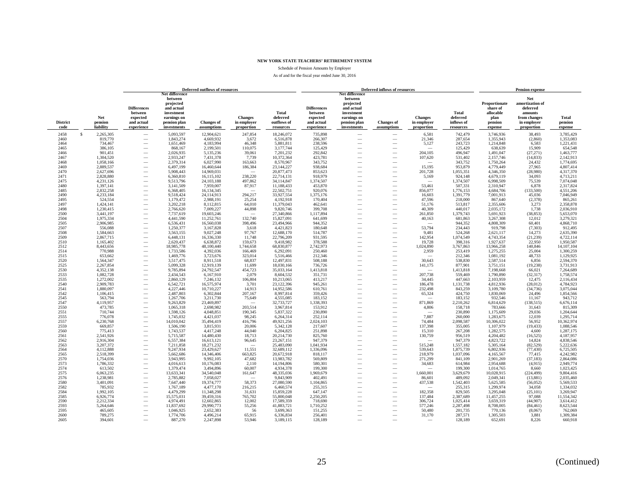Schedule of Pension Amounts by Employer

|                         |                             |                                                      |                                                                    | Deferred outflows of resources   |                                             |                                      |                                      |                                                                    | <b>Deferred inflows of resources</b>                 |                                             | <b>Pension expense</b>              |                                        |                                               |                                    |
|-------------------------|-----------------------------|------------------------------------------------------|--------------------------------------------------------------------|----------------------------------|---------------------------------------------|--------------------------------------|--------------------------------------|--------------------------------------------------------------------|------------------------------------------------------|---------------------------------------------|-------------------------------------|----------------------------------------|-----------------------------------------------|------------------------------------|
|                         |                             | <b>Differences</b><br>between                        | Net difference<br>between<br>projected<br>and actual<br>investment |                                  |                                             | <b>Total</b>                         | <b>Differences</b><br>between        | Net difference<br>between<br>projected<br>and actual<br>investment |                                                      |                                             | <b>Total</b>                        | Proportionate<br>share of<br>allocable | Net<br>amortization of<br>deferred<br>amounts |                                    |
| <b>District</b><br>code | Net<br>pension<br>liability | expected<br>and actual<br>experience                 | earnings on<br>pension plan<br>investments                         | <b>Changes of</b><br>assumptions | <b>Changes</b><br>in employer<br>proportion | deferred<br>outflows of<br>resources | expected<br>and actual<br>experience | earnings on<br>pension plan<br>investments                         | <b>Changes of</b><br>assumptions                     | <b>Changes</b><br>in employer<br>proportion | deferred<br>inflows of<br>resources | plan<br>pension<br>expense             | from changes<br>in employer<br>proportion     | <b>Total</b><br>pension<br>expense |
| 2458<br>$\mathbb{S}$    | 2,265,305                   | -                                                    | 5,093,597                                                          | 12,904,621                       | 247,854                                     | 18,246,072                           | 735,898                              |                                                                    |                                                      | 6,581                                       | 742,479                             | 3,746,936                              | 38,493                                        | 3,785,429                          |
| 2460                    | 819,770                     | $\qquad \qquad -$                                    | 1,843,274                                                          | 4,669,932                        | 3,672                                       | 6,516,878                            | 266,307                              | $\overline{\phantom{0}}$                                           |                                                      | 21,346                                      | 287,654                             | 1,355,943                              | (2,860)                                       | 1,353,083                          |
| 2464<br>2465            | 734,467<br>386,105          | $\overline{\phantom{0}}$                             | 1,651,469<br>868,167                                               | 4,183,994<br>2,199,501           | 46,348<br>110,075                           | 5,881,811<br>3,177,744               | 238,596<br>125,429                   | $\overline{\phantom{a}}$<br>$\overline{\phantom{a}}$               | $\overline{\phantom{a}}$<br>-                        | 5,127                                       | 243,723<br>125,429                  | 1,214,848<br>638,639                   | 6,583<br>15,909                               | 1,221,431<br>654,548               |
| 2466                    | 901,451                     | $\overline{\phantom{0}}$                             | 2,026,935                                                          | 5,135,236                        | 39,061                                      | 7,201,232                            | 292,842                              | $\overline{\phantom{a}}$                                           | $\overline{\phantom{0}}$                             | 204,105                                     | 496,947                             | 1,491,047                              | (27, 271)                                     | 1,463,777                          |
| 2467                    | 1,304,520                   |                                                      | 2,933,247                                                          | 7,431,378                        | 7,739                                       | 10,372,364                           | 423,781                              | $\overline{\phantom{a}}$                                           |                                                      | 107,620                                     | 531,402                             | 2,157,746                              | (14, 833)                                     | 2,142,913                          |
| 2468                    | 1,058,166                   | $\overline{\phantom{0}}$                             | 2,379,314                                                          | 6,027,990                        | 163,663                                     | 8,570,967                            | 343,752                              | $\overline{\phantom{a}}$                                           | $\overline{\phantom{0}}$                             |                                             | 343,752                             | 1,750,264                              | 24,432                                        | 1,774,695                          |
| 2469                    | 2,889,537                   | $\overline{\phantom{0}}$                             | 6,497,199                                                          | 16,460,644                       | 186,384                                     | 23,144,227                           | 938,684                              | $\overline{\phantom{a}}$                                           |                                                      | 15,195                                      | 953,879                             | 4,779,449                              | 27,965                                        | 4,807,414                          |
| 2470<br>2471            | 2,627,696<br>2,828,880      | $\overline{\phantom{0}}$                             | 5,908,443<br>6,360,810                                             | 14,969,031<br>16,115,102         | 238,220                                     | 20,877,473<br>22,714,131             | 853,623<br>918,979                   | $\overline{\phantom{a}}$<br>$\overline{\phantom{a}}$               |                                                      | 201,728<br>5,169                            | 1,055,351<br>924,148                | 4,346,350<br>4,679,119                 | (28,980)<br>34,093                            | 4,317,370<br>4,713,211             |
| 2475                    | 4,231,126                   | $\overline{\phantom{a}}$                             | 9,513,796                                                          | 24, 103, 188                     | 497,862                                     | 34,114,847                           | 1,374,507                            | $\overline{\phantom{a}}$                                           | $\equiv$                                             | $\overline{\phantom{a}}$                    | 1,374,507                           | 6,998,509                              | 75,539                                        | 7,074,048                          |
| 2480                    | 1,397,141                   |                                                      | 3,141,509                                                          | 7,959,007                        | 87,917                                      | 11,188,433                           | 453,870                              | $\overline{\phantom{a}}$                                           |                                                      | 53,461                                      | 507,331                             | 2,310,947                              | 6,878                                         | 2,317,824                          |
| 2485                    | 2,832,258                   | $\overline{\phantom{0}}$                             | 6,368,405                                                          | 16,134,345                       |                                             | 22,502,751                           | 920,076                              |                                                                    | $\overline{\phantom{0}}$                             | 856,077                                     | 1,776,153                           | 4,684,706                              | (133,500)                                     | 4,551,206                          |
| 2490                    | 4,233,184                   |                                                      | 9,518,424                                                          | 24,114,913                       | 294,217                                     | 33,927,554                           | 1,375,176                            | $\overline{\phantom{a}}$                                           |                                                      | 16,603                                      | 1,391,779                           | 7,001,913                              | 45,036                                        | 7,046,949                          |
| 2495                    | 524,554                     | $\overline{\phantom{0}}$                             | 1,179,472                                                          | 2,988,191                        | 25,254                                      | 4,192,918                            | 170,404                              | $\overline{\phantom{a}}$                                           |                                                      | 47,596                                      | 218,000                             | 867,640                                | (2,378)                                       | 865,261                            |
| 2497<br>2498            | 1,424,141<br>1,230,415      | $\overline{\phantom{0}}$                             | 3,202,218<br>2,766,620                                             | 8,112,815<br>7,009,227           | 64,010<br>44,898                            | 11,379,043<br>9,820,746              | 462,641<br>399,708                   | $\overline{\phantom{a}}$<br>$\overline{\phantom{a}}$               | $\overline{\phantom{0}}$<br>-                        | 51,176<br>40,309                            | 513,817<br>440,017                  | 2,355,606<br>2,035,172                 | 3,273<br>1,738                                | 2,358,878<br>2,036,910             |
| 2500                    | 3,441,197                   | $\overline{\phantom{0}}$                             | 7,737,619                                                          | 19,603,246                       |                                             | 27,340,866                           | 1,117,894                            | $\overline{\phantom{a}}$                                           | -                                                    | 261,850                                     | 1,379,743                           | 5,691,923                              | (38, 853)                                     | 5,653,070                          |
| 2504                    | 1,975,334                   |                                                      | 4,441,590                                                          | 11,252,761                       | 132,740                                     | 15,827,091                           | 641,699                              | $\overline{\phantom{a}}$                                           |                                                      | 40,163                                      | 681,863                             | 3,267,308                              | 12,012                                        | 3,279,321                          |
| 2505                    | 2,906,985                   | $\overline{\phantom{0}}$                             | 6,536,431                                                          | 16,560,038                       | 398,496                                     | 23,494,966                           | 944,352                              | $\overline{\phantom{a}}$                                           |                                                      | $\overline{\phantom{a}}$                    | 944,352                             | 4,808,309                              | 60,401                                        | 4,868,710                          |
| 2507                    | 556,088                     |                                                      | 1,250,377                                                          | 3,167,828                        | 3,618                                       | 4,421,823                            | 180,648                              | $\overline{\phantom{a}}$                                           | $\overline{\phantom{0}}$                             | 53,794                                      | 234,443                             | 919,798                                | (7, 303)                                      | 912,495                            |
| 2508<br>2509            | 1,584,663<br>2,867,715      | $\overline{\phantom{a}}$<br>$\overline{\phantom{0}}$ | 3,563,155<br>6,448,131                                             | 9,027,248<br>16,336,330          | 97,767<br>11,748                            | 12,688,170<br>22,796,209             | 514,787<br>931,595                   | $\overline{\phantom{a}}$<br>$\overline{\phantom{a}}$               | $\overline{\phantom{0}}$                             | 9,481<br>142,954                            | 524,268<br>1,074,549                | 2,621,117<br>4,743,354                 | 14,273<br>(21, 239)                           | 2,635,390<br>4,722,114             |
| 2510                    | 1,165,402                   |                                                      | 2,620,437                                                          | 6,638,872                        | 159,673                                     | 9,418,982                            | 378,588                              |                                                                    | $\overline{\phantom{0}}$                             | 19,728                                      | 398,316                             | 1,927,637                              | 22,950                                        | 1,950,587                          |
| 2512                    | 8,443,656                   | $\overline{\phantom{0}}$                             | 18,985,778                                                         | 48,100,440                       | 1,744,658                                   | 68,830,877                           | 2,742,973                            | $\overline{\phantom{0}}$                                           | $\overline{\phantom{0}}$                             | 1,024,890                                   | 3,767,863                           | 13,966,258                             | 140,846                                       | 14,107,104                         |
| 2514                    | 770,988                     | $\overline{\phantom{0}}$                             | 1,733,586                                                          | 4,392,036                        | 166,469                                     | 6,292,091                            | 250,460                              |                                                                    |                                                      | 2,959                                       | 253,419                             | 1,275,255                              | 25,004                                        | 1,300,259                          |
| 2515                    | 653,662                     | $\overline{\phantom{a}}$                             | 1,469,776                                                          | 3,723,676                        | 323,014                                     | 5,516,466                            | 212,346                              | $\overline{\phantom{a}}$                                           | $\overline{\phantom{a}}$                             |                                             | 212,346                             | 1,081,192                              | 48,733                                        | 1,129,925                          |
| 2520<br>2525            | 1,564,347<br>2,267,854      | $\overline{\phantom{0}}$                             | 3,517,475<br>5,099,328                                             | 8,911,518<br>12,919,139          | 68,837<br>11,699                            | 12,497,831<br>18,030,166             | 508,188<br>736,726                   |                                                                    | $\overline{\phantom{0}}$                             | 30,643<br>141,175                           | 538,830<br>877,901                  | 2,587,514<br>3,751,151                 | 6,856<br>(19, 238)                            | 2,594,370<br>3,731,913             |
| 2530                    | 4,352,138                   | $\overline{\phantom{0}}$                             | 9,785,894                                                          | 24,792,547                       | 454,723                                     | 35,033,164                           | 1,413,818                            | $\overline{\phantom{a}}$                                           | $\overline{\phantom{a}}$                             | $\sim$                                      | 1,413,818                           | 7,198,668                              | 66,021                                        |                                    |
| 2533                    | 1,082,728                   | $\overline{\phantom{0}}$                             | 2,434,543                                                          | 6,167,910                        | 2,079                                       | 8,604,532                            | 351,731                              | $\overline{\phantom{a}}$                                           | $\overline{\phantom{0}}$                             | 207,738                                     | 559,469                             | 1,790,890                              | (32, 317)                                     | 7,264,689<br>1,758,574             |
| 2535                    | 1,272,002                   | $\overline{\phantom{a}}$                             | 2,860,129                                                          | 7,246,132                        | 106,804                                     | 10,213,065                           | 413,217                              | $\overline{\phantom{a}}$                                           | $\overline{\phantom{a}}$                             | 34,445                                      | 447,663                             | 2,103,959                              | 12,475                                        | 2,116,434                          |
| 2540                    | 2,909,783                   |                                                      | 6,542,721                                                          | 16,575,974                       | 3,701                                       | 23,122,396                           | 945,261                              | $\overline{\phantom{a}}$                                           |                                                      | 186,478                                     | 1,131,738                           | 4,812,936                              | (28, 012)                                     | 4,784,923                          |
| 2541<br>2542            | 1,880,097<br>1,106,415      |                                                      | 4,227,446<br>2,487,803                                             | 10,710,227<br>6,302,844          | 14,913<br>207,167                           | 14,952,586<br>8,997,814              | 610,761<br>359,426                   |                                                                    | $\overline{\phantom{0}}$<br>$\overline{\phantom{0}}$ | 232,498<br>65,324                           | 843,259<br>424,750                  | 3,109,780<br>1,830,069                 | (34, 736)<br>24,496                           | 3,075,044<br>1,854,566             |
| 2545                    | 563,794                     | $\overline{\phantom{0}}$                             | 1,267,706                                                          | 3,211,730                        | 75,649                                      | 4,555,085                            | 183,152                              | $\overline{\phantom{0}}$                                           |                                                      |                                             | 183,152                             | 932,546                                | 11,167                                        | 943,712                            |
| 2547                    | 4,119,957                   | $\overline{\phantom{a}}$                             | 9,263,829                                                          | 23,469,897                       |                                             | 32,733,727                           | 1,338,393                            | $\overline{\phantom{a}}$                                           | $\overline{\phantom{a}}$                             | 871,869                                     | 2,210,262                           | 6,814,629                              | (138, 515)                                    | 6,676,114                          |
| 2550                    | 473,785                     | $\overline{\phantom{a}}$                             | 1,065,318                                                          | 2,698,982                        | 203,514                                     | 3,967,814                            | 153,912                              | $\overline{\phantom{a}}$                                           | $\overline{\phantom{a}}$                             | 4,806                                       | 158,718                             | 783,666                                | 31,643                                        | 815,309                            |
| 2551                    | 710,744                     |                                                      | 1,598,126                                                          | 4,048,851                        | 190,345                                     | 5,837,322                            | 230,890                              |                                                                    |                                                      |                                             | 230,890                             | 1,175,609                              | 29,036                                        | 1,204,644                          |
| 2555                    | 776,078                     |                                                      | 1,745,032                                                          | 4,421,037                        | 98,245                                      | 6,264,314                            | 252,114                              |                                                                    |                                                      | 7,887                                       | 260,000                             | 1,283,675                              | 12,039                                        | 1,295,714                          |
| 2557<br>2559            | 6,230,768<br>669,857        | $\overline{\phantom{0}}$<br>$\overline{\phantom{a}}$ | 14,010,042<br>1,506,190                                            | 35,494,419<br>3,815,931          | 416,796<br>20,006                           | 49,921,256<br>5,342,128              | 2,024,103<br>217,607                 | $\overline{\phantom{a}}$<br>$\overline{\phantom{a}}$               | $\overline{\phantom{0}}$<br>$\overline{\phantom{a}}$ | 74,484<br>137,398                           | 2,098,587<br>355,005                | 10,306,022<br>1,107,979                | 56,952<br>(19, 433)                           | 10,362,974<br>1,088,546            |
| 2560                    | 775,413                     | $\overline{\phantom{a}}$                             | 1,743,537                                                          | 4,417,248                        | 44,040                                      | 6,204,825                            | 251,898                              | $\overline{\phantom{a}}$                                           | $\overline{\phantom{a}}$                             | 15,310                                      | 267,208                             | 1,282,575                              | 4,600                                         | 1,287,175                          |
| 2561                    | 2,541,926                   | -                                                    | 5,715,587                                                          | 14,480,430                       | 18,713                                      | 20,214,730                           | 825,760                              |                                                                    | $\overline{\phantom{0}}$                             | 130,759                                     | 956,519                             | 4,204,482                              | (16, 525)                                     | 4,187,957                          |
| 2562                    | 2,916,304                   |                                                      | 6,557,384                                                          | 16,613,121                       | 96,645                                      | 23,267,151                           | 947,379                              |                                                                    |                                                      |                                             | 947,379                             | 4,823,722                              | 14,824                                        | 4,838,546                          |
| 2563                    | 3,207,372                   |                                                      | 7,211,858                                                          | 18,271,232                       |                                             | 25,483,090                           | 1,041,934                            |                                                                    | $\overline{\phantom{0}}$                             | 515,248                                     | 1,557,182                           | 5,305,164                              | (82, 529)                                     | 5,222,636                          |
| 2564<br>2565            | 4,112,888<br>2,518,399      | $\overline{\phantom{0}}$<br>$\overline{\phantom{a}}$ | 9,247,934<br>5,662,686                                             | 23,429,627<br>14,346,406         | 11,551<br>663,825                           | 32,689,112<br>20,672,918             | 1,336,096<br>818,117                 | $\overline{\phantom{0}}$<br>$\overline{\phantom{a}}$               | $\overline{\phantom{a}}$                             | 539,643<br>218,979                          | 1,875,739<br>1,037,096              | 6,802,936<br>4,165,567                 | (77, 430)<br>77,415                           | 6,725,505<br>4,242,982             |
| 2570                    | 1,754,036                   | $\overline{\phantom{a}}$                             | 3,943,995                                                          | 9,992,105                        | 47,682                                      | 13,983,782                           | 569,809                              | $\overline{\phantom{a}}$                                           | $\equiv$                                             | 271,299                                     | 841,109                             | 2,901,269                              | (37, 183)                                     | 2,864,086                          |
| 2573                    | 1,786,332                   |                                                      | 4,016,613                                                          | 10,176,083                       | 2,110                                       | 14,194,806                           | 580,301                              |                                                                    |                                                      | 34,683                                      | 614,984                             | 2,954,688                              | (4,915)                                       | 2,949,774                          |
| 2574                    | 613,502                     |                                                      | 1,379,474                                                          | 3,494,896                        | 60,007                                      | 4,934,378                            | 199,300                              |                                                                    |                                                      |                                             | 199,300                             | 1,014,765                              | 8,660                                         | 1,023,425                          |
| 2575                    | 6,063,235                   | $\overline{\phantom{0}}$                             | 13,633,341                                                         | 34,540,048                       | 161,647                                     | 48,335,036                           | 1,969,679                            | $\overline{\phantom{0}}$                                           |                                                      | 1,660,001                                   | 3,629,679                           | 10,028,915                             | (224, 499)                                    | 9,804,416                          |
| 2576<br>2580            | 1,238,981<br>3,401,091      | $\overline{\phantom{a}}$<br>$\overline{\phantom{a}}$ | 2,785,882<br>7,647,440                                             | 7,058,027<br>19,374,777          | 58,373                                      | 9,843,909<br>27,080,590              | 402,491<br>1,104,865                 | $\overline{\phantom{a}}$<br>$\overline{\phantom{a}}$               | $\overline{\phantom{a}}$<br>$\overline{\phantom{a}}$ | 86,601<br>437,538                           | 489,092<br>1,542,403                | 2,049,341<br>5,625,585                 | (13, 881)<br>(56, 052)                        | 2,035,460<br>5,569,533             |
| 2582                    | 785,932                     |                                                      | 1,767,189                                                          | 4,477,170                        | 216,215                                     | 6,460,574                            | 255,315                              |                                                                    | $\overline{\phantom{0}}$                             |                                             | 255,315                             | 1,299,974                              | 34,058                                        | 1,334,032                          |
| 2584                    | 1,992,105                   |                                                      | 4,479,299                                                          | 11,348,298                       | 31,631                                      | 15,859,228                           | 647,147                              |                                                                    | $\overline{\phantom{0}}$                             | 182,358                                     | 829,505                             | 3,295,048                              | (25, 101)                                     | 3,269,947                          |
| 2585                    | 6,926,774                   |                                                      | 15,575,031                                                         | 39,459,316                       | 765,702                                     | 55,800,048                           | 2,250,205                            |                                                                    | $\overline{\phantom{0}}$                             | 137,484                                     | 2,387,689                           | 11,457,255                             | 97,088                                        | 11,554,342                         |
| 2590                    | 2,212,334                   | $\overline{\phantom{a}}$                             | 4,974,491                                                          | 12,602,865                       | 12,002                                      | 17,589,359                           | 718,690                              | $\overline{\phantom{a}}$                                           | $\overline{\phantom{a}}$                             | 306,724                                     | 1,025,414                           | 3,659,319                              | (44,907)                                      | 3,614,412                          |
| 2593                    | 5,264,646                   | $\overline{\phantom{a}}$                             | 11,837,692                                                         | 29,990,773                       | 55,256                                      | 41,883,721                           | 1,710,252                            |                                                                    | $\overline{\phantom{a}}$                             | 577,246                                     | 2,287,498                           | 8,708,005                              | (84, 461)                                     | 8,623,544                          |
| 2595<br>2600            | 465,605<br>789,275          |                                                      | 1,046,925<br>1,774,706                                             | 2,652,383<br>4,496,214           | 56<br>65,915                                | 3,699,363<br>6,336,834               | 151,255<br>256,401                   |                                                                    |                                                      | 50,480<br>31,170                            | 201,735<br>287,571                  | 770,136<br>1,305,503                   | (8,067)<br>3,881                              | 762,069<br>1,309,384               |
| 2605                    | 394,601                     |                                                      | 887,270                                                            | 2,247,898                        | 53,946                                      | 3,189,115                            | 128,189                              |                                                                    |                                                      |                                             | 128,189                             | 652,691                                | 8,226                                         | 660,918                            |
|                         |                             |                                                      |                                                                    |                                  |                                             |                                      |                                      |                                                                    |                                                      |                                             |                                     |                                        |                                               |                                    |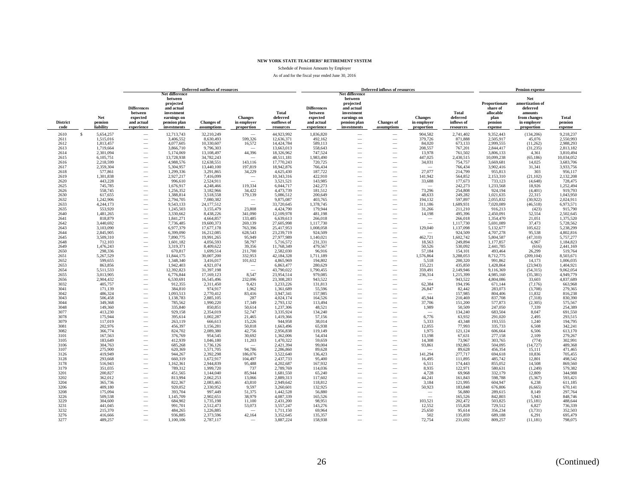Schedule of Pension Amounts by Employer

|                         |                             | Deferred outflows of resources                       |                                                                    |                                  |                                             |                                      |                                      |                                                                    | Deferred inflows of resources                        |                                             | <b>Pension expense</b>              |                                        |                                               |                                    |
|-------------------------|-----------------------------|------------------------------------------------------|--------------------------------------------------------------------|----------------------------------|---------------------------------------------|--------------------------------------|--------------------------------------|--------------------------------------------------------------------|------------------------------------------------------|---------------------------------------------|-------------------------------------|----------------------------------------|-----------------------------------------------|------------------------------------|
|                         |                             | <b>Differences</b><br>between                        | Net difference<br>between<br>projected<br>and actual<br>investment |                                  |                                             | <b>Total</b>                         | <b>Differences</b><br>between        | Net difference<br>between<br>projected<br>and actual<br>investment |                                                      |                                             | <b>Total</b>                        | Proportionate<br>share of<br>allocable | Net<br>amortization of<br>deferred<br>amounts |                                    |
| <b>District</b><br>code | Net<br>pension<br>liability | expected<br>and actual<br>experience                 | earnings on<br>pension plan<br>investments                         | <b>Changes</b> of<br>assumptions | <b>Changes</b><br>in employer<br>proportion | deferred<br>outflows of<br>resources | expected<br>and actual<br>experience | earnings on<br>pension plan<br>investments                         | <b>Changes</b> of<br>assumptions                     | <b>Changes</b><br>in employer<br>proportion | deferred<br>inflows of<br>resources | plan<br>pension<br>expense             | from changes<br>in employer<br>proportion     | <b>Total</b><br>pension<br>expense |
| $\mathbb{S}$<br>2610    | 5,654,257                   | $\overline{\phantom{0}}$                             | 12,713,743                                                         | 32,210,249                       |                                             | 44,923,992                           | 1,836,820                            |                                                                    | $\overline{\phantom{a}}$                             | 904,582                                     | 2,741,402                           | 9,352,443                              | (134, 206)                                    | 9,218,237                          |
| 2611<br>2612            | 1,515,016<br>1,813,457      | $\overline{\phantom{0}}$                             | 3,406,552<br>4,077,605                                             | 8,630,493<br>10,330,607          | 599,326<br>16,572                           | 12,636,371<br>14,424,784             | 492,162<br>589,113                   | $\overline{\phantom{a}}$<br>-                                      | $\overline{\phantom{a}}$                             | 379,726<br>84,020                           | 871,888<br>673,133                  | 2,505,917<br>2,999,555                 | 45,076<br>(11,262)                            | 2,550,993<br>2,988,293             |
| 2613                    | 1,719,664                   |                                                      | 3,866,710                                                          | 9,796,303                        |                                             | 13,663,013                           | 558,643                              | $\overline{\phantom{a}}$                                           | $\overline{\phantom{a}}$                             | 208,557                                     | 767,201                             | 2,844,417                              | (31, 235)                                     | 2,813,182                          |
| 2614                    | 2,301,094                   | $\overline{\phantom{0}}$                             | 5,174,069                                                          | 13,108,497                       | 44,396                                      | 18,326,962                           | 747,524                              |                                                                    | $\overline{\phantom{a}}$                             | 13,978                                      | 761,502                             | 3,806,133                              | 4,361                                         | 3,810,494                          |
| 2615                    | 6,105,751                   |                                                      | 13,728,938                                                         | 34,782,243                       |                                             | 48,511,181                           | 1,983,490                            |                                                                    | $\overline{\phantom{a}}$                             | 447,025                                     | 2,430,515                           | 10,099,238                             | (65, 186)                                     | 10,034,052                         |
| 2616<br>2617            | 2,218,599<br>2,359,304      | $\overline{\phantom{0}}$<br>$\overline{\phantom{0}}$ | 4,988,576<br>5.304.957                                             | 12,638,551<br>13,440,100         | 143,116<br>197,819                          | 17,770,243<br>18,942,876             | 720,725<br>766,434                   | $\overline{\phantom{0}}$<br>$\overline{\phantom{0}}$               | $\overline{\phantom{0}}$<br>$\overline{\phantom{a}}$ | 34,031                                      | 754,757<br>766,434                  | 3,669,681<br>3,902,416                 | 14,025<br>31,341                              | 3,683,706<br>3,933,756             |
| 2618                    | 577,861                     | $\overline{\phantom{0}}$                             | 1,299,336                                                          | 3,291,865                        | 34,229                                      | 4,625,430                            | 187,722                              | $\overline{\phantom{a}}$                                           | $\overline{\phantom{a}}$                             | 27,077                                      | 214,799                             | 955,813                                | 303                                           | 956,117                            |
| 2619                    | 1,301,838                   | $\overline{\phantom{0}}$                             | 2,927,217                                                          | 7,416,099                        |                                             | 10,343,316                           | 422,910                              | $\overline{\phantom{0}}$                                           | $\overline{\phantom{a}}$                             | 141,942                                     | 564,852                             | 2,153,310                              | (21, 102)                                     | 2,132,208                          |
| 2620                    | 443,228                     | $\overline{\phantom{a}}$                             | 996,610                                                            | 2,524,911                        | 119,334                                     | 3,521,521<br>6,044,717               | 143,985<br>242,273                   | $\overline{\phantom{a}}$<br>$\overline{\phantom{a}}$               | $\overline{\phantom{a}}$                             | 33,688<br>$\equiv$                          | 177,673                             | 733,123<br>1,233,568                   | (4,648)<br>18,926                             | 728,475<br>1,252,494               |
| 2625<br>2626            | 745,785<br>558,745          |                                                      | 1,676,917<br>1,256,352                                             | 4,248,466<br>3,182,966           | 34,422                                      | 4,473,739                            | 181,512                              |                                                                    | $\overline{\phantom{a}}$                             | 73,296                                      | 242,273<br>254,808                  | 924,194                                | (4, 401)                                      | 919,793                            |
| 2630                    | 617,655                     | $\overline{\phantom{0}}$                             | 1,388,814                                                          | 3,518,558                        | 179,139                                     | 5,086,512                            | 200,649                              | $\overline{\phantom{a}}$                                           | $\overline{\phantom{a}}$                             | 48,633                                      | 249,282                             | 1,021,635                              | 22,315                                        | 1,043,950                          |
| 2632                    | 1,242,906                   | $\overline{\phantom{0}}$                             | 2,794,705                                                          | 7,080,382                        |                                             | 9,875,087                            | 403,765                              |                                                                    | $\overline{\phantom{a}}$                             | 194,132                                     | 597,897                             | 2,055,832                              | (30, 922)                                     | 2,024,911                          |
| 2633<br>2635            | 4,244,173<br>553,920        | $\overline{\phantom{0}}$                             | 9,543,133<br>1,245,503                                             | 24,177,512<br>3,155,479          | 23,808                                      | 33,720,645<br>4,424,790              | 1,378,745<br>179,944                 | $\overline{\phantom{a}}$                                           |                                                      | 311,186<br>31,266                           | 1,689,931<br>211,210                | 7,020,089<br>916,213                   | (46, 518)<br>(423)                            | 6,973,571<br>915,790               |
| 2640                    | 1,481,265                   |                                                      | 3,330,662                                                          | 8,438,226                        | 341,090                                     | 12,109,978                           | 481,198                              | $\overline{\phantom{0}}$                                           |                                                      | 14,198                                      | 495,396                             | 2,450,091                              | 52,554                                        | 2,502,645                          |
| 2641                    | 818,879                     | $\overline{\phantom{0}}$                             | 1,841,271                                                          | 4,664,857                        | 133,485                                     | 6,639,613                            | 266,018                              | $\overline{\phantom{a}}$                                           | $\overline{\phantom{a}}$                             | $\overline{\phantom{0}}$                    | 266,018                             | 1,354,470                              | 21,051                                        | 1,375,520                          |
| 2642                    | 3,440,692                   | $\overline{\phantom{0}}$                             | 7,736,485                                                          | 19,600,373                       | 269,139                                     | 27,605,998                           | 1,117,730                            | $\overline{\phantom{a}}$                                           | $\overline{\phantom{a}}$                             | $\equiv$                                    | 1,117,730                           | 5,691,089                              | 37,473                                        | 5,728,562                          |
| 2643<br>2644            | 3,103,090<br>2,845,905      | $\overline{\phantom{0}}$<br>-                        | 6,977,379<br>6,399,090                                             | 17,677,178<br>16,212,085         | 763,396<br>628,543                          | 25,417,953<br>23,239,719             | 1,008,058<br>924,509                 | -<br>-                                                             | $\overline{\phantom{a}}$                             | 129,040<br>$\overline{\phantom{a}}$         | 1,137,098<br>924,509                | 5,132,677<br>4,707,278                 | 105,622<br>95,538                             | 5,238,299<br>4,802,816             |
| 2645                    | 3,509,310                   | $\overline{\phantom{0}}$                             | 7,890,775                                                          | 19,991,265                       | 95,949                                      | 27,977,989                           | 1,140,021                            | $\overline{\phantom{0}}$                                           | $\overline{\phantom{0}}$                             | 462,721                                     | 1,602,742                           | 5,804,587                              | (47, 310)                                     | 5,757,277                          |
| 2648                    | 712,103                     |                                                      | 1,601,182                                                          | 4,056,593                        | 58,797                                      | 5,716,572                            | 231,331                              |                                                                    |                                                      | 18,563                                      | 249,894                             | 1,177,857                              | 6,967                                         | 1,184,823                          |
| 2649<br>2650            | 1,476,243                   | $\overline{\phantom{0}}$                             | 3,319,371                                                          | 8,409,622                        | 39,356                                      | 11,768,349<br>2,582,030              | 479,567<br>96,916                    |                                                                    | $\overline{\phantom{a}}$                             | 50,526                                      | 530,092<br>154,101                  | 2,441,785<br>493,464                   | (616)                                         | 2,441,169                          |
| 2651                    | 298,336<br>5,267,529        | $\overline{\phantom{0}}$<br>$\overline{\phantom{a}}$ | 670,817<br>11,844,175                                              | 1,699,514<br>30,007,200          | 211,700<br>332,953                          | 42,184,328                           | 1,711,189                            | $\overline{\phantom{0}}$<br>$\overline{\phantom{a}}$               | $\overline{\phantom{a}}$<br>$\overline{\phantom{a}}$ | 57,184<br>1,576,864                         | 3,288,053                           | 8,712,775                              | 26,299<br>(209, 104)                          | 519,764<br>8,503,671               |
| 2652                    | 599,655                     | $\overline{\phantom{0}}$                             | 1,348,340                                                          | 3,416,017                        | 101,612                                     | 4,865,969                            | 194,802                              |                                                                    | $\overline{\phantom{a}}$                             | 5,518                                       | 200,320                             | 991,862                                | 14,173                                        | 1,006,035                          |
| 2653                    | 863,856                     |                                                      | 1,942,403                                                          | 4,921,074                        |                                             | 6,863,477                            | 280,629                              |                                                                    |                                                      | 155,221                                     | 435,850                             | 1,428,864                              | (23, 943)                                     | 1,404,921                          |
| 2654<br>2655            | 5,511,533<br>3,013,905      | $\overline{\phantom{0}}$<br>$\overline{\phantom{0}}$ | 12,392,823<br>6,776,844                                            | 31,397,198<br>17,169,123         | 8.547                                       | 43,790,022<br>23.954.514             | 1,790,455<br>979,085                 | $\overline{\phantom{a}}$<br>$\overline{\phantom{0}}$               | $\overline{\phantom{a}}$<br>$\overline{\phantom{a}}$ | 359,491<br>236,314                          | 2,149,946<br>1,215,399              | 9,116,369<br>4,985,160                 | (54, 315)<br>(35, 381)                        | 9,062,054<br>4,949,779             |
| 2656                    | 2,904,432                   | $\overline{\phantom{a}}$                             | 6,530,691                                                          | 16,545,496                       | 232,096                                     | 23,308,283                           | 943,522                              | $\overline{\phantom{a}}$                                           | $\overline{\phantom{a}}$                             | $\overline{\phantom{a}}$                    | 943,522                             | 4,804,086                              | 33,603                                        | 4,837,689                          |
| 3032                    | 405,757                     | $\overline{\phantom{0}}$                             | 912,355                                                            | 2,311,450                        | 9,421                                       | 3,233,226                            | 131,813                              | -                                                                  |                                                      | 62,384                                      | 194,196                             | 671,144                                | (7,176)                                       | 663,968                            |
| 3041                    | 171,139                     | $\overline{\phantom{0}}$                             | 384,810                                                            | 974,917                          | 1,962                                       | 1,361,689                            | 55,596                               |                                                                    |                                                      | 26,847                                      | 82,442                              | 283,073                                | (3,708)                                       | 279,365                            |
| 3042<br>3043            | 486,324<br>506,458          | $\overline{\phantom{0}}$                             | 1,093,513<br>1,138,783                                             | 2,770,412<br>2,885,105           | 83,416<br>287                               | 3,947,341<br>4,024,174               | 157,985<br>164,526                   | $\overline{\phantom{0}}$                                           | $\overline{\phantom{a}}$                             | 45,944                                      | 157,985<br>210,469                  | 804,406<br>837,708                     | 11,832<br>(7,318)                             | 816,238<br>830,390                 |
| 3044                    | 349,368                     | $\overline{\phantom{a}}$                             | 785,562                                                            | 1,990,220                        | 17,349                                      | 2,793,132                            | 113,494                              | $\overline{\phantom{a}}$                                           | $\overline{\phantom{a}}$                             | 37,706                                      | 151,200                             | 577,873                                | (2,305)                                       | 575,567                            |
| 3048                    | 149,360                     | $\overline{\phantom{a}}$                             | 335,840                                                            | 850,851                          | 50,614                                      | 1,237,306                            | 48,521                               | $\overline{\phantom{a}}$                                           | $\overline{\phantom{a}}$                             | 1,989                                       | 50,509                              | 247,050                                | 7,339                                         | 254,389                            |
| 3077<br>3078            | 413,230<br>175,944          |                                                      | 929,158                                                            | 2,354,019<br>1,002,287           | 52,747<br>21,465                            | 3,335,924<br>1,419,366               | 134,240                              |                                                                    |                                                      | $\overline{\phantom{a}}$<br>6,776           | 134,240<br>63,932                   | 683,504<br>291,020                     | 8,047<br>2,495                                | 691,550<br>293,515                 |
| 3079                    | 117,019                     | $\overline{\phantom{0}}$                             | 395,614<br>263,119                                                 | 666,613                          | 15,226                                      | 944,958                              | 57,156<br>38,014                     | $\overline{\phantom{0}}$                                           | $\overline{\phantom{a}}$<br>$\overline{\phantom{a}}$ | 5,333                                       | 43,348                              | 193,555                                | 1,240                                         | 194,795                            |
| 3081                    | 202,976                     | $\overline{\phantom{a}}$                             | 456,397                                                            | 1,156,281                        | 50,818                                      | 1,663,496                            | 65,938                               | $\overline{\phantom{a}}$                                           | $\overline{\phantom{a}}$                             | 12,055                                      | 77,993                              | 335,733                                | 6,508                                         | 342,241                            |
| 3082                    | 366,774                     | $\overline{\phantom{a}}$                             | 824,702                                                            | 2,089,380                        | 42,756                                      | 2,956,838                            | 119,149                              | $\overline{\phantom{a}}$                                           | $\overline{\phantom{a}}$                             | 1,975                                       | 121,124                             | 606,664                                | 6,506                                         | 613,170                            |
| 3101<br>3105            | 167,563<br>183,649          | $\overline{\phantom{0}}$                             | 376,769<br>412,939                                                 | 954,545<br>1,046,180             | 30,692<br>11,203                            | 1,362,006<br>1,470,322               | 54,434<br>59,659                     | $\overline{\phantom{0}}$                                           | $\overline{\phantom{0}}$                             | 13,198<br>14,308                            | 67,631<br>73,967                    | 277,158<br>303,765                     | 2,109<br>(774)                                | 279,267<br>302,991                 |
| 3106                    | 304,763                     |                                                      | 685,268                                                            | 1,736,126                        |                                             | 2,421,394                            | 99,004                               |                                                                    |                                                      | 93,861                                      | 192,865                             | 504,095                                | (14, 727)                                     | 489,368                            |
| 3107                    | 275,900                     | $\overline{\phantom{0}}$                             | 620,369                                                            | 1,571,705                        | 94.786                                      | 2,286,860                            | 89,628                               | $\overline{\phantom{0}}$                                           | $\overline{\phantom{a}}$                             |                                             | 89,628                              | 456,354                                | 15,111                                        | 471,465                            |
| 3126                    | 419,949                     | $\overline{\phantom{a}}$                             | 944,267                                                            | 2,392,298                        | 186,076                                     | 3,522,640                            | 136,423                              | $\overline{\phantom{a}}$                                           | $\overline{\phantom{a}}$                             | 141,294                                     | 277,717                             | 694,618                                | 10,836                                        | 705,455                            |
| 3128<br>3178            | 293,668<br>516,943          | $\overline{\phantom{a}}$                             | 660,319<br>1,162,361                                               | 1,672,917<br>2,944,839           | 104,497<br>95,488                           | 2,437,733<br>4,202,687               | 95,400<br>167,932                    | $\overline{\phantom{a}}$                                           | $\overline{\phantom{a}}$                             | 16,495<br>6,511                             | 111,895<br>174,443                  | 485,742<br>855,052                     | 12,801<br>14,508                              | 498,542<br>869,560                 |
| 3179                    | 351,035                     |                                                      | 789,312                                                            | 1,999,720                        | 737                                         | 2,789,769                            | 114,036                              |                                                                    |                                                      | 8,935                                       | 122,971                             | 580,631                                | (1,249)                                       | 579,382                            |
| 3201                    | 200,827                     | $\overline{\phantom{0}}$                             | 451,565                                                            | 1,144,040                        | 85,944                                      | 1,681,550                            | 65,240                               |                                                                    | $\overline{\phantom{0}}$                             | 4,728                                       | 69,968                              | 332,179                                | 12,809                                        | 344,988                            |
| 3202                    | 362,012                     | $\overline{\phantom{a}}$                             | 813,994                                                            | 2,062,253                        | 13,066                                      | 2,889,313                            | 117,602                              | $\overline{\phantom{a}}$                                           | $\overline{\phantom{a}}$                             | 44,241                                      | 161,843                             | 598,788                                | (5, 367)                                      | 593,421                            |
| 3204<br>3206            | 365,736<br>409,180          | $\overline{\phantom{a}}$                             | 822,367<br>920,052                                                 | 2,083,465<br>2,330,952           | 43,810<br>9.597                             | 2,949,642<br>3,260,601               | 118,812<br>132,925                   | $\overline{\phantom{a}}$                                           | $\overline{\phantom{a}}$                             | 3,184<br>50,923                             | 121,995<br>183,848                  | 604,947<br>676,806                     | 6,238<br>(6,665)                              | 611,185<br>670,141                 |
| 3208                    | 175,094                     |                                                      | 393,704                                                            | 997,449                          | 51,375                                      | 1,442,528                            | 56,880                               |                                                                    |                                                      |                                             | 56,880                              | 289,615                                | 8,149                                         | 297,764                            |
| 3226                    | 509,538                     | $\overline{\phantom{0}}$                             | 1,145,709                                                          | 2,902,651                        | 38,979                                      | 4,087,339                            | 165,526                              |                                                                    |                                                      |                                             | 165,526                             | 842,803                                | 5,943                                         | 848,746                            |
| 3229<br>3231            | 304,600<br>441,045          | $\overline{\phantom{a}}$                             | 684,902<br>991,701                                                 | 1,735,198<br>2,512,473           | 11,100<br>53,073                            | 2,431,200<br>3,557,247               | 98,951<br>143,276                    | -                                                                  | $\overline{\phantom{a}}$<br>$\overline{\phantom{a}}$ | 103,521<br>12,552                           | 202,472<br>155,828                  | 503,825<br>729,512                     | (15, 181)<br>6,827                            | 488,644<br>736,339                 |
| 3232                    | 215,370                     |                                                      | 484,265                                                            | 1,226,885                        |                                             | 1,711,150                            | 69,964                               |                                                                    |                                                      | 25,650                                      | 95,614                              | 356,234                                | (3,731)                                       | 352,503                            |
| 3276                    | 416,666                     |                                                      | 936,885                                                            | 2,373,596                        | 42,164                                      | 3,352,645                            | 135,357                              |                                                                    |                                                      | 502                                         | 135,859                             | 689,188                                | 6,291                                         | 695,479                            |
| 3277                    | 489,257                     |                                                      | 1,100,106                                                          | 2,787,117                        |                                             | 3,887,224                            | 158,938                              |                                                                    |                                                      | 72,754                                      | 231,692                             | 809,257                                | (11, 181)                                     | 798,075                            |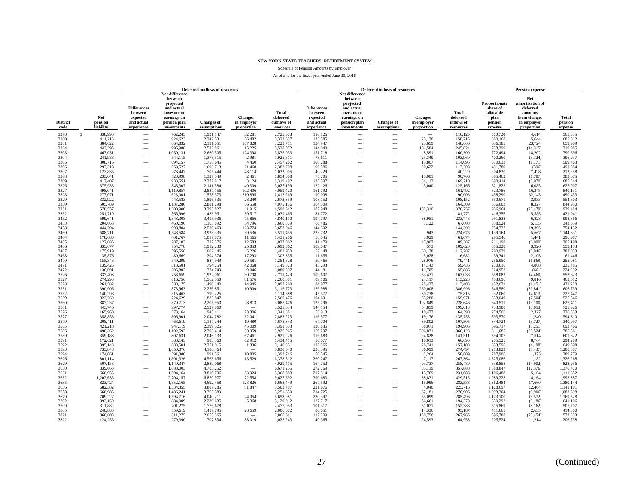Schedule of Pension Amounts by Employer

|                      |                    |                                                      |                         | <b>Deferred outflows of resources</b> |                          |                        | Deferred inflows of resources |                                                      |                                                      |                                   |                    | <b>Pension expense</b>    |                        |                        |  |
|----------------------|--------------------|------------------------------------------------------|-------------------------|---------------------------------------|--------------------------|------------------------|-------------------------------|------------------------------------------------------|------------------------------------------------------|-----------------------------------|--------------------|---------------------------|------------------------|------------------------|--|
|                      |                    |                                                      | Net difference          |                                       |                          |                        |                               | Net difference                                       |                                                      |                                   |                    |                           |                        |                        |  |
|                      |                    |                                                      | between                 |                                       |                          |                        |                               | between                                              |                                                      |                                   |                    |                           | Net<br>amortization of |                        |  |
|                      |                    | <b>Differences</b>                                   | projected<br>and actual |                                       |                          |                        | <b>Differences</b>            | projected<br>and actual                              |                                                      |                                   |                    | Proportionate<br>share of | deferred               |                        |  |
|                      |                    | between                                              | investment              |                                       |                          | <b>Total</b>           | between                       | investment                                           |                                                      |                                   | <b>Total</b>       | allocable                 | amounts                |                        |  |
|                      | Net                | expected                                             | earnings on             |                                       | <b>Changes</b>           | deferred               | expected                      | earnings on                                          |                                                      | <b>Changes</b>                    | deferred           | plan                      | from changes           | <b>Total</b>           |  |
| <b>District</b>      | pension            | and actual                                           | pension plan            | <b>Changes</b> of                     | in employer              | outflows of            | and actual                    | pension plan                                         | <b>Changes</b> of                                    | in employer                       | inflows of         | pension                   | in employer            | pension                |  |
| code                 | liability          | experience                                           | investments             | assumptions                           | proportion               | resources              | experience                    | investments                                          | assumptions                                          | proportion                        | resources          | expense                   | proportion             | expense                |  |
| 3278<br>$\mathbb{S}$ | 338,998            | $\overline{\phantom{0}}$                             | 762,245                 | 1,931,147                             | 32,281                   | 2,725,673              | 110,125                       |                                                      |                                                      | $\overline{\phantom{a}}$          | 110,125            | 560,720                   | 4,614                  | 565,335                |  |
| 3280                 | 411,213            |                                                      | 924,623                 | 2,342,531                             | 56,482                   | 3,323,637              | 133,585                       | $\overline{\phantom{a}}$                             |                                                      | 25,130                            | 158,715            | 680,168                   | 5,644                  | 685,812                |  |
| 3281                 | 384,622            | $\overline{\phantom{0}}$                             | 864,832                 | 2,191,051                             | 167,828                  | 3,223,711              | 124,947                       |                                                      | $\overline{\phantom{a}}$                             | 23,659                            | 148,606            | 636,185                   | 23,724                 | 659,909                |  |
| 3284<br>3303         | 443,395<br>467,031 | $\overline{\phantom{0}}$<br>$\overline{\phantom{0}}$ | 996,986<br>1,050,131    | 2,525,861<br>2,660,505                | 15,225<br>124,398        | 3,538,072<br>3,835,033 | 144,040<br>151,718            | -<br>$\overline{\phantom{0}}$                        | $\overline{\phantom{a}}$<br>$\overline{\phantom{a}}$ | 101,584<br>8,591                  | 245,624<br>160,309 | 733,399<br>772,494        | (14, 315)<br>18,202    | 719,085<br>790,696     |  |
| 3304                 | 241,988            | $\overline{\phantom{0}}$                             | 544,115                 | 1,378,515                             | 2,981                    | 1,925,611              | 78,611                        | $\overline{\phantom{a}}$                             | $\overline{\phantom{a}}$                             | 25,349                            | 103,960            | 400,260                   | (3, 324)               | 396,937                |  |
| 3305                 | 308,716            | $\overline{\phantom{0}}$                             | 694,157                 | 1,758,645                             | 4,460                    | 2,457,262              | 100,288                       | $\overline{\phantom{a}}$                             | $\overline{\phantom{a}}$                             | 13,807                            | 114,096            | 510,633                   | (1, 171)               | 509,463                |  |
| 3306                 | 297,318            | $\overline{\phantom{0}}$                             | 668,527                 | 1,693,713                             | 21,468                   | 2,383,708              | 96,586                        | -                                                    | $\overline{\phantom{a}}$                             | 20,622                            | 117,208            | 491,780                   | (396)                  | 491,384<br>212,258     |  |
| 3307                 | 123,835            | $\overline{\phantom{0}}$                             | 278,447                 | 705,444                               | 48,114                   | 1,032,005              | 40,229                        | -                                                    | $\overline{\phantom{a}}$                             | $\sim$                            | 40,229             | 204,830                   | 7,428                  |                        |  |
| 3308                 | 233,041            | $\overline{\phantom{0}}$                             | 523,998                 | 1,327,549                             | 2,461                    | 1,854,008              | 75,705                        | -                                                    | $\overline{\phantom{a}}$                             | 15,001                            | 90,706             | 385,462                   | (1,787)                | 383,675                |  |
| 3309                 | 417,407            | $\overline{\phantom{a}}$                             | 938,551                 | 2,377,817                             | 3,124                    | 3,319,492              | 135,597                       | $\overline{\phantom{a}}$                             | $\equiv$                                             | 34,113                            | 169,710            | 690,414                   | (5,070)                | 685,344                |  |
| 3326<br>3327         | 375,938<br>498,041 | $\overline{\phantom{0}}$<br>$\overline{\phantom{0}}$ | 845,307<br>1,119,857    | 2,141,584<br>2,837,156                | 40,309<br>102,406        | 3,027,199<br>4,059,420 | 122,126<br>161,792            | -<br>$\overline{\phantom{0}}$                        | $\overline{\phantom{a}}$<br>$\overline{\phantom{0}}$ | 3,040<br>$\overline{\phantom{0}}$ | 125,166<br>161,792 | 621,822<br>823,786        | 6,085<br>16,345        | 627,907<br>840,131     |  |
| 3328                 | 277,071            | $\overline{\phantom{0}}$                             | 623,001                 | 1,578,373                             | 210,895                  | 2.412.269              | 90,008                        | -                                                    | -                                                    | $\overline{\phantom{0}}$          | 90,008             | 458,290                   | 32,143                 | 490,433                |  |
| 3329                 | 332,922            | $\overline{\phantom{0}}$                             | 748,583                 | 1,896,535                             | 28,240                   | 2,673,359              | 108,152                       |                                                      | $\overline{\phantom{a}}$                             | $\overline{\phantom{0}}$          | 108,152            | 550,671                   | 3,933                  | 554,603                |  |
| 3330                 | 505,789            | $\overline{\phantom{0}}$                             | 1,137,280               | 2,881,298                             | 56,558                   | 4,075,136              | 164,309                       | -                                                    |                                                      |                                   | 164,309            | 836,603                   | 8,327                  | 844,930                |  |
| 3331                 | 578,557            | $\overline{\phantom{0}}$                             | 1,300,900               | 3,295,827                             | 1,915                    | 4,598,642              | 187,948                       |                                                      |                                                      | 182,310                           | 370,257            | 956,964                   | (27, 479)              | 929,484                |  |
| 3332                 | 251,719            | $\overline{\phantom{0}}$                             | 565,996                 | 1,433,951                             | 39,517                   | 2,039,465              | 81,772                        | $\overline{\phantom{0}}$                             | $\overline{\phantom{0}}$                             |                                   | 81,772             | 416,356                   | 5,585                  | 421,941                |  |
| 3452                 | 599,641            | $\overline{\phantom{0}}$                             | 1,348,308               | 3,415,936                             | 75,866                   | 4,840,110              | 194,797                       | -                                                    | $\overline{\phantom{a}}$                             | 38,951                            | 233,748            | 991,838                   | 6,828                  | 998,666                |  |
| 3453                 | 204,663            | $\overline{\phantom{0}}$                             | 460,190                 | 1,165,892                             | 34,796                   | 1,660,879              | 66,486                        | $\overline{\phantom{0}}$                             | $\overline{\phantom{a}}$                             | 1,122                             | 67,608             | 338,524                   | 5,135                  | 343,659                |  |
| 3458<br>3460         | 444,204<br>688,711 | $\overline{\phantom{0}}$<br>$\overline{\phantom{a}}$ | 998,804<br>1,548,584    | 2,530,469<br>3,923,335                | 123,774<br>39,536        | 3,653,046              | 144,302<br>223,732            | $\overline{\phantom{0}}$<br>-                        | $\overline{\phantom{a}}$                             | $\overline{\phantom{a}}$<br>943   | 144,302            | 734,737                   | 19,395                 | 754,132                |  |
| 3464                 | 178,680            |                                                      | 401,767                 | 1,017,875                             | 11,565                   | 5,511,455<br>1,431,206 | 58,045                        | $\overline{\phantom{0}}$                             | $\overline{\phantom{a}}$<br>$\overline{\phantom{0}}$ | 3,029                             | 224,675<br>61,074  | 1,139,164<br>295,546      | 5,667<br>1,441         | 1,144,831<br>296,987   |  |
| 3465                 | 127,685            | $\overline{\phantom{0}}$                             | 287,103                 | 727,376                               | 12,583                   | 1,027,062              | 41,479                        |                                                      | $\overline{\phantom{0}}$                             | 47,907                            | 89,387             | 211,198                   | (6,000)                | 205,198                |  |
| 3466                 | 335,677            |                                                      | 754,778                 | 1,912,230                             | 25,853                   | 2,692,862              | 109,047                       | $\overline{\phantom{0}}$                             | $\overline{\phantom{a}}$                             | 573                               | 109,620            | 555,228                   | 3,926                  | 559,153                |  |
| 3467                 | 175,919            | $\overline{\phantom{0}}$                             | 395,558                 | 1,002,146                             | 5,226                    | 1,402,930              | 57,148                        | $\overline{\phantom{a}}$                             | $\overline{\phantom{a}}$                             | 60.138                            | 117,287            | 290,979                   | (8,946)                | 282,033                |  |
| 3468                 | 35,876             | $\overline{\phantom{a}}$                             | 80,669                  | 204,374                               | 17,293                   | 302,335                | 11,655                        | $\overline{\phantom{a}}$                             | $\overline{\phantom{a}}$                             | 5,028                             | 16,682             | 59,341                    | 2,105                  | 61,446                 |  |
| 3470                 | 155,346            | $\overline{\phantom{0}}$                             | 349,299                 | 884,949                               | 20,581                   | 1,254,828              | 50,465                        | $\overline{\phantom{0}}$                             | $\overline{\phantom{0}}$                             | 28,976                            | 79,441             | 256,950                   | (1, 869)               | 255,081                |  |
| 3471                 | 139,425            |                                                      | 313,501                 | 794,254                               | 42,068                   | 1,149,823              | 45,293                        |                                                      |                                                      | 14,143                            | 59,436             | 230,616                   | 4,868                  | 235,485                |  |
| 3472<br>3526         | 136,001<br>337,403 |                                                      | 305,802<br>758,659      | 774,749<br>1,922,061                  | 9.046<br>30,708          | 1,089,597<br>2,711,429 | 44,181<br>109,607             | $\overline{\phantom{a}}$<br>-                        | $\overline{\phantom{a}}$<br>$\overline{\phantom{a}}$ | 11,705<br>53,431                  | 55,886<br>163,038  | 224,953<br>558.082        | (661)<br>(4, 460)      | 224,292<br>553,623     |  |
| 3527                 | 274,293            | $\overline{\phantom{a}}$                             | 616,756                 | 1,562,550                             | 81,576                   | 2,260,881              | 89,106                        | $\overline{\phantom{a}}$                             | $\overline{\phantom{a}}$                             | 24,117                            | 113,223            | 453,696                   | 9,816                  | 463,512                |  |
| 3528                 | 261,582            |                                                      | 588,175                 | 1,490,140                             | 14,945                   | 2,093,260              | 84,977                        | -                                                    |                                                      | 28,427                            | 113,403            | 432,671                   | (1, 451)               | 431,220                |  |
| 3531                 | 390,906            | $\overline{\phantom{0}}$                             | 878,963                 | 2,226,851                             | 10,909                   | 3,116,723              | 126,988                       |                                                      | $\overline{\phantom{0}}$                             | 260,008                           | 386,996            | 646,580                   | (39, 841)              | 606,739                |  |
| 3552                 | 140,298            | $\overline{\phantom{0}}$                             | 315,463                 | 799,225                               |                          | 1,114,688              | 45,577                        |                                                      | $\overline{\phantom{0}}$                             | 30,238                            | 75,815             | 232,060                   | (4, 613)               | 227,447                |  |
| 3559                 | 322,269            | $\overline{\phantom{0}}$                             | 724,629                 | 1,835,847                             | $\overline{\phantom{0}}$ | 2,560,476              | 104,691                       | $\overline{\phantom{a}}$                             | $\overline{\phantom{a}}$                             | 55,280                            | 159,971            | 533,049                   | (7,504)                | 525,546                |  |
| 3560                 | 387,237            | $\overline{\phantom{a}}$                             | 870,713                 | 2,205,950                             | 8,813                    | 3,085,476              | 125,796                       | $\overline{\phantom{a}}$                             | $\overline{\phantom{a}}$                             | 102,849                           | 228,646            | 640,511                   | (13, 100)              | 627,411                |  |
| 3561<br>3576         | 443,746<br>165,960 | $\overline{\phantom{a}}$                             | 997,774<br>373,164      | 2,527,860<br>945,411                  | 23,306                   | 3,525,634<br>1,341,881 | 144,154<br>53,913             | -                                                    | $\overline{\phantom{a}}$                             | 54,859<br>10,477                  | 199,013<br>64,390  | 733,980<br>274,506        | (8,053)<br>2,327       | 725,926<br>276,833     |  |
| 3577                 | 358,858            |                                                      | 806,901                 | 2,044,282                             | 32,041                   | 2,883,223              | 116,577                       |                                                      |                                                      | 19,176                            | 135,753            | 593,570                   | 1,240                  | 594,810                |  |
| 3579                 | 208,411            | $\overline{\phantom{0}}$                             | 468,619                 | 1,187,244                             | 19,480                   | 1,675,343              | 67,704                        | $\overline{\phantom{0}}$                             | $\overline{\phantom{a}}$                             | 39,802                            | 107,505            | 344,724                   | (3,727)                | 340,997                |  |
| 3585                 | 421,218            | $\overline{\phantom{a}}$                             | 947.119                 | 2,399,525                             | 45,009                   | 3,391,653              | 136,835                       | -                                                    | $\overline{\phantom{a}}$                             | 58,071                            | 194,906            | 696,717                   | (3,251)                | 693,466                |  |
| 3586                 | 490,362            | $\overline{\phantom{a}}$                             | 1,102,592               | 2,793,414                             | 30,959                   | 3,926,965              | 159,297                       | -                                                    | $\overline{\phantom{a}}$                             | 206,831                           | 366,128            | 811,085                   | (25, 524)              | 785,561                |  |
| 3589                 | 359,183            |                                                      | 807,631                 | 2,046,133                             | 67,461                   | 2,921,226              | 116,683                       |                                                      | $\overline{\phantom{0}}$                             | 24,828                            | 141,511            | 594,107                   | 7,514                  | 601,622                |  |
| 3591                 | 172,621            | $\overline{\phantom{0}}$                             | 388,143                 | 983,360                               | 62,912                   | 1,434,415              | 56,077                        |                                                      |                                                      | 10,013                            | 66,090             | 285,525                   | 8,764                  | 294,289                |  |
| 3592                 | 395,148<br>733,848 | $\overline{\phantom{0}}$                             | 888,501<br>1,650,076    | 2,251,015<br>4,180,464                | 1,336                    | 3,140,851<br>5,830,540 | 128,366                       |                                                      |                                                      | 28,741<br>36,099                  | 157,108<br>274,494 | 653,596<br>1,213,823      | (4,198)                | 649,398                |  |
| 3593<br>3594         | 174,061            | $\overline{\phantom{0}}$<br>$\overline{\phantom{a}}$ | 391,380                 | 991,561                               | 10,805                   | 1,393,746              | 238,395<br>56,545             | $\overline{\phantom{a}}$<br>$\overline{\phantom{a}}$ | $\overline{\phantom{a}}$<br>$\overline{\phantom{a}}$ | 2,264                             | 58,809             | 287,906                   | (5, 437)<br>1,373      | 1,208,387<br>289,279   |  |
| 3626                 | 801,114            | $\overline{\phantom{0}}$                             | 1,801,326               | 4,563,656                             | 13,529                   | 6,378,512              | 260,247                       | $\overline{\phantom{a}}$                             | $\overline{\phantom{a}}$                             | 7,117                             | 267,364            | 1,325,086                 | 1,182                  | 1,326,268              |  |
| 3629                 | 507,153            | $\overline{\phantom{0}}$                             | 1,140,347               | 2,889,068                             |                          | 4,029,415              | 164,752                       |                                                      |                                                      | 93,737                            | 258,489            | 838,858                   | (14,902)               | 823,956                |  |
| 3630                 | 839,663            | $\overline{\phantom{0}}$                             | 1,888,003               | 4,783,252                             |                          | 6,671,255              | 272,769                       |                                                      |                                                      | 85,119                            | 357,888            | 1,388,847                 | (12, 376)              | 1,376,470              |  |
| 3631                 | 668,955            |                                                      | 1,504,164               | 3,810,796                             | 53,924                   | 5,368,883              | 217,314                       |                                                      |                                                      | 13,769                            | 231,083            | 1,106,488                 | 5,164                  | 1,111,652              |  |
| 3632                 | 1,202,635          | $\overline{\phantom{a}}$                             | 2,704,157               | 6,850,977                             | 72.558                   | 9,627,692              | 390,683                       | -                                                    | $\overline{\phantom{a}}$                             | 38,831                            | 429,515            | 1,989,223                 | 4,164                  | 1,993,387              |  |
| 3635                 | 823,724            | $\overline{\phantom{a}}$                             | 1,852,165               | 4,692,458                             | 123,826                  | 6,668,449              | 267,592                       | -                                                    | $\overline{\phantom{a}}$                             | 15,996                            | 283,588            | 1,362,484                 | 17,660                 | 1,380,144              |  |
| 3636                 | 682,382            | $\overline{\phantom{0}}$                             | 1,534,355               | 3,887,285                             | 81,847                   | 5,503,487              | 221,676                       |                                                      |                                                      | 4,040                             | 225,716            | 1,128,697<br>1,093,304    | 12,404<br>(9,906)      | 1,141,101<br>1,083,398 |  |
| 3658<br>3679         | 660,985<br>709,227 | $\overline{\phantom{0}}$<br>$\overline{\phantom{0}}$ | 1,486,241<br>1,594,716  | 3,765,389<br>4,040,211                | 24,054                   | 5,251,630<br>5,658,981 | 214,725<br>230,397            |                                                      |                                                      | 62,181<br>55,099                  | 276,906<br>285,496 | 1,173,100                 | (3,572)                | 1,169,528              |  |
| 3702                 | 393,150            | $\overline{\phantom{a}}$                             | 884,009                 | 2,239,635                             | 5,368                    | 3,129,012              | 127,717                       | -                                                    | $\overline{\phantom{a}}$                             | 66,661                            | 194,378            | 650,292                   | (9,186)                | 641,106                |  |
| 3709                 | 311,882            | $\overline{\phantom{a}}$                             | 701,275                 | 1,776,678                             |                          | 2,477,953              | 101,317                       |                                                      | $\overline{\phantom{a}}$                             | 51,071                            | 152,388            | 515,869                   | (8, 162)               | 507,707                |  |
| 3805                 | 248,883            | $\overline{\phantom{0}}$                             | 559,619                 | 1,417,795                             | 28,659                   | 2,006,072              | 80,851                        |                                                      |                                                      | 14,336                            | 95,187             | 411,665                   | 2,635                  | 414,300                |  |
| 3821                 | 360,803            |                                                      | 811,275                 | 2,055,365                             |                          | 2,866,641              | 117,209                       |                                                      |                                                      | 150,756                           | 267,965            | 596,788                   | (23, 454)              | 573,333                |  |
| 3822                 | 124,255            |                                                      | 279,390                 | 707,834                               | 38.019                   | 1,025,243              | 40,365                        |                                                      |                                                      | 24,593                            | 64,958             | 205,524                   | 1,214                  | 206,738                |  |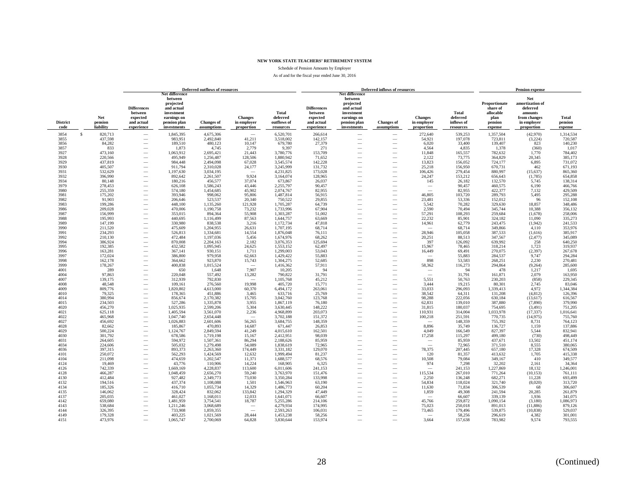Schedule of Pension Amounts by Employer

|                         |                             |                                                      |                                                                    | <b>Deferred outflows of resources</b> |                                             |                                      | <b>Deferred inflows of resources</b> |                                                                    |                                                      |                                             |                                     | <b>Pension expense</b>                 |                                               |                                    |
|-------------------------|-----------------------------|------------------------------------------------------|--------------------------------------------------------------------|---------------------------------------|---------------------------------------------|--------------------------------------|--------------------------------------|--------------------------------------------------------------------|------------------------------------------------------|---------------------------------------------|-------------------------------------|----------------------------------------|-----------------------------------------------|------------------------------------|
|                         |                             | <b>Differences</b><br>between                        | Net difference<br>between<br>projected<br>and actual<br>investment |                                       |                                             | <b>Total</b>                         | <b>Differences</b><br>between        | Net difference<br>between<br>projected<br>and actual<br>investment |                                                      |                                             | <b>Total</b>                        | Proportionate<br>share of<br>allocable | Net<br>amortization of<br>deferred<br>amounts |                                    |
| <b>District</b><br>code | Net<br>pension<br>liability | expected<br>and actual<br>experience                 | earnings on<br>pension plan<br>investments                         | <b>Changes</b> of<br>assumptions      | <b>Changes</b><br>in employer<br>proportion | deferred<br>outflows of<br>resources | expected<br>and actual<br>experience | earnings on<br>pension plan<br>investments                         | <b>Changes</b> of<br>assumptions                     | <b>Changes</b><br>in employer<br>proportion | deferred<br>inflows of<br>resources | plan<br>pension<br>expense             | from changes<br>in employer<br>proportion     | <b>Total</b><br>pension<br>expense |
| $\mathbb{S}$<br>3854    | 820,713                     | $\overline{\phantom{0}}$                             | 1,845,395                                                          | 4,675,306                             |                                             | 6,520,701                            | 266,614                              |                                                                    |                                                      | 272,640                                     | 539,253                             | 1,357,504                              | (42,970)                                      | 1,314,534                          |
| 3855<br>3856            | 437,598<br>84,282           | $\overline{\phantom{0}}$<br>$\overline{\phantom{0}}$ | 983,951<br>189,510                                                 | 2,492,840<br>480,123                  | 41,211<br>10,147                            | 3,518,002<br>679,780                 | 142,157<br>27,379                    |                                                                    | $\overline{\phantom{a}}$                             | 54,921<br>6,020                             | 197,078<br>33,400                   | 723,811<br>139,407                     | (3,224)<br>823                                | 720,587<br>140,230                 |
| 3857                    | 833                         | $\overline{\phantom{m}}$                             | 1,873                                                              | 4,745                                 | 2,779                                       | 9,397                                | 271                                  | -                                                                  | $\overline{\phantom{a}}$                             | 4,564                                       | 4,835                               | 1,378                                  | (360)                                         | 1,017                              |
| 3927                    | 473,160                     | $\overline{\phantom{a}}$                             | 1,063,912                                                          | 2,695,421                             | 21,443                                      | 3,780,776                            | 153,709                              | $\overline{\phantom{0}}$                                           | $\overline{\phantom{0}}$                             | 11,848                                      | 165,557                             | 782,632                                | 1,770                                         | 784,402                            |
| 3928                    | 220,566                     | $\overline{\phantom{a}}$                             | 495,949                                                            | 1,256,487                             | 128,506                                     | 1,880,942                            | 71,652                               | $\overline{\phantom{a}}$                                           |                                                      | 2,122                                       | 73,775                              | 364,829                                | 20,345                                        | 385,173                            |
| 3929<br>3930            | 437,819<br>405,507          | $\overline{\phantom{a}}$<br>$\overline{\phantom{m}}$ | 984,448<br>911.794                                                 | 2,494,098<br>2,310,028                | 67,028<br>24,177                            | 3,545,574<br>3,245,999               | 142,228<br>131,732                   | $\equiv$<br>$\overline{\phantom{a}}$                               | $\overline{\phantom{0}}$<br>$\overline{\phantom{a}}$ | 13,823<br>25,218                            | 156,052<br>156,950                  | 724,177<br>670,731                     | 6,895<br>462                                  | 731,072<br>671,193                 |
| 3931                    | 532,629                     | $\overline{\phantom{a}}$                             | 1,197,630                                                          | 3,034,195                             |                                             | 4,231,825                            | 173,028                              | $\overline{\phantom{a}}$                                           | $\overline{\phantom{a}}$                             | 106,426                                     | 279,454                             | 880,997                                | (15, 637)                                     | 865,360                            |
| 3932                    | 396,990                     | $\overline{\phantom{a}}$                             | 892,642                                                            | 2,261,507                             | 9,924                                       | 3,164,074                            | 128,965                              | $\overline{\phantom{a}}$                                           | $\overline{\phantom{a}}$                             | 24,247                                      | 153,212                             | 656,643                                | (1,785)                                       | 654,858                            |
| 3934<br>3979            | 80,148                      | $\overline{\phantom{a}}$<br>-                        | 180,216                                                            | 456,577<br>1,586,243                  | 37,074                                      | 673,867<br>2,255,797                 | 26,037                               | $\overline{\phantom{a}}$<br>$\overline{\phantom{a}}$               | $\overline{\phantom{a}}$<br>$\overline{\phantom{a}}$ | 145                                         | 26,182                              | 132,570<br>460,575                     | 5,745                                         | 138,314<br>466,766                 |
| 3980                    | 278,453<br>255,359          | $\overline{\phantom{0}}$                             | 626,108<br>574,180                                                 | 1,454,685                             | 43,446<br>45,902                            | 2,074,767                            | 90,457<br>82,955                     |                                                                    |                                                      | $\overline{\phantom{a}}$<br>L,              | 90,457<br>82,955                    | 422,377                                | 6,190<br>7,132                                | 429,509                            |
| 3981                    | 175,202                     | $\overline{\phantom{a}}$                             | 393,946                                                            | 998,062                               | 95,806                                      | 1,487,814                            | 56,915                               | $\overline{\phantom{a}}$                                           |                                                      | 46,805                                      | 103,720                             | 289,793                                | 5,495                                         | 295,288                            |
| 3982                    | 91,903                      | $\overline{\phantom{m}}$                             | 206,646                                                            | 523,537                               | 20,340                                      | 750,522                              | 29,855                               |                                                                    | $\overline{\phantom{a}}$                             | 23,481                                      | 53,336                              | 152,012                                | 96                                            | 152,108                            |
| 3983<br>3986            | 199,286<br>209,028          | $\overline{\phantom{0}}$<br>$\overline{\phantom{a}}$ | 448,100<br>470,006                                                 | 1,135,260<br>1,190,758                | 121,928<br>73,232                           | 1,705,287<br>1,733,996               | 64,739<br>67,904                     | $\overline{\phantom{a}}$<br>$\overline{\phantom{a}}$               |                                                      | 5,542<br>2,590                              | 70,282<br>70,494                    | 329,630<br>345,744                     | 18,857<br>10,388                              | 348,486<br>356,132                 |
| 3987                    | 156,999                     | $\overline{\phantom{0}}$                             | 353,015                                                            | 894,364                               | 55,908                                      | 1,303,287                            | 51,002                               |                                                                    | $\overline{\phantom{0}}$                             | 57,291                                      | 108,293                             | 259,684                                | (1,678)                                       | 258,006                            |
| 3988                    | 195,993                     | $\overline{\phantom{a}}$                             | 440,695                                                            | 1,116,499                             | 87,563                                      | 1,644,757                            | 63,669                               |                                                                    | $\overline{\phantom{a}}$                             | 22,232                                      | 85,901                              | 324,182                                | 11,090                                        | 335,273                            |
| 3989                    | 147,199                     | $\overline{\phantom{m}}$                             | 330,980                                                            | 838,538                               | 3,216                                       | 1,172,734                            | 47,818                               |                                                                    | $\overline{\phantom{a}}$                             | 14,961                                      | 62,779                              | 243,475                                | (1,942)                                       | 241,533                            |
| 3990<br>3991            | 211,520<br>234,293          | $\overline{\phantom{m}}$<br>$\overline{\phantom{0}}$ | 475,609<br>526,813                                                 | 1,204,955<br>1,334,681                | 26,631<br>14,554                            | 1,707,195<br>1,876,048               | 68,714<br>76,111                     | $\overline{\phantom{a}}$                                           | $\overline{\phantom{a}}$<br>$\overline{\phantom{a}}$ | $\overline{\phantom{a}}$<br>28,946          | 68,714<br>105,058                   | 349,866<br>387,533                     | 4,110<br>(1,616)                              | 353,976<br>385,917                 |
| 3992                    | 210,130                     |                                                      | 472,484                                                            | 1,197,036                             | 5,456                                       | 1,674,976                            | 68,262                               |                                                                    | $\overline{\phantom{0}}$                             | 20,251                                      | 88,513                              | 347,567                                | (2, 477)                                      | 345,089                            |
| 3994                    | 386,924                     |                                                      | 870,008                                                            | 2,204,163                             | 2,182                                       | 3,076,353                            | 125,694                              |                                                                    | $\overline{\phantom{0}}$                             | 397                                         | 126,092                             | 639,992                                | 258                                           | 640,250                            |
| 3995<br>3996            | 192,385                     | $\overline{\phantom{a}}$                             | 432,582                                                            | 1,095,945<br>930,151                  | 24,625<br>1,711                             | 1,553,152<br>1,299,003               | 62,497<br>53,043                     |                                                                    | $\overline{\phantom{0}}$                             | 15,967<br>16,449                            | 78,465<br>69,491                    | 318,214<br>270,075                     | 1,723                                         | 319,937                            |
| 3997                    | 163,281<br>172,024          | $\overline{\phantom{m}}$<br>$\overline{\phantom{a}}$ | 367,141<br>386,800                                                 | 979,958                               | 62,663                                      | 1,429,422                            | 55,883                               | $\overline{\phantom{a}}$                                           | $\overline{\phantom{a}}$<br>$\overline{\phantom{a}}$ | $\overline{\phantom{a}}$                    | 55,883                              | 284,537                                | (2, 397)<br>9,747                             | 267,678<br>294,284                 |
| 3998                    | 162,178                     | $\overline{\phantom{a}}$                             | 364,662                                                            | 923,870                               | 15,743                                      | 1,304,275                            | 52,685                               |                                                                    | $\overline{\phantom{0}}$                             | 898                                         | 53,583                              | 268,251                                | 2,230                                         | 270,481                            |
| 3999                    | 178,267                     |                                                      | 400,838                                                            | 1,015,524                             |                                             | 1,416,362                            | 57,911                               |                                                                    |                                                      | 58,362                                      | 116,273                             | 294,864                                | (9, 264)                                      | 285,600                            |
| 4001<br>4004            | 289<br>97,863               | $\overline{\phantom{a}}$                             | 650<br>220,048                                                     | 1,648<br>557,492                      | 7,907                                       | 10,205<br>790,822                    | 94                                   | $\overline{\phantom{a}}$<br>$\overline{\phantom{a}}$               | $\overline{\phantom{a}}$                             | $\overline{\phantom{a}}$<br>$\sim$          | 94                                  | 478<br>161,871                         | 1,217<br>2,079                                | 1,695                              |
| 4007                    | 139,175                     | $\overline{\phantom{a}}$<br>$\overline{\phantom{a}}$ | 312,939                                                            | 792,830                               | 13,282                                      | 1,105,768                            | 31,791<br>45,212                     | $\overline{\phantom{a}}$                                           | $\overline{\phantom{a}}$<br>$\overline{\phantom{a}}$ | 5,551                                       | 31,791<br>50,763                    | 230,203                                | (858)                                         | 163,950<br>229,345                 |
| 4008                    | 48,548                      |                                                      | 109,161                                                            | 276,560                               | 19,998                                      | 405,720                              | 15,771                               |                                                                    |                                                      | 3,444                                       | 19,215                              | 80,301                                 | 2,745                                         | 83,046                             |
| 4009                    | 809,776                     |                                                      | 1,820,802                                                          | 4,613,000                             | 60,370                                      | 6,494,172                            | 263,061                              |                                                                    | $\overline{\phantom{0}}$                             | 33,033                                      | 296,093                             | 1,339,413                              | 4,972                                         | 1,344,384                          |
| 4010<br>4014            | 79,325<br>380,994           | $\overline{\phantom{m}}$                             | 178,365<br>856,674                                                 | 451,886<br>2,170,382                  | 3,465<br>15,705                             | 633,716<br>3,042,760                 | 25,769<br>123,768                    |                                                                    | $\overline{\phantom{a}}$                             | 38,542<br>98,288                            | 64,311<br>222,056                   | 131,208<br>630,184                     | (4, 812)<br>(13, 617)                         | 126,396<br>616,567                 |
| 4015                    | 234,503                     |                                                      | 527,286                                                            | 1,335,878                             | 3,955                                       | 1,867,119                            | 76,180                               | $\overline{\phantom{a}}$                                           | $\overline{\phantom{a}}$                             | 62,831                                      | 139,010                             | 387,880                                | (7, 890)                                      | 379,990                            |
| 4020                    | 456,270                     | $\overline{\phantom{a}}$                             | 1,025,935                                                          | 2,599,206                             | 5,304                                       | 3,630,445                            | 148,222                              | $\overline{\phantom{a}}$                                           | $\overline{\phantom{a}}$                             | 31,815                                      | 180,037                             | 754,695                                | (3, 491)                                      | 751,205                            |
| 4021<br>4022            | 625,118<br>465,968          | $\overline{\phantom{0}}$                             | 1,405,594<br>1,047,740                                             | 3,561,070<br>2,654,448                | 2,236                                       | 4,968,899<br>3,702,188               | 203,073<br>151,372                   |                                                                    |                                                      | 110,931<br>100,218                          | 314,004<br>251,591                  | 1,033,978<br>770,735                   | (17, 337)<br>(14,975)                         | 1,016,641<br>755,760               |
| 4027                    | 456,692                     | $\overline{\phantom{m}}$                             | 1,026,883                                                          | 2,601,606                             | 56,265                                      | 3,684,755                            | 148,359                              |                                                                    | $\overline{\phantom{a}}$                             | $\sim$                                      | 148,359                             | 755,392                                | 8,731                                         | 764,123                            |
| 4028                    | 82,662                      |                                                      | 185,867                                                            | 470,893                               | 14,687                                      | 671,447                              | 26,853                               | $\overline{\phantom{a}}$                                           | $\overline{\phantom{a}}$                             | 8,896                                       | 35,749                              | 136,727                                | 1,159                                         | 137,886                            |
| 4029                    | 500,224                     | $\overline{\phantom{a}}$                             | 1,124,767                                                          | 2,849,594                             | 41,249                                      | 4,015,610                            | 162,501                              | $\overline{\phantom{a}}$                                           | $\overline{\phantom{a}}$                             | 4,049                                       | 166,549                             | 827,397                                | 5,544                                         | 832,941                            |
| 4030<br>4031            | 301,792<br>264,605          | $\overline{\phantom{0}}$                             | 678,586<br>594,972                                                 | 1,719,198<br>1,507,361                | 15,167<br>86,294                            | 2,412,951<br>2,188,626               | 98,039<br>85,959                     |                                                                    | $\overline{\phantom{0}}$<br>$\overline{\phantom{0}}$ | 17,258                                      | 115,297<br>85,959                   | 499,180<br>437,671                     | (730)<br>13,502                               | 498,449<br>451,174                 |
| 4034                    | 224,606                     |                                                      | 505,032                                                            | 1,279,498                             | 54,089                                      | 1,838,619                            | 72,965                               |                                                                    |                                                      | L,                                          | 72,965                              | 371,510                                | 8,555                                         | 380,065                            |
| 4036                    | 397,315                     | $\overline{\phantom{m}}$                             | 893,373                                                            | 2,263,360                             | 174,449                                     | 3,331,182                            | 129,070                              |                                                                    | $\overline{\phantom{a}}$                             | 78,375                                      | 207,445                             | 657,180                                | 17,328                                        | 674,509                            |
| 4101                    | 250,072                     | $\overline{\phantom{a}}$                             | 562,293                                                            | 1,424,569                             | 12,632                                      | 1,999,494                            | 81,237                               | $\overline{\phantom{a}}$                                           | $\overline{\phantom{a}}$                             | 120                                         | 81,357                              | 413,632                                | 1,705                                         | 415,338                            |
| 4104<br>4124            | 211,098<br>19,469           | $\overline{\phantom{a}}$<br>$\overline{\phantom{0}}$ | 474,659<br>43,776                                                  | 1,202,547<br>110,906                  | 11,371<br>14,224                            | 1,688,577<br>168,905                 | 68,576<br>6,325                      | $\overline{\phantom{a}}$                                           | $\overline{\phantom{a}}$                             | 10,508<br>974                               | 79,084<br>7,298                     | 349,167<br>32,202                      | 410<br>2,161                                  | 349,577<br>34,364                  |
| 4126                    | 742,339                     |                                                      | 1,669,169                                                          | 4,228,837                             | 113,600                                     | 6,011,606                            | 241,153                              |                                                                    |                                                      |                                             | 241,153                             | 1,227,869                              | 18,132                                        | 1,246,001                          |
| 4128                    | 466,287                     | $\overline{\phantom{a}}$                             | 1,048,459                                                          | 2,656,270                             | 59,240                                      | 3,763,970                            | 151,476                              |                                                                    | $\overline{\phantom{a}}$                             | 115,534                                     | 267,010                             | 771,264                                | (10, 153)                                     | 761,111                            |
| 4130                    | 412,484                     | $\overline{\phantom{a}}$                             | 927,482                                                            | 2,349,773                             | 73,030                                      | 3,350,284                            | 133,998                              | $\overline{\phantom{a}}$                                           | $\overline{\phantom{a}}$                             | 2.250                                       | 136,248                             | 682,271                                | 11,228                                        | 693,499                            |
| 4132<br>4134            | 194,516<br>185,326          | $\overline{\phantom{a}}$                             | 437,374<br>416,710                                                 | 1,108,088<br>1,055,734                | 1,501<br>14,329                             | 1,546,963<br>1,486,773               | 63,190<br>60,204                     | $\overline{\phantom{a}}$                                           | $\overline{\phantom{a}}$                             | 54,834<br>11,630                            | 118,024<br>71,834                   | 321,740<br>306,539                     | (8,020)<br>68                                 | 313,720<br>306,607                 |
| 4135                    | 146,062                     |                                                      | 328,424                                                            | 832,062                               | 133,842                                     | 1,294,329                            | 47,449                               |                                                                    |                                                      | 1,859                                       | 49,308                              | 241,594                                | 20,285                                        | 261,879                            |
| 4137                    | 205,035                     |                                                      | 461,027                                                            | 1,168,011                             | 12,033                                      | 1,641,071                            | 66,607                               |                                                                    |                                                      |                                             | 66,607                              | 339,139                                | 1,936                                         | 341,075                            |
| 4142                    | 659,080                     |                                                      | 1,481,959                                                          | 3,754,541                             | 18,787                                      | 5,255,286                            | 214,106                              | $\overline{\phantom{a}}$                                           | $\overline{\phantom{a}}$                             | 45,766                                      | 259,872                             | 1,090,154                              | (3,180)                                       | 1,086,973                          |
| 4143<br>4144            | 538,684<br>326,395          | -<br>$\overline{\phantom{0}}$                        | 1,211,246<br>733,908                                               | 3,068,689<br>1,859,355                |                                             | 4,279,934<br>2,593,263               | 174,995<br>106,031                   |                                                                    | $\overline{\phantom{0}}$                             | 75,023<br>73,465                            | 250,018<br>179,496                  | 891,013<br>539,875                     | (11, 886)<br>(10, 838)                        | 879,126<br>529,037                 |
| 4149                    | 179,328                     |                                                      | 403,225                                                            | 1,021,569                             | 28,444                                      | 1,453,238                            | 58,256                               |                                                                    |                                                      |                                             | 58,256                              | 296,619                                | 4,382                                         | 301,001                            |
| 4151                    | 473,976                     |                                                      | 1,065,747                                                          | 2,700,069                             | 64,828                                      | 3,830,644                            | 153,974                              |                                                                    |                                                      | 3,664                                       | 157,638                             | 783,982                                | 9.574                                         | 793,555                            |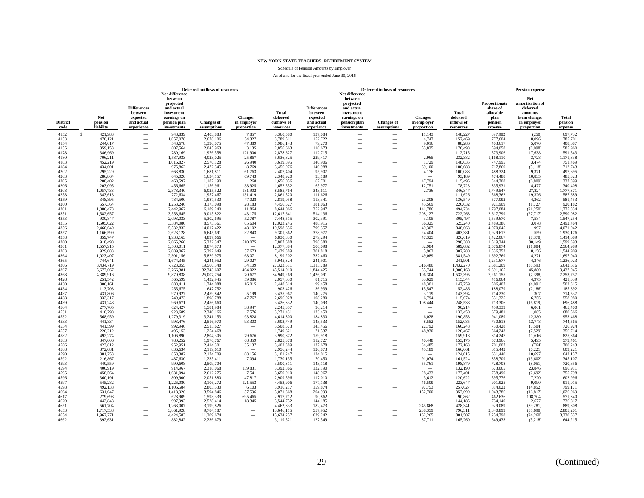Schedule of Pension Amounts by Employer

|                         |                        |                                                      |                                                                 | Deferred outflows of resources   |                           |                          | <b>Deferred inflows of resources</b>      |                                                                 |                                                      |                                    |                          | <b>Pension expense</b>                         |                                                               |                        |  |
|-------------------------|------------------------|------------------------------------------------------|-----------------------------------------------------------------|----------------------------------|---------------------------|--------------------------|-------------------------------------------|-----------------------------------------------------------------|------------------------------------------------------|------------------------------------|--------------------------|------------------------------------------------|---------------------------------------------------------------|------------------------|--|
|                         |                        |                                                      | Net difference                                                  |                                  |                           |                          |                                           | Net difference                                                  |                                                      |                                    |                          |                                                |                                                               |                        |  |
|                         | Net                    | <b>Differences</b><br>between<br>expected            | between<br>projected<br>and actual<br>investment<br>earnings on |                                  | <b>Changes</b>            | <b>Total</b><br>deferred | <b>Differences</b><br>between<br>expected | between<br>projected<br>and actual<br>investment<br>earnings on |                                                      | <b>Changes</b>                     | <b>Total</b><br>deferred | Proportionate<br>share of<br>allocable<br>plan | Net<br>amortization of<br>deferred<br>amounts<br>from changes | <b>Total</b>           |  |
| <b>District</b><br>code | pension<br>liability   | and actual<br>experience                             | pension plan<br>investments                                     | <b>Changes of</b><br>assumptions | in employer<br>proportion | outflows of<br>resources | and actual<br>experience                  | pension plan<br>investments                                     | <b>Changes</b> of<br>assumptions                     | in employer<br>proportion          | inflows of<br>resources  | pension<br>expense                             | in employer<br>proportion                                     | pension<br>expense     |  |
| 4152<br>$\mathbb{S}$    | 421,983                | $\overline{\phantom{0}}$                             | 948,839                                                         | 2,403,883                        | 7,857                     | 3,360,580                | 137,084                                   |                                                                 |                                                      | 11,143                             | 148,227                  | 697,982                                        | (250)                                                         | 697,732                |  |
| 4153                    | 470,121                | $\overline{\phantom{0}}$                             | 1,057,078                                                       | 2,678,106                        | 54,327                    | 3,789,511                | 152,722                                   | $\overline{\phantom{0}}$                                        |                                                      | 4,747                              | 157,469                  | 777,604                                        | 8,096                                                         | 785,701                |  |
| 4154<br>4155            | 244,017<br>359,153     | $\overline{\phantom{a}}$<br>$\overline{\phantom{a}}$ | 548,678<br>807,564                                              | 1,390,075<br>2,045,963           | 47,389<br>3,135           | 1,986,143<br>2,856,663   | 79,270<br>116,673                         | $\overline{\phantom{a}}$<br>$\overline{\phantom{a}}$            | -                                                    | 9,016<br>53,825                    | 88,286<br>170,498        | 403,617<br>594,058                             | 5,070<br>(8,098)                                              | 408,687<br>585,960     |  |
| 4178                    | 346,969                | $\overline{\phantom{a}}$                             | 780,169                                                         | 1,976,558                        | 121,900                   | 2,878,627                | 112,715                                   | $\overline{\phantom{a}}$                                        | $\overline{\phantom{0}}$                             | $\sim$                             | 112,715                  | 573,906                                        | 17,638                                                        | 591,543                |  |
| 4180                    | 706,211                | $\overline{\phantom{a}}$                             | 1,587,933                                                       | 4,023,025                        | 25,867                    | 5,636,825                | 229,417                                   | $\overline{\phantom{a}}$                                        |                                                      | 2,965                              | 232,382                  | 1,168,110                                      | 3,728                                                         | 1,171,838              |  |
| 4183                    | 452,219                | $\overline{\phantom{a}}$                             | 1,016,827                                                       | 2,576,128                        | 26,940                    | 3,619,895                | 146,906                                   | $\overline{\phantom{a}}$                                        | $\overline{\phantom{0}}$                             | 1,729                              | 148,635                  | 747,995                                        | 3,474                                                         | 751,469                |  |
| 4184                    | 434,001                | $\overline{\phantom{a}}$                             | 975,862                                                         | 2,472,345                        | 8.769                     | 3,456,976                | 140.988                                   | $\overline{\phantom{a}}$                                        |                                                      | 39,100                             | 180.088                  | 717,860                                        | (5,118)                                                       | 712,743                |  |
| 4202                    | 295,229                | $\overline{\phantom{a}}$                             | 663,830                                                         | 1,681,811                        | 61,763                    | 2,407,404                | 95,907                                    | $\overline{\phantom{a}}$                                        | -                                                    | 4,176                              | 100,083                  | 488.324                                        | 9.371                                                         | 497,695                |  |
| 4203<br>4205            | 286,864<br>208,402     | $\overline{\phantom{a}}$<br>$\overline{\phantom{a}}$ | 645,020<br>468,597                                              | 1,634,157<br>1,187,190           | 69,743<br>268             | 2,348,920<br>1,656,056   | 93,189<br>67,701                          | $\overline{\phantom{a}}$<br>$\sim$                              | $\overline{\phantom{a}}$                             | $\overline{\phantom{a}}$<br>47,794 | 93,189<br>115,495        | 474,488<br>344,708                             | 10,835<br>(6, 809)                                            | 485,323<br>337,899     |  |
| 4206                    | 203,095                | $\overline{\phantom{a}}$                             | 456,665                                                         | 1,156,961                        | 38,925                    | 1,652,552                | 65,977                                    | $\overline{\phantom{a}}$                                        |                                                      | 12,751                             | 78,728                   | 335,931                                        | 4,477                                                         | 340,408                |  |
| 4208                    | 1,057,733              | $\overline{\phantom{a}}$                             | 2,378,340                                                       | 6,025,522                        | 181,902                   | 8,585,764                | 343,611                                   |                                                                 | $\overline{\phantom{0}}$                             | 2,736                              | 346,347                  | 1,749,547                                      | 27,824                                                        | 1,777,371              |  |
| 4258                    | 343,618                | $\overline{\phantom{a}}$                             | 772,634                                                         | 1,957,467                        | 131,419                   | 2,861,520                | 111,626                                   | $\overline{\phantom{a}}$                                        |                                                      |                                    | 111,626                  | 568,362                                        | 19,326                                                        | 587,689                |  |
| 4259                    | 348,895                | $\overline{\phantom{a}}$                             | 784,500                                                         | 1,987,530                        | 47,028                    | 2,819,058                | 113,341                                   | $\overline{\phantom{a}}$                                        |                                                      | 23,208                             | 136,549                  | 577,092                                        | 4,362                                                         | 581,453                |  |
| 4260                    | 557,364                | $\overline{\phantom{a}}$                             | 1,253,246                                                       | 3,175,098                        | 28,183                    | 4,456,527                | 181,063                                   | $\overline{\phantom{a}}$                                        | $\overline{\phantom{0}}$                             | 45,569                             | 226,632                  | 921,909                                        | (1, 727)                                                      | 920,182                |  |
| 4301<br>4351            | 1,086,473<br>1,582,657 | $\overline{\phantom{a}}$<br>$\overline{\phantom{a}}$ | 2,442,962<br>3,558,645                                          | 6,189,240<br>9,015,822           | 11,864<br>43,175          | 8,644,066<br>12,617,641  | 352,947<br>514,136                        | $\overline{\phantom{a}}$<br>$\overline{\phantom{a}}$            | $\overline{\phantom{0}}$<br>$\overline{\phantom{0}}$ | 141,786<br>208,127                 | 494,734<br>722,263       | 1,797,084<br>2,617,799                         | (21,250)<br>(27, 717)                                         | 1,775,834<br>2,590,082 |  |
| 4353                    | 930,847                | $\overline{\phantom{a}}$                             | 2,093,033                                                       | 5,302,695                        | 52,787                    | 7,448,515                | 302.391                                   | $\overline{\phantom{a}}$                                        | -                                                    | 3,105                              | 305,497                  | 1,539,670                                      | 7,584                                                         | 1,547,254              |  |
| 4355                    | 1,505,022              | $\overline{\phantom{a}}$                             | 3,384,080                                                       | 8,573,561                        | 65,604                    | 12,023,245               | 488,915                                   | $\overline{\phantom{a}}$                                        |                                                      | 36,325                             | 525,240                  | 2,489,386                                      | 3,078                                                         | 2,492,464              |  |
| 4356                    | 2,460,649              | $\overline{\phantom{a}}$                             | 5,532,832                                                       | 14,017,422                       | 48,102                    | 19,598,356               | 799,357                                   | $\overline{\phantom{a}}$                                        |                                                      | 49,307                             | 848,663                  | 4,070,045                                      | 997                                                           | 4,071,042              |  |
| 4357                    | 1,166,599              | $\equiv$                                             | 2,623,128                                                       | 6,645,691                        | 32,843                    | 9,301,662                | 378,977                                   | $\overline{\phantom{a}}$                                        |                                                      | 24,404                             | 403,381                  | 1,929,617                                      | 559                                                           | 1,930,176              |  |
| 4358                    | 859,747                | $\overline{\phantom{0}}$                             | 1,933,163                                                       | 4,897,666                        |                           | 6,830,830                | 279,294                                   | $\overline{\phantom{0}}$                                        | $\overline{\phantom{0}}$                             | 47,325                             | 326,619                  | 1,422,067                                      | (7,378)                                                       | 1,414,689              |  |
| 4360                    | 918,498<br>1,557,915   | $\overline{\phantom{0}}$                             | 2,065,266                                                       | 5,232,347                        | 510,075                   | 7,807,688                | 298,380                                   |                                                                 |                                                      | 82,984                             | 298,380                  | 1,519,244                                      | 80,149                                                        | 1,599,393              |  |
| 4361<br>4363            | 929,083                | $\overline{\phantom{a}}$<br>$\overline{\phantom{a}}$ | 3,503,011<br>2,089,067                                          | 8,874,873<br>5,292,649           | 57,673                    | 12,377,884<br>7,439,389  | 506,098<br>301,818                        | $\overline{\phantom{a}}$<br>$\overline{\phantom{a}}$            |                                                      | 5,962                              | 589,082<br>307,780       | 2,576,874<br>1,536,753                         | (11, 884)<br>8,156                                            | 2,564,989<br>1,544,909 |  |
| 4364                    | 1,023,407              | $\overline{\phantom{a}}$                             | 2,301,156                                                       | 5,829,975                        | 68,071                    | 8,199,202                | 332,460                                   | $\overline{\phantom{a}}$                                        | $\overline{\phantom{a}}$                             | 49,089                             | 381,549                  | 1,692,769                                      | 4,271                                                         | 1,697,040              |  |
| 4365                    | 744,641                | $\overline{\phantom{a}}$                             | 1,674,345                                                       | 4,241,952                        | 29,027                    | 5,945,324                | 241,901                                   | $\overline{\phantom{a}}$                                        | $\overline{\phantom{0}}$                             |                                    | 241,901                  | 1,231,677                                      | 4,346                                                         | 1,236,023              |  |
| 4366                    | 3,434,719              |                                                      | 7,723,055                                                       | 19,566,348                       | 34,109                    | 27,323,511               | 1,115,789                                 |                                                                 |                                                      | 316,480                            | 1,432,270                | 5,681,209                                      | (38, 593)                                                     | 5,642,616              |  |
| 4367                    | 5,677,667              | $\overline{\phantom{a}}$                             | 12,766,381                                                      | 32,343,607                       | 404,022                   | 45,514,010               | 1,844,425                                 | $\overline{\phantom{a}}$                                        |                                                      | 55,744                             | 1,900,168                | 9,391,165                                      | 45,880                                                        | 9,437,045              |  |
| 4368<br>4428            | 4,389,916<br>251,542   | $\overline{\phantom{a}}$<br>$\overline{\phantom{a}}$ | 9,870,838<br>565,599                                            | 25,007,754<br>1,432,945          | 70,677<br>59,086          | 34,949,269<br>2,057,630  | 1,426,091<br>81,715                       | $\overline{\phantom{a}}$<br>$\overline{\phantom{a}}$            | $\overline{\phantom{a}}$                             | 106,304<br>33,629                  | 1.532.395<br>115,344     | 7,261,155<br>416,064                           | (7, 398)<br>4,975                                             | 7,253,757<br>421,039   |  |
| 4430                    | 306,161                | $\overline{\phantom{a}}$                             | 688,411                                                         | 1,744,088                        | 16,015                    | 2,448,514                | 99,458                                    | $\overline{\phantom{a}}$                                        |                                                      | 48,301                             | 147,759                  | 506,407                                        | (4,091)                                                       | 502,315                |  |
| 4434                    | 113,708                | $\overline{\phantom{0}}$                             | 255,675                                                         | 647,752                          |                           | 903,426                  | 36,939                                    |                                                                 | $\overline{\phantom{0}}$                             | 15,547                             | 52,486                   | 188,079                                        | (2,186)                                                       | 185,892                |  |
| 4437                    | 431,806                |                                                      | 970,927                                                         | 2,459,842                        | 5,199                     | 3,435,967                | 140,275                                   |                                                                 |                                                      | 3,119                              | 143,394                  | 714,230                                        | 307                                                           | 714,537                |  |
| 4438                    | 333,317                | $\overline{\phantom{a}}$                             | 749,473                                                         | 1,898,788                        | 47,767                    | 2,696,028                | 108,280                                   | $\overline{\phantom{a}}$                                        |                                                      | 6,794                              | 115,074                  | 551,325                                        | 6,755                                                         | 558,080                |  |
| 4439                    | 431,248                | $\overline{\phantom{a}}$                             | 969,671                                                         | 2,456,660                        |                           | 3,426,332                | 140,093                                   | $\overline{\phantom{a}}$                                        | $\overline{\phantom{a}}$                             | 108,444                            | 248,538                  | 713,306                                        | (16, 819)                                                     | 696,488                |  |
| 4504<br>4531            | 277,705<br>410,798     | $\overline{\phantom{a}}$                             | 624,427<br>923,689                                              | 1,581,984<br>2,340,166           | 38,947<br>7,576           | 2,245,357<br>3,271,431   | 90,214<br>133,450                         | $\overline{\phantom{a}}$                                        | $\overline{\phantom{a}}$                             | $\overline{\phantom{a}}$           | 90,214<br>133,450        | 459,339<br>679,481                             | 6,061<br>1,085                                                | 465,400<br>680,566     |  |
| 4532                    | 568,959                | $\overline{\phantom{a}}$                             | 1,279,319                                                       | 3,241,153                        | 93,828                    | 4,614,300                | 184,830                                   |                                                                 |                                                      | 6,028                              | 190,858                  | 941,089                                        | 12,380                                                        | 953,468                |  |
| 4533                    | 441,834                | $\overline{\phantom{a}}$                             | 993,476                                                         | 2,516,970                        | 93,303                    | 3,603,749                | 143,533                                   | $\overline{\phantom{a}}$                                        |                                                      | 8,552                              | 152,085                  | 730,818                                        | 13,748                                                        | 744,565                |  |
| 4534                    | 441,599                | $\equiv$                                             | 992,946                                                         | 2,515,627                        |                           | 3,508,573                | 143,456                                   | $\overline{\phantom{a}}$                                        | $\overline{\phantom{a}}$                             | 22,792                             | 166,248                  | 730,428                                        | (3,504)                                                       | 726,924                |  |
| 4557                    | 220,212                | $\overline{\phantom{a}}$                             | 495,153                                                         | 1,254,468                        | $\overline{\phantom{a}}$  | 1,749,621                | 71,537                                    | $\overline{\phantom{a}}$                                        | $\overline{\phantom{a}}$                             | 48,930                             | 120,467                  | 364,243                                        | (7, 529)                                                      | 356,714                |  |
| 4582                    | 492.274                | $\overline{\phantom{a}}$                             | 1,106,890                                                       | 2,804,305                        | 79,676                    | 3,990,872                | 159,918                                   |                                                                 | $\overline{\phantom{0}}$                             |                                    | 159,918                  | 814,247                                        | 11,616                                                        | 825,864                |  |
| 4583<br>4586            | 347,006<br>423,812     |                                                      | 780,252<br>952,951                                              | 1,976,767<br>2,414,301           | 68,359<br>35,137          | 2,825,378<br>3,402,389   | 112,727<br>137,678                        |                                                                 |                                                      | 40,448<br>34,485                   | 153,175<br>172,163       | 573,966<br>701,007                             | 5,495<br>(764)                                                | 579,461<br>700,243     |  |
| 4588                    | 372,081                | $\overline{\phantom{a}}$                             | 836,634                                                         | 2,119,610                        |                           | 2,956,244                | 120,873                                   | $\overline{\phantom{a}}$                                        |                                                      | 45,189                             | 166,061                  | 615,442                                        | (6,221)                                                       | 609,221                |  |
| 4590                    | 381,753                | $\overline{\phantom{a}}$                             | 858,382                                                         | 2,174,709                        | 68,156                    | 3,101,247                | 124,015                                   | $\overline{\phantom{a}}$                                        | $\overline{\phantom{a}}$                             |                                    | 124,015                  | 631,440                                        | 10,697                                                        | 642,137                |  |
| 4592                    | 216,867                | $\equiv$                                             | 487,630                                                         | 1,235,411                        | 7,094                     | 1,730,135                | 70,450                                    | $\overline{\phantom{a}}$                                        | $\overline{\phantom{a}}$                             | 91,074                             | 161,524                  | 358,709                                        | (13,602)                                                      | 345,107                |  |
| 4593                    | 440,559                |                                                      | 990,608                                                         | 2,509,704                        |                           | 3,500,311                | 143,118                                   |                                                                 |                                                      | 55,761                             | 198,879                  | 728,708                                        | (8,051)                                                       | 720,656                |  |
| 4594<br>4595            | 406,919<br>458,564     | $\overline{\phantom{a}}$                             | 914,967                                                         | 2,318,068<br>2,612,275           | 159,831                   | 3,392,866                | 132,190                                   |                                                                 | $\overline{\phantom{0}}$                             | 28,433                             | 132,190                  | 673,065<br>758,490                             | 23,846<br>(2,692)                                             | 696,911<br>755,798     |  |
| 4596                    | 360,191                | $\overline{\phantom{a}}$                             | 1,031,094<br>809,900                                            | 2,051,880                        | 7,541<br>47,817           | 3,650,910<br>2,909,596   | 148,967<br>117,010                        | $\sim$                                                          | $\overline{\phantom{a}}$                             | 3,612                              | 177,401<br>120,622       | 595,776                                        | 7,220                                                         | 602,996                |  |
| 4597                    | 545,282                | $\overline{\phantom{a}}$                             | 1,226,080                                                       | 3,106,272                        | 121,553                   | 4,453,906                | 177,138                                   | $\overline{\phantom{a}}$                                        | $\overline{\phantom{a}}$                             | 46,509                             | 223,647                  | 901,925                                        | 9,090                                                         | 911,015                |  |
| 4598                    | 492,138                |                                                      | 1,106,584                                                       | 2,803,530                        | 6,103                     | 3,916,217                | 159,874                                   |                                                                 | $\overline{\phantom{0}}$                             | 97,753                             | 257,627                  | 814,022                                        | (14, 852)                                                     | 799,171                |  |
| 4604                    | 631,047                |                                                      | 1,418,926                                                       | 3,594,846                        | 57,596                    | 5,071,368                | 204,999                                   |                                                                 | $\overline{\phantom{0}}$                             | 152,700                            | 357,699                  | 1,043,786                                      | (16, 817)                                                     | 1,026,969              |  |
| 4617                    | 279,698                |                                                      | 628,909                                                         | 1,593,339                        | 695,465                   | 2,917,712                | 90,862                                    |                                                                 | $\overline{\phantom{0}}$                             | $\sim$                             | 90,862                   | 462,636                                        | 108,704                                                       | 571,340                |  |
| 4620                    | 443,843                | $\overline{\phantom{a}}$<br>$\overline{\phantom{a}}$ | 997,993                                                         | 2,528,414                        | 18,345                    | 3,544,752<br>4,462,833   | 144,185                                   | $\overline{\phantom{a}}$                                        | $\overline{\phantom{a}}$<br>$\overline{\phantom{a}}$ |                                    | 144,185                  | 734,140<br>929,089                             | 2,677                                                         | 736,817<br>889,808     |  |
| 4651<br>4653            | 561,704<br>1,717,538   |                                                      | 1,263,007<br>3,861,928                                          | 3,199,826<br>9,784,187           |                           | 13,646,115               | 182,473<br>557,952                        |                                                                 |                                                      | 245,868<br>238,359                 | 428,341<br>796,311       | 2,840,899                                      | (39, 281)<br>(35,698)                                         | 2,805,201              |  |
| 4654                    | 1,967,771              |                                                      | 4,424,583                                                       | 11,209,674                       |                           | 15,634,257               | 639,242                                   |                                                                 |                                                      | 162,265                            | 801,507                  | 3,254,798                                      | (24,260)                                                      | 3,230,537              |  |
| 4662                    | 392,631                |                                                      | 882,842                                                         | 2,236,679                        |                           | 3,119,521                | 127,549                                   |                                                                 |                                                      | 37,711                             | 165,260                  | 649,433                                        | (5,218)                                                       | 644,215                |  |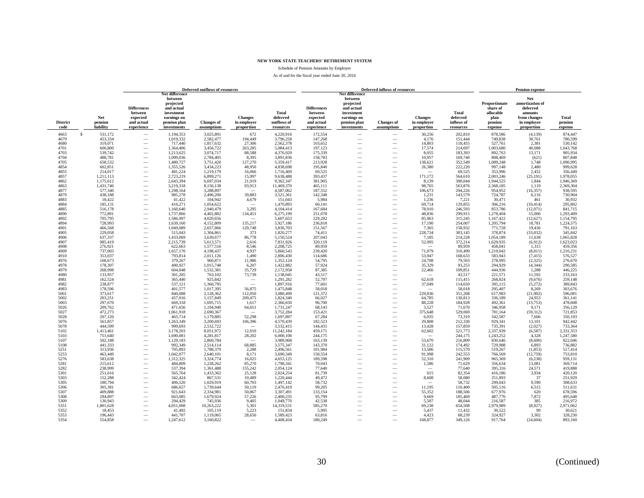Schedule of Pension Amounts by Employer

|                         |                             |                                                      |                                                          | <b>Deferred outflows of resources</b> |                                             |                                                      | Deferred inflows of resources                   |                                                          |                                                      |                                             |                                                     | <b>Pension expense</b>                  |                                                      |                                    |  |
|-------------------------|-----------------------------|------------------------------------------------------|----------------------------------------------------------|---------------------------------------|---------------------------------------------|------------------------------------------------------|-------------------------------------------------|----------------------------------------------------------|------------------------------------------------------|---------------------------------------------|-----------------------------------------------------|-----------------------------------------|------------------------------------------------------|------------------------------------|--|
|                         |                             | <b>Differences</b>                                   | Net difference<br>between<br>projected<br>and actual     |                                       |                                             |                                                      | <b>Differences</b>                              | Net difference<br>between<br>projected<br>and actual     |                                                      |                                             |                                                     | Proportionate<br>share of               | Net<br>amortization of<br>deferred                   |                                    |  |
| <b>District</b><br>code | Net<br>pension<br>liability | between<br>expected<br>and actual<br>experience      | investment<br>earnings on<br>pension plan<br>investments | <b>Changes</b> of<br>assumptions      | <b>Changes</b><br>in employer<br>proportion | <b>Total</b><br>deferred<br>outflows of<br>resources | between<br>expected<br>and actual<br>experience | investment<br>earnings on<br>pension plan<br>investments | <b>Changes</b> of<br>assumptions                     | <b>Changes</b><br>in employer<br>proportion | <b>Total</b><br>deferred<br>inflows of<br>resources | allocable<br>plan<br>pension<br>expense | amounts<br>from changes<br>in employer<br>proportion | <b>Total</b><br>pension<br>expense |  |
| 4663<br>$\mathbb{S}$    | 531,172                     | $\overline{\phantom{m}}$                             | 1,194,353                                                | 3,025,891                             | 672                                         | 4,220,916                                            | 172,554                                         |                                                          |                                                      | 30,256                                      | 202,810                                             | 878,586                                 | (4, 139)                                             | 874,447                            |  |
| 4679                    | 453,334                     |                                                      | 1,019,332                                                | 2,582,477                             | 194,449                                     | 3,796,258                                            | 147,268                                         | $\overline{\phantom{a}}$                                 | $\overline{\phantom{a}}$                             | 4,176                                       | 151,444                                             | 749,838                                 | 30,761                                               | 780,599                            |  |
| 4680<br>4701            | 319,071<br>606,800          | $\overline{\phantom{0}}$                             | 717,440<br>1,364,406                                     | 1,817,632<br>3,456,722                | 27,306<br>263,285                           | 2,562,378<br>5,084,413                               | 103,652<br>197,123                              | -                                                        | $\overline{\phantom{0}}$<br>$\overline{\phantom{a}}$ | 14.803<br>17,574                            | 118,455<br>214,697                                  | 527,761<br>1,003,680                    | 2.381<br>40,088                                      | 530,142<br>1,043,768               |  |
| 4703                    | 539,742                     | $\overline{\phantom{0}}$                             | 1,213,625                                                | 3,074,717                             | 88,588                                      | 4,376,929                                            | 175,339                                         | $\overline{\phantom{a}}$                                 | $\overline{\phantom{0}}$                             | 8,055                                       | 183,393                                             | 892,763                                 | 13,171                                               | 905,934                            |  |
| 4704                    | 488,781                     | $\overline{\phantom{0}}$                             | 1,099,036                                                | 2,784,405                             | 8,395                                       | 3,891,836                                            | 158,783                                         | $\overline{\phantom{a}}$                                 | $\overline{\phantom{a}}$                             | 10,957                                      | 169,740                                             | 808,469                                 | (621)                                                | 807,848                            |  |
| 4705                    | 658,532                     | $\overline{\phantom{0}}$                             | 1,480,727                                                | 3,751,420                             | 127,270                                     | 5,359,417                                            | 213,928                                         | $\overline{\phantom{a}}$                                 | $\overline{\phantom{a}}$                             | 138,621                                     | 352,549                                             | 1,089,248                               | 1,748                                                | 1,090,995                          |  |
| 4854                    | 602,851                     | $\overline{\phantom{0}}$                             | 1,355,526                                                | 3,434,223                             | 48.950                                      | 4.838.698                                            | 195,840                                         | -                                                        | $\overline{\phantom{a}}$                             | 26,380                                      | 222,220                                             | 997.148                                 | 2.480                                                | 999,628                            |  |
| 4855<br>4857            | 214,017<br>1,211,113        | $\overline{\phantom{0}}$<br>$\overline{\phantom{0}}$ | 481,224<br>2,723,219                                     | 1,219,179<br>6,899,271                | 16,066<br>15,997                            | 1,716,469<br>9,638,488                               | 69,525<br>393,437                               | $\overline{\phantom{a}}$<br>$\overline{\phantom{a}}$     | $\overline{\phantom{a}}$<br>$\overline{\phantom{a}}$ | 171,172                                     | 69,525<br>564,610                                   | 353,996<br>2,003,246                    | 2,452<br>(25, 191)                                   | 356,449<br>1,978,055               |  |
| 4862                    | 1,175,612                   | $\overline{\phantom{a}}$                             | 2,643,394                                                | 6,697,034                             | 21,919                                      | 9,362,347                                            | 381,905                                         | $\overline{\phantom{a}}$                                 | $\equiv$                                             | 8,139                                       | 390,044                                             | 1,944,525                               | 1,844                                                | 1,946,369                          |  |
| 4863                    | 1,431,746                   | $\overline{\phantom{0}}$                             | 3,219,318                                                | 8,156,138                             | 93,913                                      | 11,469,370                                           | 465,111                                         | $\overline{\phantom{a}}$                                 | $\overline{\phantom{a}}$                             | 98,765                                      | 563,876                                             | 2,368,185                               | 1,119                                                | 2,369,304                          |  |
| 4877                    | 577,340                     | $\overline{\phantom{0}}$                             | 1,298,164                                                | 3,288,897                             |                                             | 4,587,062                                            | 187,552                                         | $\overline{\phantom{0}}$                                 | $\overline{\phantom{0}}$                             | 106,673                                     | 294,226                                             | 954,952                                 | (16, 357)                                            | 938,595                            |  |
| 4879                    | 438,188                     | $\overline{\phantom{0}}$                             | 985,278                                                  | 2,496,200                             | 39,883                                      | 3,521,361                                            | 142,348                                         | -                                                        | $\overline{\phantom{a}}$                             | 1,231                                       | 143,579                                             | 724,787                                 | 6,116                                                | 730,904                            |  |
| 4883                    | 18,422                      | $\overline{\phantom{0}}$                             | 41,422                                                   | 104,942                               | 4,679                                       | 151,043                                              | 5,984                                           | $\overline{\phantom{a}}$                                 | $\overline{\phantom{a}}$                             | 1,236                                       | 7,221                                               | 30,471                                  | 461                                                  | 30,932                             |  |
| 4884<br>4885            | 185,131<br>516,178          | $\overline{\phantom{0}}$                             | 416,271<br>1,160,640                                     | 1,054,622<br>2,940,479                | 3,295                                       | 1,470,893<br>4,104,414                               | 60,141<br>167,684                               | -                                                        |                                                      | 69,714<br>78,910                            | 129,855<br>246,593                                  | 306,216<br>853,786                      | (10, 414)<br>(12,071)                                | 295,802<br>841,715                 |  |
| 4890                    | 772,891                     | $\overline{\phantom{0}}$                             | 1,737,866                                                | 4,402,882                             | 134,451                                     | 6,275,199                                            | 251,078                                         | $\overline{\phantom{0}}$                                 | $\overline{\phantom{0}}$                             | 48,836                                      | 299,915                                             | 1,278,404                               | 15,006                                               | 1,293,409                          |  |
| 4892                    | 705,795                     | $\overline{\phantom{0}}$                             | 1,586,997                                                | 4,020,656                             |                                             | 5,607,653                                            | 229,282                                         | -                                                        | $\overline{\phantom{a}}$                             | 85.963                                      | 315,245                                             | 1,167,422                               | (12, 627)                                            | 1,154,795<br>1,224,575             |  |
| 4894                    | 728,993                     | $\overline{\phantom{0}}$                             | 1,639,160                                                | 4,152,809                             | 135,217                                     | 5,927,186                                            | 236,818                                         |                                                          | $\overline{\phantom{a}}$                             | 17,190                                      | 254,007                                             | 1,205,794                               | 18,781                                               |                                    |  |
| 4901                    | 466,568                     | $\overline{\phantom{0}}$                             | 1,049,089                                                | 2,657,866                             | 129,748                                     | 3,836,703                                            | 151,567                                         | -                                                        | $\overline{\phantom{a}}$                             | 7,365                                       | 158,932                                             | 771,728                                 | 19,436                                               | 791,163                            |  |
| 4905<br>4906            | 229,058<br>637,337          | $\overline{\phantom{0}}$                             | 515,043<br>1,433,069                                     | 1,304,861<br>3,630,677                | 373<br>86,778                               | 1,820,277<br>5,150,524                               | 74,411<br>207,043                               | -<br>$\overline{\phantom{0}}$                            | $\overline{\phantom{a}}$<br>$\overline{\phantom{0}}$ | 228,734<br>7,185                            | 303,145<br>214,228                                  | 378,874<br>1,054,189                    | (33,032)<br>11,638                                   | 345,842<br>1,065,828               |  |
| 4907                    | 985,419                     | $\overline{\phantom{0}}$                             | 2,215,739                                                | 5,613,571                             | 2,616                                       | 7,831,926                                            | 320,119                                         |                                                          | $\overline{\phantom{0}}$                             | 52,095                                      | 372,214                                             | 1,629,935                               | (6,912)                                              | 1,623,023                          |  |
| 4908                    | 276,921                     | $\overline{\phantom{0}}$                             | 622,663                                                  | 1,577,516                             | 8,546                                       | 2,208,725                                            | 89,959                                          |                                                          | $\overline{\phantom{a}}$                             |                                             | 89,959                                              | 458,041                                 | 1,315                                                | 459,356                            |  |
| 4909                    | 737,003                     | $\overline{\phantom{0}}$                             | 1,657,170                                                | 4,198,437                             | 4,937                                       | 5,860,543                                            | 239,420                                         | $\overline{\phantom{a}}$                                 | $\overline{\phantom{a}}$                             | 71,079                                      | 310,499                                             | 1,219,042                               | (8, 811)                                             | 1,210,231                          |  |
| 4910                    | 353,037                     | $\overline{\phantom{a}}$                             | 793,814                                                  | 2,011,126                             | 1,490                                       | 2,806,430                                            | 114,686                                         | $\overline{\phantom{a}}$                                 | $\overline{\phantom{a}}$                             | 53,947                                      | 168,633                                             | 583,943                                 | (7, 415)                                             | 576,527                            |  |
| 4976<br>4978            | 168,673<br>178,307          |                                                      | 379,267<br>400,927                                       | 960,871<br>1,015,748                  | 11,986<br>6,207                             | 1,352,124<br>1,422,882                               | 54,795<br>57,924                                | $\overline{\phantom{0}}$                                 | $\overline{\phantom{0}}$                             | 24,708<br>35,329                            | 79,503<br>93,253                                    | 278,995<br>294,929                      | (2, 325)<br>(4,344)                                  | 276,670<br>290,585                 |  |
| 4979                    | 268,998                     | $\overline{\phantom{0}}$                             | 604,848                                                  | 1,532,381                             | 35,729                                      | 2,172,958                                            | 87,385                                          | $\overline{\phantom{a}}$                                 | $\overline{\phantom{a}}$                             | 22,466                                      | 109,851                                             | 444,936                                 | 1,288                                                | 446,225                            |  |
| 4980                    | 133,957                     | $\overline{\phantom{0}}$                             | 301,205                                                  | 763,102                               | 73,739                                      | 1,138,045                                            | 43,517                                          | $\overline{\phantom{a}}$                                 | $\overline{\phantom{a}}$                             | -                                           | 43,517                                              | 221,571                                 | 11,592                                               | 233,163                            |  |
| 4981                    | 162,524                     | $\overline{\phantom{a}}$                             | 365,440                                                  | 925,842                               |                                             | 1,291,282                                            | 52,797                                          | $\overline{\phantom{a}}$                                 | $\overline{\phantom{a}}$                             | 62,618                                      | 115,415                                             | 268,824                                 | (9,676)                                              | 259,148                            |  |
| 4982                    | 238,877                     | $\overline{\phantom{0}}$                             | 537,121                                                  | 1,360,795                             |                                             | 1,897,916                                            | 77,601                                          | -                                                        | $\overline{\phantom{a}}$                             | 37,049                                      | 114,650                                             | 395,115                                 | (5,272)                                              | 389,843                            |  |
| 4983<br>5001            | 178,596<br>373,617          | $\overline{\phantom{0}}$<br>$\overline{\phantom{0}}$ | 401,577<br>840,088                                       | 1,017,395<br>2,128,362                | 56,875<br>112,050                           | 1,475,848<br>3,080,499                               | 58,018<br>121,372                               | $\overline{\phantom{0}}$                                 | $\overline{\phantom{0}}$<br>$\overline{\phantom{0}}$ | 229,836                                     | 58,018<br>351,208                                   | 295,407<br>617,983                      | 8,269<br>(21,902)                                    | 303,676<br>596,081                 |  |
| 5002                    | 203,251                     | $\overline{\phantom{0}}$                             | 457,016                                                  | 1,157,849                             | 209,475                                     | 1,824,340                                            | 66,027                                          | $\overline{\phantom{a}}$                                 | $\overline{\phantom{a}}$                             | 64,785                                      | 130,813                                             | 336,189                                 | 24,953                                               | 361,141                            |  |
| 5003                    | 297,670                     | $\overline{\phantom{a}}$                             | 669,318                                                  | 1,695,715                             | 1,617                                       | 2,366,650                                            | 96,700                                          | $\overline{\phantom{a}}$                                 | $\overline{\phantom{a}}$                             | 88,228                                      | 184,928                                             | 492,361                                 | (13, 753)                                            | 478,608                            |  |
| 5026                    | 209,762                     | $\overline{\phantom{a}}$                             | 471,656                                                  | 1,194,940                             | 64,651                                      | 1,731,247                                            | 68,143                                          | -                                                        | $\overline{\phantom{a}}$                             | 3,527                                       | 71,670                                              | 346,958                                 | 9,171                                                | 356,129                            |  |
| 5027                    | 472,273                     |                                                      | 1,061,918                                                | 2,690,367                             |                                             | 3,752,284                                            | 153,421                                         |                                                          | $\overline{\phantom{0}}$                             | 375,648                                     | 529,069                                             | 781,164                                 | (59,312)                                             | 721,853                            |  |
| 5028                    | 207,120                     |                                                      | 465,714                                                  | 1,179,885                             | 52,298                                      | 1,697,897                                            | 67,284                                          |                                                          |                                                      | 6,035                                       | 73,319                                              | 342,587                                 | 7,606                                                | 350,193                            |  |
| 5076<br>5078            | 561,857<br>444,599          | $\overline{\phantom{0}}$<br>$\overline{\phantom{a}}$ | 1,263,349<br>999,693                                     | 3,200,693<br>2,532,722                | 106,396                                     | 4,570,439<br>3,532,415                               | 182,523<br>144,431                              | -                                                        | $\overline{\phantom{a}}$<br>$\overline{\phantom{a}}$ | 29,808<br>13,428                            | 212,330<br>157,859                                  | 929,341<br>735,391                      | 13,101<br>(2,027)                                    | 942,442<br>733,364                 |  |
| 5102                    | 1,413,461                   | $\overline{\phantom{a}}$                             | 3,178,203                                                | 8,051,972                             | 12,010                                      | 11,242,184                                           | 459,171                                         | -                                                        | $\overline{\phantom{a}}$                             | 62,602                                      | 521,773                                             | 2,337,939                               | (6, 587)                                             | 2,331,353                          |  |
| 5103                    | 751,640                     |                                                      | 1,690,081                                                | 4,281,817                             | 28,202                                      | 6,000,100                                            | 244,175                                         |                                                          | $\overline{\phantom{0}}$                             | $\overline{\phantom{a}}$                    | 244,175                                             | 1,243,252                               | 4,328                                                | 1,247,580                          |  |
| 5107                    | 502,188                     | $\overline{\phantom{0}}$                             | 1,129,183                                                | 2,860,784                             |                                             | 3,989,968                                            | 163,139                                         |                                                          | $\overline{\phantom{0}}$                             | 53,670                                      | 216,809                                             | 830,646                                 | (8,600)                                              | 822,046                            |  |
| 5108                    | 441,333                     | $\overline{\phantom{0}}$                             | 992,349                                                  | 2,514,114                             | 68,885                                      | 3,575,347                                            | 143,370                                         |                                                          |                                                      | 31,122                                      | 174,492                                             | 729,988                                 | 6,893                                                | 736,882                            |  |
| 5251<br>5253            | 313,936<br>463,449          | $\overline{\phantom{m}}$<br>$\overline{\phantom{a}}$ | 705,893<br>1,042,077                                     | 1,788,379<br>2,640,101                | 2,288<br>8,171                              | 2,496,561<br>3,690,349                               | 101,984<br>150,554                              | $\overline{\phantom{a}}$<br>$\overline{\phantom{a}}$     | $\overline{\phantom{a}}$<br>$\overline{\phantom{a}}$ | 13,586<br>91,998                            | 115,570<br>242,553                                  | 519,267<br>766,569                      | (1, 853)<br>(12, 759)                                | 517,414<br>753,810                 |  |
| 5276                    | 583,638                     | $\overline{\phantom{0}}$                             | 1,312,325                                                | 3,324,774                             | 16,025                                      | 4,653,125                                            | 189,598                                         | $\overline{\phantom{a}}$                                 | $\equiv$                                             | 52,310                                      | 241,909                                             | 965,369                                 | (6, 238)                                             | 959,131                            |  |
| 5281                    | 215,612                     |                                                      | 484,809                                                  | 1,228,262                             | 85,270                                      | 1,798,341                                            | 70,043                                          |                                                          |                                                      | 1,586                                       | 71,629                                              | 356,634                                 | 13,081                                               | 369,714                            |  |
| 5282                    | 238,999                     | $\overline{\phantom{0}}$                             | 537,394                                                  | 1,361,488                             | 155,242                                     | 2,054,124                                            | 77,640                                          |                                                          |                                                      |                                             | 77,640                                              | 395,316                                 | 24,571                                               | 419,888                            |  |
| 5301                    | 251,616                     |                                                      | 565,764                                                  | 1,433,362                             | 25,128                                      | 2,024,254                                            | 81,739                                          | $\overline{\phantom{0}}$                                 | $\overline{\phantom{a}}$                             | 615                                         | 82,354                                              | 416,186                                 | 3,934                                                | 420,120                            |  |
| 5303                    | 152.288                     | $\overline{\phantom{a}}$<br>$\overline{\phantom{a}}$ | 342,424                                                  | 867,531                               | 10,489                                      | 1,220,444<br>1,497,142                               | 49,472                                          | -<br>$\overline{\phantom{a}}$                            | $\overline{\phantom{a}}$<br>$\overline{\phantom{a}}$ | 8,608<br>$\overline{\phantom{a}}$           | 58,080<br>58,732                                    | 251,893                                 | 37                                                   | 251,929<br>308,633                 |  |
| 5305<br>5306            | 180,794<br>305,381          | $\overline{\phantom{0}}$                             | 406,520<br>686,657                                       | 1,029,919<br>1,739,644                | 60,703<br>50.119                            | 2,476,419                                            | 58,732<br>99,205                                |                                                          |                                                      | 11,195                                      | 110,400                                             | 299,043<br>505,116                      | 9,590<br>6,515                                       | 511,631                            |  |
| 5307                    | 409,888                     | $\overline{\phantom{0}}$                             | 921,643                                                  | 2,334,981                             | 50,867                                      | 3,307,491                                            | 133,154                                         |                                                          |                                                      | 55,352                                      | 188,506                                             | 677,976                                 | 620                                                  | 678,596                            |  |
| 5308                    | 294,897                     | $\overline{\phantom{0}}$                             | 663,085                                                  | 1,679,924                             | 57,226                                      | 2,400,235                                            | 95,799                                          |                                                          | $\overline{\phantom{0}}$                             | 9,669                                       | 105,469                                             | 487,776                                 | 7,872                                                | 495,648                            |  |
| 5309                    | 130,943                     | $\overline{\phantom{a}}$                             | 294,429                                                  | 745,936                               | 9,405                                       | 1,049,770                                            | 42,538                                          | -                                                        | $\overline{\phantom{a}}$                             | 5,507                                       | 48,044                                              | 216,587                                 | 385                                                  | 216,972                            |  |
| 5351                    | 1,801,628                   | $\overline{\phantom{a}}$                             | 4,051,008                                                | 10,263,222                            | 5,301                                       | 14,319,531                                           | 585,270                                         |                                                          | $\overline{\phantom{a}}$                             | 69,238                                      | 654,508                                             | 2,979,989                               | (8,927)                                              | 2,971,062                          |  |
| 5352<br>5353            | 18,453<br>196,443           | $\overline{\phantom{0}}$                             | 41,492<br>441,707                                        | 105,119<br>1,119,065                  | 5,223<br>28,650                             | 151,834<br>1,589,423                                 | 5,995<br>63,816                                 |                                                          |                                                      | 5,437<br>4,423                              | 11,432<br>68,239                                    | 30,522<br>324,927                       | 99<br>3,302                                          | 30,621<br>328,230                  |  |
| 5354                    | 554,858                     |                                                      | 1,247,612                                                | 3,160,822                             |                                             | 4,408,434                                            | 180,249                                         |                                                          |                                                      | 168,877                                     | 349,126                                             | 917,764                                 | (24, 604)                                            | 893,160                            |  |
|                         |                             |                                                      |                                                          |                                       |                                             |                                                      |                                                 |                                                          |                                                      |                                             |                                                     |                                         |                                                      |                                    |  |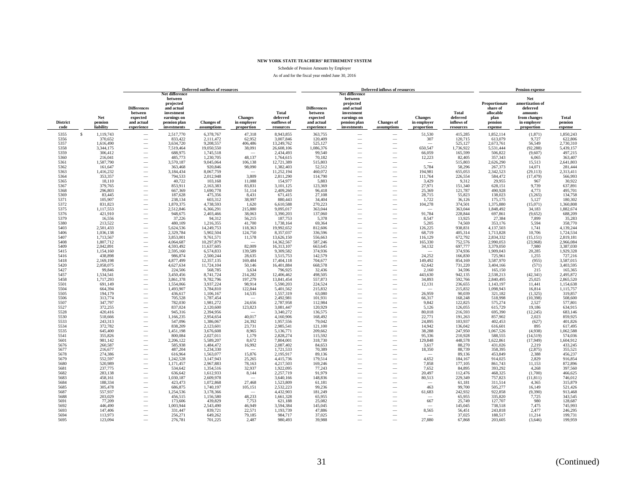Schedule of Pension Amounts by Employer

|                         |                             |                                                                       |                                                                                                                  | Deferred outflows of resources   |                                             |                                                      | <b>Deferred inflows of resources</b>                                  |                                                                                                                  |                                                      |                                             |                                                     | <b>Pension expense</b>                                               |                                                                                            |                                    |  |
|-------------------------|-----------------------------|-----------------------------------------------------------------------|------------------------------------------------------------------------------------------------------------------|----------------------------------|---------------------------------------------|------------------------------------------------------|-----------------------------------------------------------------------|------------------------------------------------------------------------------------------------------------------|------------------------------------------------------|---------------------------------------------|-----------------------------------------------------|----------------------------------------------------------------------|--------------------------------------------------------------------------------------------|------------------------------------|--|
| <b>District</b><br>code | Net<br>pension<br>liability | <b>Differences</b><br>between<br>expected<br>and actual<br>experience | Net difference<br>between<br>projected<br>and actual<br>investment<br>earnings on<br>pension plan<br>investments | <b>Changes</b> of<br>assumptions | <b>Changes</b><br>in employer<br>proportion | <b>Total</b><br>deferred<br>outflows of<br>resources | <b>Differences</b><br>between<br>expected<br>and actual<br>experience | Net difference<br>between<br>projected<br>and actual<br>investment<br>earnings on<br>pension plan<br>investments | <b>Changes</b> of<br>assumptions                     | <b>Changes</b><br>in employer<br>proportion | <b>Total</b><br>deferred<br>inflows of<br>resources | Proportionate<br>share of<br>allocable<br>plan<br>pension<br>expense | Net<br>amortization of<br>deferred<br>amounts<br>from changes<br>in employer<br>proportion | <b>Total</b><br>pension<br>expense |  |
| 5355<br>$\mathbb{S}$    | 1,119,743                   | -                                                                     | 2,517,770                                                                                                        | 6,378,767                        | 47,318                                      | 8,943,855                                            | 363,755                                                               |                                                                                                                  |                                                      | 51,530                                      | 415,285                                             | 1,852,114                                                            | (1, 871)                                                                                   | 1,850,243                          |  |
| 5356                    | 370,652                     | $\overline{\phantom{a}}$                                              | 833,422                                                                                                          | 2,111,472                        | 62,952                                      | 3,007,846                                            | 120,409                                                               | $\overline{\phantom{m}}$                                                                                         | $\overline{\phantom{0}}$                             | 307                                         | 120,715                                             | 613,079                                                              | 9,727                                                                                      | 622,806                            |  |
| 5357                    | 1,616,490                   |                                                                       | 3,634,720                                                                                                        | 9,208,557                        | 406,486                                     | 13,249,762                                           | 525,127                                                               |                                                                                                                  |                                                      | $\equiv$                                    | 525,127                                             | 2,673,761                                                            | 56,549                                                                                     | 2,730,310                          |  |
| 5358<br>5359            | 3,344,175<br>306,412        | $\overline{\phantom{a}}$                                              | 7,519,464<br>688,975                                                                                             | 19,050,550<br>1,745,518          | 38,091                                      | 26,608,106<br>2,434,493                              | 1,086,376<br>99,540                                                   | $\overline{\phantom{a}}$                                                                                         | $\overline{\phantom{a}}$                             | 650,547<br>66,059                           | 1,736,922<br>165,599                                | 5,531,444<br>506,822                                                 | (92, 288)<br>(9,607)                                                                       | 5,439,157<br>497,215               |  |
| 5360                    | 216,041                     | $\overline{\phantom{a}}$                                              | 485,773                                                                                                          | 1,230,705                        | 48,137                                      | 1,764,615                                            | 70,182                                                                | $\overline{\phantom{a}}$                                                                                         | $\overline{\phantom{a}}$                             | 12,223                                      | 82,405                                              | 357,343                                                              | 6,065                                                                                      | 363,407                            |  |
| 5361                    | 1,587,790                   | $\overline{\phantom{a}}$                                              | 3,570,187                                                                                                        | 9,045,064                        | 106,138                                     | 12,721,389                                           | 515,803                                                               | $\overline{\phantom{a}}$                                                                                         | $\overline{\phantom{a}}$                             |                                             | 515,803                                             | 2,626,290                                                            | 15,513                                                                                     | 2,641,803                          |  |
| 5362                    | 161,647                     |                                                                       | 363,468                                                                                                          | 920,846                          | 98,090                                      | 1,382,403                                            | 52,512                                                                |                                                                                                                  |                                                      | 5,784                                       | 58,296                                              | 267,373                                                              | 14,071                                                                                     | 281,444                            |  |
| 5363                    | 1,416,232                   |                                                                       | 3,184,434                                                                                                        | 8,067,759                        |                                             | 11,252,194                                           | 460,072                                                               |                                                                                                                  |                                                      | 194,981                                     | 655,053                                             | 2,342,523                                                            | (29, 113)                                                                                  | 2,313,411                          |  |
| 5364                    | 353,357                     | $\overline{\phantom{0}}$                                              | 794,533                                                                                                          | 2,012,948                        | 3.809                                       | 2,811,290                                            | 114,790                                                               | $\overline{\phantom{a}}$                                                                                         |                                                      | 111,764                                     | 226,554                                             | 584,472                                                              | (17, 479)                                                                                  | 566,993                            |  |
| 5365<br>5367            | 18,110<br>379,765           | $\overline{\phantom{a}}$<br>$\overline{\phantom{a}}$                  | 40,722<br>853,911                                                                                                | 103,168<br>2,163,383             | 11,088<br>83,831                            | 154,977<br>3,101,125                                 | 5,883<br>123,369                                                      | $\overline{\phantom{a}}$<br>$\overline{\phantom{a}}$                                                             | $\overline{\phantom{a}}$<br>$\overline{\phantom{a}}$ | 3,429<br>27,971                             | 9,312<br>151,340                                    | 29,955<br>628,151                                                    | 967<br>9,739                                                                               | 30,922<br>637,891                  |  |
| 5368                    | 296,803                     | $\overline{\phantom{a}}$                                              | 667,369                                                                                                          | 1,690,778                        | 51,114                                      | 2,409,260                                            | 96,418                                                                | $\sim$                                                                                                           | $\overline{\phantom{a}}$                             | 25,369                                      | 121,787                                             | 490,928                                                              | 4,773                                                                                      | 495,701                            |  |
| 5369                    | 83,445                      |                                                                       | 187,628                                                                                                          | 475,356                          | 8,431                                       | 671,415                                              | 27,108                                                                |                                                                                                                  |                                                      | 28,715                                      | 55,823                                              | 138,023                                                              | (3,265)                                                                                    | 134,758                            |  |
| 5371                    | 105,907                     | $\overline{\phantom{0}}$                                              | 238,134                                                                                                          | 603.312                          | 38,997                                      | 880,443                                              | 34,404                                                                |                                                                                                                  | $\overline{\phantom{0}}$                             | 1.722                                       | 36,126                                              | 175,175                                                              | 5,127                                                                                      | 180,302                            |  |
| 5372                    | 831,823                     | $\overline{\phantom{a}}$                                              | 1,870,375                                                                                                        | 4,738,593                        | 1,620                                       | 6,610,588                                            | 270,223                                                               | $\overline{\phantom{a}}$                                                                                         | $\overline{\phantom{a}}$                             | 104,278                                     | 374,501                                             | 1,375,880                                                            | (15,071)                                                                                   | 1,360,808                          |  |
| 5375                    | 1,117,553                   | $\overline{\phantom{a}}$                                              | 2,512,846                                                                                                        | 6,366,291                        | 215,880                                     | 9,095,017                                            | 363,044                                                               | $\overline{\phantom{a}}$                                                                                         | $\overline{\phantom{a}}$                             |                                             | 363,044                                             | 1,848,492                                                            | 34,183                                                                                     | 1,882,674                          |  |
| 5376                    | 421,910                     | $\overline{\phantom{a}}$                                              | 948,675                                                                                                          | 2,403,466                        | 38,063                                      | 3,390,203                                            | 137,060                                                               | $\overline{\phantom{a}}$                                                                                         |                                                      | 91,784                                      | 228,844                                             | 697,861                                                              | (9,652)                                                                                    | 688,209                            |  |
| 5379<br>5380            | 16,556<br>213,522           | $\overline{\phantom{0}}$                                              | 37,226<br>480,109                                                                                                | 94,312<br>1,216,355              | 56,215<br>41,700                            | 187,753<br>1,738,164                                 | 5,378<br>69,364                                                       | $\overline{\phantom{a}}$                                                                                         |                                                      | 8,547<br>5.205                              | 13,925<br>74,569                                    | 27,384<br>353,176                                                    | 7,899<br>5.594                                                                             | 35,283<br>358,770                  |  |
| 5403                    | 2,501,433                   | $\overline{\phantom{0}}$                                              | 5,624,536                                                                                                        | 14,249,753                       | 118,363                                     | 19,992,652                                           | 812,606                                                               | $\overline{\phantom{a}}$                                                                                         |                                                      | 126,225                                     | 938,831                                             | 4,137,503                                                            | 1,741                                                                                      | 4,139,244                          |  |
| 5406                    | 1,036,138                   | $\overline{\phantom{a}}$                                              | 2,329,784                                                                                                        | 5,902,504                        | 124,750                                     | 8,357,037                                            | 336,596                                                               | $\overline{\phantom{a}}$                                                                                         | $\overline{\phantom{0}}$                             | 68,719                                      | 405,314                                             | 1,713,828                                                            | 10,706                                                                                     | 1,724,534                          |  |
| 5407                    | 1,713,567                   | $\overline{\phantom{a}}$                                              | 3,853,001                                                                                                        | 9,761,571                        | 11,578                                      | 13,626,150                                           | 556,663                                                               | $\sim$                                                                                                           | $\overline{\phantom{a}}$                             | 116,129                                     | 672,792                                             | 2,834,332                                                            | (15, 151)                                                                                  | 2,819,181                          |  |
| 5408                    | 1,807,712                   | $\overline{\phantom{a}}$                                              | 4,064,687                                                                                                        | 10,297,879                       |                                             | 14,362,567                                           | 587,246                                                               | $\overline{\phantom{a}}$                                                                                         |                                                      | 165,330                                     | 752,576                                             | 2,990,053                                                            | (23,968)                                                                                   | 2,966,084                          |  |
| 5409                    | 2,042,891                   | $\overline{\phantom{0}}$                                              | 4.593.492                                                                                                        | 11.637.605                       | 82,009                                      | 16,313,107                                           | 663.645                                                               |                                                                                                                  |                                                      | 34,132                                      | 697,777                                             | 3,379,050                                                            | 7.980                                                                                      | 3,387,030                          |  |
| 5415<br>5416            | 1,154,160<br>438,898        | $\overline{\phantom{0}}$<br>$\overline{\phantom{0}}$                  | 2,595,160<br>986,874                                                                                             | 6,574,833<br>2,500,244           | 139,589<br>28,635                           | 9,309,582<br>3,515,753                               | 374,936<br>142,579                                                    | $\overline{\phantom{a}}$<br>$\overline{\phantom{a}}$                                                             | -                                                    | 24,252                                      | 374,936<br>166,830                                  | 1,909,043<br>725,961                                                 | 20,285<br>1,255                                                                            | 1,929,328<br>727,216               |  |
| 5418                    | 2,169,198                   | $\overline{\phantom{a}}$                                              | 4,877,499                                                                                                        | 12,357,135                       | 169,484                                     | 17,404,118                                           | 704,677                                                               | $\overline{\phantom{a}}$                                                                                         |                                                      | 149,492                                     | 854,169                                             | 3,587,970                                                            | (955)                                                                                      | 3,587,015                          |  |
| 5420                    | 2,058,075                   |                                                                       | 4,627,634                                                                                                        | 11,724,104                       | 50,146                                      | 16,401,884                                           | 668,578                                                               | $\overline{\phantom{a}}$                                                                                         |                                                      | 62,642                                      | 731,220                                             | 3,404,166                                                            | (571)                                                                                      | 3,403,595                          |  |
| 5427                    | 99,846                      | $\overline{\phantom{0}}$                                              | 224,506                                                                                                          | 568,785                          | 3.634                                       | 796,925                                              | 32,436                                                                | $\overline{\phantom{a}}$                                                                                         |                                                      | 2,160                                       | 34,596                                              | 165,150                                                              | 215                                                                                        | 165,365                            |  |
| 5457                    | 1,534,541                   | $\overline{\phantom{a}}$                                              | 3,450,456                                                                                                        | 8,741,724                        | 214,282                                     | 12,406,462                                           | 498.505                                                               | $\overline{\phantom{a}}$                                                                                         | -                                                    | 443,630                                     | 942,135                                             | 2,538,213                                                            | (42, 341)                                                                                  | 2,495,872                          |  |
| 5458                    | 1,717,293                   |                                                                       | 3,861,378                                                                                                        | 9,782,796                        | 197,279                                     | 13,841,454                                           | 557,873                                                               | $\overline{\phantom{a}}$                                                                                         |                                                      | 34,893                                      | 592,766                                             | 2,840,495                                                            | 25,025                                                                                     | 2,865,520                          |  |
| 5501<br>5504            | 691,149<br>664,394          | $\overline{\phantom{a}}$<br>$\overline{\phantom{a}}$                  | 1,554,066<br>1,493,907                                                                                           | 3,937,224<br>3,784,810           | 98,914<br>122,844                           | 5,590,203<br>5,401,562                               | 224,524<br>215,832                                                    | $\sim$<br>$\overline{\phantom{a}}$                                                                               | $\overline{\phantom{a}}$<br>$\overline{\phantom{a}}$ | 12,131                                      | 236,655<br>215,832                                  | 1,143,197<br>1,098,943                                               | 11,441<br>16,814                                                                           | 1,154,638<br>1,115,757             |  |
| 5505                    | 194,179                     |                                                                       | 436,617                                                                                                          | 1,106,167                        | 14,535                                      | 1,557,319                                            | 63,080                                                                |                                                                                                                  | $\overline{\phantom{0}}$                             | 26,959                                      | 90,039                                              | 321,182                                                              | (1, 325)                                                                                   | 319,857                            |  |
| 5506                    | 313,774                     | $\overline{\phantom{a}}$                                              | 705,528                                                                                                          | 1,787,454                        |                                             | 2,492,981                                            | 101,931                                                               | $\overline{\phantom{a}}$                                                                                         | -                                                    | 66,317                                      | 168,248                                             | 518,998                                                              | (10, 398)                                                                                  | 508,600                            |  |
| 5507                    | 347,797                     |                                                                       | 782,030                                                                                                          | 1,981,272                        | 24,656                                      | 2,787,958                                            | 112,984                                                               | $\overline{\phantom{a}}$                                                                                         |                                                      | 9,842                                       | 122,825                                             | 575,274                                                              | 2,527                                                                                      | 577,801                            |  |
| 5527                    | 372,255                     | $\overline{\phantom{a}}$                                              | 837,024                                                                                                          | 2,120,600                        | 123,823                                     | 3,081,447                                            | 120,929                                                               | $\overline{\phantom{a}}$                                                                                         | $\overline{\phantom{a}}$                             | 5,126                                       | 126,055                                             | 615,729                                                              | 19,186                                                                                     | 634,915                            |  |
| 5528                    | 420,416                     |                                                                       | 945,316                                                                                                          | 2,394,956                        |                                             | 3,340,272                                            | 136,575                                                               |                                                                                                                  |                                                      | 80,018                                      | 216,593                                             | 695,390                                                              | (12, 245)                                                                                  | 683,146                            |  |
| 5530<br>5533            | 518,666<br>243,313          | $\overline{\phantom{0}}$                                              | 1,166,235<br>547,096                                                                                             | 2,954,654<br>1,386,067           | 40,017<br>24.392                            | 4,160,906<br>1,957,556                               | 168,492<br>79,042                                                     |                                                                                                                  |                                                      | 22,771<br>24.895                            | 191,263<br>103,937                                  | 857,902<br>402,453                                                   | 2,023                                                                                      | 859,925<br>401,826                 |  |
| 5534                    | 372,782                     | $\overline{\phantom{0}}$                                              | 838,209                                                                                                          | 2,123,601                        | 23,731                                      | 2,985,541                                            | 121,100                                                               | $\overline{\phantom{a}}$<br>$\overline{\phantom{a}}$                                                             | -                                                    | 14,942                                      | 136,042                                             | 616,601                                                              | (627)<br>895                                                                               | 617,495                            |  |
| 5535                    | 645,400                     | $\overline{\phantom{a}}$                                              | 1,451,198                                                                                                        | 3,676,608                        | 8,965                                       | 5,136,771                                            | 209,662                                                               | $\overline{\phantom{a}}$                                                                                         | $\overline{\phantom{a}}$                             | 38,288                                      | 247,950                                             | 1,067,526                                                            | (4.938)                                                                                    | 1,062,588                          |  |
| 5541                    | 355,826                     | $\overline{\phantom{a}}$                                              | 800,084                                                                                                          | 2,027,011                        | 1,179                                       | 2,828,274                                            | 115,592                                                               | $\sim$                                                                                                           |                                                      | 95,336                                      | 210,928                                             | 588,555                                                              | (14, 519)                                                                                  | 574,036                            |  |
| 5601                    | 981,142                     | $\overline{\phantom{0}}$                                              | 2,206,122                                                                                                        | 5,589,207                        | 8,672                                       | 7,804,001                                            | 318,730                                                               |                                                                                                                  | $\overline{\phantom{0}}$                             | 129,848                                     | 448,578                                             | 1,622,861                                                            | (17, 949)                                                                                  | 1,604,912                          |  |
| 5676                    | 260,587                     |                                                                       | 585,938                                                                                                          | 1,484,472                        | 16,992                                      | 2,087,402                                            | 84,653                                                                |                                                                                                                  |                                                      | 3,617                                       | 88,270                                              | 431,026                                                              | 2,219                                                                                      | 433,245                            |  |
| 5677<br>5678            | 216,677<br>274,386          | $\overline{\phantom{0}}$<br>$\overline{\phantom{a}}$                  | 487,204                                                                                                          | 1,234,330<br>1,563,077           | 15,876                                      | 1,721,533<br>2,195,917                               | 70,389<br>89,136                                                      | $\overline{\phantom{a}}$<br>$\overline{\phantom{a}}$                                                             | $\overline{\phantom{a}}$                             | 18,350                                      | 88,739                                              | 358,395<br>453,849                                                   | (2,875)<br>2,388                                                                           | 355,521<br>456,237                 |  |
| 5679                    | 552,597                     | $\overline{\phantom{a}}$                                              | 616,964<br>1,242,528                                                                                             | 3,147,943                        | 25,265                                      | 4,415,736                                            | 179,514                                                               | $\overline{\phantom{a}}$                                                                                         | $\overline{\phantom{a}}$                             | 4,652                                       | 89,136<br>184,167                                   | 914,025                                                              | 2,829                                                                                      | 916,854                            |  |
| 5680                    | 520,989                     |                                                                       | 1,171,457                                                                                                        | 2,967,883                        | 78,163                                      | 4,217,503                                            | 169,246                                                               |                                                                                                                  |                                                      | 7,858                                       | 177,105                                             | 861,743                                                              | 11,153                                                                                     | 872,896                            |  |
| 5681                    | 237,775                     |                                                                       | 534,642                                                                                                          | 1,354,516                        | 32,937                                      | 1,922,095                                            | 77,243                                                                |                                                                                                                  |                                                      | 7,652                                       | 84,895                                              | 393,292                                                              | 4,268                                                                                      | 397,560                            |  |
| 5682                    | 283,138                     |                                                                       | 636,642                                                                                                          | 1,612,933                        | 8,144                                       | 2,257,719                                            | 91,979                                                                |                                                                                                                  |                                                      | 20,497                                      | 112,476                                             | 468,325                                                              | (1,700)                                                                                    | 466,625                            |  |
| 5683                    | 458,161                     | $\overline{\phantom{a}}$                                              | 1,030,187                                                                                                        | 2,609,978                        |                                             | 3,640,166                                            | 148,836                                                               | $\overline{\phantom{a}}$                                                                                         | $\overline{\phantom{a}}$                             | 80,513                                      | 229,349                                             | 757,823                                                              | (11, 811)                                                                                  | 746,012                            |  |
| 5684                    | 188,334                     | $\overline{\phantom{a}}$                                              | 423,473                                                                                                          | 1,072,868                        | 27,468                                      | 1,523,809                                            | 61,181                                                                | $\overline{\phantom{a}}$                                                                                         | $\overline{\phantom{a}}$                             | $\overline{\phantom{a}}$                    | 61,181                                              | 311,514                                                              | 4,365                                                                                      | 315,879                            |  |
| 5685<br>5687            | 305,478<br>557,937          |                                                                       | 686,875<br>1,254,536                                                                                             | 1,740,197<br>3,178,366           | 105,151                                     | 2.532.223<br>4,432,903                               | 99,236<br>181,249                                                     |                                                                                                                  |                                                      | 463<br>61,683                               | 99,700<br>242,932                                   | 505,277<br>922,858                                                   | 16,149<br>(9,390)                                                                          | 521,426<br>913,468                 |  |
| 5688                    | 203,029                     |                                                                       | 456,515                                                                                                          | 1,156,580                        | 48,233                                      | 1,661,328                                            | 65,955                                                                |                                                                                                                  |                                                      | $\overline{\phantom{0}}$                    | 65,955                                              | 335,820                                                              | 7,725                                                                                      | 343,545                            |  |
| 5691                    | 77,209                      | $\overline{\phantom{a}}$                                              | 173,606                                                                                                          | 439,829                          | 7,753                                       | 621,188                                              | 25,082                                                                | $\overline{\phantom{a}}$                                                                                         | $\overline{\phantom{a}}$                             | 667                                         | 25,749                                              | 127,707                                                              | 980                                                                                        | 128,687                            |  |
| 5692                    | 446,490                     |                                                                       | 1,003,944                                                                                                        | 2,543,490                        | 46,949                                      | 3,594,384                                            | 145,045                                                               |                                                                                                                  |                                                      | $\overline{\phantom{a}}$                    | 145,045                                             | 738,518                                                              | 7,475                                                                                      | 745,993                            |  |
| 5693                    | 147,406                     |                                                                       | 331,447                                                                                                          | 839,721                          | 22,571                                      | 1,193,739                                            | 47,886                                                                |                                                                                                                  |                                                      | 8,565                                       | 56,451                                              | 243,818                                                              | 2,477                                                                                      | 246,295                            |  |
| 5694                    | 113,973                     |                                                                       | 256,271                                                                                                          | 649,262                          | 79,185                                      | 984,717                                              | 37,025                                                                |                                                                                                                  |                                                      |                                             | 37,025                                              | 188,517                                                              | 11,214                                                                                     | 199,731                            |  |
| 5695                    | 123,094                     |                                                                       | 276,781                                                                                                          | 701,225                          | 2,487                                       | 980,493                                              | 39,988                                                                |                                                                                                                  |                                                      | 27,880                                      | 67,868                                              | 203,605                                                              | (3,646)                                                                                    | 199,959                            |  |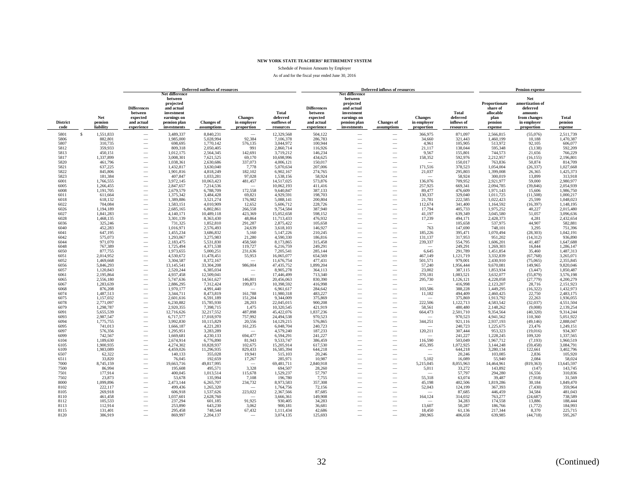Schedule of Pension Amounts by Employer

|                 |                        |                                                         |                                                                                                   | Deferred outflows of resources |                               |                                         | <b>Deferred inflows of resources</b>                    |                                                                                                   |                                                      |                                    |                                 | <b>Pension</b> expense                                    |                                                                              |                         |  |
|-----------------|------------------------|---------------------------------------------------------|---------------------------------------------------------------------------------------------------|--------------------------------|-------------------------------|-----------------------------------------|---------------------------------------------------------|---------------------------------------------------------------------------------------------------|------------------------------------------------------|------------------------------------|---------------------------------|-----------------------------------------------------------|------------------------------------------------------------------------------|-------------------------|--|
| <b>District</b> | Net<br>pension         | <b>Differences</b><br>between<br>expected<br>and actual | Net difference<br>between<br>projected<br>and actual<br>investment<br>earnings on<br>pension plan | <b>Changes</b> of              | <b>Changes</b><br>in employer | <b>Total</b><br>deferred<br>outflows of | <b>Differences</b><br>between<br>expected<br>and actual | Net difference<br>between<br>projected<br>and actual<br>investment<br>earnings on<br>pension plan | <b>Changes</b> of                                    | <b>Changes</b><br>in employer      | Total<br>deferred<br>inflows of | Proportionate<br>share of<br>allocable<br>plan<br>pension | Net<br>amortization of<br>deferred<br>amounts<br>from changes<br>in employer | <b>Total</b><br>pension |  |
| code            | liability              | experience                                              | investments                                                                                       | assumptions                    | proportion                    | resources                               | experience                                              | investments                                                                                       | assumptions                                          | proportion                         | resources                       | expense                                                   | proportion                                                                   | expense                 |  |
| 5801<br>s.      | 1.551.833              | $\overline{\phantom{0}}$                                | 3.489.337                                                                                         | 8.840.231                      |                               | 12.329.568                              | 504.122                                                 |                                                                                                   | $\overline{\phantom{a}}$                             | 366,975                            | 871,097                         | 2,566,815                                                 | (55,076)                                                                     | 2,511,739               |  |
| 5806<br>5807    | 882,801<br>310,735     | $\overline{\phantom{0}}$<br>$\overline{\phantom{0}}$    | 1,985,000<br>698,695                                                                              | 5,028,994<br>1,770,142         | 92,384<br>576,135             | 7,106,378<br>3,044,972                  | 286,783<br>100,944                                      | $\overline{\phantom{a}}$<br>$\overline{\phantom{a}}$                                              | $\overline{\phantom{a}}$<br>$\overline{\phantom{a}}$ | 34,660<br>4,961                    | 321,443<br>105,905              | 1,460,199<br>513,972                                      | 10,188<br>92,105                                                             | 1,470,387<br>606,077    |  |
| 5812            | 359,933                |                                                         | 809,318                                                                                           | 2,050,405                      | 991                           | 2,860,714                               | 116,926                                                 |                                                                                                   |                                                      | 21,117                             | 138,044                         | 595,348                                                   | (3,138)                                                                      | 592,209                 |  |
| 5813            | 450,151                | $\overline{\phantom{0}}$                                | 1,012,175                                                                                         | 2,564,345                      | 142,691                       | 3,719,212                               | 146,234                                                 | $\overline{\phantom{0}}$                                                                          | $\overline{\phantom{a}}$                             | 9,567                              | 155,801                         | 744,573                                                   | 21,656                                                                       | 766,229                 |  |
| 5817            | 1,337,899              | $\overline{\phantom{a}}$                                | 3,008,301                                                                                         | 7,621,525                      | 69,170                        | 10,698,996                              | 434,625                                                 | $\overline{\phantom{a}}$                                                                          | $\overline{\phantom{a}}$                             | 158,352                            | 592,976                         | 2,212,957                                                 | (16, 155)                                                                    | 2,196,801               |  |
| 5820            | 461,796                | $\overline{\phantom{a}}$                                | 1,038,361                                                                                         | 2,630,686                      | 337,073                       | 4,006,121                               | 150,017                                                 | $\overline{\phantom{0}}$                                                                          | $\overline{\phantom{a}}$                             | $\equiv$                           | 150,017                         | 763,836                                                   | 50,874                                                                       | 814,709                 |  |
| 5821<br>5822    | 637,225<br>845,806     | $\overline{\phantom{a}}$                                | 1,432,817<br>1,901,816                                                                            | 3,630,040<br>4,818,249         | 7,778<br>182,102              | 5,070,634<br>6.902.167                  | 207,006<br>274,765                                      | -                                                                                                 | $\overline{\phantom{a}}$                             | 171,516<br>21,037                  | 378,523<br>295,803              | 1,054,004<br>1,399,008                                    | (26, 337)<br>26,365                                                          | 1,027,668<br>1,425,373  |  |
| 5823            | 181,384                | $\overline{\phantom{0}}$                                | 407,847                                                                                           | 1,033,281                      | 97,028                        | 1,538,156                               | 58,924                                                  | $\overline{\phantom{a}}$                                                                          | $\overline{\phantom{a}}$                             | $\overline{\phantom{a}}$           | 58,924                          | 300,019                                                   | 13,899                                                                       | 313,918                 |  |
| 6001            | 1,766,555              | $\overline{\phantom{0}}$                                | 3,972,145                                                                                         | 10,063,423                     | 481,457                       | 14,517,025                              | 573,876                                                 |                                                                                                   |                                                      | 136,076                            | 709,952                         | 2,921,977                                                 | 59,000                                                                       | 2,980,977               |  |
| 6005            | 1,266,455              |                                                         | 2,847,657                                                                                         | 7,214,536                      |                               | 10,062,193                              | 411,416                                                 |                                                                                                   |                                                      | 257,925                            | 669,341                         | 2,094,785                                                 | (39, 846)                                                                    | 2,054,939               |  |
| 6008<br>6011    | 1,191,705<br>611,664   | $\overline{\phantom{a}}$                                | 2,679,579<br>1,375,342                                                                            | 6,788,709<br>3,484,428         | 172,558<br>69,821             | 9,640,847<br>4,929,591                  | 387,133<br>198,703                                      | -                                                                                                 | $\overline{\phantom{a}}$                             | 89,477<br>130,337                  | 476,609<br>329,040              | 1,971,143<br>1,011,725                                    | 15,606<br>(11,508)                                                           | 1,986,750<br>1,000,217  |  |
| 6018            | 618,132                | $\overline{\phantom{a}}$                                | 1,389,886                                                                                         | 3,521,274                      | 176,982                       | 5,088,141                               | 200,804                                                 | -                                                                                                 | $\overline{\phantom{a}}$                             | 21,781                             | 222,585                         | 1,022,423                                                 | 25,599                                                                       | 1,048,023               |  |
| 6022            | 704,084                |                                                         | 1,583,151                                                                                         | 4,010,909                      | 12,652                        | 5,606,712                               | 228,726                                                 |                                                                                                   |                                                      | 112,674                            | 341,400                         | 1,164,592                                                 | (16, 397)                                                                    | 1,148,195               |  |
| 6026            | 1,194,189              | $\overline{\phantom{0}}$                                | 2,685,165                                                                                         | 6,802,861                      | 266,558                       | 9,754,584                               | 387,940                                                 | $\overline{\phantom{a}}$                                                                          | $\overline{\phantom{a}}$                             | 17,794                             | 405,733                         | 1,975,252                                                 | 40,227                                                                       | 2,015,480               |  |
| 6027            | 1,841,283              | $\overline{\phantom{0}}$                                | 4,140,171                                                                                         | 10,489,118                     | 423,369                       | 15,052,658                              | 598,152                                                 | $\overline{\phantom{0}}$                                                                          | $\overline{\phantom{a}}$                             | 41,197                             | 639,349                         | 3,045,580                                                 | 51,057                                                                       | 3,096,636               |  |
| 6028<br>6036    | 1,468,135<br>325,246   |                                                         | 3,301,139<br>731,325                                                                              | 8,363,430<br>1,852,810         | 48,864<br>291,287             | 11,713,433<br>2,875,422                 | 476,932<br>105,658                                      |                                                                                                   |                                                      | 17,239                             | 494,171<br>105,658              | 2,428,373<br>537,975                                      | 4,281<br>44,907                                                              | 2,432,654<br>582,881    |  |
| 6040            | 452,283                |                                                         | 1,016,971                                                                                         | 2,576,493                      | 24,639                        | 3,618,103                               | 146,927                                                 |                                                                                                   |                                                      | 763                                | 147,690                         | 748,101                                                   | 3.295                                                                        | 751,396                 |  |
| 6041            | 647,195                | $\overline{\phantom{a}}$                                | 1,455,234                                                                                         | 3,686,832                      | 5,160                         | 5,147,226                               | 210,245                                                 | $\overline{\phantom{a}}$                                                                          | $\overline{\phantom{a}}$                             | 185,226                            | 395,471                         | 1,070,494                                                 | (28, 303)                                                                    | 1,042,191               |  |
| 6042            | 575,073                | $\overline{\phantom{a}}$                                | 1,293,067                                                                                         | 3,275,983                      | 21,280                        | 4,590,330                               | 186,816                                                 | $\overline{\phantom{a}}$                                                                          | $\overline{\phantom{a}}$                             | 131,137                            | 317,953                         | 951,202                                                   | (14, 312)                                                                    | 936,890                 |  |
| 6044            | 971,070<br>767,389     | $\overline{\phantom{0}}$                                | 2,183,475                                                                                         | 5,531,830<br>4,371,538         | 458,560                       | 8,173,865                               | 315,458<br>249,291                                      |                                                                                                   | $\overline{\phantom{a}}$                             | 239,337                            | 554,795<br>249,291              | 1,606,201<br>1,269,303                                    | 41,487                                                                       | 1,647,688               |  |
| 6048<br>6050    | 877,755                | $\overline{\phantom{a}}$                                | 1,725,494<br>1,973,655                                                                            | 5,000,251                      | 119,727<br>231,636            | 6,216,759<br>7,205,541                  | 285,144                                                 | -<br>$\overline{\phantom{a}}$                                                                     | $\overline{\phantom{a}}$<br>$\overline{\phantom{a}}$ | $\overline{\phantom{a}}$<br>6,645  | 291,789                         | 1,451,854                                                 | 16,844<br>35,460                                                             | 1,286,147<br>1,487,313  |  |
| 6051            | 2,014,952              | $\overline{\phantom{a}}$                                | 4,530,672                                                                                         | 11,478,451                     | 55,953                        | 16,065,077                              | 654,569                                                 | $\overline{\phantom{a}}$                                                                          | $\overline{\phantom{a}}$                             | 467,149                            | 1,121,719                       | 3,332,839                                                 | (67,768)                                                                     | 3,265,071               |  |
| 6052            | 1,469,668              |                                                         | 3,304,587                                                                                         | 8,372,167                      |                               | 11,676,754                              | 477,431                                                 |                                                                                                   |                                                      | 501,571                            | 979,001                         | 2,430,910                                                 | (75,065)                                                                     | 2,355,845               |  |
| 6056            | 5,846,293              | $\overline{\phantom{0}}$                                | 13,145,541                                                                                        | 33,304,208                     | 986,004                       | 47,435,752                              | 1,899,204                                               | -                                                                                                 | $\overline{\phantom{a}}$                             | 57,240                             | 1,956,444                       | 9,670,081                                                 | 149,965                                                                      | 9,820,046               |  |
| 6057<br>6061    | 1,120,843<br>2,195,864 | $\overline{\phantom{a}}$<br>$\overline{\phantom{a}}$    | 2,520,244<br>4,937,458                                                                            | 6,385,034<br>12,509,041        |                               | 8,905,278<br>17,446,499                 | 364,113<br>713,340                                      | $\overline{\phantom{a}}$<br>-                                                                     | $\overline{\phantom{a}}$<br>$\overline{\phantom{a}}$ | 23,002<br>370,181                  | 387,115<br>1,083,521            | 1,853,934<br>3,632,077                                    | (3, 447)<br>(55, 879)                                                        | 1,850,487<br>3,576,198  |  |
| 6065            | 2,556,180              | $\overline{\phantom{0}}$                                | 5,747,636                                                                                         | 14,561,627                     | 146,801                       | 20,456,063                              | 830,390                                                 |                                                                                                   | $\overline{\phantom{0}}$                             | 295,730                            | 1,126,121                       | 4,228,058                                                 | (27, 779)                                                                    | 4,200,279               |  |
| 6067            | 1,283,639              | $\overline{\phantom{0}}$                                | 2,886,295                                                                                         | 7,312,424                      | 199,873                       | 10,398,592                              | 416,998                                                 | $\overline{\phantom{0}}$                                                                          | $\overline{\phantom{a}}$                             |                                    | 416,998                         | 2,123,207                                                 | 28,716                                                                       | 2,151,923               |  |
| 6068            | 876,208                | $\overline{\phantom{a}}$                                | 1,970,177                                                                                         | 4,991,440                      |                               | 6,961,617                               | 284,642                                                 | $\overline{\phantom{a}}$                                                                          | $\overline{\phantom{a}}$                             | 103,586                            | 388,228                         | 1,449,295                                                 | (16, 322)                                                                    | 1,432,973               |  |
| 6074            | 1,487,513              | $\overline{\phantom{0}}$                                | 3,344,711                                                                                         | 8,473,819                      | 161,788                       | 11,980,318                              | 483,227                                                 | $\overline{\phantom{a}}$                                                                          |                                                      | 11,182                             | 494,409                         | 2,460,425                                                 | 22,750                                                                       | 2,483,175               |  |
| 6075<br>6078    | 1,157,032<br>2,771,097 | $\overline{\phantom{a}}$                                | 2,601,616<br>6.230.882                                                                            | 6,591,189<br>15,785,930        | 151,204<br>28,203             | 9,344,009<br>22.045.015                 | 375,869<br>900,208                                      | $\overline{\phantom{a}}$                                                                          | $\overline{\phantom{a}}$                             | 222.506                            | 375,869<br>1,122,713            | 1,913,792<br>4,583,542                                    | 22,263<br>(32,037)                                                           | 1,936,055               |  |
| 6079            | 1,298,787              | $\overline{\phantom{0}}$                                | 2,920,355                                                                                         | 7,398,715                      | 1,475                         | 10,320,545                              | 421,919                                                 | $\overline{\phantom{0}}$                                                                          | $\overline{\phantom{a}}$                             | 58,561                             | 480,480                         | 2,148,262                                                 | (9,008)                                                                      | 4,551,504<br>2,139,254  |  |
| 6091            | 5,655,539              | $\overline{\phantom{a}}$                                | 12,716,626                                                                                        | 32,217,552                     | 487,898                       | 45,422,076                              | 1,837,236                                               | -                                                                                                 | $\overline{\phantom{a}}$                             | 664,473                            | 2,501,710                       | 9,354,564                                                 | (40, 320)                                                                    | 9,314,244               |  |
| 6093            | 2,987,547              |                                                         | 6,717,577                                                                                         | 17,018,970                     | 757,992                       | 24,494,538                              | 970,523                                                 |                                                                                                   |                                                      |                                    | 970,523                         | 4,941,562                                                 | 110,360                                                                      | 5,051,922               |  |
| 6094<br>6095    | 1,775,755<br>741,013   | $\overline{\phantom{0}}$<br>$\overline{\phantom{a}}$    | 3,992,830<br>1,666,187                                                                            | 10,115,829<br>4,221,283        | 20.556<br>161,235             | 14,129,215<br>6,048,704                 | 576,865<br>240,723                                      | $\overline{\phantom{0}}$<br>$\overline{\phantom{a}}$                                              | $\overline{\phantom{a}}$<br>$\overline{\phantom{a}}$ | 344,251                            | 921,116<br>240,723              | 2,937,193<br>1,225,675                                    | (49, 146)<br>23,476                                                          | 2,888,047<br>1,249,151  |  |
| 6097            | 576,356                | $\overline{\phantom{a}}$                                | 1,295,951                                                                                         | 3,283,289                      |                               | 4,579,240                               | 187,233                                                 | $\overline{\phantom{a}}$                                                                          | $\overline{\phantom{a}}$                             | 120,211                            | 307,444                         | 953,323                                                   | (19,016)                                                                     | 934,307                 |  |
| 6099            | 742,567                | $\overline{\phantom{0}}$                                | 1,669,681                                                                                         | 4,230,133                      | 694,477                       | 6,594,291                               | 241,227                                                 |                                                                                                   | $\overline{\phantom{a}}$                             |                                    | 241,227                         | 1,228,245                                                 | 109,320                                                                      | 1,337,565               |  |
| 6104            | 1,189,630              | $\overline{\phantom{0}}$                                | 2,674,914                                                                                         | 6,776,890                      | 81,943                        | 9,533,747                               | 386,459                                                 | $\overline{\phantom{0}}$                                                                          | $\overline{\phantom{a}}$                             | 116.590                            | 503,049                         | 1,967,712                                                 | (7, 193)                                                                     | 1,960,519               |  |
| 6105            | 1,900,935              | $\overline{\phantom{0}}$                                | 4,274,302                                                                                         | 10,828,937                     | 102,675                       | 15,205,914                              | 617,530                                                 | $\overline{\phantom{0}}$                                                                          | $\overline{\phantom{a}}$                             | 455,395                            | 1,072,925                       | 3,144,248                                                 | (59, 458)                                                                    | 3,084,791               |  |
| 6109<br>6507    | 1,983,089<br>62,322    | $\overline{\phantom{0}}$<br>$\overline{\phantom{0}}$    | 4,459,026<br>140,133                                                                              | 11,296,935<br>355,028          | 829,433<br>19,941             | 16,585,394<br>515,103                   | 644,218<br>20,246                                       | -                                                                                                 |                                                      |                                    | 644,218<br>20,246               | 3,280,134<br>103,085                                      | 122,661<br>2,836                                                             | 3,402,796<br>105,920    |  |
| 6511            | 33,820                 | $\overline{\phantom{0}}$                                | 76,045                                                                                            | 192,659                        | 17,267                        | 285,971                                 | 10,987                                                  |                                                                                                   | $\overline{\phantom{0}}$                             | 5.102                              | 16,089                          | 55,940                                                    | 2.084                                                                        | 58,024                  |  |
| 7000            | 8,745,159              | $\overline{\phantom{0}}$                                | 19,663,716                                                                                        | 49,817,995                     |                               | 69,481,711                              | 2,840,918                                               | $\overline{\phantom{a}}$                                                                          | $\overline{\phantom{a}}$                             | 5,215,045                          | 8,055,963                       | 14,464,961                                                | (819, 363)                                                                   | 13,645,597              |  |
| 7500            | 86,994                 | $\overline{\phantom{0}}$                                | 195,608                                                                                           | 495,571                        | 3,328                         | 694,507                                 | 28,260                                                  | $\overline{\phantom{a}}$                                                                          | $\overline{\phantom{a}}$                             | 5,011                              | 33,272                          | 143,892                                                   | (147)                                                                        | 143,745                 |  |
| 7501            | 177,914                | $\overline{\phantom{0}}$                                | 400,045                                                                                           | 1,013,514                      | 115,678                       | 1,529,237                               | 57,797                                                  | $\overline{\phantom{0}}$                                                                          |                                                      |                                    | 57,797                          | 294,280                                                   | 16,556                                                                       | 310,836                 |  |
| 7502<br>8000    | 23,873<br>1,099,896    | $\overline{\phantom{0}}$<br>$\overline{\phantom{a}}$    | 53,678<br>2,473,144                                                                               | 135,994<br>6,265,707           | 7,108<br>234,732              | 196,780<br>8,973,583                    | 7,755<br>357,308                                        | $\overline{\phantom{a}}$<br>$\overline{\phantom{a}}$                                              | $\overline{\phantom{a}}$<br>$\overline{\phantom{a}}$ | 55,318<br>45,198                   | 63,074<br>402,506               | 39,487<br>1,819,286                                       | (7,918)<br>30,184                                                            | 31,569<br>1,849,470     |  |
| 8102            | 222,117                |                                                         | 499,436                                                                                           | 1,265,320                      |                               | 1,764,756                               | 72,156                                                  |                                                                                                   | $\overline{\phantom{0}}$                             | 52,043                             | 124,199                         | 367,393                                                   | (7, 430)                                                                     | 359,964                 |  |
| 8105            | 269,918                |                                                         | 606,918                                                                                           | 1,537,626                      | 223,022                       | 2,367,566                               | 87,685                                                  |                                                                                                   |                                                      |                                    | 87,685                          | 446,459                                                   | 34,584                                                                       | 481,043                 |  |
| 8110            | 461,458                | -                                                       | 1,037,601                                                                                         | 2,628,760                      |                               | 3,666,361                               | 149,908                                                 |                                                                                                   | $\overline{\phantom{a}}$                             | 164,124                            | 314,032                         | 763,277                                                   | (24, 687)                                                                    | 738,589                 |  |
| 8112<br>8113    | 105,533<br>112,914     | $\overline{\phantom{a}}$                                | 237,294<br>253,890                                                                                | 601,185<br>643,230             | 91,925<br>3,062               | 930,405<br>900,181                      | 34,283<br>36,681                                        | $\overline{\phantom{a}}$                                                                          |                                                      | $\overline{\phantom{a}}$<br>13,607 | 34,283<br>50,287                | 174,558<br>186,766                                        | 13,886<br>(1,772)                                                            | 188,444<br>184,993      |  |
| 8115            | 131,401                |                                                         | 295,458                                                                                           | 748,544                        | 67,432                        | 1,111,434                               | 42,686                                                  |                                                                                                   |                                                      | 18,450                             | 61,136                          | 217,344                                                   | 8,370                                                                        | 225,715                 |  |
| 8120            | 386,919                |                                                         | 869,997                                                                                           | 2,204,137                      |                               | 3,074,135                               | 125,693                                                 |                                                                                                   |                                                      | 280,965                            | 406,658                         | 639,985                                                   | (44, 718)                                                                    | 595,267                 |  |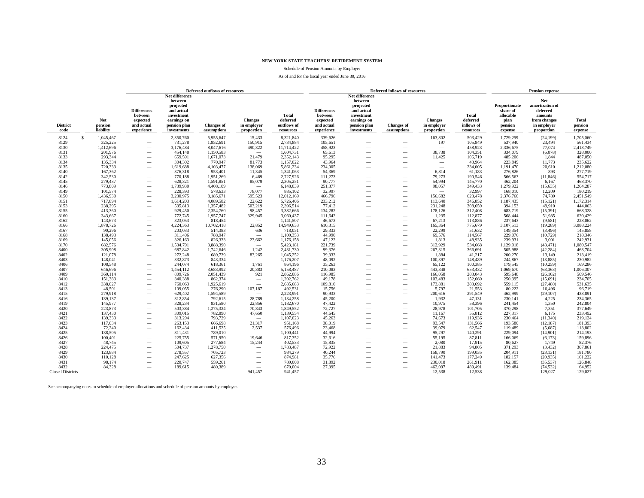Schedule of Pension Amounts by Employer

As of and for the fiscal year ended June 30, 2016

|                         |                          |                          |                          | Deferred outflows of resources |                                 |              |                          |                          | Deferred inflows of resources   |                                 |              |               | <b>Pension</b> expense |           |
|-------------------------|--------------------------|--------------------------|--------------------------|--------------------------------|---------------------------------|--------------|--------------------------|--------------------------|---------------------------------|---------------------------------|--------------|---------------|------------------------|-----------|
|                         |                          |                          | Net difference           |                                |                                 |              |                          | Net difference           |                                 |                                 |              |               |                        |           |
|                         |                          |                          | between                  |                                |                                 |              |                          | between                  |                                 |                                 |              |               | Net                    |           |
|                         |                          |                          | projected                |                                |                                 |              |                          | projected                |                                 |                                 |              | Proportionate | amortization of        |           |
|                         |                          | <b>Differences</b>       | and actual               |                                |                                 |              | <b>Differences</b>       | and actual               |                                 |                                 |              | share of      | deferred               |           |
|                         |                          | between                  | investment               |                                |                                 | <b>Total</b> | between                  | investment               |                                 |                                 | <b>Total</b> | allocable     | amounts                |           |
|                         | Net                      | expected                 | earnings on              |                                | <b>Changes</b>                  | deferred     | expected                 | earnings on              |                                 | <b>Changes</b>                  | deferred     | plan          | from changes           | Total     |
| <b>District</b>         | pension                  | and actual               | pension plan             | <b>Changes</b> of              | in employer                     | outflows of  | and actual               | pension plan             | <b>Changes</b> of               | in employer                     | inflows of   | pension       | in employer            | pension   |
| code                    | liability                | experience               | investments              | assumptions                    | proportion                      | resources    | experience               | investments              | assumptions                     | proportion                      | resources    | expense       | proportion             | expense   |
|                         |                          |                          |                          |                                |                                 |              |                          |                          |                                 |                                 |              |               |                        |           |
| 8124<br>$\mathbf{s}$    | 1,045,467                | $\overline{\phantom{0}}$ | 2,350,760                | 5,955,647                      | 15,433                          | 8,321,840    | 339,626                  | $\qquad \qquad$          | $\overline{\phantom{m}}$        | 163,802                         | 503,429      | 1,729,259     | (24, 199)              | 1,705,060 |
| 8129                    | 325.225                  | $\qquad \qquad$          | 731,278                  | 1,852,691                      | 150,915                         | 2,734,884    | 105,651                  | $\overline{\phantom{a}}$ | $\overline{\phantom{m}}$        | 197                             | 105,849      | 537,940       | 23,494                 | 561,434   |
| 8130                    | 1,412,696                | -                        | 3,176,484                | 8,047,616                      | 490,322                         | 11,714,422   | 458,923                  | -                        | $\overline{\phantom{a}}$        | $\hspace{0.1mm}-\hspace{0.1mm}$ | 458,923      | 2,336,675     | 77,074                 | 2,413,749 |
| 8131                    | 201,976                  | $\overline{\phantom{0}}$ | 454,148                  | 1,150,583                      | $\qquad \qquad -$               | 1,604,731    | 65,613                   | -                        | $\overline{\phantom{m}}$        | 38.738                          | 104,351      | 334,079       | (6,078)                | 328,000   |
| 8133                    | 293,344                  | $\overline{\phantom{0}}$ | 659,591                  | 1,671,073                      | 21,479                          | 2,352,143    | 95,295                   | -                        | $\overline{\phantom{m}}$        | 11,425                          | 106,719      | 485,206       | 1,844                  | 487,050   |
| 8134                    | 135,334                  | -                        | 304,302                  | 770,947                        | 81,773                          | 1,157,022    | 43,964                   | $\overline{\phantom{a}}$ | $\sim$                          | $\overline{\phantom{a}}$        | 43,964       | 223,849       | 11,773                 | 235,622   |
| 8135                    | 720,333                  | -                        | 1,619,688                | 4,103,477                      | 138,069                         | 5,861,234    | 234,005                  |                          | $\overline{\phantom{a}}$        | $\overline{\phantom{a}}$        | 234,005      | 1,191,470     | 20,610                 | 1,212,080 |
| 8140                    | 167,362                  | $\overline{\phantom{0}}$ | 376,318                  | 953,401                        | 11,345                          | 1,341,063    | 54,369                   |                          | $\sim$                          | 6,814                           | 61,183       | 276,826       | 893                    | 277,719   |
| 8142                    | 342,530                  | -                        | 770,188                  | 1,951,269                      | 6,469                           | 2,727,926    | 111,273                  |                          | $\overline{\phantom{a}}$        | 79,273                          | 190,546      | 566,563       | (11, 846)              | 554,717   |
| 8145                    | 279,437                  | $\qquad \qquad$          | 628,321                  | 1,591,851                      | 85,079                          | 2,305,251    | 90,777                   |                          | $\overline{\phantom{m}}$        | 54,994                          | 145,770      | 462,204       | 6,167                  | 468,370   |
| 8146                    | 773,809                  | -                        | 1,739,930                | 4,408,109                      | $\overline{\phantom{m}}$        | 6,148,039    | 251,377                  |                          | $\overline{\phantom{m}}$        | 98,057                          | 349,433      | 1,279,922     | (15, 635)              | 1,264,287 |
| 8149                    | 101,574                  | -                        | 228,393                  | 578,633                        | 78,077                          | 885,102      | 32,997                   |                          | $\overline{\phantom{m}}$        | $\overline{\phantom{a}}$        | 32,997       | 168,010       | 12,209                 | 180,219   |
| 8150                    | 1,436,930                | -                        | 3,230,975                | 8,185,671                      | 595,523                         | 12,012,169   | 466,796                  | -                        | $\overline{\phantom{m}}$        | 156,682                         | 623,478      | 2,376,760     | 74,789                 | 2,451,549 |
| 8151                    | 717,894                  | $\overline{\phantom{0}}$ | 1,614,203                | 4,089,582                      | 22,622                          | 5,726,406    | 233,212                  | -                        | $\hspace{0.1mm}-\hspace{0.1mm}$ | 113,640                         | 346,852      | 1,187,435     | (15, 121)              | 1,172,314 |
| 8153                    | 238,295                  | $\overline{\phantom{0}}$ | 535,813                  | 1,357,482                      | 503,219                         | 2,396,514    | 77,412                   | $\overline{\phantom{a}}$ | $\sim$                          | 231,248                         | 308,659      | 394,153       | 49,910                 | 444,063   |
| 8155                    | 413,360                  | -                        | 929,450                  | 2,354,760                      | 98,457                          | 3,382,666    | 134,282                  | $\overline{\phantom{a}}$ | $\overline{\phantom{a}}$        | 178,126                         | 312,408      | 683,719       | (15, 391)              | 668,328   |
| 8160                    | 343,667                  |                          | 772,745                  | 1,957,747                      | 329,945                         | 3,060,437    | 111,642                  |                          | $\sim$                          | 1,235                           | 112,877      | 568,444       | 51,985                 | 620,429   |
| 8162                    | 143,673                  | $\overline{\phantom{0}}$ | 323,053                  | 818,454                        |                                 | 1,141,507    | 46,673                   |                          | $\overline{\phantom{a}}$        | 67,213                          | 113,886      | 237,643       | (9,581)                | 228,062   |
| 8166                    | 1,878,726                | $\overline{\phantom{0}}$ | 4,224,363                | 10,702,418                     | 22,852                          | 14,949,633   | 610,315                  |                          |                                 | 165,364                         | 775,679      | 3,107,513     | (19, 289)              | 3,088,224 |
| 8167                    | 90,296                   | -                        | 203,033                  | 514,383                        | 636                             | 718,051      | 29,333                   |                          | $\overline{\phantom{m}}$        | 22,299                          | 51,632       | 149,354       | (3, 496)               | 145,858   |
| 8168                    | 138,493                  | -                        | 311,406                  | 788,947                        | $\overline{\phantom{m}}$        | 1,100,353    | 44,990                   |                          | $\overline{\phantom{m}}$        | 69,576                          | 114,567      | 229,076       | (10, 729)              | 218,346   |
| 8169                    | 145,056                  | -                        | 326,163                  | 826,333                        | 23,662                          | 1,176,158    | 47,122                   | -                        | $\overline{\phantom{m}}$        | 1,813                           | 48,935       | 239,931       | 3,001                  | 242,931   |
| 8170                    | 682,576                  | $\overline{\phantom{0}}$ | 1,534,791                | 3,888,390                      | $\overline{\phantom{m}}$        | 5,423,181    | 221,739                  | -                        | $\overline{\phantom{m}}$        | 312,929                         | 534,668      | 1,129,018     | (48, 471)              | 1,080,547 |
| 8400                    | 305,908                  |                          | 687,842                  | 1,742,646                      | 1,242                           | 2,431,730    | 99,376                   | $\overline{\phantom{a}}$ | $\overline{\phantom{a}}$        | 267,315                         | 366,691      | 505,988       | (42, 284)              | 463,704   |
| 8402                    | 121,078                  | -                        | 272,248                  | 689,739                        | 83,265                          | 1,045,252    | 39,333                   | $\overline{\phantom{a}}$ | $\overline{\phantom{a}}$        | 1,884                           | 41,217       | 200,270       | 13,149                 | 213,419   |
| 8403                    | 148,041                  | $\overline{\phantom{0}}$ | 332,873                  | 843,334                        | $\overline{\phantom{m}}$        | 1,176,207    | 48,092                   |                          | $\overline{\phantom{a}}$        | 100,397                         | 148,489      | 244,867       | (13,885)               | 230,982   |
| 8406                    | 108,548                  | -                        | 244,074                  | 618,361                        | 1,761                           | 864,196      | 35,263                   |                          | $\hspace{0.1mm}-\hspace{0.1mm}$ | 65,122                          | 100,385      | 179,545       | (10, 259)              | 169,286   |
| 8407                    | 646,696                  |                          | 1,454,112                | 3,683,992                      | 20,383                          | 5,158,487    | 210,083                  |                          |                                 | 443,348                         | 653,432      | 1,069,670     | (63, 363)              | 1,006,307 |
| 8409                    | 360,114                  | -                        | 809,726                  | 2,051,439                      | 921                             | 2,862,086    | 116,985                  |                          | $\hspace{0.1mm}-\hspace{0.1mm}$ | 166,058                         | 283,043      | 595,648       | (26, 102)              | 569,546   |
| 8410                    | 151,383                  | -                        | 340,388                  | 862,374                        | $\overline{\phantom{m}}$        | 1,202,762    | 49,178                   |                          | $\overline{\phantom{m}}$        | 103,483                         | 152,660      | 250,395       | (15,691)               | 234,705   |
| 8412                    | 338,027                  | $\overline{\phantom{0}}$ | 760,063                  | 1,925,619                      | $\overline{\phantom{m}}$        | 2,685,683    | 109,810                  |                          | $\overline{\phantom{a}}$        | 173,881                         | 283,692      | 559,115       | (27, 480)              | 531,635   |
| 8413                    | 48,501                   | -                        | 109,055                  | 276,290                        | 107,187                         | 492,531      | 15,756                   | -                        | $\overline{\phantom{m}}$        | 5,797                           | 21,553       | 80,222        | 16,496                 | 96,719    |
| 8415                    | 279,918                  | -                        | 629,402                  | 1,594,589                      | $\overline{\phantom{a}}$        | 2,223,991    | 90,933                   |                          | $\overline{\phantom{a}}$        | 200,616                         | 291,549      | 462,999       | (29, 107)              | 433,891   |
| 8416                    | 139,137                  | -                        | 312,854                  | 792,615                        | 28,789                          | 1,134,258    | 45,200                   |                          | $\overline{\phantom{a}}$        | 1,932                           | 47,131       | 230,141       | 4,225                  | 234,365   |
| 8419                    | 145,977                  |                          | 328,234                  | 831,580                        | 22,856                          | 1,182,670    | 47,422                   |                          | $\overline{\phantom{a}}$        | 10,975                          | 58,396       | 241,454       | 1,350                  | 242,804   |
| 8420                    | 223,873                  | $\overline{\phantom{0}}$ | 503,384                  | 1,275,324                      | 70,843                          | 1,849,552    | 72,727                   |                          | $\overline{\phantom{a}}$        | 28,978                          | 101,705      | 370,298       | 7,351                  | 377,649   |
| 8421                    | 137,430                  | $\overline{\phantom{0}}$ | 309,015                  | 782,890                        | 47,650                          | 1,139,554    | 44,645                   |                          |                                 | 11,167                          | 55,812       | 227,317       | 6,175                  | 233,492   |
| 8422                    | 139,333                  | -                        | 313,294                  | 793,729                        | $\overline{\phantom{m}}$        | 1,107,023    | 45,263                   |                          | $\hspace{0.1mm}-\hspace{0.1mm}$ | 74,673                          | 119,936      | 230,464       | (11, 340)              | 219,124   |
| 8423                    | 117,034                  | -                        | 263,153                  | 666,698                        | 21,317                          | 951,168      | 38,019                   |                          | $\overline{\phantom{a}}$        | 93,547                          | 131,566      | 193,580       | (12, 187)              | 181,393   |
| 8424                    | 72,240                   | $\overline{\phantom{0}}$ | 162,434                  | 411,525                        | 2,537                           | 576,496      | 23,468                   | -                        | $\overline{\phantom{m}}$        | 39,079                          | 62,547       | 119,489       | (5,687)                | 113,802   |
| 8425                    | 138,505                  | -                        | 311,431                  | 789,010                        | $\overline{\phantom{m}}$        | 1,100,441    | 44,994                   |                          | $\overline{\phantom{m}}$        | 95,297                          | 140,291      | 229,094       | (14,901)               | 214,193   |
| 8426                    | 100,401                  | -                        | 225,755                  | 571,950                        | 19,646                          | 817,352      | 32,616                   | $\overline{\phantom{a}}$ | $\overline{\phantom{a}}$        | 55,195                          | 87,811       | 166,069       | (6, 173)               | 159,896   |
| 8427                    | 48,745                   | -                        | 109,605                  | 277,684                        | 15,244                          | 402,533      | 15,835                   |                          | $\overline{\phantom{a}}$        | 2,080                           | 17,915       | 80,627        | 1,749                  | 82,376    |
| 8428                    | 224,475                  | $\overline{\phantom{0}}$ | 504,737                  | 1,278,750                      | $\qquad \qquad -$               | 1,783,487    | 72,922                   |                          |                                 | 21,883                          | 94,805       | 371,293       | (3, 432)               | 367,861   |
| 8429                    | 123,884                  | -                        | 278,557                  | 705,723                        | $\hspace{0.1mm}-\hspace{0.1mm}$ | 984,279      | 40,244                   |                          | $\hspace{0.1mm}-\hspace{0.1mm}$ | 158,790                         | 199,035      | 204,911       | (23, 131)              | 181,780   |
| 8430                    | 110,128                  |                          | 247,625                  | 627,356                        |                                 | 874,981      | 35,776                   |                          |                                 | 141,473                         | 177,249      | 182,157       | (20, 935)              | 161,222   |
| 8431                    | 98.174                   | -                        | 220,747                  | 559,261                        | $\overline{\phantom{a}}$        | 780,008      | 31,892                   |                          | $\overline{\phantom{a}}$        | 230,018                         | 261,911      | 162,385       | (35, 537)              | 126,848   |
| 8432                    | 84,328                   | $\overline{\phantom{0}}$ | 189,615                  | 480,389                        | $\overline{\phantom{m}}$        | 670,004      | 27,395                   |                          | $\overline{\phantom{m}}$        | 462,097                         | 489,491      | 139,484       | (74, 532)              | 64,952    |
| <b>Closed Districts</b> | $\overline{\phantom{a}}$ |                          | $\overline{\phantom{a}}$ | $\sim$                         | 941.457                         | 941,457      | $\overline{\phantom{a}}$ |                          | $\overline{\phantom{a}}$        | 12,538                          | 12.538       | $\sim$        | 129,027                | 129,027   |
|                         |                          |                          |                          |                                |                                 |              |                          |                          |                                 |                                 |              |               |                        |           |

See accompanying notes to schedule of employer allocations and schedule of pension amounts by employer.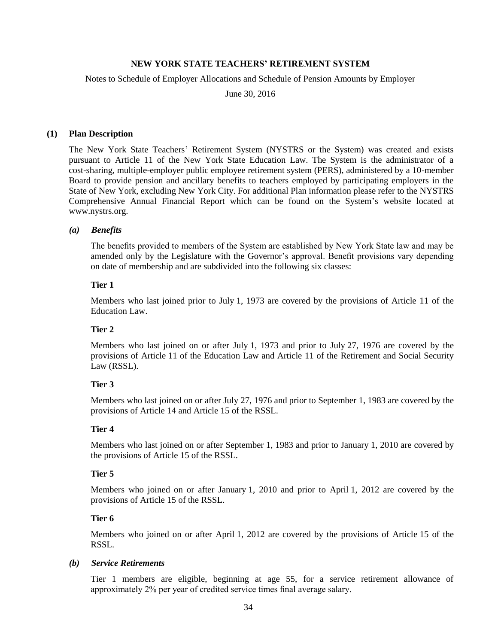Notes to Schedule of Employer Allocations and Schedule of Pension Amounts by Employer

June 30, 2016

#### **(1) Plan Description**

The New York State Teachers' Retirement System (NYSTRS or the System) was created and exists pursuant to Article 11 of the New York State Education Law. The System is the administrator of a cost-sharing, multiple-employer public employee retirement system (PERS), administered by a 10-member Board to provide pension and ancillary benefits to teachers employed by participating employers in the State of New York, excluding New York City. For additional Plan information please refer to the NYSTRS Comprehensive Annual Financial Report which can be found on the System's website located at www.nystrs.org.

#### *(a) Benefits*

The benefits provided to members of the System are established by New York State law and may be amended only by the Legislature with the Governor's approval. Benefit provisions vary depending on date of membership and are subdivided into the following six classes:

#### **Tier 1**

Members who last joined prior to July 1, 1973 are covered by the provisions of Article 11 of the Education Law.

### **Tier 2**

Members who last joined on or after July 1, 1973 and prior to July 27, 1976 are covered by the provisions of Article 11 of the Education Law and Article 11 of the Retirement and Social Security Law (RSSL).

### **Tier 3**

Members who last joined on or after July 27, 1976 and prior to September 1, 1983 are covered by the provisions of Article 14 and Article 15 of the RSSL.

### **Tier 4**

Members who last joined on or after September 1, 1983 and prior to January 1, 2010 are covered by the provisions of Article 15 of the RSSL.

#### **Tier 5**

Members who joined on or after January 1, 2010 and prior to April 1, 2012 are covered by the provisions of Article 15 of the RSSL.

### **Tier 6**

Members who joined on or after April 1, 2012 are covered by the provisions of Article 15 of the RSSL.

#### *(b) Service Retirements*

Tier 1 members are eligible, beginning at age 55, for a service retirement allowance of approximately 2% per year of credited service times final average salary.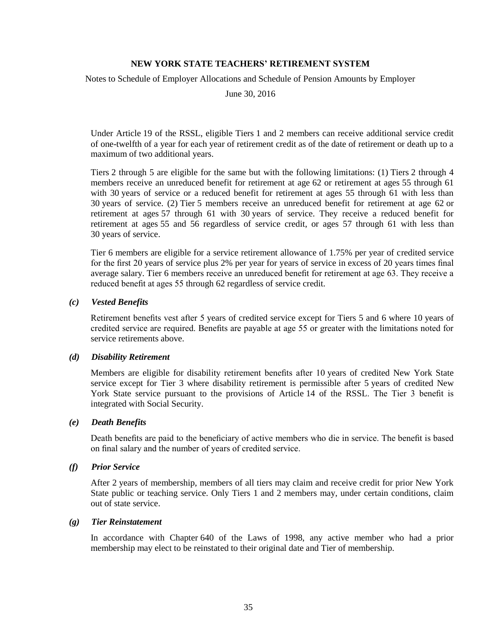Notes to Schedule of Employer Allocations and Schedule of Pension Amounts by Employer

June 30, 2016

Under Article 19 of the RSSL, eligible Tiers 1 and 2 members can receive additional service credit of one-twelfth of a year for each year of retirement credit as of the date of retirement or death up to a maximum of two additional years.

Tiers 2 through 5 are eligible for the same but with the following limitations: (1) Tiers 2 through 4 members receive an unreduced benefit for retirement at age 62 or retirement at ages 55 through 61 with 30 years of service or a reduced benefit for retirement at ages 55 through 61 with less than 30 years of service. (2) Tier 5 members receive an unreduced benefit for retirement at age 62 or retirement at ages 57 through 61 with 30 years of service. They receive a reduced benefit for retirement at ages 55 and 56 regardless of service credit, or ages 57 through 61 with less than 30 years of service.

Tier 6 members are eligible for a service retirement allowance of 1.75% per year of credited service for the first 20 years of service plus 2% per year for years of service in excess of 20 years times final average salary. Tier 6 members receive an unreduced benefit for retirement at age 63. They receive a reduced benefit at ages 55 through 62 regardless of service credit.

#### *(c) Vested Benefits*

Retirement benefits vest after 5 years of credited service except for Tiers 5 and 6 where 10 years of credited service are required. Benefits are payable at age 55 or greater with the limitations noted for service retirements above.

#### *(d) Disability Retirement*

Members are eligible for disability retirement benefits after 10 years of credited New York State service except for Tier 3 where disability retirement is permissible after 5 years of credited New York State service pursuant to the provisions of Article 14 of the RSSL. The Tier 3 benefit is integrated with Social Security.

#### *(e) Death Benefits*

Death benefits are paid to the beneficiary of active members who die in service. The benefit is based on final salary and the number of years of credited service.

#### *(f) Prior Service*

After 2 years of membership, members of all tiers may claim and receive credit for prior New York State public or teaching service. Only Tiers 1 and 2 members may, under certain conditions, claim out of state service.

#### *(g) Tier Reinstatement*

In accordance with Chapter 640 of the Laws of 1998, any active member who had a prior membership may elect to be reinstated to their original date and Tier of membership.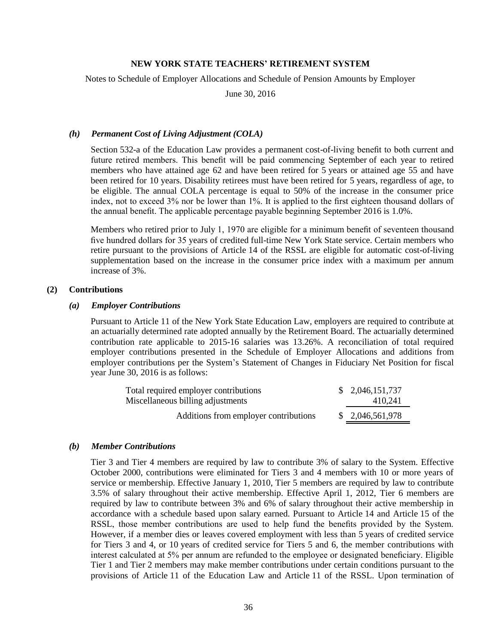Notes to Schedule of Employer Allocations and Schedule of Pension Amounts by Employer

June 30, 2016

#### *(h) Permanent Cost of Living Adjustment (COLA)*

Section 532-a of the Education Law provides a permanent cost-of-living benefit to both current and future retired members. This benefit will be paid commencing September of each year to retired members who have attained age 62 and have been retired for 5 years or attained age 55 and have been retired for 10 years. Disability retirees must have been retired for 5 years, regardless of age, to be eligible. The annual COLA percentage is equal to 50% of the increase in the consumer price index, not to exceed 3% nor be lower than 1%. It is applied to the first eighteen thousand dollars of the annual benefit. The applicable percentage payable beginning September 2016 is 1.0%.

Members who retired prior to July 1, 1970 are eligible for a minimum benefit of seventeen thousand five hundred dollars for 35 years of credited full-time New York State service. Certain members who retire pursuant to the provisions of Article 14 of the RSSL are eligible for automatic cost-of-living supplementation based on the increase in the consumer price index with a maximum per annum increase of 3%.

#### **(2) Contributions**

#### *(a) Employer Contributions*

Pursuant to Article 11 of the New York State Education Law, employers are required to contribute at an actuarially determined rate adopted annually by the Retirement Board. The actuarially determined contribution rate applicable to 2015-16 salaries was 13.26%. A reconciliation of total required employer contributions presented in the Schedule of Employer Allocations and additions from employer contributions per the System's Statement of Changes in Fiduciary Net Position for fiscal year June 30, 2016 is as follows:

| Total required employer contributions | \$2,046,151,737 |
|---------------------------------------|-----------------|
| Miscellaneous billing adjustments     | 410,241         |
| Additions from employer contributions | \$2,046,561,978 |

#### *(b) Member Contributions*

Tier 3 and Tier 4 members are required by law to contribute 3% of salary to the System. Effective October 2000, contributions were eliminated for Tiers 3 and 4 members with 10 or more years of service or membership. Effective January 1, 2010, Tier 5 members are required by law to contribute 3.5% of salary throughout their active membership. Effective April 1, 2012, Tier 6 members are required by law to contribute between 3% and 6% of salary throughout their active membership in accordance with a schedule based upon salary earned. Pursuant to Article 14 and Article 15 of the RSSL, those member contributions are used to help fund the benefits provided by the System. However, if a member dies or leaves covered employment with less than 5 years of credited service for Tiers 3 and 4, or 10 years of credited service for Tiers 5 and 6, the member contributions with interest calculated at 5% per annum are refunded to the employee or designated beneficiary. Eligible Tier 1 and Tier 2 members may make member contributions under certain conditions pursuant to the provisions of Article 11 of the Education Law and Article 11 of the RSSL. Upon termination of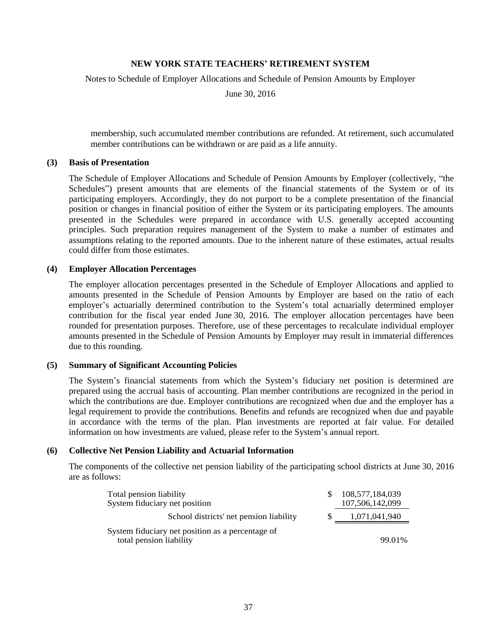Notes to Schedule of Employer Allocations and Schedule of Pension Amounts by Employer

June 30, 2016

membership, such accumulated member contributions are refunded. At retirement, such accumulated member contributions can be withdrawn or are paid as a life annuity.

### **(3) Basis of Presentation**

The Schedule of Employer Allocations and Schedule of Pension Amounts by Employer (collectively, "the Schedules") present amounts that are elements of the financial statements of the System or of its participating employers. Accordingly, they do not purport to be a complete presentation of the financial position or changes in financial position of either the System or its participating employers. The amounts presented in the Schedules were prepared in accordance with U.S. generally accepted accounting principles. Such preparation requires management of the System to make a number of estimates and assumptions relating to the reported amounts. Due to the inherent nature of these estimates, actual results could differ from those estimates.

#### **(4) Employer Allocation Percentages**

The employer allocation percentages presented in the Schedule of Employer Allocations and applied to amounts presented in the Schedule of Pension Amounts by Employer are based on the ratio of each employer's actuarially determined contribution to the System's total actuarially determined employer contribution for the fiscal year ended June 30, 2016. The employer allocation percentages have been rounded for presentation purposes. Therefore, use of these percentages to recalculate individual employer amounts presented in the Schedule of Pension Amounts by Employer may result in immaterial differences due to this rounding.

#### **(5) Summary of Significant Accounting Policies**

The System's financial statements from which the System's fiduciary net position is determined are prepared using the accrual basis of accounting. Plan member contributions are recognized in the period in which the contributions are due. Employer contributions are recognized when due and the employer has a legal requirement to provide the contributions. Benefits and refunds are recognized when due and payable in accordance with the terms of the plan. Plan investments are reported at fair value. For detailed information on how investments are valued, please refer to the System's annual report.

#### **(6) Collective Net Pension Liability and Actuarial Information**

The components of the collective net pension liability of the participating school districts at June 30, 2016 are as follows:

| Total pension liability<br>System fiduciary net position                    | 108,577,184,039<br>107,506,142,099 |
|-----------------------------------------------------------------------------|------------------------------------|
| School districts' net pension liability                                     | 1,071,041,940                      |
| System fiduciary net position as a percentage of<br>total pension liability | 99.01%                             |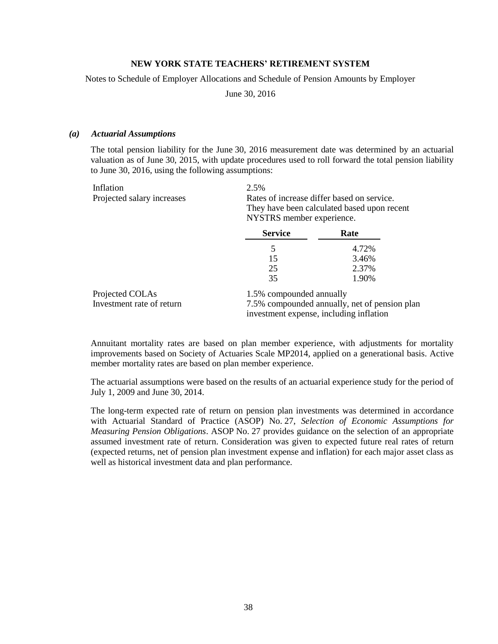Notes to Schedule of Employer Allocations and Schedule of Pension Amounts by Employer

June 30, 2016

#### *(a) Actuarial Assumptions*

The total pension liability for the June 30, 2016 measurement date was determined by an actuarial valuation as of June 30, 2015, with update procedures used to roll forward the total pension liability to June 30, 2016, using the following assumptions:

| Inflation                  | 2.5%                                                                                     |                                             |  |  |  |  |
|----------------------------|------------------------------------------------------------------------------------------|---------------------------------------------|--|--|--|--|
| Projected salary increases |                                                                                          | Rates of increase differ based on service.  |  |  |  |  |
|                            | NYSTRS member experience.                                                                | They have been calculated based upon recent |  |  |  |  |
|                            | <b>Service</b>                                                                           | Rate                                        |  |  |  |  |
|                            |                                                                                          | 4.72%                                       |  |  |  |  |
|                            | 15                                                                                       | 3.46%                                       |  |  |  |  |
|                            | 25                                                                                       | 2.37%                                       |  |  |  |  |
|                            | 35                                                                                       | 1.90%                                       |  |  |  |  |
| Projected COLAs            | 1.5% compounded annually                                                                 |                                             |  |  |  |  |
| Investment rate of return  | 7.5% compounded annually, net of pension plan<br>investment expense, including inflation |                                             |  |  |  |  |

Annuitant mortality rates are based on plan member experience, with adjustments for mortality improvements based on Society of Actuaries Scale MP2014, applied on a generational basis. Active member mortality rates are based on plan member experience.

The actuarial assumptions were based on the results of an actuarial experience study for the period of July 1, 2009 and June 30, 2014.

The long-term expected rate of return on pension plan investments was determined in accordance with Actuarial Standard of Practice (ASOP) No. 27, *Selection of Economic Assumptions for Measuring Pension Obligations*. ASOP No. 27 provides guidance on the selection of an appropriate assumed investment rate of return. Consideration was given to expected future real rates of return (expected returns, net of pension plan investment expense and inflation) for each major asset class as well as historical investment data and plan performance.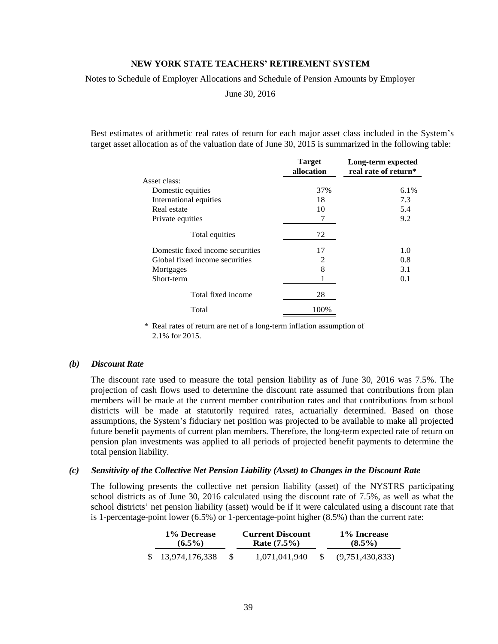Notes to Schedule of Employer Allocations and Schedule of Pension Amounts by Employer

June 30, 2016

Best estimates of arithmetic real rates of return for each major asset class included in the System's target asset allocation as of the valuation date of June 30, 2015 is summarized in the following table:

|                                  | <b>Target</b><br>allocation | Long-term expected<br>real rate of return* |
|----------------------------------|-----------------------------|--------------------------------------------|
| Asset class:                     |                             |                                            |
| Domestic equities                | 37%                         | 6.1%                                       |
| International equities           | 18                          | 7.3                                        |
| Real estate                      | 10                          | 5.4                                        |
| Private equities                 |                             | 9.2                                        |
| Total equities                   | 72                          |                                            |
| Domestic fixed income securities | 17                          | 1.0                                        |
| Global fixed income securities   | 2                           | 0.8                                        |
| Mortgages                        | 8                           | 3.1                                        |
| Short-term                       |                             | 0.1                                        |
| Total fixed income               | 28                          |                                            |
| Total                            | 100%                        |                                            |
|                                  |                             |                                            |

\* Real rates of return are net of a long-term inflation assumption of 2.1% for 2015.

#### *(b) Discount Rate*

The discount rate used to measure the total pension liability as of June 30, 2016 was 7.5%. The projection of cash flows used to determine the discount rate assumed that contributions from plan members will be made at the current member contribution rates and that contributions from school districts will be made at statutorily required rates, actuarially determined. Based on those assumptions, the System's fiduciary net position was projected to be available to make all projected future benefit payments of current plan members. Therefore, the long-term expected rate of return on pension plan investments was applied to all periods of projected benefit payments to determine the total pension liability.

#### *(c) Sensitivity of the Collective Net Pension Liability (Asset) to Changes in the Discount Rate*

The following presents the collective net pension liability (asset) of the NYSTRS participating school districts as of June 30, 2016 calculated using the discount rate of 7.5%, as well as what the school districts' net pension liability (asset) would be if it were calculated using a discount rate that is 1-percentage-point lower  $(6.5\%)$  or 1-percentage-point higher  $(8.5\%)$  than the current rate:

| 1% Decrease<br>$(6.5\%)$ | <b>Current Discount</b><br><b>Rate</b> $(7.5\%)$ | 1% Increase<br>$(8.5\%)$      |
|--------------------------|--------------------------------------------------|-------------------------------|
| \$13,974,176,338         | 1.071.041.940                                    | $\frac{1}{2}$ (9,751,430,833) |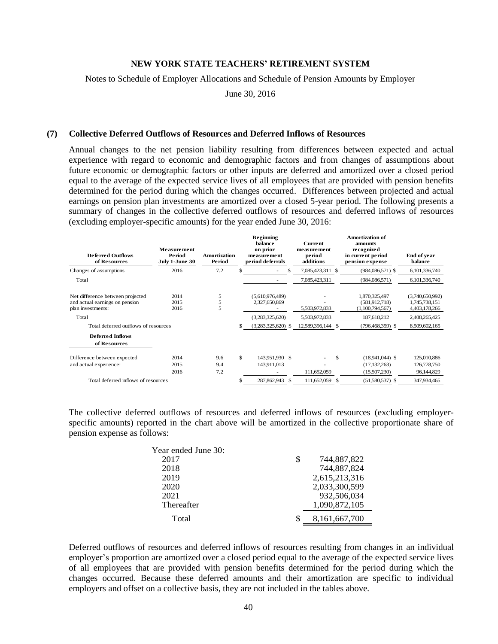Notes to Schedule of Employer Allocations and Schedule of Pension Amounts by Employer

June 30, 2016

#### **(7) Collective Deferred Outflows of Resources and Deferred Inflows of Resources**

Annual changes to the net pension liability resulting from differences between expected and actual experience with regard to economic and demographic factors and from changes of assumptions about future economic or demographic factors or other inputs are deferred and amortized over a closed period equal to the average of the expected service lives of all employees that are provided with pension benefits determined for the period during which the changes occurred. Differences between projected and actual earnings on pension plan investments are amortized over a closed 5-year period. The following presents a summary of changes in the collective deferred outflows of resources and deferred inflows of resources (excluding employer-specific amounts) for the year ended June 30, 2016:

| Deferred Outflows<br>of Resources                                                       | Measurement<br><b>Period</b><br>July 1-June 30 | Amortization<br>Period |              | <b>Beginning</b><br><b>balance</b><br>on prior<br>measurement<br>period deferrals | <b>Current</b><br>measurement<br>period<br>additions |     | <b>Amortization of</b><br>amounts<br>recognized<br>in current period<br>pension expense | End of year<br>balance                            |
|-----------------------------------------------------------------------------------------|------------------------------------------------|------------------------|--------------|-----------------------------------------------------------------------------------|------------------------------------------------------|-----|-----------------------------------------------------------------------------------------|---------------------------------------------------|
| Changes of assumptions                                                                  | 2016                                           | 7.2                    |              | ٠                                                                                 | 7,085,423,311 \$                                     |     | $(984,086,571)$ \$                                                                      | 6,101,336,740                                     |
| Total                                                                                   |                                                |                        |              | ٠                                                                                 | 7,085,423,311                                        |     | (984,086,571)                                                                           | 6,101,336,740                                     |
| Net difference between projected<br>and actual earnings on pension<br>plan investments: | 2014<br>2015<br>2016                           | 5<br>5<br>5            |              | (5,610,976,489)<br>2,327,650,869                                                  | 5,503,972,833                                        |     | 1,870,325,497<br>(581, 912, 718)<br>(1,100,794,567)                                     | (3,740,650,992)<br>1,745,738,151<br>4,403,178,266 |
| Total                                                                                   |                                                |                        |              | (3,283,325,620)                                                                   | 5,503,972,833                                        |     | 187,618,212                                                                             | 2,408,265,425                                     |
| Total deferred outflows of resources                                                    |                                                |                        |              | $(3,283,325,620)$ \$                                                              | 12,589,396,144                                       | -S  | $(796, 468, 359)$ \$                                                                    | 8,509,602,165                                     |
| <b>Deferred Inflows</b><br>of Resources                                                 |                                                |                        |              |                                                                                   |                                                      |     |                                                                                         |                                                   |
| Difference between expected                                                             | 2014                                           | 9.6                    | $\mathbb{S}$ | 143,951,930 \$                                                                    |                                                      | \$. | $(18,941,044)$ \$                                                                       | 125,010,886                                       |
| and actual experience:                                                                  | 2015                                           | 9.4                    |              | 143.911.013                                                                       |                                                      |     | (17, 132, 263)                                                                          | 126,778,750                                       |
|                                                                                         | 2016                                           | 7.2                    |              |                                                                                   | 111,652,059                                          |     | (15,507,230)                                                                            | 96,144,829                                        |
| Total deferred inflows of resources                                                     |                                                |                        |              | 287,862,943 \$                                                                    | 111,652,059                                          | £.  | $(51,580,537)$ \$                                                                       | 347,934,465                                       |

The collective deferred outflows of resources and deferred inflows of resources (excluding employerspecific amounts) reported in the chart above will be amortized in the collective proportionate share of pension expense as follows:

| Year ended June 30: |    |               |
|---------------------|----|---------------|
| 2017                | \$ | 744,887,822   |
| 2018                |    | 744,887,824   |
| 2019                |    | 2,615,213,316 |
| 2020                |    | 2,033,300,599 |
| 2021                |    | 932,506,034   |
| Thereafter          |    | 1,090,872,105 |
| Total               | S  | 8,161,667,700 |
|                     |    |               |

Deferred outflows of resources and deferred inflows of resources resulting from changes in an individual employer's proportion are amortized over a closed period equal to the average of the expected service lives of all employees that are provided with pension benefits determined for the period during which the changes occurred. Because these deferred amounts and their amortization are specific to individual employers and offset on a collective basis, they are not included in the tables above.